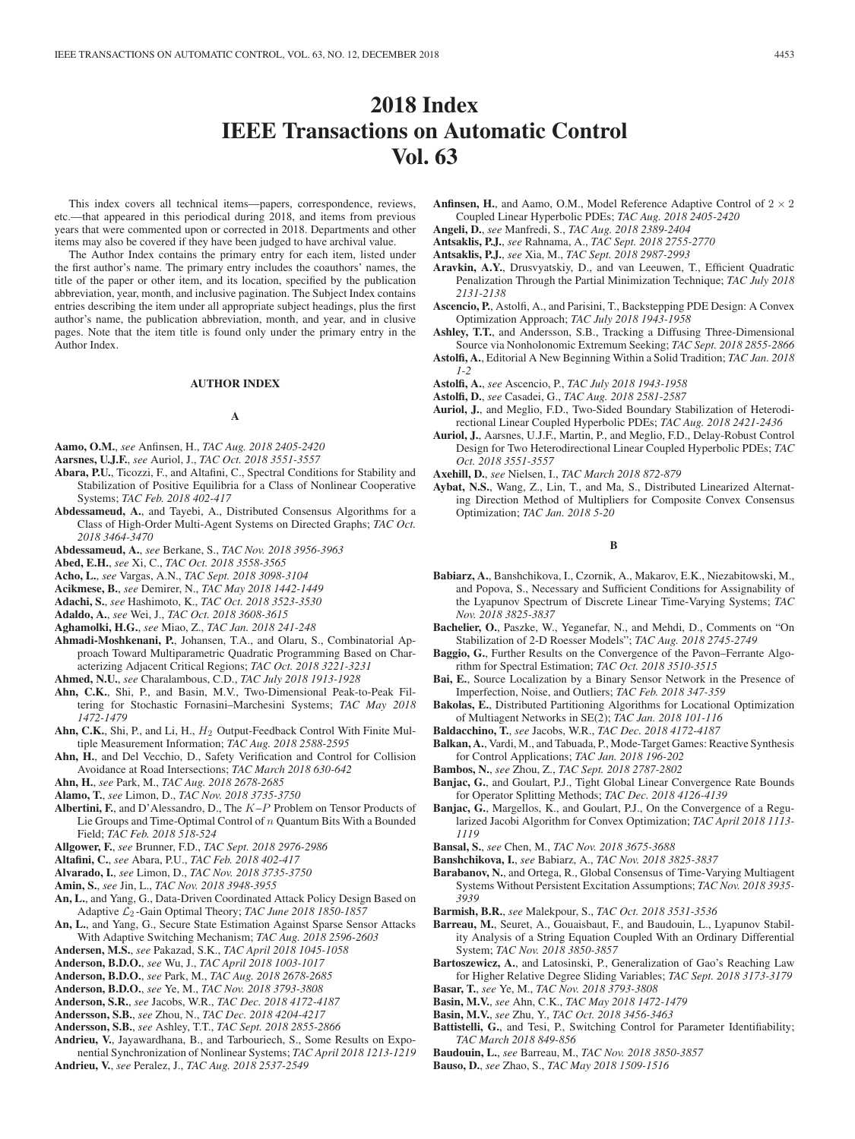# **2018 Index IEEE Transactions on Automatic Control Vol. 63**

This index covers all technical items—papers, correspondence, reviews, etc.—that appeared in this periodical during 2018, and items from previous years that were commented upon or corrected in 2018. Departments and other items may also be covered if they have been judged to have archival value.

The Author Index contains the primary entry for each item, listed under the first author's name. The primary entry includes the coauthors' names, the title of the paper or other item, and its location, specified by the publication abbreviation, year, month, and inclusive pagination. The Subject Index contains entries describing the item under all appropriate subject headings, plus the first author's name, the publication abbreviation, month, and year, and in clusive pages. Note that the item title is found only under the primary entry in the Author Index.

# **AUTHOR INDEX**

### **A**

- **Aamo, O.M.**, *see* Anfinsen, H., *TAC Aug. 2018 2405-2420*
- **Aarsnes, U.J.F.**, *see* Auriol, J., *TAC Oct. 2018 3551-3557*
- **Abara, P.U.**, Ticozzi, F., and Altafini, C., Spectral Conditions for Stability and Stabilization of Positive Equilibria for a Class of Nonlinear Cooperative Systems; *TAC Feb. 2018 402-417*
- **Abdessameud, A.**, and Tayebi, A., Distributed Consensus Algorithms for a Class of High-Order Multi-Agent Systems on Directed Graphs; *TAC Oct. 2018 3464-3470*
- **Abdessameud, A.**, *see* Berkane, S., *TAC Nov. 2018 3956-3963*
- **Abed, E.H.**, *see* Xi, C., *TAC Oct. 2018 3558-3565*
- **Acho, L.**, *see* Vargas, A.N., *TAC Sept. 2018 3098-3104*
- **Acikmese, B.**, *see* Demirer, N., *TAC May 2018 1442-1449*
- **Adachi, S.**, *see* Hashimoto, K., *TAC Oct. 2018 3523-3530*
- **Adaldo, A.**, *see* Wei, J., *TAC Oct. 2018 3608-3615*
- **Aghamolki, H.G.**, *see* Miao, Z., *TAC Jan. 2018 241-248*
- **Ahmadi-Moshkenani, P.**, Johansen, T.A., and Olaru, S., Combinatorial Approach Toward Multiparametric Quadratic Programming Based on Characterizing Adjacent Critical Regions; *TAC Oct. 2018 3221-3231*
- **Ahmed, N.U.**, *see* Charalambous, C.D., *TAC July 2018 1913-1928*
- **Ahn, C.K.**, Shi, P., and Basin, M.V., Two-Dimensional Peak-to-Peak Filtering for Stochastic Fornasini–Marchesini Systems; *TAC May 2018 1472-1479*
- Ahn, C.K., Shi, P., and Li, H.,  $H_2$  Output-Feedback Control With Finite Multiple Measurement Information; *TAC Aug. 2018 2588-2595*
- **Ahn, H.**, and Del Vecchio, D., Safety Verification and Control for Collision Avoidance at Road Intersections; *TAC March 2018 630-642*
- **Ahn, H.**, *see* Park, M., *TAC Aug. 2018 2678-2685*
- **Alamo, T.**, *see* Limon, D., *TAC Nov. 2018 3735-3750*
- **Albertini, F.**, and D'Alessandro, D., The K–P Problem on Tensor Products of Lie Groups and Time-Optimal Control of n Quantum Bits With a Bounded Field; *TAC Feb. 2018 518-524*
- **Allgower, F.**, *see* Brunner, F.D., *TAC Sept. 2018 2976-2986*
- **Altafini, C.**, *see* Abara, P.U., *TAC Feb. 2018 402-417*
- **Alvarado, I.**, *see* Limon, D., *TAC Nov. 2018 3735-3750*
- **Amin, S.**, *see* Jin, L., *TAC Nov. 2018 3948-3955*
- **An, L.**, and Yang, G., Data-Driven Coordinated Attack Policy Design Based on Adaptive L<sup>2</sup> -Gain Optimal Theory; *TAC June 2018 1850-1857*
- **An, L.**, and Yang, G., Secure State Estimation Against Sparse Sensor Attacks With Adaptive Switching Mechanism; *TAC Aug. 2018 2596-2603*
- **Andersen, M.S.**, *see* Pakazad, S.K., *TAC April 2018 1045-1058*
- **Anderson, B.D.O.**, *see* Wu, J., *TAC April 2018 1003-1017*
- **Anderson, B.D.O.**, *see* Park, M., *TAC Aug. 2018 2678-2685*
- **Anderson, B.D.O.**, *see* Ye, M., *TAC Nov. 2018 3793-3808*
- **Anderson, S.R.**, *see* Jacobs, W.R., *TAC Dec. 2018 4172-4187*
- **Andersson, S.B.**, *see* Zhou, N., *TAC Dec. 2018 4204-4217*
- **Andersson, S.B.**, *see* Ashley, T.T., *TAC Sept. 2018 2855-2866*
- **Andrieu, V.**, Jayawardhana, B., and Tarbouriech, S., Some Results on Exponential Synchronization of Nonlinear Systems; *TAC April 2018 1213-1219*
- **Andrieu, V.**, *see* Peralez, J., *TAC Aug. 2018 2537-2549*
- **Anfinsen, H.**, and Aamo, O.M., Model Reference Adaptive Control of  $2 \times 2$ Coupled Linear Hyperbolic PDEs; *TAC Aug. 2018 2405-2420*
- **Angeli, D.**, *see* Manfredi, S., *TAC Aug. 2018 2389-2404*
- **Antsaklis, P.J.**, *see* Rahnama, A., *TAC Sept. 2018 2755-2770*
- **Antsaklis, P.J.**, *see* Xia, M., *TAC Sept. 2018 2987-2993*
- **Aravkin, A.Y.**, Drusvyatskiy, D., and van Leeuwen, T., Efficient Quadratic Penalization Through the Partial Minimization Technique; *TAC July 2018 2131-2138*
- **Ascencio, P.**, Astolfi, A., and Parisini, T., Backstepping PDE Design: A Convex Optimization Approach; *TAC July 2018 1943-1958*
- **Ashley, T.T.**, and Andersson, S.B., Tracking a Diffusing Three-Dimensional Source via Nonholonomic Extremum Seeking; *TAC Sept. 2018 2855-2866*
- **Astolfi, A.**, Editorial A New Beginning Within a Solid Tradition; *TAC Jan. 2018 1-2*
- **Astolfi, A.**, *see* Ascencio, P., *TAC July 2018 1943-1958*
- **Astolfi, D.**, *see* Casadei, G., *TAC Aug. 2018 2581-2587*
- **Auriol, J.**, and Meglio, F.D., Two-Sided Boundary Stabilization of Heterodirectional Linear Coupled Hyperbolic PDEs; *TAC Aug. 2018 2421-2436*
- **Auriol, J.**, Aarsnes, U.J.F., Martin, P., and Meglio, F.D., Delay-Robust Control Design for Two Heterodirectional Linear Coupled Hyperbolic PDEs; *TAC Oct. 2018 3551-3557*
- **Axehill, D.**, *see* Nielsen, I., *TAC March 2018 872-879*
- **Aybat, N.S.**, Wang, Z., Lin, T., and Ma, S., Distributed Linearized Alternating Direction Method of Multipliers for Composite Convex Consensus Optimization; *TAC Jan. 2018 5-20*

### **B**

- **Babiarz, A.**, Banshchikova, I., Czornik, A., Makarov, E.K., Niezabitowski, M., and Popova, S., Necessary and Sufficient Conditions for Assignability of the Lyapunov Spectrum of Discrete Linear Time-Varying Systems; *TAC Nov. 2018 3825-3837*
- **Bachelier, O.**, Paszke, W., Yeganefar, N., and Mehdi, D., Comments on "On Stabilization of 2-D Roesser Models"; *TAC Aug. 2018 2745-2749*
- **Baggio, G.**, Further Results on the Convergence of the Pavon–Ferrante Algorithm for Spectral Estimation; *TAC Oct. 2018 3510-3515*
- **Bai, E.**, Source Localization by a Binary Sensor Network in the Presence of Imperfection, Noise, and Outliers; *TAC Feb. 2018 347-359*
- **Bakolas, E.**, Distributed Partitioning Algorithms for Locational Optimization of Multiagent Networks in SE(2); *TAC Jan. 2018 101-116*
- **Baldacchino, T.**, *see* Jacobs, W.R., *TAC Dec. 2018 4172-4187*
- **Balkan, A.**, Vardi, M., and Tabuada, P., Mode-Target Games: Reactive Synthesis for Control Applications; *TAC Jan. 2018 196-202*
- **Bambos, N.**, *see* Zhou, Z., *TAC Sept. 2018 2787-2802*
- **Banjac, G.**, and Goulart, P.J., Tight Global Linear Convergence Rate Bounds for Operator Splitting Methods; *TAC Dec. 2018 4126-4139*
- **Banjac, G.**, Margellos, K., and Goulart, P.J., On the Convergence of a Regularized Jacobi Algorithm for Convex Optimization; *TAC April 2018 1113- 1119*
- **Bansal, S.**, *see* Chen, M., *TAC Nov. 2018 3675-3688*
- **Banshchikova, I.**, *see* Babiarz, A., *TAC Nov. 2018 3825-3837*
- **Barabanov, N.**, and Ortega, R., Global Consensus of Time-Varying Multiagent Systems Without Persistent Excitation Assumptions; *TAC Nov. 2018 3935- 3939*
- **Barmish, B.R.**, *see* Malekpour, S., *TAC Oct. 2018 3531-3536*
- **Barreau, M.**, Seuret, A., Gouaisbaut, F., and Baudouin, L., Lyapunov Stability Analysis of a String Equation Coupled With an Ordinary Differential System; *TAC Nov. 2018 3850-3857*
- **Bartoszewicz, A.**, and Latosinski, P., Generalization of Gao's Reaching Law for Higher Relative Degree Sliding Variables; *TAC Sept. 2018 3173-3179*
- **Basar, T.**, *see* Ye, M., *TAC Nov. 2018 3793-3808*
- **Basin, M.V.**, *see* Ahn, C.K., *TAC May 2018 1472-1479*
- **Basin, M.V.**, *see* Zhu, Y., *TAC Oct. 2018 3456-3463*
- **Battistelli, G.**, and Tesi, P., Switching Control for Parameter Identifiability; *TAC March 2018 849-856*
- **Baudouin, L.**, *see* Barreau, M., *TAC Nov. 2018 3850-3857*
- **Bauso, D.**, *see* Zhao, S., *TAC May 2018 1509-1516*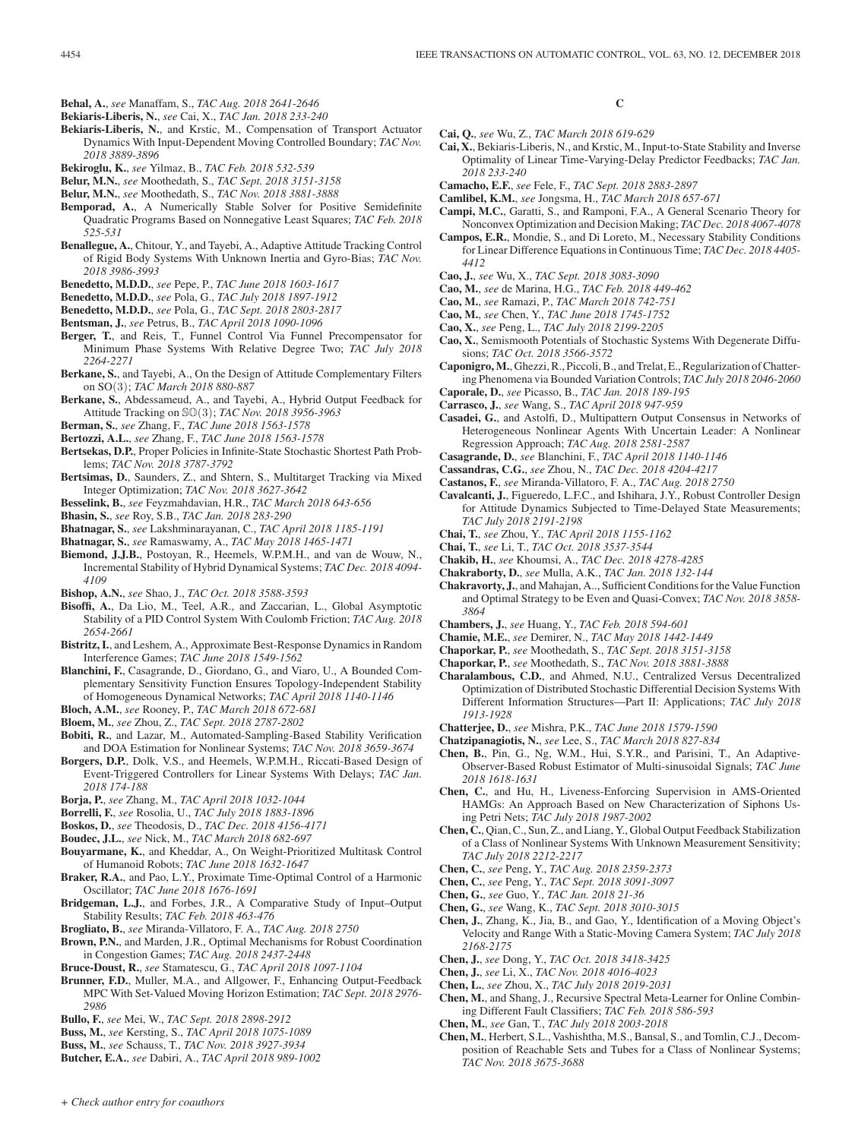- **Behal, A.**, *see* Manaffam, S., *TAC Aug. 2018 2641-2646*
- **Bekiaris-Liberis, N.**, *see* Cai, X., *TAC Jan. 2018 233-240*
- **Bekiaris-Liberis, N.**, and Krstic, M., Compensation of Transport Actuator Dynamics With Input-Dependent Moving Controlled Boundary; *TAC Nov. 2018 3889-3896*
- **Bekiroglu, K.**, *see* Yilmaz, B., *TAC Feb. 2018 532-539*
- **Belur, M.N.**, *see* Moothedath, S., *TAC Sept. 2018 3151-3158*
- **Belur, M.N.**, *see* Moothedath, S., *TAC Nov. 2018 3881-3888*
- **Bemporad, A.**, A Numerically Stable Solver for Positive Semidefinite Quadratic Programs Based on Nonnegative Least Squares; *TAC Feb. 2018 525-531*
- **Benallegue, A.**, Chitour, Y., and Tayebi, A., Adaptive Attitude Tracking Control of Rigid Body Systems With Unknown Inertia and Gyro-Bias; *TAC Nov. 2018 3986-3993*
- **Benedetto, M.D.D.**, *see* Pepe, P., *TAC June 2018 1603-1617*
- **Benedetto, M.D.D.**, *see* Pola, G., *TAC July 2018 1897-1912*
- **Benedetto, M.D.D.**, *see* Pola, G., *TAC Sept. 2018 2803-2817*
- **Bentsman, J.**, *see* Petrus, B., *TAC April 2018 1090-1096*
- **Berger, T.**, and Reis, T., Funnel Control Via Funnel Precompensator for Minimum Phase Systems With Relative Degree Two; *TAC July 2018 2264-2271*
- **Berkane, S.**, and Tayebi, A., On the Design of Attitude Complementary Filters on SO(3); *TAC March 2018 880-887*
- **Berkane, S.**, Abdessameud, A., and Tayebi, A., Hybrid Output Feedback for Attitude Tracking on SO(3); *TAC Nov. 2018 3956-3963*
- **Berman, S.**, *see* Zhang, F., *TAC June 2018 1563-1578*
- **Bertozzi, A.L.**, *see* Zhang, F., *TAC June 2018 1563-1578*
- **Bertsekas, D.P.**, Proper Policies in Infinite-State Stochastic Shortest Path Problems; *TAC Nov. 2018 3787-3792*
- **Bertsimas, D.**, Saunders, Z., and Shtern, S., Multitarget Tracking via Mixed Integer Optimization; *TAC Nov. 2018 3627-3642*
- **Besselink, B.**, *see* Feyzmahdavian, H.R., *TAC March 2018 643-656*
- **Bhasin, S.**, *see* Roy, S.B., *TAC Jan. 2018 283-290*
- **Bhatnagar, S.**, *see* Lakshminarayanan, C., *TAC April 2018 1185-1191*
- **Bhatnagar, S.**, *see* Ramaswamy, A., *TAC May 2018 1465-1471*
- **Biemond, J.J.B.**, Postoyan, R., Heemels, W.P.M.H., and van de Wouw, N., Incremental Stability of Hybrid Dynamical Systems; *TAC Dec. 2018 4094- 4109*
- **Bishop, A.N.**, *see* Shao, J., *TAC Oct. 2018 3588-3593*
- **Bisoffi, A.**, Da Lio, M., Teel, A.R., and Zaccarian, L., Global Asymptotic Stability of a PID Control System With Coulomb Friction; *TAC Aug. 2018 2654-2661*
- **Bistritz, I.**, and Leshem, A., Approximate Best-Response Dynamics in Random Interference Games; *TAC June 2018 1549-1562*
- **Blanchini, F.**, Casagrande, D., Giordano, G., and Viaro, U., A Bounded Complementary Sensitivity Function Ensures Topology-Independent Stability of Homogeneous Dynamical Networks; *TAC April 2018 1140-1146*
- **Bloch, A.M.**, *see* Rooney, P., *TAC March 2018 672-681*
- **Bloem, M.**, *see* Zhou, Z., *TAC Sept. 2018 2787-2802*
- **Bobiti, R.**, and Lazar, M., Automated-Sampling-Based Stability Verification and DOA Estimation for Nonlinear Systems; *TAC Nov. 2018 3659-3674*
- **Borgers, D.P.**, Dolk, V.S., and Heemels, W.P.M.H., Riccati-Based Design of Event-Triggered Controllers for Linear Systems With Delays; *TAC Jan. 2018 174-188*
- **Borja, P.**, *see* Zhang, M., *TAC April 2018 1032-1044*
- **Borrelli, F.**, *see* Rosolia, U., *TAC July 2018 1883-1896*
- **Boskos, D.**, *see* Theodosis, D., *TAC Dec. 2018 4156-4171*
- **Boudec, J.L.**, *see* Nick, M., *TAC March 2018 682-697*
- **Bouyarmane, K.**, and Kheddar, A., On Weight-Prioritized Multitask Control of Humanoid Robots; *TAC June 2018 1632-1647*
- **Braker, R.A.**, and Pao, L.Y., Proximate Time-Optimal Control of a Harmonic Oscillator; *TAC June 2018 1676-1691*
- **Bridgeman, L.J.**, and Forbes, J.R., A Comparative Study of Input–Output Stability Results; *TAC Feb. 2018 463-476*
- **Brogliato, B.**, *see* Miranda-Villatoro, F. A., *TAC Aug. 2018 2750*
- **Brown, P.N.**, and Marden, J.R., Optimal Mechanisms for Robust Coordination in Congestion Games; *TAC Aug. 2018 2437-2448*
- **Bruce-Doust, R.**, *see* Stamatescu, G., *TAC April 2018 1097-1104*
- **Brunner, F.D.**, Muller, M.A., and Allgower, F., Enhancing Output-Feedback MPC With Set-Valued Moving Horizon Estimation; *TAC Sept. 2018 2976- 2986*
- **Bullo, F.**, *see* Mei, W., *TAC Sept. 2018 2898-2912*
- **Buss, M.**, *see* Kersting, S., *TAC April 2018 1075-1089*
- **Buss, M.**, *see* Schauss, T., *TAC Nov. 2018 3927-3934*
- **Butcher, E.A.**, *see* Dabiri, A., *TAC April 2018 989-1002*
- **C**
- **Cai, Q.**, *see* Wu, Z., *TAC March 2018 619-629*
- **Cai, X.**, Bekiaris-Liberis, N., and Krstic, M., Input-to-State Stability and Inverse Optimality of Linear Time-Varying-Delay Predictor Feedbacks; *TAC Jan. 2018 233-240*
- **Camacho, E.F.**, *see* Fele, F., *TAC Sept. 2018 2883-2897*
- **Camlibel, K.M.**, *see* Jongsma, H., *TAC March 2018 657-671*
- **Campi, M.C.**, Garatti, S., and Ramponi, F.A., A General Scenario Theory for Nonconvex Optimization and Decision Making; *TAC Dec. 2018 4067-4078*
- **Campos, E.R.**, Mondie, S., and Di Loreto, M., Necessary Stability Conditions for Linear Difference Equations in Continuous Time; *TAC Dec. 2018 4405- 4412*
- **Cao, J.**, *see* Wu, X., *TAC Sept. 2018 3083-3090*
- **Cao, M.**, *see* de Marina, H.G., *TAC Feb. 2018 449-462*
- **Cao, M.**, *see* Ramazi, P., *TAC March 2018 742-751*
- **Cao, M.**, *see* Chen, Y., *TAC June 2018 1745-1752*
- **Cao, X.**, *see* Peng, L., *TAC July 2018 2199-2205*
- **Cao, X.**, Semismooth Potentials of Stochastic Systems With Degenerate Diffusions; *TAC Oct. 2018 3566-3572*
- **Caponigro,M.**, Ghezzi, R., Piccoli, B., and Trelat, E., Regularization of Chattering Phenomena via Bounded Variation Controls; *TAC July 2018 2046-2060*
- **Caporale, D.**, *see* Picasso, B., *TAC Jan. 2018 189-195*
- **Carrasco, J.**, *see* Wang, S., *TAC April 2018 947-959*
- **Casadei, G.**, and Astolfi, D., Multipattern Output Consensus in Networks of Heterogeneous Nonlinear Agents With Uncertain Leader: A Nonlinear Regression Approach; *TAC Aug. 2018 2581-2587*
- **Casagrande, D.**, *see* Blanchini, F., *TAC April 2018 1140-1146*
- **Cassandras, C.G.**, *see* Zhou, N., *TAC Dec. 2018 4204-4217*
- **Castanos, F.**, *see* Miranda-Villatoro, F. A., *TAC Aug. 2018 2750*
- **Cavalcanti, J.**, Figueredo, L.F.C., and Ishihara, J.Y., Robust Controller Design for Attitude Dynamics Subjected to Time-Delayed State Measurements; *TAC July 2018 2191-2198*
- **Chai, T.**, *see* Zhou, Y., *TAC April 2018 1155-1162*
- **Chai, T.**, *see* Li, T., *TAC Oct. 2018 3537-3544*
- **Chakib, H.**, *see* Khoumsi, A., *TAC Dec. 2018 4278-4285*
- **Chakraborty, D.**, *see* Mulla, A.K., *TAC Jan. 2018 132-144*
- **Chakravorty, J.**, and Mahajan, A.., Sufficient Conditions for the Value Function and Optimal Strategy to be Even and Quasi-Convex; *TAC Nov. 2018 3858- 3864*
- **Chambers, J.**, *see* Huang, Y., *TAC Feb. 2018 594-601*
- **Chamie, M.E.**, *see* Demirer, N., *TAC May 2018 1442-1449*
- **Chaporkar, P.**, *see* Moothedath, S., *TAC Sept. 2018 3151-3158*
- **Chaporkar, P.**, *see* Moothedath, S., *TAC Nov. 2018 3881-3888*
- **Charalambous, C.D.**, and Ahmed, N.U., Centralized Versus Decentralized Optimization of Distributed Stochastic Differential Decision Systems With Different Information Structures—Part II: Applications; *TAC July 2018 1913-1928*
- **Chatterjee, D.**, *see* Mishra, P.K., *TAC June 2018 1579-1590*
- **Chatzipanagiotis, N.**, *see* Lee, S., *TAC March 2018 827-834*
- **Chen, B.**, Pin, G., Ng, W.M., Hui, S.Y.R., and Parisini, T., An Adaptive-Observer-Based Robust Estimator of Multi-sinusoidal Signals; *TAC June 2018 1618-1631*
- **Chen, C.**, and Hu, H., Liveness-Enforcing Supervision in AMS-Oriented HAMGs: An Approach Based on New Characterization of Siphons Using Petri Nets; *TAC July 2018 1987-2002*
- **Chen, C.**, Qian, C., Sun, Z., and Liang, Y., Global Output Feedback Stabilization of a Class of Nonlinear Systems With Unknown Measurement Sensitivity; *TAC July 2018 2212-2217*
- **Chen, C.**, *see* Peng, Y., *TAC Aug. 2018 2359-2373*
- **Chen, C.**, *see* Peng, Y., *TAC Sept. 2018 3091-3097*
- **Chen, G.**, *see* Guo, Y., *TAC Jan. 2018 21-36*
- **Chen, G.**, *see* Wang, K., *TAC Sept. 2018 3010-3015*
- **Chen, J.**, Zhang, K., Jia, B., and Gao, Y., Identification of a Moving Object's Velocity and Range With a Static-Moving Camera System; *TAC July 2018 2168-2175*
- **Chen, J.**, *see* Dong, Y., *TAC Oct. 2018 3418-3425*
- **Chen, J.**, *see* Li, X., *TAC Nov. 2018 4016-4023*
- **Chen, L.**, *see* Zhou, X., *TAC July 2018 2019-2031*
- **Chen, M.**, and Shang, J., Recursive Spectral Meta-Learner for Online Combining Different Fault Classifiers; *TAC Feb. 2018 586-593*
- **Chen, M.**, *see* Gan, T., *TAC July 2018 2003-2018*
- **Chen, M.**, Herbert, S.L., Vashishtha, M.S., Bansal, S., and Tomlin, C.J., Decomposition of Reachable Sets and Tubes for a Class of Nonlinear Systems; *TAC Nov. 2018 3675-3688*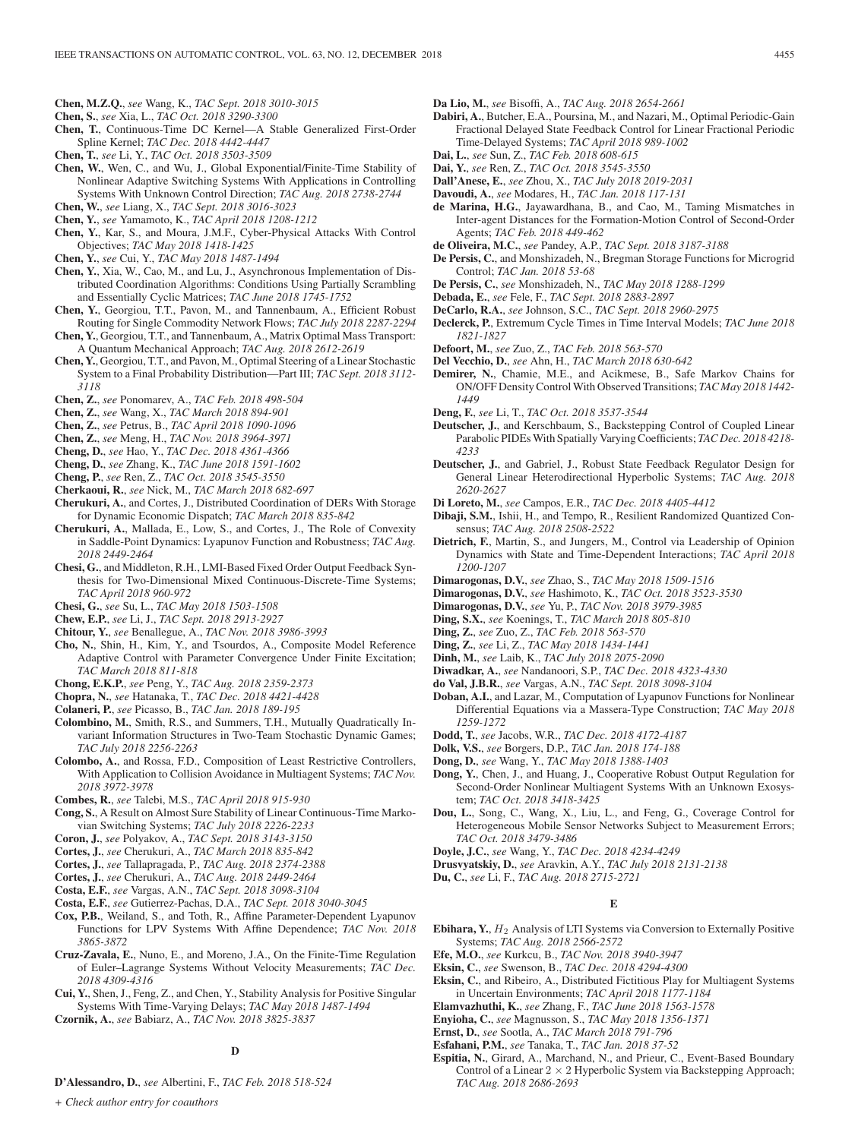- **Chen, M.Z.Q.**, *see* Wang, K., *TAC Sept. 2018 3010-3015*
- **Chen, S.**, *see* Xia, L., *TAC Oct. 2018 3290-3300*
- **Chen, T.**, Continuous-Time DC Kernel—A Stable Generalized First-Order Spline Kernel; *TAC Dec. 2018 4442-4447*
- **Chen, T.**, *see* Li, Y., *TAC Oct. 2018 3503-3509*
- **Chen, W.**, Wen, C., and Wu, J., Global Exponential/Finite-Time Stability of Nonlinear Adaptive Switching Systems With Applications in Controlling Systems With Unknown Control Direction; *TAC Aug. 2018 2738-2744*
- **Chen, W.**, *see* Liang, X., *TAC Sept. 2018 3016-3023*
- **Chen, Y.**, *see* Yamamoto, K., *TAC April 2018 1208-1212*
- **Chen, Y.**, Kar, S., and Moura, J.M.F., Cyber-Physical Attacks With Control Objectives; *TAC May 2018 1418-1425*
- **Chen, Y.**, *see* Cui, Y., *TAC May 2018 1487-1494*
- **Chen, Y.**, Xia, W., Cao, M., and Lu, J., Asynchronous Implementation of Distributed Coordination Algorithms: Conditions Using Partially Scrambling and Essentially Cyclic Matrices; *TAC June 2018 1745-1752*
- **Chen, Y.**, Georgiou, T.T., Pavon, M., and Tannenbaum, A., Efficient Robust Routing for Single Commodity Network Flows; *TAC July 2018 2287-2294*
- **Chen, Y.**, Georgiou, T.T., and Tannenbaum, A., Matrix Optimal Mass Transport: A Quantum Mechanical Approach; *TAC Aug. 2018 2612-2619*
- **Chen, Y.**, Georgiou, T.T., and Pavon, M., Optimal Steering of a Linear Stochastic System to a Final Probability Distribution—Part III; *TAC Sept. 2018 3112- 3118*
- **Chen, Z.**, *see* Ponomarev, A., *TAC Feb. 2018 498-504*
- **Chen, Z.**, *see* Wang, X., *TAC March 2018 894-901*
- **Chen, Z.**, *see* Petrus, B., *TAC April 2018 1090-1096*
- **Chen, Z.**, *see* Meng, H., *TAC Nov. 2018 3964-3971*
- **Cheng, D.**, *see* Hao, Y., *TAC Dec. 2018 4361-4366*
- **Cheng, D.**, *see* Zhang, K., *TAC June 2018 1591-1602*
- **Cheng, P.**, *see* Ren, Z., *TAC Oct. 2018 3545-3550*
- **Cherkaoui, R.**, *see* Nick, M., *TAC March 2018 682-697*
- **Cherukuri, A.**, and Cortes, J., Distributed Coordination of DERs With Storage for Dynamic Economic Dispatch; *TAC March 2018 835-842*
- **Cherukuri, A.**, Mallada, E., Low, S., and Cortes, J., The Role of Convexity in Saddle-Point Dynamics: Lyapunov Function and Robustness; *TAC Aug. 2018 2449-2464*
- **Chesi, G.**, and Middleton, R.H., LMI-Based Fixed Order Output Feedback Synthesis for Two-Dimensional Mixed Continuous-Discrete-Time Systems; *TAC April 2018 960-972*
- **Chesi, G.**, *see* Su, L., *TAC May 2018 1503-1508*
- **Chew, E.P.**, *see* Li, J., *TAC Sept. 2018 2913-2927*
- **Chitour, Y.**, *see* Benallegue, A., *TAC Nov. 2018 3986-3993*
- **Cho, N.**, Shin, H., Kim, Y., and Tsourdos, A., Composite Model Reference Adaptive Control with Parameter Convergence Under Finite Excitation; *TAC March 2018 811-818*
- **Chong, E.K.P.**, *see* Peng, Y., *TAC Aug. 2018 2359-2373*
- **Chopra, N.**, *see* Hatanaka, T., *TAC Dec. 2018 4421-4428*
- **Colaneri, P.**, *see* Picasso, B., *TAC Jan. 2018 189-195*
- **Colombino, M.**, Smith, R.S., and Summers, T.H., Mutually Quadratically Invariant Information Structures in Two-Team Stochastic Dynamic Games; *TAC July 2018 2256-2263*
- **Colombo, A.**, and Rossa, F.D., Composition of Least Restrictive Controllers, With Application to Collision Avoidance in Multiagent Systems; *TAC Nov. 2018 3972-3978*
- **Combes, R.**, *see* Talebi, M.S., *TAC April 2018 915-930*
- **Cong, S.**, A Result on Almost Sure Stability of Linear Continuous-Time Markovian Switching Systems; *TAC July 2018 2226-2233*
- **Coron, J.**, *see* Polyakov, A., *TAC Sept. 2018 3143-3150*
- **Cortes, J.**, *see* Cherukuri, A., *TAC March 2018 835-842*
- **Cortes, J.**, *see* Tallapragada, P., *TAC Aug. 2018 2374-2388*
- **Cortes, J.**, *see* Cherukuri, A., *TAC Aug. 2018 2449-2464*
- **Costa, E.F.**, *see* Vargas, A.N., *TAC Sept. 2018 3098-3104*
- **Costa, E.F.**, *see* Gutierrez-Pachas, D.A., *TAC Sept. 2018 3040-3045*
- **Cox, P.B.**, Weiland, S., and Toth, R., Affine Parameter-Dependent Lyapunov Functions for LPV Systems With Affine Dependence; *TAC Nov. 2018 3865-3872*
- **Cruz-Zavala, E.**, Nuno, E., and Moreno, J.A., On the Finite-Time Regulation of Euler–Lagrange Systems Without Velocity Measurements; *TAC Dec. 2018 4309-4316*
- **Cui, Y.**, Shen, J., Feng, Z., and Chen, Y., Stability Analysis for Positive Singular Systems With Time-Varying Delays; *TAC May 2018 1487-1494*
- **Czornik, A.**, *see* Babiarz, A., *TAC Nov. 2018 3825-3837*

# **D**

**D'Alessandro, D.**, *see* Albertini, F., *TAC Feb. 2018 518-524*

*+ Check author entry for coauthors*

- **Da Lio, M.**, *see* Bisoffi, A., *TAC Aug. 2018 2654-2661*
- **Dabiri, A.**, Butcher, E.A., Poursina, M., and Nazari, M., Optimal Periodic-Gain Fractional Delayed State Feedback Control for Linear Fractional Periodic Time-Delayed Systems; *TAC April 2018 989-1002*
- **Dai, L.**, *see* Sun, Z., *TAC Feb. 2018 608-615*
- **Dai, Y.**, *see* Ren, Z., *TAC Oct. 2018 3545-3550*
- **Dall'Anese, E.**, *see* Zhou, X., *TAC July 2018 2019-2031*
- **Davoudi, A.**, *see* Modares, H., *TAC Jan. 2018 117-131*
- **de Marina, H.G.**, Jayawardhana, B., and Cao, M., Taming Mismatches in Inter-agent Distances for the Formation-Motion Control of Second-Order Agents; *TAC Feb. 2018 449-462*
- **de Oliveira, M.C.**, *see* Pandey, A.P., *TAC Sept. 2018 3187-3188*
- **De Persis, C.**, and Monshizadeh, N., Bregman Storage Functions for Microgrid Control; *TAC Jan. 2018 53-68*
- **De Persis, C.**, *see* Monshizadeh, N., *TAC May 2018 1288-1299*
- **Debada, E.**, *see* Fele, F., *TAC Sept. 2018 2883-2897*
- **DeCarlo, R.A.**, *see* Johnson, S.C., *TAC Sept. 2018 2960-2975*
- **Declerck, P.**, Extremum Cycle Times in Time Interval Models; *TAC June 2018 1821-1827*
- **Defoort, M.**, *see* Zuo, Z., *TAC Feb. 2018 563-570*
- **Del Vecchio, D.**, *see* Ahn, H., *TAC March 2018 630-642*
- **Demirer, N.**, Chamie, M.E., and Acikmese, B., Safe Markov Chains for ON/OFF Density ControlWith Observed Transitions; *TAC May 2018 1442- 1449*
- **Deng, F.**, *see* Li, T., *TAC Oct. 2018 3537-3544*
- **Deutscher, J.**, and Kerschbaum, S., Backstepping Control of Coupled Linear Parabolic PIDEs With Spatially Varying Coefficients; *TAC Dec. 2018 4218-4233*
- **Deutscher, J.**, and Gabriel, J., Robust State Feedback Regulator Design for General Linear Heterodirectional Hyperbolic Systems; *TAC Aug. 2018 2620-2627*
- **Di Loreto, M.**, *see* Campos, E.R., *TAC Dec. 2018 4405-4412*
- **Dibaji, S.M.**, Ishii, H., and Tempo, R., Resilient Randomized Quantized Consensus; *TAC Aug. 2018 2508-2522*
- **Dietrich, F.**, Martin, S., and Jungers, M., Control via Leadership of Opinion Dynamics with State and Time-Dependent Interactions; *TAC April 2018 1200-1207*
- **Dimarogonas, D.V.**, *see* Zhao, S., *TAC May 2018 1509-1516*
- **Dimarogonas, D.V.**, *see* Hashimoto, K., *TAC Oct. 2018 3523-3530*
- **Dimarogonas, D.V.**, *see* Yu, P., *TAC Nov. 2018 3979-3985*
- **Ding, S.X.**, *see* Koenings, T., *TAC March 2018 805-810*
- **Ding, Z.**, *see* Zuo, Z., *TAC Feb. 2018 563-570*
- **Ding, Z.**, *see* Li, Z., *TAC May 2018 1434-1441*
- **Dinh, M.**, *see* Laib, K., *TAC July 2018 2075-2090*
- **Diwadkar, A.**, *see* Nandanoori, S.P., *TAC Dec. 2018 4323-4330*
- **do Val, J.B.R.**, *see* Vargas, A.N., *TAC Sept. 2018 3098-3104*
- **Doban, A.I.**, and Lazar, M., Computation of Lyapunov Functions for Nonlinear Differential Equations via a Massera-Type Construction; *TAC May 2018 1259-1272*
- **Dodd, T.**, *see* Jacobs, W.R., *TAC Dec. 2018 4172-4187*
- **Dolk, V.S.**, *see* Borgers, D.P., *TAC Jan. 2018 174-188*
- **Dong, D.**, *see* Wang, Y., *TAC May 2018 1388-1403*
- **Dong, Y.**, Chen, J., and Huang, J., Cooperative Robust Output Regulation for Second-Order Nonlinear Multiagent Systems With an Unknown Exosystem; *TAC Oct. 2018 3418-3425*
- **Dou, L.**, Song, C., Wang, X., Liu, L., and Feng, G., Coverage Control for Heterogeneous Mobile Sensor Networks Subject to Measurement Errors; *TAC Oct. 2018 3479-3486*
- **Doyle, J.C.**, *see* Wang, Y., *TAC Dec. 2018 4234-4249*
- **Drusvyatskiy, D.**, *see* Aravkin, A.Y., *TAC July 2018 2131-2138*
- **Du, C.**, *see* Li, F., *TAC Aug. 2018 2715-2721*

# **E**

- **Ebihara, Y.**,  $H_2$  Analysis of LTI Systems via Conversion to Externally Positive Systems; *TAC Aug. 2018 2566-2572*
- **Efe, M.O.**, *see* Kurkcu, B., *TAC Nov. 2018 3940-3947*
- **Eksin, C.**, *see* Swenson, B., *TAC Dec. 2018 4294-4300*
- **Eksin, C.**, and Ribeiro, A., Distributed Fictitious Play for Multiagent Systems in Uncertain Environments; *TAC April 2018 1177-1184*
- **Elamvazhuthi, K.**, *see* Zhang, F., *TAC June 2018 1563-1578*
- **Enyioha, C.**, *see* Magnusson, S., *TAC May 2018 1356-1371*
- **Ernst, D.**, *see* Sootla, A., *TAC March 2018 791-796*
- **Esfahani, P.M.**, *see* Tanaka, T., *TAC Jan. 2018 37-52*
- **Espitia, N.**, Girard, A., Marchand, N., and Prieur, C., Event-Based Boundary Control of a Linear  $2 \times 2$  Hyperbolic System via Backstepping Approach; *TAC Aug. 2018 2686-2693*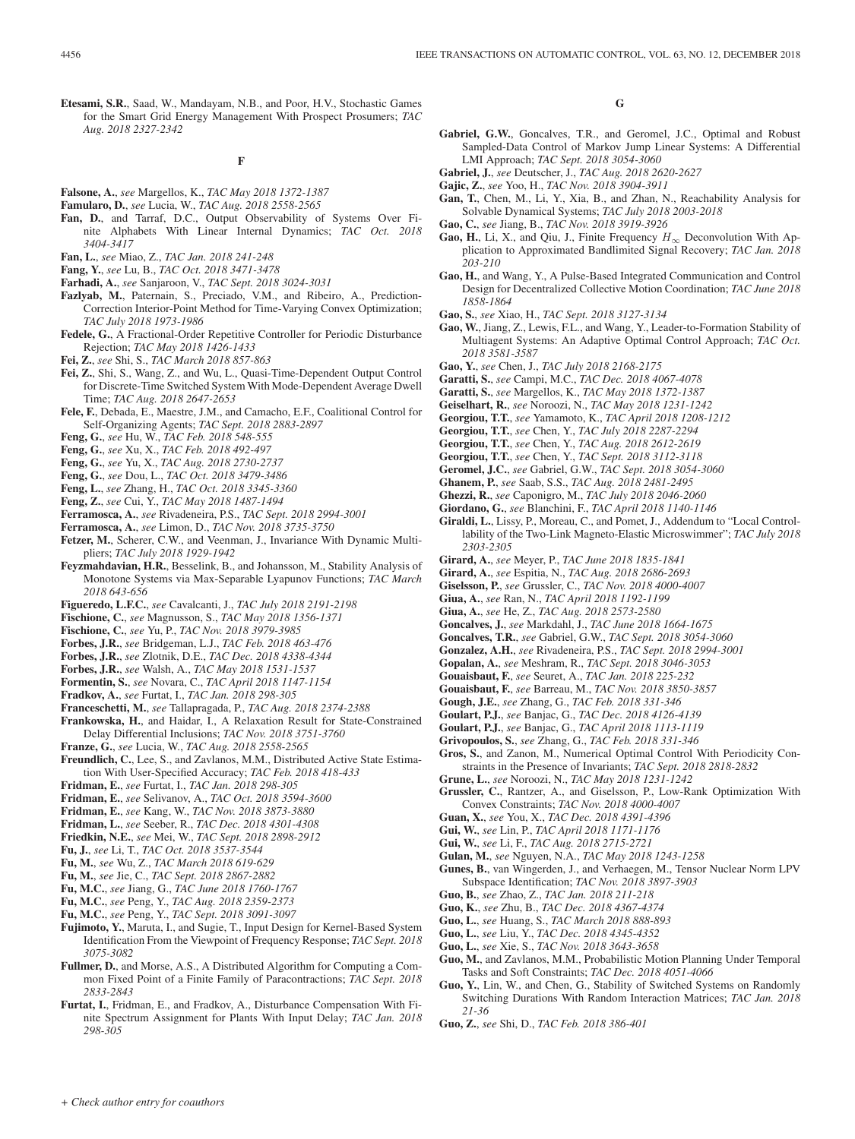**Etesami, S.R.**, Saad, W., Mandayam, N.B., and Poor, H.V., Stochastic Games for the Smart Grid Energy Management With Prospect Prosumers; *TAC Aug. 2018 2327-2342*

### **F**

- **Falsone, A.**, *see* Margellos, K., *TAC May 2018 1372-1387*
- **Famularo, D.**, *see* Lucia, W., *TAC Aug. 2018 2558-2565*
- **Fan, D.**, and Tarraf, D.C., Output Observability of Systems Over Finite Alphabets With Linear Internal Dynamics; *TAC Oct. 2018 3404-3417*
- **Fan, L.**, *see* Miao, Z., *TAC Jan. 2018 241-248*
- **Fang, Y.**, *see* Lu, B., *TAC Oct. 2018 3471-3478*
- **Farhadi, A.**, *see* Sanjaroon, V., *TAC Sept. 2018 3024-3031*
- **Fazlyab, M.**, Paternain, S., Preciado, V.M., and Ribeiro, A., Prediction-Correction Interior-Point Method for Time-Varying Convex Optimization; *TAC July 2018 1973-1986*
- **Fedele, G.**, A Fractional-Order Repetitive Controller for Periodic Disturbance Rejection; *TAC May 2018 1426-1433*
- **Fei, Z.**, *see* Shi, S., *TAC March 2018 857-863*
- **Fei, Z.**, Shi, S., Wang, Z., and Wu, L., Quasi-Time-Dependent Output Control for Discrete-Time Switched System With Mode-Dependent Average Dwell Time; *TAC Aug. 2018 2647-2653*
- **Fele, F.**, Debada, E., Maestre, J.M., and Camacho, E.F., Coalitional Control for Self-Organizing Agents; *TAC Sept. 2018 2883-2897*
- **Feng, G.**, *see* Hu, W., *TAC Feb. 2018 548-555*
- **Feng, G.**, *see* Xu, X., *TAC Feb. 2018 492-497*
- **Feng, G.**, *see* Yu, X., *TAC Aug. 2018 2730-2737*
- **Feng, G.**, *see* Dou, L., *TAC Oct. 2018 3479-3486*
- **Feng, L.**, *see* Zhang, H., *TAC Oct. 2018 3345-3360*
- 
- **Feng, Z.**, *see* Cui, Y., *TAC May 2018 1487-1494*
- **Ferramosca, A.**, *see* Rivadeneira, P.S., *TAC Sept. 2018 2994-3001*
- **Ferramosca, A.**, *see* Limon, D., *TAC Nov. 2018 3735-3750*
- **Fetzer, M.**, Scherer, C.W., and Veenman, J., Invariance With Dynamic Multipliers; *TAC July 2018 1929-1942*
- **Feyzmahdavian, H.R.**, Besselink, B., and Johansson, M., Stability Analysis of Monotone Systems via Max-Separable Lyapunov Functions; *TAC March 2018 643-656*
- **Figueredo, L.F.C.**, *see* Cavalcanti, J., *TAC July 2018 2191-2198*
- **Fischione, C.**, *see* Magnusson, S., *TAC May 2018 1356-1371*
- **Fischione, C.**, *see* Yu, P., *TAC Nov. 2018 3979-3985*
- **Forbes, J.R.**, *see* Bridgeman, L.J., *TAC Feb. 2018 463-476*
- **Forbes, J.R.**, *see* Zlotnik, D.E., *TAC Dec. 2018 4338-4344*
- **Forbes, J.R.**, *see* Walsh, A., *TAC May 2018 1531-1537*
- **Formentin, S.**, *see* Novara, C., *TAC April 2018 1147-1154*
- **Fradkov, A.**, *see* Furtat, I., *TAC Jan. 2018 298-305*
- **Franceschetti, M.**, *see* Tallapragada, P., *TAC Aug. 2018 2374-2388*
- **Frankowska, H.**, and Haidar, I., A Relaxation Result for State-Constrained Delay Differential Inclusions; *TAC Nov. 2018 3751-3760*
- **Franze, G.**, *see* Lucia, W., *TAC Aug. 2018 2558-2565*
- **Freundlich, C.**, Lee, S., and Zavlanos, M.M., Distributed Active State Estimation With User-Specified Accuracy; *TAC Feb. 2018 418-433*
- **Fridman, E.**, *see* Furtat, I., *TAC Jan. 2018 298-305*
- **Fridman, E.**, *see* Selivanov, A., *TAC Oct. 2018 3594-3600*
- **Fridman, E.**, *see* Kang, W., *TAC Nov. 2018 3873-3880*
- **Fridman, L.**, *see* Seeber, R., *TAC Dec. 2018 4301-4308*
- **Friedkin, N.E.**, *see* Mei, W., *TAC Sept. 2018 2898-2912*
- **Fu, J.**, *see* Li, T., *TAC Oct. 2018 3537-3544*
- **Fu, M.**, *see* Wu, Z., *TAC March 2018 619-629*
- **Fu, M.**, *see* Jie, C., *TAC Sept. 2018 2867-2882*
- **Fu, M.C.**, *see* Jiang, G., *TAC June 2018 1760-1767*
- **Fu, M.C.**, *see* Peng, Y., *TAC Aug. 2018 2359-2373*
- **Fu, M.C.**, *see* Peng, Y., *TAC Sept. 2018 3091-3097*

*+ Check author entry for coauthors*

- **Fujimoto, Y.**, Maruta, I., and Sugie, T., Input Design for Kernel-Based System Identification From the Viewpoint of Frequency Response; *TAC Sept. 2018 3075-3082*
- **Fullmer, D.**, and Morse, A.S., A Distributed Algorithm for Computing a Common Fixed Point of a Finite Family of Paracontractions; *TAC Sept. 2018 2833-2843*
- **Furtat, I.**, Fridman, E., and Fradkov, A., Disturbance Compensation With Finite Spectrum Assignment for Plants With Input Delay; *TAC Jan. 2018 298-305*

**G**

- **Gabriel, G.W.**, Goncalves, T.R., and Geromel, J.C., Optimal and Robust Sampled-Data Control of Markov Jump Linear Systems: A Differential LMI Approach; *TAC Sept. 2018 3054-3060*
- **Gabriel, J.**, *see* Deutscher, J., *TAC Aug. 2018 2620-2627*
- **Gajic, Z.**, *see* Yoo, H., *TAC Nov. 2018 3904-3911*
- **Gan, T.**, Chen, M., Li, Y., Xia, B., and Zhan, N., Reachability Analysis for Solvable Dynamical Systems; *TAC July 2018 2003-2018*
- **Gao, C.**, *see* Jiang, B., *TAC Nov. 2018 3919-3926*
- **Gao, H.**, Li, X., and Qiu, J., Finite Frequency  $H_{\infty}$  Deconvolution With Application to Approximated Bandlimited Signal Recovery; *TAC Jan. 2018 203-210*
- **Gao, H.**, and Wang, Y., A Pulse-Based Integrated Communication and Control Design for Decentralized Collective Motion Coordination; *TAC June 2018 1858-1864*
- **Gao, S.**, *see* Xiao, H., *TAC Sept. 2018 3127-3134*
- **Gao, W.**, Jiang, Z., Lewis, F.L., and Wang, Y., Leader-to-Formation Stability of Multiagent Systems: An Adaptive Optimal Control Approach; *TAC Oct. 2018 3581-3587*
- **Gao, Y.**, *see* Chen, J., *TAC July 2018 2168-2175*
- **Garatti, S.**, *see* Campi, M.C., *TAC Dec. 2018 4067-4078*
- **Garatti, S.**, *see* Margellos, K., *TAC May 2018 1372-1387*
- **Geiselhart, R.**, *see* Noroozi, N., *TAC May 2018 1231-1242*
- **Georgiou, T.T.**, *see* Yamamoto, K., *TAC April 2018 1208-1212*
- **Georgiou, T.T.**, *see* Chen, Y., *TAC July 2018 2287-2294*
- **Georgiou, T.T.**, *see* Chen, Y., *TAC Aug. 2018 2612-2619*
- 
- **Georgiou, T.T.**, *see* Chen, Y., *TAC Sept. 2018 3112-3118* **Geromel, J.C.**, *see* Gabriel, G.W., *TAC Sept. 2018 3054-3060*
- **Ghanem, P.**, *see* Saab, S.S., *TAC Aug. 2018 2481-2495*
- 
- **Ghezzi, R.**, *see* Caponigro, M., *TAC July 2018 2046-2060*
- **Giordano, G.**, *see* Blanchini, F., *TAC April 2018 1140-1146*
- **Giraldi, L.**, Lissy, P., Moreau, C., and Pomet, J., Addendum to "Local Controllability of the Two-Link Magneto-Elastic Microswimmer"; *TAC July 2018 2303-2305*
- **Girard, A.**, *see* Meyer, P., *TAC June 2018 1835-1841*
- **Girard, A.**, *see* Espitia, N., *TAC Aug. 2018 2686-2693*
- **Giselsson, P.**, *see* Grussler, C., *TAC Nov. 2018 4000-4007*
- **Giua, A.**, *see* Ran, N., *TAC April 2018 1192-1199*
- **Giua, A.**, *see* He, Z., *TAC Aug. 2018 2573-2580*
- **Goncalves, J.**, *see* Markdahl, J., *TAC June 2018 1664-1675*
- **Goncalves, T.R.**, *see* Gabriel, G.W., *TAC Sept. 2018 3054-3060*
- **Gonzalez, A.H.**, *see* Rivadeneira, P.S., *TAC Sept. 2018 2994-3001*
- **Gopalan, A.**, *see* Meshram, R., *TAC Sept. 2018 3046-3053*
- **Gouaisbaut, F.**, *see* Seuret, A., *TAC Jan. 2018 225-232*
- **Gouaisbaut, F.**, *see* Barreau, M., *TAC Nov. 2018 3850-3857*
- **Gough, J.E.**, *see* Zhang, G., *TAC Feb. 2018 331-346*
- **Goulart, P.J.**, *see* Banjac, G., *TAC Dec. 2018 4126-4139*
- **Goulart, P.J.**, *see* Banjac, G., *TAC April 2018 1113-1119*
- **Grivopoulos, S.**, *see* Zhang, G., *TAC Feb. 2018 331-346*
- **Gros, S.**, and Zanon, M., Numerical Optimal Control With Periodicity Constraints in the Presence of Invariants; *TAC Sept. 2018 2818-2832*
- **Grune, L.**, *see* Noroozi, N., *TAC May 2018 1231-1242*
- **Grussler, C.**, Rantzer, A., and Giselsson, P., Low-Rank Optimization With Convex Constraints; *TAC Nov. 2018 4000-4007*
- **Guan, X.**, *see* You, X., *TAC Dec. 2018 4391-4396*
- **Gui, W.**, *see* Lin, P., *TAC April 2018 1171-1176*
- **Gui, W.**, *see* Li, F., *TAC Aug. 2018 2715-2721*
- **Gulan, M.**, *see* Nguyen, N.A., *TAC May 2018 1243-1258*
- **Gunes, B.**, van Wingerden, J., and Verhaegen, M., Tensor Nuclear Norm LPV Subspace Identification; *TAC Nov. 2018 3897-3903*

**Guo, M.**, and Zavlanos, M.M., Probabilistic Motion Planning Under Temporal

**Guo, Y.**, Lin, W., and Chen, G., Stability of Switched Systems on Randomly Switching Durations With Random Interaction Matrices; *TAC Jan. 2018*

Tasks and Soft Constraints; *TAC Dec. 2018 4051-4066*

- **Guo, B.**, *see* Zhao, Z., *TAC Jan. 2018 211-218*
- **Guo, K.**, *see* Zhu, B., *TAC Dec. 2018 4367-4374* **Guo, L.**, *see* Huang, S., *TAC March 2018 888-893*

**Guo, L.**, *see* Liu, Y., *TAC Dec. 2018 4345-4352* **Guo, L.**, *see* Xie, S., *TAC Nov. 2018 3643-3658*

**Guo, Z.**, *see* Shi, D., *TAC Feb. 2018 386-401*

*21-36*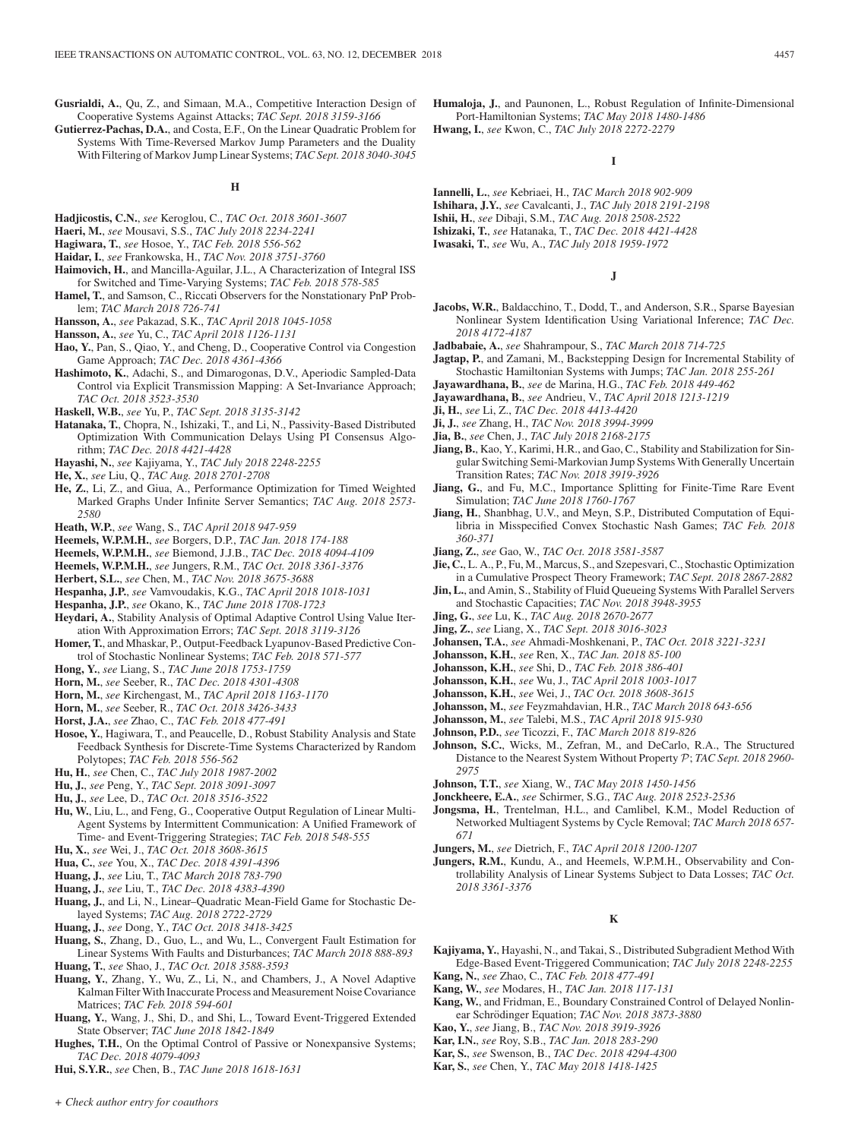**Gusrialdi, A.**, Qu, Z., and Simaan, M.A., Competitive Interaction Design of Cooperative Systems Against Attacks; *TAC Sept. 2018 3159-3166*

**Gutierrez-Pachas, D.A.**, and Costa, E.F., On the Linear Quadratic Problem for Systems With Time-Reversed Markov Jump Parameters and the Duality With Filtering of Markov Jump Linear Systems; *TAC Sept. 2018 3040-3045*

**H**

- **Hadjicostis, C.N.**, *see* Keroglou, C., *TAC Oct. 2018 3601-3607*
- **Haeri, M.**, *see* Mousavi, S.S., *TAC July 2018 2234-2241*
- **Hagiwara, T.**, *see* Hosoe, Y., *TAC Feb. 2018 556-562*

**Haidar, I.**, *see* Frankowska, H., *TAC Nov. 2018 3751-3760*

- **Haimovich, H.**, and Mancilla-Aguilar, J.L., A Characterization of Integral ISS for Switched and Time-Varying Systems; *TAC Feb. 2018 578-585*
- **Hamel, T.**, and Samson, C., Riccati Observers for the Nonstationary PnP Problem; *TAC March 2018 726-741*
- **Hansson, A.**, *see* Pakazad, S.K., *TAC April 2018 1045-1058*
- **Hansson, A.**, *see* Yu, C., *TAC April 2018 1126-1131*
- **Hao, Y.**, Pan, S., Qiao, Y., and Cheng, D., Cooperative Control via Congestion Game Approach; *TAC Dec. 2018 4361-4366*
- **Hashimoto, K.**, Adachi, S., and Dimarogonas, D.V., Aperiodic Sampled-Data Control via Explicit Transmission Mapping: A Set-Invariance Approach; *TAC Oct. 2018 3523-3530*
- **Haskell, W.B.**, *see* Yu, P., *TAC Sept. 2018 3135-3142*
- **Hatanaka, T.**, Chopra, N., Ishizaki, T., and Li, N., Passivity-Based Distributed Optimization With Communication Delays Using PI Consensus Algorithm; *TAC Dec. 2018 4421-4428*
- **Hayashi, N.**, *see* Kajiyama, Y., *TAC July 2018 2248-2255*
- **He, X.**, *see* Liu, Q., *TAC Aug. 2018 2701-2708*
- **He, Z.**, Li, Z., and Giua, A., Performance Optimization for Timed Weighted Marked Graphs Under Infinite Server Semantics; *TAC Aug. 2018 2573- 2580*
- **Heath, W.P.**, *see* Wang, S., *TAC April 2018 947-959*
- **Heemels, W.P.M.H.**, *see* Borgers, D.P., *TAC Jan. 2018 174-188*
- **Heemels, W.P.M.H.**, *see* Biemond, J.J.B., *TAC Dec. 2018 4094-4109*
- **Heemels, W.P.M.H.**, *see* Jungers, R.M., *TAC Oct. 2018 3361-3376*
- **Herbert, S.L.**, *see* Chen, M., *TAC Nov. 2018 3675-3688*
- **Hespanha, J.P.**, *see* Vamvoudakis, K.G., *TAC April 2018 1018-1031*
- **Hespanha, J.P.**, *see* Okano, K., *TAC June 2018 1708-1723*
- **Heydari, A.**, Stability Analysis of Optimal Adaptive Control Using Value Iteration With Approximation Errors; *TAC Sept. 2018 3119-3126*
- **Homer, T.**, and Mhaskar, P., Output-Feedback Lyapunov-Based Predictive Control of Stochastic Nonlinear Systems; *TAC Feb. 2018 571-577*
- **Hong, Y.**, *see* Liang, S., *TAC June 2018 1753-1759*
- **Horn, M.**, *see* Seeber, R., *TAC Dec. 2018 4301-4308*
- **Horn, M.**, *see* Kirchengast, M., *TAC April 2018 1163-1170*
- **Horn, M.**, *see* Seeber, R., *TAC Oct. 2018 3426-3433*
- **Horst, J.A.**, *see* Zhao, C., *TAC Feb. 2018 477-491*
- **Hosoe, Y.**, Hagiwara, T., and Peaucelle, D., Robust Stability Analysis and State Feedback Synthesis for Discrete-Time Systems Characterized by Random Polytopes; *TAC Feb. 2018 556-562*
- **Hu, H.**, *see* Chen, C., *TAC July 2018 1987-2002*
- **Hu, J.**, *see* Peng, Y., *TAC Sept. 2018 3091-3097*
- **Hu, J.**, *see* Lee, D., *TAC Oct. 2018 3516-3522*
- **Hu, W.**, Liu, L., and Feng, G., Cooperative Output Regulation of Linear Multi-Agent Systems by Intermittent Communication: A Unified Framework of Time- and Event-Triggering Strategies; *TAC Feb. 2018 548-555*
- **Hu, X.**, *see* Wei, J., *TAC Oct. 2018 3608-3615*
- **Hua, C.**, *see* You, X., *TAC Dec. 2018 4391-4396*
- **Huang, J.**, *see* Liu, T., *TAC March 2018 783-790*
- **Huang, J.**, *see* Liu, T., *TAC Dec. 2018 4383-4390*
- **Huang, J.**, and Li, N., Linear–Quadratic Mean-Field Game for Stochastic Delayed Systems; *TAC Aug. 2018 2722-2729*
- **Huang, J.**, *see* Dong, Y., *TAC Oct. 2018 3418-3425*
- **Huang, S.**, Zhang, D., Guo, L., and Wu, L., Convergent Fault Estimation for Linear Systems With Faults and Disturbances; *TAC March 2018 888-893* **Huang, T.**, *see* Shao, J., *TAC Oct. 2018 3588-3593*
- **Huang, Y.**, Zhang, Y., Wu, Z., Li, N., and Chambers, J., A Novel Adaptive Kalman Filter With Inaccurate Process and Measurement Noise Covariance Matrices; *TAC Feb. 2018 594-601*
- **Huang, Y.**, Wang, J., Shi, D., and Shi, L., Toward Event-Triggered Extended State Observer; *TAC June 2018 1842-1849*
- **Hughes, T.H.**, On the Optimal Control of Passive or Nonexpansive Systems; *TAC Dec. 2018 4079-4093*
- **Hui, S.Y.R.**, *see* Chen, B., *TAC June 2018 1618-1631*

**Humaloja, J.**, and Paunonen, L., Robust Regulation of Infinite-Dimensional Port-Hamiltonian Systems; *TAC May 2018 1480-1486*

**Hwang, I.**, *see* Kwon, C., *TAC July 2018 2272-2279*

**I**

- **Iannelli, L.**, *see* Kebriaei, H., *TAC March 2018 902-909*
- **Ishihara, J.Y.**, *see* Cavalcanti, J., *TAC July 2018 2191-2198*
- **Ishii, H.**, *see* Dibaji, S.M., *TAC Aug. 2018 2508-2522*
- **Ishizaki, T.**, *see* Hatanaka, T., *TAC Dec. 2018 4421-4428*
- **Iwasaki, T.**, *see* Wu, A., *TAC July 2018 1959-1972*

**J**

- **Jacobs, W.R.**, Baldacchino, T., Dodd, T., and Anderson, S.R., Sparse Bayesian Nonlinear System Identification Using Variational Inference; *TAC Dec. 2018 4172-4187*
- **Jadbabaie, A.**, *see* Shahrampour, S., *TAC March 2018 714-725*
- **Jagtap, P.**, and Zamani, M., Backstepping Design for Incremental Stability of Stochastic Hamiltonian Systems with Jumps; *TAC Jan. 2018 255-261*
- **Jayawardhana, B.**, *see* de Marina, H.G., *TAC Feb. 2018 449-462*
- **Jayawardhana, B.**, *see* Andrieu, V., *TAC April 2018 1213-1219*
- **Ji, H.**, *see* Li, Z., *TAC Dec. 2018 4413-4420*
- **Ji, J.**, *see* Zhang, H., *TAC Nov. 2018 3994-3999*
- **Jia, B.**, *see* Chen, J., *TAC July 2018 2168-2175*
- **Jiang, B.**, Kao, Y., Karimi, H.R., and Gao, C., Stability and Stabilization for Singular Switching Semi-Markovian Jump Systems With Generally Uncertain Transition Rates; *TAC Nov. 2018 3919-3926*
- **Jiang, G.**, and Fu, M.C., Importance Splitting for Finite-Time Rare Event Simulation; *TAC June 2018 1760-1767*
- **Jiang, H.**, Shanbhag, U.V., and Meyn, S.P., Distributed Computation of Equilibria in Misspecified Convex Stochastic Nash Games; *TAC Feb. 2018 360-371*
- **Jiang, Z.**, *see* Gao, W., *TAC Oct. 2018 3581-3587*
- **Jie, C.**, L. A., P., Fu, M., Marcus, S., and Szepesvari, C., Stochastic Optimization in a Cumulative Prospect Theory Framework; *TAC Sept. 2018 2867-2882*
- **Jin, L.**, and Amin, S., Stability of Fluid Queueing Systems With Parallel Servers and Stochastic Capacities; *TAC Nov. 2018 3948-3955*
- **Jing, G.**, *see* Lu, K., *TAC Aug. 2018 2670-2677*
- **Jing, Z.**, *see* Liang, X., *TAC Sept. 2018 3016-3023*
- **Johansen, T.A.**, *see* Ahmadi-Moshkenani, P., *TAC Oct. 2018 3221-3231*
- **Johansson, K.H.**, *see* Ren, X., *TAC Jan. 2018 85-100*
- **Johansson, K.H.**, *see* Shi, D., *TAC Feb. 2018 386-401*
- **Johansson, K.H.**, *see* Wu, J., *TAC April 2018 1003-1017*
- **Johansson, K.H.**, *see* Wei, J., *TAC Oct. 2018 3608-3615*
- **Johansson, M.**, *see* Feyzmahdavian, H.R., *TAC March 2018 643-656*
- **Johansson, M.**, *see* Talebi, M.S., *TAC April 2018 915-930*
- **Johnson, P.D.**, *see* Ticozzi, F., *TAC March 2018 819-826*
- **Johnson, S.C.**, Wicks, M., Zefran, M., and DeCarlo, R.A., The Structured Distance to the Nearest System Without Property P; *TAC Sept. 2018 2960- 2975*
- **Johnson, T.T.**, *see* Xiang, W., *TAC May 2018 1450-1456*
- **Jonckheere, E.A.**, *see* Schirmer, S.G., *TAC Aug. 2018 2523-2536*
- **Jongsma, H.**, Trentelman, H.L., and Camlibel, K.M., Model Reduction of Networked Multiagent Systems by Cycle Removal; *TAC March 2018 657- 671*
- **Jungers, M.**, *see* Dietrich, F., *TAC April 2018 1200-1207*
- **Jungers, R.M.**, Kundu, A., and Heemels, W.P.M.H., Observability and Controllability Analysis of Linear Systems Subject to Data Losses; *TAC Oct. 2018 3361-3376*

**K**

- **Kajiyama, Y.**, Hayashi, N., and Takai, S., Distributed Subgradient Method With Edge-Based Event-Triggered Communication; *TAC July 2018 2248-2255* **Kang, N.**, *see* Zhao, C., *TAC Feb. 2018 477-491*
- 
- **Kang, W.**, *see* Modares, H., *TAC Jan. 2018 117-131*
- **Kang, W.**, and Fridman, E., Boundary Constrained Control of Delayed Nonlinear Schrödinger Equation; *TAC Nov. 2018 3873-3880*
- **Kao, Y.**, *see* Jiang, B., *TAC Nov. 2018 3919-3926*
- **Kar, I.N.**, *see* Roy, S.B., *TAC Jan. 2018 283-290*
- **Kar, S.**, *see* Swenson, B., *TAC Dec. 2018 4294-4300*
- **Kar, S.**, *see* Chen, Y., *TAC May 2018 1418-1425*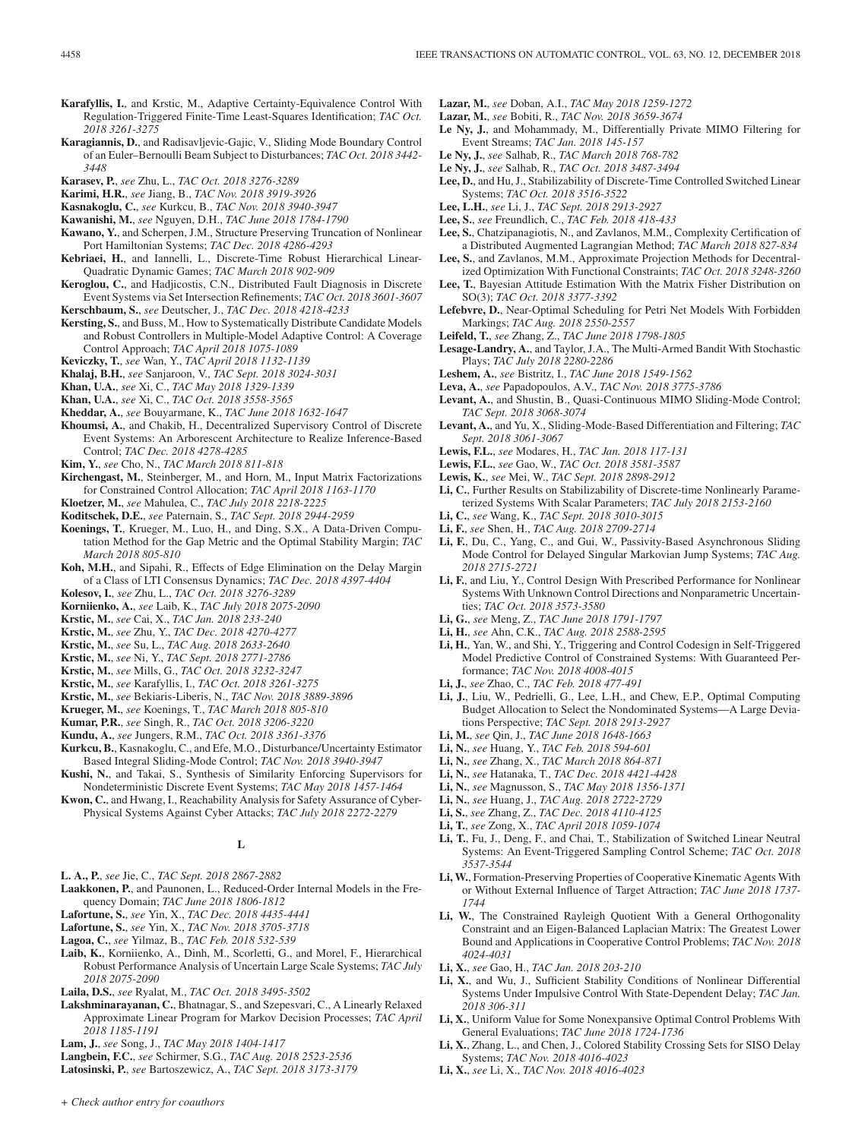- **Karafyllis, I.**, and Krstic, M., Adaptive Certainty-Equivalence Control With Regulation-Triggered Finite-Time Least-Squares Identification; *TAC Oct. 2018 3261-3275*
- **Karagiannis, D.**, and Radisavljevic-Gajic, V., Sliding Mode Boundary Control of an Euler–Bernoulli Beam Subject to Disturbances; *TAC Oct. 2018 3442- 3448*
- **Karasev, P.**, *see* Zhu, L., *TAC Oct. 2018 3276-3289*
- **Karimi, H.R.**, *see* Jiang, B., *TAC Nov. 2018 3919-3926*
- **Kasnakoglu, C.**, *see* Kurkcu, B., *TAC Nov. 2018 3940-3947*
- **Kawanishi, M.**, *see* Nguyen, D.H., *TAC June 2018 1784-1790*
- **Kawano, Y.**, and Scherpen, J.M., Structure Preserving Truncation of Nonlinear Port Hamiltonian Systems; *TAC Dec. 2018 4286-4293*
- **Kebriaei, H.**, and Iannelli, L., Discrete-Time Robust Hierarchical Linear-Quadratic Dynamic Games; *TAC March 2018 902-909*
- **Keroglou, C.**, and Hadjicostis, C.N., Distributed Fault Diagnosis in Discrete Event Systems via Set Intersection Refinements; *TAC Oct. 2018 3601-3607*
- **Kerschbaum, S.**, *see* Deutscher, J., *TAC Dec. 2018 4218-4233*
- **Kersting, S.**, and Buss, M., How to Systematically Distribute Candidate Models and Robust Controllers in Multiple-Model Adaptive Control: A Coverage Control Approach; *TAC April 2018 1075-1089*
- **Keviczky, T.**, *see* Wan, Y., *TAC April 2018 1132-1139*
- **Khalaj, B.H.**, *see* Sanjaroon, V., *TAC Sept. 2018 3024-3031*
- **Khan, U.A.**, *see* Xi, C., *TAC May 2018 1329-1339*
- **Khan, U.A.**, *see* Xi, C., *TAC Oct. 2018 3558-3565*
- **Kheddar, A.**, *see* Bouyarmane, K., *TAC June 2018 1632-1647*
- **Khoumsi, A.**, and Chakib, H., Decentralized Supervisory Control of Discrete Event Systems: An Arborescent Architecture to Realize Inference-Based Control; *TAC Dec. 2018 4278-4285*
- **Kim, Y.**, *see* Cho, N., *TAC March 2018 811-818*
- **Kirchengast, M.**, Steinberger, M., and Horn, M., Input Matrix Factorizations for Constrained Control Allocation; *TAC April 2018 1163-1170*
- **Kloetzer, M.**, *see* Mahulea, C., *TAC July 2018 2218-2225*
- **Koditschek, D.E.**, *see* Paternain, S., *TAC Sept. 2018 2944-2959*
- **Koenings, T.**, Krueger, M., Luo, H., and Ding, S.X., A Data-Driven Computation Method for the Gap Metric and the Optimal Stability Margin; *TAC March 2018 805-810*
- **Koh, M.H.**, and Sipahi, R., Effects of Edge Elimination on the Delay Margin of a Class of LTI Consensus Dynamics; *TAC Dec. 2018 4397-4404*
- **Kolesov, I.**, *see* Zhu, L., *TAC Oct. 2018 3276-3289*
- **Korniienko, A.**, *see* Laib, K., *TAC July 2018 2075-2090*
- **Krstic, M.**, *see* Cai, X., *TAC Jan. 2018 233-240*
- **Krstic, M.**, *see* Zhu, Y., *TAC Dec. 2018 4270-4277*
- **Krstic, M.**, *see* Su, L., *TAC Aug. 2018 2633-2640*
- **Krstic, M.**, *see* Ni, Y., *TAC Sept. 2018 2771-2786*
- **Krstic, M.**, *see* Mills, G., *TAC Oct. 2018 3232-3247*
- **Krstic, M.**, *see* Karafyllis, I., *TAC Oct. 2018 3261-3275*
- **Krstic, M.**, *see* Bekiaris-Liberis, N., *TAC Nov. 2018 3889-3896*
- **Krueger, M.**, *see* Koenings, T., *TAC March 2018 805-810*
- **Kumar, P.R.**, *see* Singh, R., *TAC Oct. 2018 3206-3220*
- **Kundu, A.**, *see* Jungers, R.M., *TAC Oct. 2018 3361-3376*
- **Kurkcu, B.**, Kasnakoglu, C., and Efe, M.O., Disturbance/Uncertainty Estimator Based Integral Sliding-Mode Control; *TAC Nov. 2018 3940-3947*
- **Kushi, N.**, and Takai, S., Synthesis of Similarity Enforcing Supervisors for Nondeterministic Discrete Event Systems; *TAC May 2018 1457-1464*
- **Kwon, C.**, and Hwang, I., Reachability Analysis for Safety Assurance of Cyber-Physical Systems Against Cyber Attacks; *TAC July 2018 2272-2279*

**L**

- **L. A., P.**, *see* Jie, C., *TAC Sept. 2018 2867-2882*
- **Laakkonen, P.**, and Paunonen, L., Reduced-Order Internal Models in the Frequency Domain; *TAC June 2018 1806-1812*
- **Lafortune, S.**, *see* Yin, X., *TAC Dec. 2018 4435-4441*
- **Lafortune, S.**, *see* Yin, X., *TAC Nov. 2018 3705-3718*
- **Lagoa, C.**, *see* Yilmaz, B., *TAC Feb. 2018 532-539*
- Laib, K., Korniienko, A., Dinh, M., Scorletti, G., and Morel, F., Hierarchical Robust Performance Analysis of Uncertain Large Scale Systems; *TAC July 2018 2075-2090*
- **Laila, D.S.**, *see* Ryalat, M., *TAC Oct. 2018 3495-3502*
- **Lakshminarayanan, C.**, Bhatnagar, S., and Szepesvari, C., A Linearly Relaxed Approximate Linear Program for Markov Decision Processes; *TAC April 2018 1185-1191*
- **Lam, J.**, *see* Song, J., *TAC May 2018 1404-1417*
- **Langbein, F.C.**, *see* Schirmer, S.G., *TAC Aug. 2018 2523-2536*
- **Latosinski, P.**, *see* Bartoszewicz, A., *TAC Sept. 2018 3173-3179*
- **Lazar, M.**, *see* Doban, A.I., *TAC May 2018 1259-1272*
- **Lazar, M.**, *see* Bobiti, R., *TAC Nov. 2018 3659-3674*
- **Le Ny, J.**, and Mohammady, M., Differentially Private MIMO Filtering for Event Streams; *TAC Jan. 2018 145-157*
- **Le Ny, J.**, *see* Salhab, R., *TAC March 2018 768-782*
- **Le Ny, J.**, *see* Salhab, R., *TAC Oct. 2018 3487-3494*
- **Lee, D.**, and Hu, J., Stabilizability of Discrete-Time Controlled Switched Linear Systems; *TAC Oct. 2018 3516-3522*
- **Lee, L.H.**, *see* Li, J., *TAC Sept. 2018 2913-2927*
- **Lee, S.**, *see* Freundlich, C., *TAC Feb. 2018 418-433*
- **Lee, S.**, Chatzipanagiotis, N., and Zavlanos, M.M., Complexity Certification of a Distributed Augmented Lagrangian Method; *TAC March 2018 827-834*
- **Lee, S.**, and Zavlanos, M.M., Approximate Projection Methods for Decentralized Optimization With Functional Constraints; *TAC Oct. 2018 3248-3260*
- **Lee, T.**, Bayesian Attitude Estimation With the Matrix Fisher Distribution on SO(3); *TAC Oct. 2018 3377-3392*
- **Lefebvre, D.**, Near-Optimal Scheduling for Petri Net Models With Forbidden Markings; *TAC Aug. 2018 2550-2557*
- **Leifeld, T.**, *see* Zhang, Z., *TAC June 2018 1798-1805*
- **Lesage-Landry, A.**, and Taylor, J.A., The Multi-Armed Bandit With Stochastic Plays; *TAC July 2018 2280-2286*
- **Leshem, A.**, *see* Bistritz, I., *TAC June 2018 1549-1562*
- **Leva, A.**, *see* Papadopoulos, A.V., *TAC Nov. 2018 3775-3786*
- **Levant, A.**, and Shustin, B., Quasi-Continuous MIMO Sliding-Mode Control; *TAC Sept. 2018 3068-3074*
- **Levant, A.**, and Yu, X., Sliding-Mode-Based Differentiation and Filtering; *TAC Sept. 2018 3061-3067*
- **Lewis, F.L.**, *see* Modares, H., *TAC Jan. 2018 117-131*
- **Lewis, F.L.**, *see* Gao, W., *TAC Oct. 2018 3581-3587*
- **Lewis, K.**, *see* Mei, W., *TAC Sept. 2018 2898-2912*
- **Li, C.**, Further Results on Stabilizability of Discrete-time Nonlinearly Parameterized Systems With Scalar Parameters; *TAC July 2018 2153-2160*
- **Li, C.**, *see* Wang, K., *TAC Sept. 2018 3010-3015*
- **Li, F.**, *see* Shen, H., *TAC Aug. 2018 2709-2714*
- **Li, F.**, Du, C., Yang, C., and Gui, W., Passivity-Based Asynchronous Sliding Mode Control for Delayed Singular Markovian Jump Systems; *TAC Aug. 2018 2715-2721*
- **Li, F.**, and Liu, Y., Control Design With Prescribed Performance for Nonlinear Systems With Unknown Control Directions and Nonparametric Uncertainties; *TAC Oct. 2018 3573-3580*
- **Li, G.**, *see* Meng, Z., *TAC June 2018 1791-1797*
- **Li, H.**, *see* Ahn, C.K., *TAC Aug. 2018 2588-2595*
- **Li, H.**, Yan, W., and Shi, Y., Triggering and Control Codesign in Self-Triggered Model Predictive Control of Constrained Systems: With Guaranteed Performance; *TAC Nov. 2018 4008-4015*
- **Li, J.**, *see* Zhao, C., *TAC Feb. 2018 477-491*
- **Li, J.**, Liu, W., Pedrielli, G., Lee, L.H., and Chew, E.P., Optimal Computing Budget Allocation to Select the Nondominated Systems—A Large Deviations Perspective; *TAC Sept. 2018 2913-2927*
- **Li, M.**, *see* Qin, J., *TAC June 2018 1648-1663*
- **Li, N.**, *see* Huang, Y., *TAC Feb. 2018 594-601*
- **Li, N.**, *see* Zhang, X., *TAC March 2018 864-871*
- **Li, N.**, *see* Hatanaka, T., *TAC Dec. 2018 4421-4428*
- **Li, N.**, *see* Magnusson, S., *TAC May 2018 1356-1371*
- **Li, N.**, *see* Huang, J., *TAC Aug. 2018 2722-2729*
- **Li, S.**, *see* Zhang, Z., *TAC Dec. 2018 4110-4125*
- **Li, T.**, *see* Zong, X., *TAC April 2018 1059-1074*
- **Li, T.**, Fu, J., Deng, F., and Chai, T., Stabilization of Switched Linear Neutral Systems: An Event-Triggered Sampling Control Scheme; *TAC Oct. 2018 3537-3544*
- **Li, W.**, Formation-Preserving Properties of Cooperative Kinematic Agents With or Without External Influence of Target Attraction; *TAC June 2018 1737- 1744*
- **Li, W.**, The Constrained Rayleigh Quotient With a General Orthogonality Constraint and an Eigen-Balanced Laplacian Matrix: The Greatest Lower Bound and Applications in Cooperative Control Problems; *TAC Nov. 2018 4024-4031*
- **Li, X.**, *see* Gao, H., *TAC Jan. 2018 203-210*
- Li, X., and Wu, J., Sufficient Stability Conditions of Nonlinear Differential Systems Under Impulsive Control With State-Dependent Delay; *TAC Jan. 2018 306-311*
- **Li, X.**, Uniform Value for Some Nonexpansive Optimal Control Problems With General Evaluations; *TAC June 2018 1724-1736*
- **Li, X.**, Zhang, L., and Chen, J., Colored Stability Crossing Sets for SISO Delay Systems; *TAC Nov. 2018 4016-4023*
- **Li, X.**, *see* Li, X., *TAC Nov. 2018 4016-4023*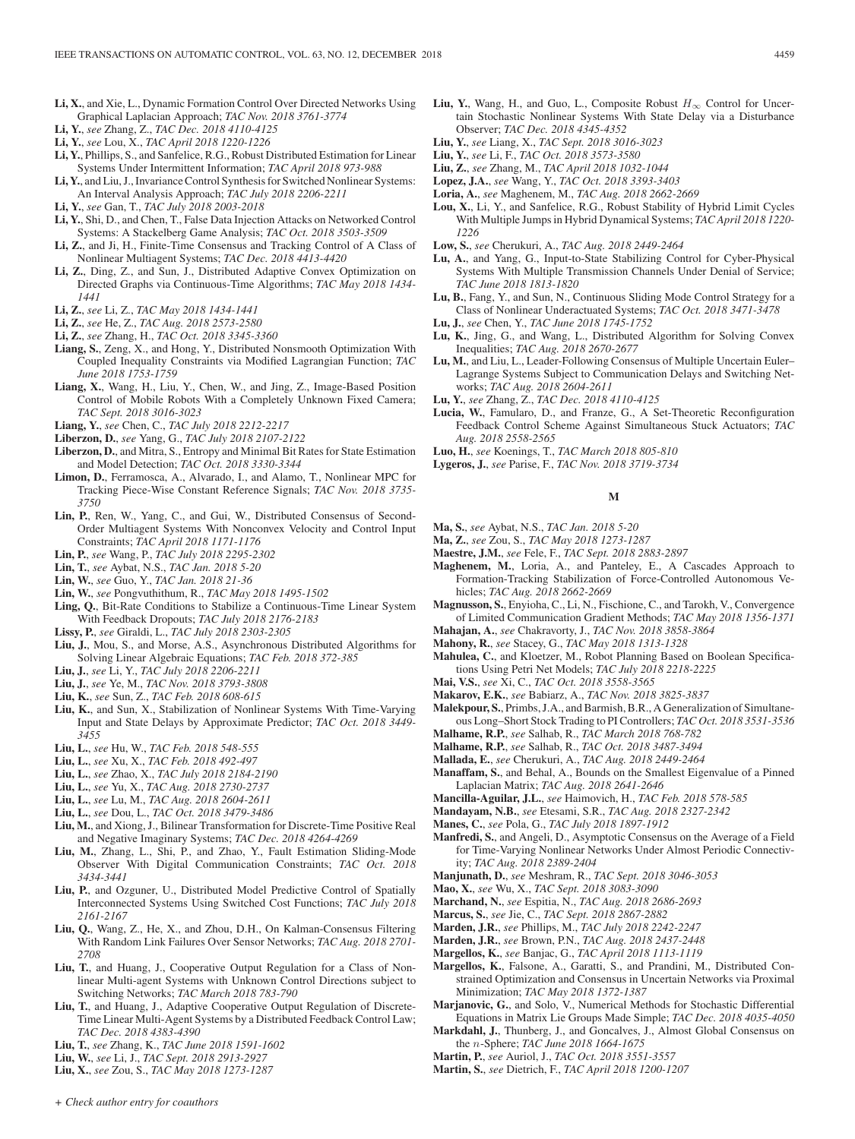- **Li, Y.**, *see* Zhang, Z., *TAC Dec. 2018 4110-4125*
- **Li, Y.**, *see* Lou, X., *TAC April 2018 1220-1226*
- **Li, Y.**, Phillips, S., and Sanfelice, R.G., Robust Distributed Estimation for Linear Systems Under Intermittent Information; *TAC April 2018 973-988*
- **Li, Y.**, and Liu, J., Invariance Control Synthesis for Switched Nonlinear Systems: An Interval Analysis Approach; *TAC July 2018 2206-2211*
- **Li, Y.**, *see* Gan, T., *TAC July 2018 2003-2018*
- **Li, Y.**, Shi, D., and Chen, T., False Data Injection Attacks on Networked Control Systems: A Stackelberg Game Analysis; *TAC Oct. 2018 3503-3509*
- **Li, Z.**, and Ji, H., Finite-Time Consensus and Tracking Control of A Class of Nonlinear Multiagent Systems; *TAC Dec. 2018 4413-4420*
- **Li, Z.**, Ding, Z., and Sun, J., Distributed Adaptive Convex Optimization on Directed Graphs via Continuous-Time Algorithms; *TAC May 2018 1434- 1441*
- **Li, Z.**, *see* Li, Z., *TAC May 2018 1434-1441*
- **Li, Z.**, *see* He, Z., *TAC Aug. 2018 2573-2580*
- **Li, Z.**, *see* Zhang, H., *TAC Oct. 2018 3345-3360*
- **Liang, S.**, Zeng, X., and Hong, Y., Distributed Nonsmooth Optimization With Coupled Inequality Constraints via Modified Lagrangian Function; *TAC June 2018 1753-1759*
- **Liang, X.**, Wang, H., Liu, Y., Chen, W., and Jing, Z., Image-Based Position Control of Mobile Robots With a Completely Unknown Fixed Camera; *TAC Sept. 2018 3016-3023*
- **Liang, Y.**, *see* Chen, C., *TAC July 2018 2212-2217*
- **Liberzon, D.**, *see* Yang, G., *TAC July 2018 2107-2122*
- **Liberzon, D.**, and Mitra, S., Entropy and Minimal Bit Rates for State Estimation and Model Detection; *TAC Oct. 2018 3330-3344*
- **Limon, D.**, Ferramosca, A., Alvarado, I., and Alamo, T., Nonlinear MPC for Tracking Piece-Wise Constant Reference Signals; *TAC Nov. 2018 3735- 3750*
- **Lin, P.**, Ren, W., Yang, C., and Gui, W., Distributed Consensus of Second-Order Multiagent Systems With Nonconvex Velocity and Control Input Constraints; *TAC April 2018 1171-1176*
- **Lin, P.**, *see* Wang, P., *TAC July 2018 2295-2302*
- **Lin, T.**, *see* Aybat, N.S., *TAC Jan. 2018 5-20*
- **Lin, W.**, *see* Guo, Y., *TAC Jan. 2018 21-36*
- **Lin, W.**, *see* Pongvuthithum, R., *TAC May 2018 1495-1502*
- **Ling, Q.**, Bit-Rate Conditions to Stabilize a Continuous-Time Linear System With Feedback Dropouts; *TAC July 2018 2176-2183*
- **Lissy, P.**, *see* Giraldi, L., *TAC July 2018 2303-2305*
- **Liu, J.**, Mou, S., and Morse, A.S., Asynchronous Distributed Algorithms for Solving Linear Algebraic Equations; *TAC Feb. 2018 372-385*
- **Liu, J.**, *see* Li, Y., *TAC July 2018 2206-2211*
- **Liu, J.**, *see* Ye, M., *TAC Nov. 2018 3793-3808*
- **Liu, K.**, *see* Sun, Z., *TAC Feb. 2018 608-615*
- **Liu, K.**, and Sun, X., Stabilization of Nonlinear Systems With Time-Varying Input and State Delays by Approximate Predictor; *TAC Oct. 2018 3449- 3455*
- **Liu, L.**, *see* Hu, W., *TAC Feb. 2018 548-555*
- **Liu, L.**, *see* Xu, X., *TAC Feb. 2018 492-497*
- **Liu, L.**, *see* Zhao, X., *TAC July 2018 2184-2190*
- **Liu, L.**, *see* Yu, X., *TAC Aug. 2018 2730-2737*
- **Liu, L.**, *see* Lu, M., *TAC Aug. 2018 2604-2611*
- **Liu, L.**, *see* Dou, L., *TAC Oct. 2018 3479-3486*
- **Liu, M.**, and Xiong, J., Bilinear Transformation for Discrete-Time Positive Real and Negative Imaginary Systems; *TAC Dec. 2018 4264-4269*
- **Liu, M.**, Zhang, L., Shi, P., and Zhao, Y., Fault Estimation Sliding-Mode Observer With Digital Communication Constraints; *TAC Oct. 2018 3434-3441*
- **Liu, P.**, and Ozguner, U., Distributed Model Predictive Control of Spatially Interconnected Systems Using Switched Cost Functions; *TAC July 2018 2161-2167*
- **Liu, Q.**, Wang, Z., He, X., and Zhou, D.H., On Kalman-Consensus Filtering With Random Link Failures Over Sensor Networks; *TAC Aug. 2018 2701- 2708*
- **Liu, T.**, and Huang, J., Cooperative Output Regulation for a Class of Nonlinear Multi-agent Systems with Unknown Control Directions subject to Switching Networks; *TAC March 2018 783-790*
- **Liu, T.**, and Huang, J., Adaptive Cooperative Output Regulation of Discrete-Time Linear Multi-Agent Systems by a Distributed Feedback Control Law; *TAC Dec. 2018 4383-4390*
- **Liu, T.**, *see* Zhang, K., *TAC June 2018 1591-1602*
- **Liu, W.**, *see* Li, J., *TAC Sept. 2018 2913-2927*
- **Liu, X.**, *see* Zou, S., *TAC May 2018 1273-1287*
- **Liu, Y.**, Wang, H., and Guo, L., Composite Robust  $H_{\infty}$  Control for Uncertain Stochastic Nonlinear Systems With State Delay via a Disturbance Observer; *TAC Dec. 2018 4345-4352*
- **Liu, Y.**, *see* Liang, X., *TAC Sept. 2018 3016-3023*
- **Liu, Y.**, *see* Li, F., *TAC Oct. 2018 3573-3580*
- **Liu, Z.**, *see* Zhang, M., *TAC April 2018 1032-1044*
- **Lopez, J.A.**, *see* Wang, Y., *TAC Oct. 2018 3393-3403*
- **Loria, A.**, *see* Maghenem, M., *TAC Aug. 2018 2662-2669*
- **Lou, X.**, Li, Y., and Sanfelice, R.G., Robust Stability of Hybrid Limit Cycles With Multiple Jumps in Hybrid Dynamical Systems; *TAC April 2018 1220- 1226*
- **Low, S.**, *see* Cherukuri, A., *TAC Aug. 2018 2449-2464*
- **Lu, A.**, and Yang, G., Input-to-State Stabilizing Control for Cyber-Physical Systems With Multiple Transmission Channels Under Denial of Service; *TAC June 2018 1813-1820*
- **Lu, B.**, Fang, Y., and Sun, N., Continuous Sliding Mode Control Strategy for a Class of Nonlinear Underactuated Systems; *TAC Oct. 2018 3471-3478*
- **Lu, J.**, *see* Chen, Y., *TAC June 2018 1745-1752*
- **Lu, K.**, Jing, G., and Wang, L., Distributed Algorithm for Solving Convex Inequalities; *TAC Aug. 2018 2670-2677*
- **Lu, M.**, and Liu, L., Leader-Following Consensus of Multiple Uncertain Euler– Lagrange Systems Subject to Communication Delays and Switching Networks; *TAC Aug. 2018 2604-2611*
- **Lu, Y.**, *see* Zhang, Z., *TAC Dec. 2018 4110-4125*
- **Lucia, W.**, Famularo, D., and Franze, G., A Set-Theoretic Reconfiguration Feedback Control Scheme Against Simultaneous Stuck Actuators; *TAC Aug. 2018 2558-2565*
- **Luo, H.**, *see* Koenings, T., *TAC March 2018 805-810*
- **Lygeros, J.**, *see* Parise, F., *TAC Nov. 2018 3719-3734*

### **M**

- **Ma, S.**, *see* Aybat, N.S., *TAC Jan. 2018 5-20*
- **Ma, Z.**, *see* Zou, S., *TAC May 2018 1273-1287*
- **Maestre, J.M.**, *see* Fele, F., *TAC Sept. 2018 2883-2897*
- **Maghenem, M.**, Loria, A., and Panteley, E., A Cascades Approach to Formation-Tracking Stabilization of Force-Controlled Autonomous Vehicles; *TAC Aug. 2018 2662-2669*
- **Magnusson, S.**, Enyioha, C., Li, N., Fischione, C., and Tarokh, V., Convergence of Limited Communication Gradient Methods; *TAC May 2018 1356-1371*
- **Mahajan, A.**, *see* Chakravorty, J., *TAC Nov. 2018 3858-3864*
- **Mahony, R.**, *see* Stacey, G., *TAC May 2018 1313-1328*
- **Mahulea, C.**, and Kloetzer, M., Robot Planning Based on Boolean Specifications Using Petri Net Models; *TAC July 2018 2218-2225*
- **Mai, V.S.**, *see* Xi, C., *TAC Oct. 2018 3558-3565*
- **Makarov, E.K.**, *see* Babiarz, A., *TAC Nov. 2018 3825-3837*
- **Malekpour, S.**, Primbs, J.A., and Barmish, B.R., A Generalization of Simultaneous Long–Short Stock Trading to PI Controllers; *TAC Oct. 2018 3531-3536*
- **Malhame, R.P.**, *see* Salhab, R., *TAC March 2018 768-782*
- **Malhame, R.P.**, *see* Salhab, R., *TAC Oct. 2018 3487-3494*
- **Mallada, E.**, *see* Cherukuri, A., *TAC Aug. 2018 2449-2464*
- **Manaffam, S.**, and Behal, A., Bounds on the Smallest Eigenvalue of a Pinned Laplacian Matrix; *TAC Aug. 2018 2641-2646*
- **Mancilla-Aguilar, J.L.**, *see* Haimovich, H., *TAC Feb. 2018 578-585*
- **Mandayam, N.B.**, *see* Etesami, S.R., *TAC Aug. 2018 2327-2342*
- **Manes, C.**, *see* Pola, G., *TAC July 2018 1897-1912*
- **Manfredi, S.**, and Angeli, D., Asymptotic Consensus on the Average of a Field for Time-Varying Nonlinear Networks Under Almost Periodic Connectivity; *TAC Aug. 2018 2389-2404*
- **Manjunath, D.**, *see* Meshram, R., *TAC Sept. 2018 3046-3053*
- **Mao, X.**, *see* Wu, X., *TAC Sept. 2018 3083-3090*
- **Marchand, N.**, *see* Espitia, N., *TAC Aug. 2018 2686-2693*
- **Marcus, S.**, *see* Jie, C., *TAC Sept. 2018 2867-2882*
- **Marden, J.R.**, *see* Phillips, M., *TAC July 2018 2242-2247*
- **Marden, J.R.**, *see* Brown, P.N., *TAC Aug. 2018 2437-2448*
- **Margellos, K.**, *see* Banjac, G., *TAC April 2018 1113-1119*
- **Margellos, K.**, Falsone, A., Garatti, S., and Prandini, M., Distributed Constrained Optimization and Consensus in Uncertain Networks via Proximal Minimization; *TAC May 2018 1372-1387*
- **Marjanovic, G.**, and Solo, V., Numerical Methods for Stochastic Differential Equations in Matrix Lie Groups Made Simple; *TAC Dec. 2018 4035-4050*
- **Markdahl, J.**, Thunberg, J., and Goncalves, J., Almost Global Consensus on the n-Sphere; *TAC June 2018 1664-1675*
- **Martin, P.**, *see* Auriol, J., *TAC Oct. 2018 3551-3557*
- **Martin, S.**, *see* Dietrich, F., *TAC April 2018 1200-1207*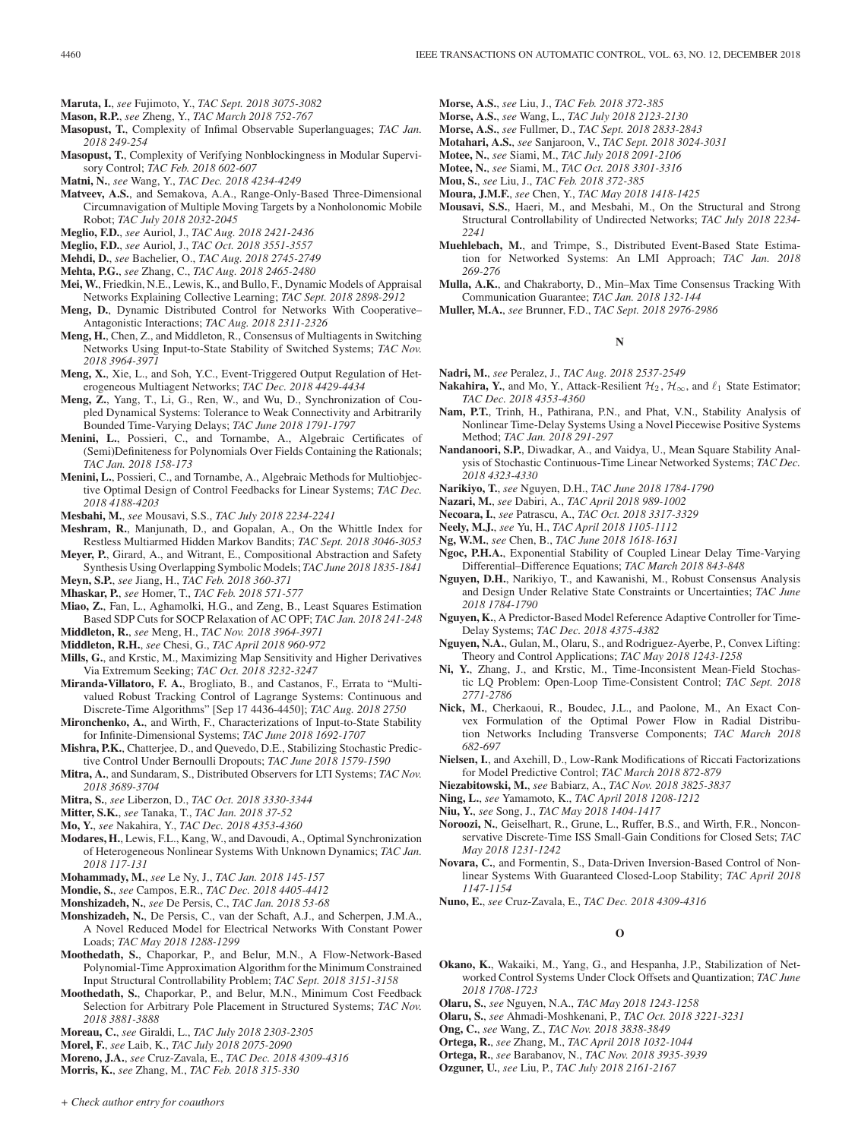- **Maruta, I.**, *see* Fujimoto, Y., *TAC Sept. 2018 3075-3082*
- **Mason, R.P.**, *see* Zheng, Y., *TAC March 2018 752-767*
- **Masopust, T.**, Complexity of Infimal Observable Superlanguages; *TAC Jan. 2018 249-254*
- **Masopust, T.**, Complexity of Verifying Nonblockingness in Modular Supervisory Control; *TAC Feb. 2018 602-607*
- **Matni, N.**, *see* Wang, Y., *TAC Dec. 2018 4234-4249*
- **Matveev, A.S.**, and Semakova, A.A., Range-Only-Based Three-Dimensional Circumnavigation of Multiple Moving Targets by a Nonholonomic Mobile Robot; *TAC July 2018 2032-2045*
- **Meglio, F.D.**, *see* Auriol, J., *TAC Aug. 2018 2421-2436*
- **Meglio, F.D.**, *see* Auriol, J., *TAC Oct. 2018 3551-3557*
- **Mehdi, D.**, *see* Bachelier, O., *TAC Aug. 2018 2745-2749*
- **Mehta, P.G.**, *see* Zhang, C., *TAC Aug. 2018 2465-2480*
- **Mei, W.**, Friedkin, N.E., Lewis, K., and Bullo, F., Dynamic Models of Appraisal Networks Explaining Collective Learning; *TAC Sept. 2018 2898-2912*
- **Meng, D.**, Dynamic Distributed Control for Networks With Cooperative– Antagonistic Interactions; *TAC Aug. 2018 2311-2326*
- **Meng, H.**, Chen, Z., and Middleton, R., Consensus of Multiagents in Switching Networks Using Input-to-State Stability of Switched Systems; *TAC Nov. 2018 3964-3971*
- **Meng, X.**, Xie, L., and Soh, Y.C., Event-Triggered Output Regulation of Heterogeneous Multiagent Networks; *TAC Dec. 2018 4429-4434*
- **Meng, Z.**, Yang, T., Li, G., Ren, W., and Wu, D., Synchronization of Coupled Dynamical Systems: Tolerance to Weak Connectivity and Arbitrarily Bounded Time-Varying Delays; *TAC June 2018 1791-1797*
- **Menini, L.**, Possieri, C., and Tornambe, A., Algebraic Certificates of (Semi)Definiteness for Polynomials Over Fields Containing the Rationals; *TAC Jan. 2018 158-173*
- **Menini, L.**, Possieri, C., and Tornambe, A., Algebraic Methods for Multiobjective Optimal Design of Control Feedbacks for Linear Systems; *TAC Dec. 2018 4188-4203*
- **Mesbahi, M.**, *see* Mousavi, S.S., *TAC July 2018 2234-2241*
- **Meshram, R.**, Manjunath, D., and Gopalan, A., On the Whittle Index for Restless Multiarmed Hidden Markov Bandits; *TAC Sept. 2018 3046-3053*
- **Meyer, P.**, Girard, A., and Witrant, E., Compositional Abstraction and Safety Synthesis Using Overlapping Symbolic Models; *TAC June 2018 1835-1841* **Meyn, S.P.**, *see* Jiang, H., *TAC Feb. 2018 360-371*
- 
- **Mhaskar, P.**, *see* Homer, T., *TAC Feb. 2018 571-577*
- **Miao, Z.**, Fan, L., Aghamolki, H.G., and Zeng, B., Least Squares Estimation Based SDP Cuts for SOCP Relaxation of AC OPF; *TAC Jan. 2018 241-248* **Middleton, R.**, *see* Meng, H., *TAC Nov. 2018 3964-3971*
- **Middleton, R.H.**, *see* Chesi, G., *TAC April 2018 960-972*
- **Mills, G.**, and Krstic, M., Maximizing Map Sensitivity and Higher Derivatives Via Extremum Seeking; *TAC Oct. 2018 3232-3247*
- **Miranda-Villatoro, F. A.**, Brogliato, B., and Castanos, F., Errata to "Multivalued Robust Tracking Control of Lagrange Systems: Continuous and Discrete-Time Algorithms" [Sep 17 4436-4450]; *TAC Aug. 2018 2750*
- **Mironchenko, A.**, and Wirth, F., Characterizations of Input-to-State Stability for Infinite-Dimensional Systems; *TAC June 2018 1692-1707*
- **Mishra, P.K.**, Chatterjee, D., and Quevedo, D.E., Stabilizing Stochastic Predictive Control Under Bernoulli Dropouts; *TAC June 2018 1579-1590*
- **Mitra, A.**, and Sundaram, S., Distributed Observers for LTI Systems; *TAC Nov. 2018 3689-3704*
- **Mitra, S.**, *see* Liberzon, D., *TAC Oct. 2018 3330-3344*
- **Mitter, S.K.**, *see* Tanaka, T., *TAC Jan. 2018 37-52*
- **Mo, Y.**, *see* Nakahira, Y., *TAC Dec. 2018 4353-4360*
- **Modares, H.**, Lewis, F.L., Kang, W., and Davoudi, A., Optimal Synchronization of Heterogeneous Nonlinear Systems With Unknown Dynamics; *TAC Jan. 2018 117-131*
- **Mohammady, M.**, *see* Le Ny, J., *TAC Jan. 2018 145-157*
- **Mondie, S.**, *see* Campos, E.R., *TAC Dec. 2018 4405-4412*
- **Monshizadeh, N.**, *see* De Persis, C., *TAC Jan. 2018 53-68*
- **Monshizadeh, N.**, De Persis, C., van der Schaft, A.J., and Scherpen, J.M.A., A Novel Reduced Model for Electrical Networks With Constant Power Loads; *TAC May 2018 1288-1299*
- **Moothedath, S.**, Chaporkar, P., and Belur, M.N., A Flow-Network-Based Polynomial-Time Approximation Algorithm for the Minimum Constrained Input Structural Controllability Problem; *TAC Sept. 2018 3151-3158*
- **Moothedath, S.**, Chaporkar, P., and Belur, M.N., Minimum Cost Feedback Selection for Arbitrary Pole Placement in Structured Systems; *TAC Nov. 2018 3881-3888*
- **Moreau, C.**, *see* Giraldi, L., *TAC July 2018 2303-2305*
- **Morel, F.**, *see* Laib, K., *TAC July 2018 2075-2090*
- **Moreno, J.A.**, *see* Cruz-Zavala, E., *TAC Dec. 2018 4309-4316*
- **Morris, K.**, *see* Zhang, M., *TAC Feb. 2018 315-330*
- **Morse, A.S.**, *see* Liu, J., *TAC Feb. 2018 372-385*
- **Morse, A.S.**, *see* Wang, L., *TAC July 2018 2123-2130*
- **Morse, A.S.**, *see* Fullmer, D., *TAC Sept. 2018 2833-2843*
- **Motahari, A.S.**, *see* Sanjaroon, V., *TAC Sept. 2018 3024-3031*
- **Motee, N.**, *see* Siami, M., *TAC July 2018 2091-2106*
- **Motee, N.**, *see* Siami, M., *TAC Oct. 2018 3301-3316*
- **Mou, S.**, *see* Liu, J., *TAC Feb. 2018 372-385*
- **Moura, J.M.F.**, *see* Chen, Y., *TAC May 2018 1418-1425*
- **Mousavi, S.S.**, Haeri, M., and Mesbahi, M., On the Structural and Strong Structural Controllability of Undirected Networks; *TAC July 2018 2234- 2241*
- **Muehlebach, M.**, and Trimpe, S., Distributed Event-Based State Estimation for Networked Systems: An LMI Approach; *TAC Jan. 2018 269-276*
- **Mulla, A.K.**, and Chakraborty, D., Min–Max Time Consensus Tracking With Communication Guarantee; *TAC Jan. 2018 132-144*
- **Muller, M.A.**, *see* Brunner, F.D., *TAC Sept. 2018 2976-2986*

### **N**

- **Nadri, M.**, *see* Peralez, J., *TAC Aug. 2018 2537-2549*
- **Nakahira, Y.**, and Mo, Y., Attack-Resilient  $\mathcal{H}_2$ ,  $\mathcal{H}_{\infty}$ , and  $\ell_1$  State Estimator; *TAC Dec. 2018 4353-4360*
- **Nam, P.T.**, Trinh, H., Pathirana, P.N., and Phat, V.N., Stability Analysis of Nonlinear Time-Delay Systems Using a Novel Piecewise Positive Systems Method; *TAC Jan. 2018 291-297*
- **Nandanoori, S.P.**, Diwadkar, A., and Vaidya, U., Mean Square Stability Analysis of Stochastic Continuous-Time Linear Networked Systems; *TAC Dec. 2018 4323-4330*
- **Narikiyo, T.**, *see* Nguyen, D.H., *TAC June 2018 1784-1790*
- **Nazari, M.**, *see* Dabiri, A., *TAC April 2018 989-1002*
- **Necoara, I.**, *see* Patrascu, A., *TAC Oct. 2018 3317-3329*
- **Neely, M.J.**, *see* Yu, H., *TAC April 2018 1105-1112*
- **Ng, W.M.**, *see* Chen, B., *TAC June 2018 1618-1631*
- **Ngoc, P.H.A.**, Exponential Stability of Coupled Linear Delay Time-Varying Differential–Difference Equations; *TAC March 2018 843-848*
- **Nguyen, D.H.**, Narikiyo, T., and Kawanishi, M., Robust Consensus Analysis and Design Under Relative State Constraints or Uncertainties; *TAC June 2018 1784-1790*
- **Nguyen, K.**, A Predictor-Based Model Reference Adaptive Controller for Time-Delay Systems; *TAC Dec. 2018 4375-4382*
- **Nguyen, N.A.**, Gulan, M., Olaru, S., and Rodriguez-Ayerbe, P., Convex Lifting: Theory and Control Applications; *TAC May 2018 1243-1258*
- **Ni, Y.**, Zhang, J., and Krstic, M., Time-Inconsistent Mean-Field Stochastic LQ Problem: Open-Loop Time-Consistent Control; *TAC Sept. 2018 2771-2786*
- **Nick, M.**, Cherkaoui, R., Boudec, J.L., and Paolone, M., An Exact Convex Formulation of the Optimal Power Flow in Radial Distribution Networks Including Transverse Components; *TAC March 2018 682-697*
- **Nielsen, I.**, and Axehill, D., Low-Rank Modifications of Riccati Factorizations for Model Predictive Control; *TAC March 2018 872-879*
- **Niezabitowski, M.**, *see* Babiarz, A., *TAC Nov. 2018 3825-3837*
- **Ning, L.**, *see* Yamamoto, K., *TAC April 2018 1208-1212*
- **Niu, Y.**, *see* Song, J., *TAC May 2018 1404-1417*
- **Noroozi, N.**, Geiselhart, R., Grune, L., Ruffer, B.S., and Wirth, F.R., Nonconservative Discrete-Time ISS Small-Gain Conditions for Closed Sets; *TAC May 2018 1231-1242*
- **Novara, C.**, and Formentin, S., Data-Driven Inversion-Based Control of Nonlinear Systems With Guaranteed Closed-Loop Stability; *TAC April 2018 1147-1154*
- **Nuno, E.**, *see* Cruz-Zavala, E., *TAC Dec. 2018 4309-4316*

### **O**

- **Okano, K.**, Wakaiki, M., Yang, G., and Hespanha, J.P., Stabilization of Networked Control Systems Under Clock Offsets and Quantization; *TAC June 2018 1708-1723*
- **Olaru, S.**, *see* Nguyen, N.A., *TAC May 2018 1243-1258*
- **Olaru, S.**, *see* Ahmadi-Moshkenani, P., *TAC Oct. 2018 3221-3231*
- **Ong, C.**, *see* Wang, Z., *TAC Nov. 2018 3838-3849*
- **Ortega, R.**, *see* Zhang, M., *TAC April 2018 1032-1044*
- **Ortega, R.**, *see* Barabanov, N., *TAC Nov. 2018 3935-3939*
- **Ozguner, U.**, *see* Liu, P., *TAC July 2018 2161-2167*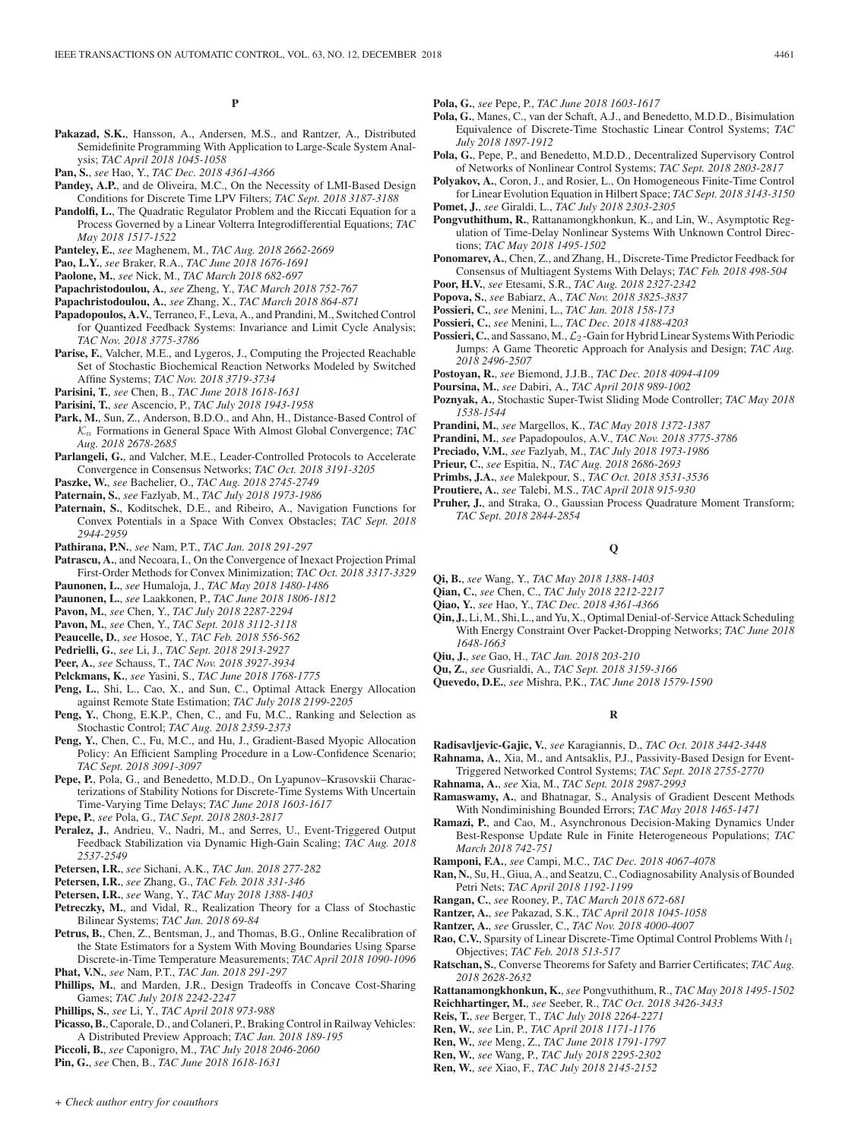**P**

- **Pakazad, S.K.**, Hansson, A., Andersen, M.S., and Rantzer, A., Distributed Semidefinite Programming With Application to Large-Scale System Analysis; *TAC April 2018 1045-1058*
- **Pan, S.**, *see* Hao, Y., *TAC Dec. 2018 4361-4366*
- Pandey, A.P., and de Oliveira, M.C., On the Necessity of LMI-Based Design Conditions for Discrete Time LPV Filters; *TAC Sept. 2018 3187-3188*
- Pandolfi, L., The Quadratic Regulator Problem and the Riccati Equation for a Process Governed by a Linear Volterra Integrodifferential Equations; *TAC May 2018 1517-1522*
- **Panteley, E.**, *see* Maghenem, M., *TAC Aug. 2018 2662-2669*
- **Pao, L.Y.**, *see* Braker, R.A., *TAC June 2018 1676-1691*
- **Paolone, M.**, *see* Nick, M., *TAC March 2018 682-697*
- **Papachristodoulou, A.**, *see* Zheng, Y., *TAC March 2018 752-767*
- **Papachristodoulou, A.**, *see* Zhang, X., *TAC March 2018 864-871*
- **Papadopoulos, A.V.**, Terraneo, F., Leva, A., and Prandini, M., Switched Control for Quantized Feedback Systems: Invariance and Limit Cycle Analysis; *TAC Nov. 2018 3775-3786*
- Parise, F., Valcher, M.E., and Lygeros, J., Computing the Projected Reachable Set of Stochastic Biochemical Reaction Networks Modeled by Switched Affine Systems; *TAC Nov. 2018 3719-3734*

**Parisini, T.**, *see* Chen, B., *TAC June 2018 1618-1631*

- **Parisini, T.**, *see* Ascencio, P., *TAC July 2018 1943-1958*
- Park, M., Sun, Z., Anderson, B.D.O., and Ahn, H., Distance-Based Control of K<sup>n</sup> Formations in General Space With Almost Global Convergence; *TAC Aug. 2018 2678-2685*
- Parlangeli, G., and Valcher, M.E., Leader-Controlled Protocols to Accelerate Convergence in Consensus Networks; *TAC Oct. 2018 3191-3205*
- **Paszke, W.**, *see* Bachelier, O., *TAC Aug. 2018 2745-2749*
- **Paternain, S.**, *see* Fazlyab, M., *TAC July 2018 1973-1986*
- **Paternain, S.**, Koditschek, D.E., and Ribeiro, A., Navigation Functions for Convex Potentials in a Space With Convex Obstacles; *TAC Sept. 2018 2944-2959*
- **Pathirana, P.N.**, *see* Nam, P.T., *TAC Jan. 2018 291-297*
- **Patrascu, A.**, and Necoara, I., On the Convergence of Inexact Projection Primal First-Order Methods for Convex Minimization; *TAC Oct. 2018 3317-3329*
- **Paunonen, L.**, *see* Humaloja, J., *TAC May 2018 1480-1486*
- **Paunonen, L.**, *see* Laakkonen, P., *TAC June 2018 1806-1812*
- **Pavon, M.**, *see* Chen, Y., *TAC July 2018 2287-2294*
- **Pavon, M.**, *see* Chen, Y., *TAC Sept. 2018 3112-3118*
- **Peaucelle, D.**, *see* Hosoe, Y., *TAC Feb. 2018 556-562* **Pedrielli, G.**, *see* Li, J., *TAC Sept. 2018 2913-2927*
- **Peer, A.**, *see* Schauss, T., *TAC Nov. 2018 3927-3934*
- **Pelckmans, K.**, *see* Yasini, S., *TAC June 2018 1768-1775*
- **Peng, L.**, Shi, L., Cao, X., and Sun, C., Optimal Attack Energy Allocation against Remote State Estimation; *TAC July 2018 2199-2205*
- **Peng, Y.**, Chong, E.K.P., Chen, C., and Fu, M.C., Ranking and Selection as Stochastic Control; *TAC Aug. 2018 2359-2373*
- **Peng, Y.**, Chen, C., Fu, M.C., and Hu, J., Gradient-Based Myopic Allocation Policy: An Efficient Sampling Procedure in a Low-Confidence Scenario; *TAC Sept. 2018 3091-3097*
- **Pepe, P.**, Pola, G., and Benedetto, M.D.D., On Lyapunov–Krasovskii Characterizations of Stability Notions for Discrete-Time Systems With Uncertain Time-Varying Time Delays; *TAC June 2018 1603-1617*
- **Pepe, P.**, *see* Pola, G., *TAC Sept. 2018 2803-2817*
- **Peralez, J.**, Andrieu, V., Nadri, M., and Serres, U., Event-Triggered Output Feedback Stabilization via Dynamic High-Gain Scaling; *TAC Aug. 2018 2537-2549*
- **Petersen, I.R.**, *see* Sichani, A.K., *TAC Jan. 2018 277-282*
- **Petersen, I.R.**, *see* Zhang, G., *TAC Feb. 2018 331-346*
- **Petersen, I.R.**, *see* Wang, Y., *TAC May 2018 1388-1403*
- **Petreczky, M.**, and Vidal, R., Realization Theory for a Class of Stochastic Bilinear Systems; *TAC Jan. 2018 69-84*
- **Petrus, B.**, Chen, Z., Bentsman, J., and Thomas, B.G., Online Recalibration of the State Estimators for a System With Moving Boundaries Using Sparse Discrete-in-Time Temperature Measurements; *TAC April 2018 1090-1096*
- **Phat, V.N.**, *see* Nam, P.T., *TAC Jan. 2018 291-297* **Phillips, M.**, and Marden, J.R., Design Tradeoffs in Concave Cost-Sharing Games; *TAC July 2018 2242-2247*
- **Phillips, S.**, *see* Li, Y., *TAC April 2018 973-988*
- 
- **Picasso, B.**, Caporale, D., and Colaneri, P., Braking Control in Railway Vehicles: A Distributed Preview Approach; *TAC Jan. 2018 189-195*
- **Piccoli, B.**, *see* Caponigro, M., *TAC July 2018 2046-2060*
- **Pin, G.**, *see* Chen, B., *TAC June 2018 1618-1631*
- **Pola, G.**, *see* Pepe, P., *TAC June 2018 1603-1617*
- **Pola, G.**, Manes, C., van der Schaft, A.J., and Benedetto, M.D.D., Bisimulation Equivalence of Discrete-Time Stochastic Linear Control Systems; *TAC July 2018 1897-1912*
- **Pola, G.**, Pepe, P., and Benedetto, M.D.D., Decentralized Supervisory Control of Networks of Nonlinear Control Systems; *TAC Sept. 2018 2803-2817*
- **Polyakov, A.**, Coron, J., and Rosier, L., On Homogeneous Finite-Time Control for Linear Evolution Equation in Hilbert Space; *TAC Sept. 2018 3143-3150*
- **Pomet, J.**, *see* Giraldi, L., *TAC July 2018 2303-2305* **Pongvuthithum, R.**, Rattanamongkhonkun, K., and Lin, W., Asymptotic Reg-
- ulation of Time-Delay Nonlinear Systems With Unknown Control Directions; *TAC May 2018 1495-1502*
- **Ponomarev, A.**, Chen, Z., and Zhang, H., Discrete-Time Predictor Feedback for Consensus of Multiagent Systems With Delays; *TAC Feb. 2018 498-504*
- **Poor, H.V.**, *see* Etesami, S.R., *TAC Aug. 2018 2327-2342*
- **Popova, S.**, *see* Babiarz, A., *TAC Nov. 2018 3825-3837*
- **Possieri, C.**, *see* Menini, L., *TAC Jan. 2018 158-173*
- **Possieri, C.**, *see* Menini, L., *TAC Dec. 2018 4188-4203*
- **Possieri, C.**, and Sassano, M.,  $\mathcal{L}_2$ -Gain for Hybrid Linear Systems With Periodic Jumps: A Game Theoretic Approach for Analysis and Design; *TAC Aug. 2018 2496-2507*
- **Postoyan, R.**, *see* Biemond, J.J.B., *TAC Dec. 2018 4094-4109*
- **Poursina, M.**, *see* Dabiri, A., *TAC April 2018 989-1002*
- **Poznyak, A.**, Stochastic Super-Twist Sliding Mode Controller; *TAC May 2018 1538-1544*
- **Prandini, M.**, *see* Margellos, K., *TAC May 2018 1372-1387*
- **Prandini, M.**, *see* Papadopoulos, A.V., *TAC Nov. 2018 3775-3786*
- **Preciado, V.M.**, *see* Fazlyab, M., *TAC July 2018 1973-1986*
- **Prieur, C.**, *see* Espitia, N., *TAC Aug. 2018 2686-2693*
- **Primbs, J.A.**, *see* Malekpour, S., *TAC Oct. 2018 3531-3536*
- **Proutiere, A.**, *see* Talebi, M.S., *TAC April 2018 915-930*
- **Pruher, J.**, and Straka, O., Gaussian Process Quadrature Moment Transform; *TAC Sept. 2018 2844-2854*

### **Q**

- **Qi, B.**, *see* Wang, Y., *TAC May 2018 1388-1403*
- **Qian, C.**, *see* Chen, C., *TAC July 2018 2212-2217*
- **Qiao, Y.**, *see* Hao, Y., *TAC Dec. 2018 4361-4366*
- **Qin, J.**, Li, M., Shi, L., and Yu, X., Optimal Denial-of-Service Attack Scheduling With Energy Constraint Over Packet-Dropping Networks; *TAC June 2018 1648-1663*
- **Qiu, J.**, *see* Gao, H., *TAC Jan. 2018 203-210*
- **Qu, Z.**, *see* Gusrialdi, A., *TAC Sept. 2018 3159-3166*
- **Quevedo, D.E.**, *see* Mishra, P.K., *TAC June 2018 1579-1590*

### **R**

- **Radisavljevic-Gajic, V.**, *see* Karagiannis, D., *TAC Oct. 2018 3442-3448*
- **Rahnama, A.**, Xia, M., and Antsaklis, P.J., Passivity-Based Design for Event-Triggered Networked Control Systems; *TAC Sept. 2018 2755-2770*
- **Rahnama, A.**, *see* Xia, M., *TAC Sept. 2018 2987-2993*
- **Ramaswamy, A.**, and Bhatnagar, S., Analysis of Gradient Descent Methods With Nondiminishing Bounded Errors; *TAC May 2018 1465-1471*
- **Ramazi, P.**, and Cao, M., Asynchronous Decision-Making Dynamics Under Best-Response Update Rule in Finite Heterogeneous Populations; *TAC March 2018 742-751*
- **Ramponi, F.A.**, *see* Campi, M.C., *TAC Dec. 2018 4067-4078*
- **Ran, N.**, Su, H., Giua, A., and Seatzu, C., Codiagnosability Analysis of Bounded Petri Nets; *TAC April 2018 1192-1199*
- **Rangan, C.**, *see* Rooney, P., *TAC March 2018 672-681*
- **Rantzer, A.**, *see* Pakazad, S.K., *TAC April 2018 1045-1058*
- **Rantzer, A.**, *see* Grussler, C., *TAC Nov. 2018 4000-4007*
- **Rao, C.V.**, Sparsity of Linear Discrete-Time Optimal Control Problems With  $l_1$ Objectives; *TAC Feb. 2018 513-517*
- **Ratschan, S.**, Converse Theorems for Safety and Barrier Certificates; *TAC Aug. 2018 2628-2632*

**Rattanamongkhonkun, K.**, *see* Pongvuthithum, R., *TAC May 2018 1495-1502* **Reichhartinger, M.**, *see* Seeber, R., *TAC Oct. 2018 3426-3433*

- **Reis, T.**, *see* Berger, T., *TAC July 2018 2264-2271*
- **Ren, W.**, *see* Lin, P., *TAC April 2018 1171-1176*
- **Ren, W.**, *see* Meng, Z., *TAC June 2018 1791-1797*
- **Ren, W.**, *see* Wang, P., *TAC July 2018 2295-2302*
- **Ren, W.**, *see* Xiao, F., *TAC July 2018 2145-2152*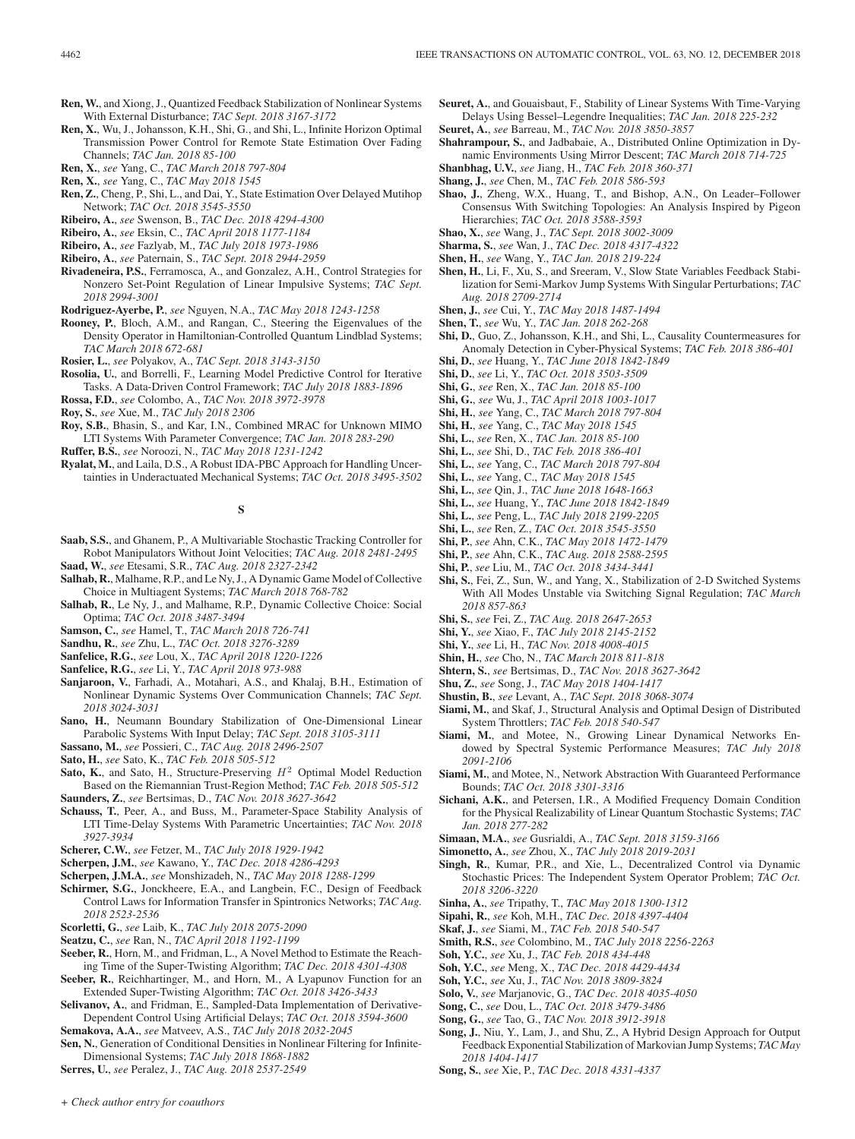- **Ren, W.**, and Xiong, J., Quantized Feedback Stabilization of Nonlinear Systems With External Disturbance; *TAC Sept. 2018 3167-3172*
- **Ren, X.**, Wu, J., Johansson, K.H., Shi, G., and Shi, L., Infinite Horizon Optimal Transmission Power Control for Remote State Estimation Over Fading Channels; *TAC Jan. 2018 85-100*
- **Ren, X.**, *see* Yang, C., *TAC March 2018 797-804*
- **Ren, X.**, *see* Yang, C., *TAC May 2018 1545*
- **Ren, Z.**, Cheng, P., Shi, L., and Dai, Y., State Estimation Over Delayed Mutihop Network; *TAC Oct. 2018 3545-3550*
- **Ribeiro, A.**, *see* Swenson, B., *TAC Dec. 2018 4294-4300*
- **Ribeiro, A.**, *see* Eksin, C., *TAC April 2018 1177-1184*
- **Ribeiro, A.**, *see* Fazlyab, M., *TAC July 2018 1973-1986*
- **Ribeiro, A.**, *see* Paternain, S., *TAC Sept. 2018 2944-2959*
- **Rivadeneira, P.S.**, Ferramosca, A., and Gonzalez, A.H., Control Strategies for Nonzero Set-Point Regulation of Linear Impulsive Systems; *TAC Sept. 2018 2994-3001*
- **Rodriguez-Ayerbe, P.**, *see* Nguyen, N.A., *TAC May 2018 1243-1258*
- **Rooney, P.**, Bloch, A.M., and Rangan, C., Steering the Eigenvalues of the Density Operator in Hamiltonian-Controlled Quantum Lindblad Systems; *TAC March 2018 672-681*
- **Rosier, L.**, *see* Polyakov, A., *TAC Sept. 2018 3143-3150*
- **Rosolia, U.**, and Borrelli, F., Learning Model Predictive Control for Iterative Tasks. A Data-Driven Control Framework; *TAC July 2018 1883-1896*
- **Rossa, F.D.**, *see* Colombo, A., *TAC Nov. 2018 3972-3978*
- **Roy, S.**, *see* Xue, M., *TAC July 2018 2306*
- **Roy, S.B.**, Bhasin, S., and Kar, I.N., Combined MRAC for Unknown MIMO LTI Systems With Parameter Convergence; *TAC Jan. 2018 283-290*
- **Ruffer, B.S.**, *see* Noroozi, N., *TAC May 2018 1231-1242*
- **Ryalat, M.**, and Laila, D.S., A Robust IDA-PBC Approach for Handling Uncertainties in Underactuated Mechanical Systems; *TAC Oct. 2018 3495-3502*

**S**

- **Saab, S.S.**, and Ghanem, P., A Multivariable Stochastic Tracking Controller for Robot Manipulators Without Joint Velocities; *TAC Aug. 2018 2481-2495*
- **Saad, W.**, *see* Etesami, S.R., *TAC Aug. 2018 2327-2342*
- **Salhab, R.**, Malhame, R.P., and Le Ny, J., A Dynamic Game Model of Collective Choice in Multiagent Systems; *TAC March 2018 768-782*
- **Salhab, R.**, Le Ny, J., and Malhame, R.P., Dynamic Collective Choice: Social Optima; *TAC Oct. 2018 3487-3494*
- **Samson, C.**, *see* Hamel, T., *TAC March 2018 726-741*
- **Sandhu, R.**, *see* Zhu, L., *TAC Oct. 2018 3276-3289*
- **Sanfelice, R.G.**, *see* Lou, X., *TAC April 2018 1220-1226*
- **Sanfelice, R.G.**, *see* Li, Y., *TAC April 2018 973-988*
- **Sanjaroon, V.**, Farhadi, A., Motahari, A.S., and Khalaj, B.H., Estimation of Nonlinear Dynamic Systems Over Communication Channels; *TAC Sept. 2018 3024-3031*
- **Sano, H.**, Neumann Boundary Stabilization of One-Dimensional Linear Parabolic Systems With Input Delay; *TAC Sept. 2018 3105-3111*
- **Sassano, M.**, *see* Possieri, C., *TAC Aug. 2018 2496-2507*
- **Sato, H.**, *see* Sato, K., *TAC Feb. 2018 505-512*
- Sato, K., and Sato, H., Structure-Preserving  $H^2$  Optimal Model Reduction Based on the Riemannian Trust-Region Method; *TAC Feb. 2018 505-512*
- **Saunders, Z.**, *see* Bertsimas, D., *TAC Nov. 2018 3627-3642*
- **Schauss, T.**, Peer, A., and Buss, M., Parameter-Space Stability Analysis of LTI Time-Delay Systems With Parametric Uncertainties; *TAC Nov. 2018 3927-3934*
- **Scherer, C.W.**, *see* Fetzer, M., *TAC July 2018 1929-1942*
- **Scherpen, J.M.**, *see* Kawano, Y., *TAC Dec. 2018 4286-4293*
- **Scherpen, J.M.A.**, *see* Monshizadeh, N., *TAC May 2018 1288-1299*
- **Schirmer, S.G.**, Jonckheere, E.A., and Langbein, F.C., Design of Feedback Control Laws for Information Transfer in Spintronics Networks; *TAC Aug. 2018 2523-2536*
- **Scorletti, G.**, *see* Laib, K., *TAC July 2018 2075-2090*
- **Seatzu, C.**, *see* Ran, N., *TAC April 2018 1192-1199*
- **Seeber, R.**, Horn, M., and Fridman, L., A Novel Method to Estimate the Reaching Time of the Super-Twisting Algorithm; *TAC Dec. 2018 4301-4308*
- **Seeber, R.**, Reichhartinger, M., and Horn, M., A Lyapunov Function for an Extended Super-Twisting Algorithm; *TAC Oct. 2018 3426-3433*
- **Selivanov, A.**, and Fridman, E., Sampled-Data Implementation of Derivative-Dependent Control Using Artificial Delays; *TAC Oct. 2018 3594-3600*
- **Semakova, A.A.**, *see* Matveev, A.S., *TAC July 2018 2032-2045*
- **Sen, N.**, Generation of Conditional Densities in Nonlinear Filtering for Infinite-Dimensional Systems; *TAC July 2018 1868-1882*
- **Serres, U.**, *see* Peralez, J., *TAC Aug. 2018 2537-2549*

*+ Check author entry for coauthors*

- **Seuret, A.**, and Gouaisbaut, F., Stability of Linear Systems With Time-Varying Delays Using Bessel–Legendre Inequalities; *TAC Jan. 2018 225-232* **Seuret, A.**, *see* Barreau, M., *TAC Nov. 2018 3850-3857*
- 
- **Shahrampour, S.**, and Jadbabaie, A., Distributed Online Optimization in Dynamic Environments Using Mirror Descent; *TAC March 2018 714-725*
- **Shanbhag, U.V.**, *see* Jiang, H., *TAC Feb. 2018 360-371*
- **Shang, J.**, *see* Chen, M., *TAC Feb. 2018 586-593*
- **Shao, J.**, Zheng, W.X., Huang, T., and Bishop, A.N., On Leader–Follower Consensus With Switching Topologies: An Analysis Inspired by Pigeon Hierarchies; *TAC Oct. 2018 3588-3593*
- **Shao, X.**, *see* Wang, J., *TAC Sept. 2018 3002-3009*
- **Sharma, S.**, *see* Wan, J., *TAC Dec. 2018 4317-4322*
- **Shen, H.**, *see* Wang, Y., *TAC Jan. 2018 219-224*
- **Shen, H.**, Li, F., Xu, S., and Sreeram, V., Slow State Variables Feedback Stabilization for Semi-Markov Jump Systems With Singular Perturbations; *TAC Aug. 2018 2709-2714*
- **Shen, J.**, *see* Cui, Y., *TAC May 2018 1487-1494*
- **Shen, T.**, *see* Wu, Y., *TAC Jan. 2018 262-268*
- **Shi, D.**, Guo, Z., Johansson, K.H., and Shi, L., Causality Countermeasures for Anomaly Detection in Cyber-Physical Systems; *TAC Feb. 2018 386-401*
- **Shi, D.**, *see* Huang, Y., *TAC June 2018 1842-1849*
- **Shi, D.**, *see* Li, Y., *TAC Oct. 2018 3503-3509*
- **Shi, G.**, *see* Ren, X., *TAC Jan. 2018 85-100*
- **Shi, G.**, *see* Wu, J., *TAC April 2018 1003-1017*
- **Shi, H.**, *see* Yang, C., *TAC March 2018 797-804*
- **Shi, H.**, *see* Yang, C., *TAC May 2018 1545*
- **Shi, L.**, *see* Ren, X., *TAC Jan. 2018 85-100*
- **Shi, L.**, *see* Shi, D., *TAC Feb. 2018 386-401*
- **Shi, L.**, *see* Yang, C., *TAC March 2018 797-804*
- **Shi, L.**, *see* Yang, C., *TAC May 2018 1545*
- **Shi, L.**, *see* Qin, J., *TAC June 2018 1648-1663*
- **Shi, L.**, *see* Huang, Y., *TAC June 2018 1842-1849*
- **Shi, L.**, *see* Peng, L., *TAC July 2018 2199-2205*
- **Shi, L.**, *see* Ren, Z., *TAC Oct. 2018 3545-3550*
- **Shi, P.**, *see* Ahn, C.K., *TAC May 2018 1472-1479*
- **Shi, P.**, *see* Ahn, C.K., *TAC Aug. 2018 2588-2595*
- **Shi, P.**, *see* Liu, M., *TAC Oct. 2018 3434-3441*
- **Shi, S.**, Fei, Z., Sun, W., and Yang, X., Stabilization of 2-D Switched Systems With All Modes Unstable via Switching Signal Regulation; *TAC March 2018 857-863*
- **Shi, S.**, *see* Fei, Z., *TAC Aug. 2018 2647-2653*
- **Shi, Y.**, *see* Xiao, F., *TAC July 2018 2145-2152*
- **Shi, Y.**, *see* Li, H., *TAC Nov. 2018 4008-4015*
- **Shin, H.**, *see* Cho, N., *TAC March 2018 811-818*
- **Shtern, S.**, *see* Bertsimas, D., *TAC Nov. 2018 3627-3642*
- **Shu, Z.**, *see* Song, J., *TAC May 2018 1404-1417*
- **Shustin, B.**, *see* Levant, A., *TAC Sept. 2018 3068-3074*
- **Siami, M.**, and Skaf, J., Structural Analysis and Optimal Design of Distributed System Throttlers; *TAC Feb. 2018 540-547*
- **Siami, M.**, and Motee, N., Growing Linear Dynamical Networks Endowed by Spectral Systemic Performance Measures; *TAC July 2018 2091-2106*
- **Siami, M.**, and Motee, N., Network Abstraction With Guaranteed Performance Bounds; *TAC Oct. 2018 3301-3316*
- **Sichani, A.K.**, and Petersen, I.R., A Modified Frequency Domain Condition for the Physical Realizability of Linear Quantum Stochastic Systems; *TAC Jan. 2018 277-282*
- **Simaan, M.A.**, *see* Gusrialdi, A., *TAC Sept. 2018 3159-3166*
- **Simonetto, A.**, *see* Zhou, X., *TAC July 2018 2019-2031*
- **Singh, R.**, Kumar, P.R., and Xie, L., Decentralized Control via Dynamic Stochastic Prices: The Independent System Operator Problem; *TAC Oct. 2018 3206-3220*

**Song, J.**, Niu, Y., Lam, J., and Shu, Z., A Hybrid Design Approach for Output Feedback Exponential Stabilization of Markovian Jump Systems; *TAC May*

- **Sinha, A.**, *see* Tripathy, T., *TAC May 2018 1300-1312*
- **Sipahi, R.**, *see* Koh, M.H., *TAC Dec. 2018 4397-4404*
- **Skaf, J.**, *see* Siami, M., *TAC Feb. 2018 540-547*
- **Smith, R.S.**, *see* Colombino, M., *TAC July 2018 2256-2263*
- **Soh, Y.C.**, *see* Xu, J., *TAC Feb. 2018 434-448*
- **Soh, Y.C.**, *see* Meng, X., *TAC Dec. 2018 4429-4434*

**Solo, V.**, *see* Marjanovic, G., *TAC Dec. 2018 4035-4050*

**Soh, Y.C.**, *see* Xu, J., *TAC Nov. 2018 3809-3824* **Song, C.**, *see* Dou, L., *TAC Oct. 2018 3479-3486*

**Song, G.**, *see* Tao, G., *TAC Nov. 2018 3912-3918*

**Song, S.**, *see* Xie, P., *TAC Dec. 2018 4331-4337*

*2018 1404-1417*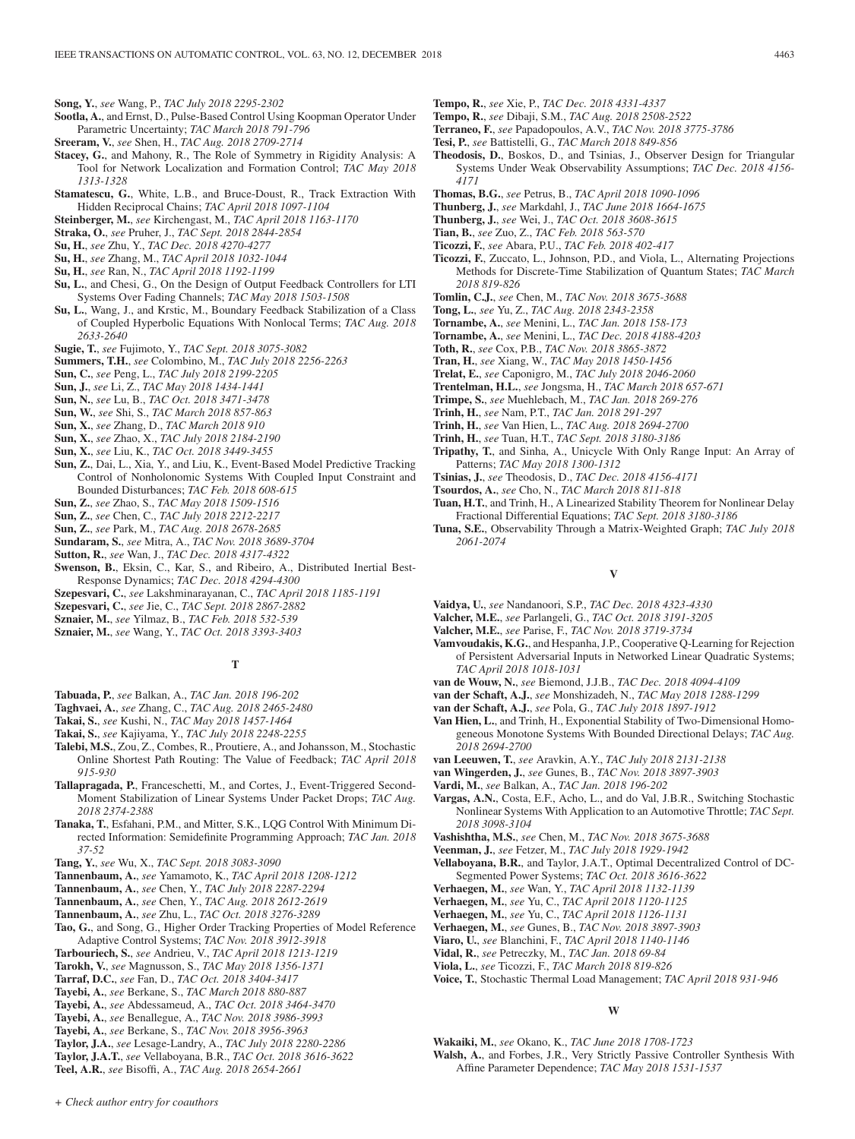- **Song, Y.**, *see* Wang, P., *TAC July 2018 2295-2302*
- **Sootla, A.**, and Ernst, D., Pulse-Based Control Using Koopman Operator Under Parametric Uncertainty; *TAC March 2018 791-796*
- **Sreeram, V.**, *see* Shen, H., *TAC Aug. 2018 2709-2714*
- **Stacey, G.**, and Mahony, R., The Role of Symmetry in Rigidity Analysis: A Tool for Network Localization and Formation Control; *TAC May 2018 1313-1328*
- **Stamatescu, G.**, White, L.B., and Bruce-Doust, R., Track Extraction With Hidden Reciprocal Chains; *TAC April 2018 1097-1104*
- **Steinberger, M.**, *see* Kirchengast, M., *TAC April 2018 1163-1170*
- **Straka, O.**, *see* Pruher, J., *TAC Sept. 2018 2844-2854*
- **Su, H.**, *see* Zhu, Y., *TAC Dec. 2018 4270-4277*
- **Su, H.**, *see* Zhang, M., *TAC April 2018 1032-1044*
- **Su, H.**, *see* Ran, N., *TAC April 2018 1192-1199*
- **Su, L.**, and Chesi, G., On the Design of Output Feedback Controllers for LTI Systems Over Fading Channels; *TAC May 2018 1503-1508*
- **Su, L.**, Wang, J., and Krstic, M., Boundary Feedback Stabilization of a Class of Coupled Hyperbolic Equations With Nonlocal Terms; *TAC Aug. 2018 2633-2640*
- **Sugie, T.**, *see* Fujimoto, Y., *TAC Sept. 2018 3075-3082*
- **Summers, T.H.**, *see* Colombino, M., *TAC July 2018 2256-2263*
- **Sun, C.**, *see* Peng, L., *TAC July 2018 2199-2205*
- **Sun, J.**, *see* Li, Z., *TAC May 2018 1434-1441*
- **Sun, N.**, *see* Lu, B., *TAC Oct. 2018 3471-3478*
- **Sun, W.**, *see* Shi, S., *TAC March 2018 857-863*
- **Sun, X.**, *see* Zhang, D., *TAC March 2018 910*
- **Sun, X.**, *see* Zhao, X., *TAC July 2018 2184-2190*
- **Sun, X.**, *see* Liu, K., *TAC Oct. 2018 3449-3455*
- **Sun, Z.**, Dai, L., Xia, Y., and Liu, K., Event-Based Model Predictive Tracking Control of Nonholonomic Systems With Coupled Input Constraint and Bounded Disturbances; *TAC Feb. 2018 608-615*
- **Sun, Z.**, *see* Zhao, S., *TAC May 2018 1509-1516*
- **Sun, Z.**, *see* Chen, C., *TAC July 2018 2212-2217*
- **Sun, Z.**, *see* Park, M., *TAC Aug. 2018 2678-2685*
- **Sundaram, S.**, *see* Mitra, A., *TAC Nov. 2018 3689-3704*
- **Sutton, R.**, *see* Wan, J., *TAC Dec. 2018 4317-4322*
- **Swenson, B.**, Eksin, C., Kar, S., and Ribeiro, A., Distributed Inertial Best-Response Dynamics; *TAC Dec. 2018 4294-4300*
- **Szepesvari, C.**, *see* Lakshminarayanan, C., *TAC April 2018 1185-1191*
- **Szepesvari, C.**, *see* Jie, C., *TAC Sept. 2018 2867-2882*
- **Sznaier, M.**, *see* Yilmaz, B., *TAC Feb. 2018 532-539*
- **Sznaier, M.**, *see* Wang, Y., *TAC Oct. 2018 3393-3403*

# **T**

- **Tabuada, P.**, *see* Balkan, A., *TAC Jan. 2018 196-202*
- **Taghvaei, A.**, *see* Zhang, C., *TAC Aug. 2018 2465-2480*
- **Takai, S.**, *see* Kushi, N., *TAC May 2018 1457-1464*
- **Takai, S.**, *see* Kajiyama, Y., *TAC July 2018 2248-2255*
- **Talebi, M.S.**, Zou, Z., Combes, R., Proutiere, A., and Johansson, M., Stochastic Online Shortest Path Routing: The Value of Feedback; *TAC April 2018 915-930*
- **Tallapragada, P.**, Franceschetti, M., and Cortes, J., Event-Triggered Second-Moment Stabilization of Linear Systems Under Packet Drops; *TAC Aug. 2018 2374-2388*
- **Tanaka, T.**, Esfahani, P.M., and Mitter, S.K., LQG Control With Minimum Directed Information: Semidefinite Programming Approach; *TAC Jan. 2018 37-52*
- **Tang, Y.**, *see* Wu, X., *TAC Sept. 2018 3083-3090*
- **Tannenbaum, A.**, *see* Yamamoto, K., *TAC April 2018 1208-1212*
- **Tannenbaum, A.**, *see* Chen, Y., *TAC July 2018 2287-2294*
- **Tannenbaum, A.**, *see* Chen, Y., *TAC Aug. 2018 2612-2619*
- **Tannenbaum, A.**, *see* Zhu, L., *TAC Oct. 2018 3276-3289*
- **Tao, G.**, and Song, G., Higher Order Tracking Properties of Model Reference Adaptive Control Systems; *TAC Nov. 2018 3912-3918*
- **Tarbouriech, S.**, *see* Andrieu, V., *TAC April 2018 1213-1219*
- **Tarokh, V.**, *see* Magnusson, S., *TAC May 2018 1356-1371*
- **Tarraf, D.C.**, *see* Fan, D., *TAC Oct. 2018 3404-3417*
- **Tayebi, A.**, *see* Berkane, S., *TAC March 2018 880-887*
- **Tayebi, A.**, *see* Abdessameud, A., *TAC Oct. 2018 3464-3470*
- **Tayebi, A.**, *see* Benallegue, A., *TAC Nov. 2018 3986-3993*
- **Tayebi, A.**, *see* Berkane, S., *TAC Nov. 2018 3956-3963*
- **Taylor, J.A.**, *see* Lesage-Landry, A., *TAC July 2018 2280-2286*
- **Taylor, J.A.T.**, *see* Vellaboyana, B.R., *TAC Oct. 2018 3616-3622*
- **Teel, A.R.**, *see* Bisoffi, A., *TAC Aug. 2018 2654-2661*

*+ Check author entry for coauthors*

- **Tempo, R.**, *see* Xie, P., *TAC Dec. 2018 4331-4337*
- **Tempo, R.**, *see* Dibaji, S.M., *TAC Aug. 2018 2508-2522*
- **Terraneo, F.**, *see* Papadopoulos, A.V., *TAC Nov. 2018 3775-3786*
- **Tesi, P.**, *see* Battistelli, G., *TAC March 2018 849-856*
- **Theodosis, D.**, Boskos, D., and Tsinias, J., Observer Design for Triangular Systems Under Weak Observability Assumptions; *TAC Dec. 2018 4156- 4171*
- **Thomas, B.G.**, *see* Petrus, B., *TAC April 2018 1090-1096*
- **Thunberg, J.**, *see* Markdahl, J., *TAC June 2018 1664-1675*
- **Thunberg, J.**, *see* Wei, J., *TAC Oct. 2018 3608-3615*
- **Tian, B.**, *see* Zuo, Z., *TAC Feb. 2018 563-570* **Ticozzi, F.**, *see* Abara, P.U., *TAC Feb. 2018 402-417*
- **Ticozzi, F.**, Zuccato, L., Johnson, P.D., and Viola, L., Alternating Projections
- Methods for Discrete-Time Stabilization of Quantum States; *TAC March 2018 819-826*
- **Tomlin, C.J.**, *see* Chen, M., *TAC Nov. 2018 3675-3688*
- **Tong, L.**, *see* Yu, Z., *TAC Aug. 2018 2343-2358*
- **Tornambe, A.**, *see* Menini, L., *TAC Jan. 2018 158-173*
- **Tornambe, A.**, *see* Menini, L., *TAC Dec. 2018 4188-4203*
- **Toth, R.**, *see* Cox, P.B., *TAC Nov. 2018 3865-3872*
- **Tran, H.**, *see* Xiang, W., *TAC May 2018 1450-1456*
- **Trelat, E.**, *see* Caponigro, M., *TAC July 2018 2046-2060*
- **Trentelman, H.L.**, *see* Jongsma, H., *TAC March 2018 657-671*
- **Trimpe, S.**, *see* Muehlebach, M., *TAC Jan. 2018 269-276*
- **Trinh, H.**, *see* Nam, P.T., *TAC Jan. 2018 291-297*
- **Trinh, H.**, *see* Van Hien, L., *TAC Aug. 2018 2694-2700*
- **Trinh, H.**, *see* Tuan, H.T., *TAC Sept. 2018 3180-3186*
- **Tripathy, T.**, and Sinha, A., Unicycle With Only Range Input: An Array of Patterns; *TAC May 2018 1300-1312*
- **Tsinias, J.**, *see* Theodosis, D., *TAC Dec. 2018 4156-4171*
- **Tsourdos, A.**, *see* Cho, N., *TAC March 2018 811-818*
- **Tuan, H.T.**, and Trinh, H., A Linearized Stability Theorem for Nonlinear Delay Fractional Differential Equations; *TAC Sept. 2018 3180-3186*
- **Tuna, S.E.**, Observability Through a Matrix-Weighted Graph; *TAC July 2018 2061-2074*

# **V**

- **Vaidya, U.**, *see* Nandanoori, S.P., *TAC Dec. 2018 4323-4330*
- **Valcher, M.E.**, *see* Parlangeli, G., *TAC Oct. 2018 3191-3205*
- **Valcher, M.E.**, *see* Parise, F., *TAC Nov. 2018 3719-3734*
- **Vamvoudakis, K.G.**, and Hespanha, J.P., Cooperative Q-Learning for Rejection of Persistent Adversarial Inputs in Networked Linear Quadratic Systems; *TAC April 2018 1018-1031*
- **van de Wouw, N.**, *see* Biemond, J.J.B., *TAC Dec. 2018 4094-4109*
- **van der Schaft, A.J.**, *see* Monshizadeh, N., *TAC May 2018 1288-1299*
- **van der Schaft, A.J.**, *see* Pola, G., *TAC July 2018 1897-1912*
- **Van Hien, L.**, and Trinh, H., Exponential Stability of Two-Dimensional Homogeneous Monotone Systems With Bounded Directional Delays; *TAC Aug. 2018 2694-2700*
- **van Leeuwen, T.**, *see* Aravkin, A.Y., *TAC July 2018 2131-2138*
- **van Wingerden, J.**, *see* Gunes, B., *TAC Nov. 2018 3897-3903*
- **Vardi, M.**, *see* Balkan, A., *TAC Jan. 2018 196-202*
- **Vargas, A.N.**, Costa, E.F., Acho, L., and do Val, J.B.R., Switching Stochastic Nonlinear Systems With Application to an Automotive Throttle; *TAC Sept. 2018 3098-3104*

**Vellaboyana, B.R.**, and Taylor, J.A.T., Optimal Decentralized Control of DC-

**Voice, T.**, Stochastic Thermal Load Management; *TAC April 2018 931-946*

**W**

**Walsh, A.**, and Forbes, J.R., Very Strictly Passive Controller Synthesis With Affine Parameter Dependence; *TAC May 2018 1531-1537*

**Vashishtha, M.S.**, *see* Chen, M., *TAC Nov. 2018 3675-3688*

Segmented Power Systems; *TAC Oct. 2018 3616-3622* **Verhaegen, M.**, *see* Wan, Y., *TAC April 2018 1132-1139* **Verhaegen, M.**, *see* Yu, C., *TAC April 2018 1120-1125* **Verhaegen, M.**, *see* Yu, C., *TAC April 2018 1126-1131* **Verhaegen, M.**, *see* Gunes, B., *TAC Nov. 2018 3897-3903* **Viaro, U.**, *see* Blanchini, F., *TAC April 2018 1140-1146* **Vidal, R.**, *see* Petreczky, M., *TAC Jan. 2018 69-84* **Viola, L.**, *see* Ticozzi, F., *TAC March 2018 819-826*

**Veenman, J.**, *see* Fetzer, M., *TAC July 2018 1929-1942*

**Wakaiki, M.**, *see* Okano, K., *TAC June 2018 1708-1723*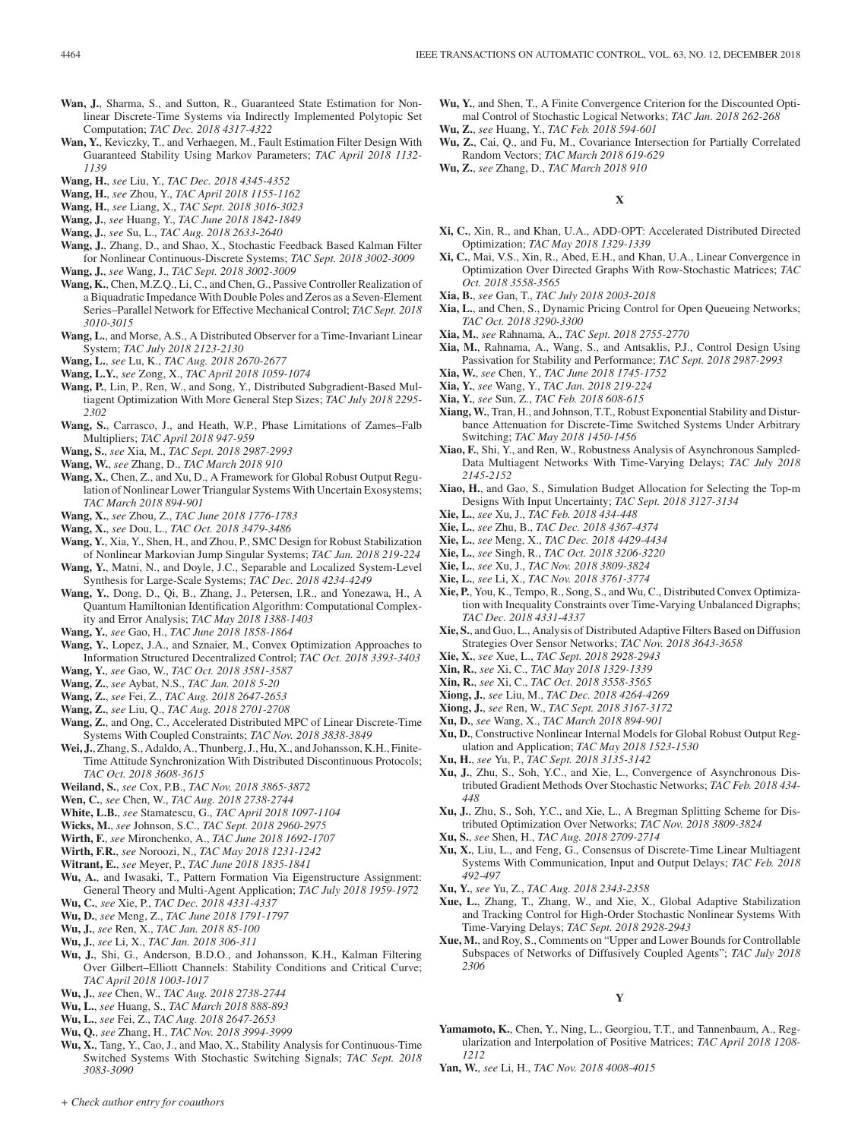- **Wan, J.**, Sharma, S., and Sutton, R., Guaranteed State Estimation for Nonlinear Discrete-Time Systems via Indirectly Implemented Polytopic Set Computation; *TAC Dec. 2018 4317-4322*
- **Wan, Y.**, Keviczky, T., and Verhaegen, M., Fault Estimation Filter Design With Guaranteed Stability Using Markov Parameters; *TAC April 2018 1132- 1139*
- **Wang, H.**, *see* Liu, Y., *TAC Dec. 2018 4345-4352*
- **Wang, H.**, *see* Zhou, Y., *TAC April 2018 1155-1162*
- **Wang, H.**, *see* Liang, X., *TAC Sept. 2018 3016-3023*
- **Wang, J.**, *see* Huang, Y., *TAC June 2018 1842-1849*
- **Wang, J.**, *see* Su, L., *TAC Aug. 2018 2633-2640*
- **Wang, J.**, Zhang, D., and Shao, X., Stochastic Feedback Based Kalman Filter for Nonlinear Continuous-Discrete Systems; *TAC Sept. 2018 3002-3009*
- **Wang, J.**, *see* Wang, J., *TAC Sept. 2018 3002-3009*
- **Wang, K.**, Chen, M.Z.Q., Li, C., and Chen, G., Passive Controller Realization of a Biquadratic Impedance With Double Poles and Zeros as a Seven-Element Series–Parallel Network for Effective Mechanical Control; *TAC Sept. 2018 3010-3015*
- **Wang, L.**, and Morse, A.S., A Distributed Observer for a Time-Invariant Linear System; *TAC July 2018 2123-2130*
- **Wang, L.**, *see* Lu, K., *TAC Aug. 2018 2670-2677*
- **Wang, L.Y.**, *see* Zong, X., *TAC April 2018 1059-1074*
- **Wang, P.**, Lin, P., Ren, W., and Song, Y., Distributed Subgradient-Based Multiagent Optimization With More General Step Sizes; *TAC July 2018 2295- 2302*
- **Wang, S.**, Carrasco, J., and Heath, W.P., Phase Limitations of Zames–Falb Multipliers; *TAC April 2018 947-959*
- **Wang, S.**, *see* Xia, M., *TAC Sept. 2018 2987-2993*
- **Wang, W.**, *see* Zhang, D., *TAC March 2018 910*
- **Wang, X.**, Chen, Z., and Xu, D., A Framework for Global Robust Output Regulation of Nonlinear Lower Triangular Systems With Uncertain Exosystems; *TAC March 2018 894-901*
- **Wang, X.**, *see* Zhou, Z., *TAC June 2018 1776-1783*
- **Wang, X.**, *see* Dou, L., *TAC Oct. 2018 3479-3486*
- **Wang, Y.**, Xia, Y., Shen, H., and Zhou, P., SMC Design for Robust Stabilization of Nonlinear Markovian Jump Singular Systems; *TAC Jan. 2018 219-224*
- **Wang, Y.**, Matni, N., and Doyle, J.C., Separable and Localized System-Level Synthesis for Large-Scale Systems; *TAC Dec. 2018 4234-4249*
- **Wang, Y.**, Dong, D., Qi, B., Zhang, J., Petersen, I.R., and Yonezawa, H., A Quantum Hamiltonian Identification Algorithm: Computational Complexity and Error Analysis; *TAC May 2018 1388-1403*
- **Wang, Y.**, *see* Gao, H., *TAC June 2018 1858-1864*
- **Wang, Y.**, Lopez, J.A., and Sznaier, M., Convex Optimization Approaches to Information Structured Decentralized Control; *TAC Oct. 2018 3393-3403*
- **Wang, Y.**, *see* Gao, W., *TAC Oct. 2018 3581-3587*
- **Wang, Z.**, *see* Aybat, N.S., *TAC Jan. 2018 5-20*
- **Wang, Z.**, *see* Fei, Z., *TAC Aug. 2018 2647-2653*
- **Wang, Z.**, *see* Liu, Q., *TAC Aug. 2018 2701-2708*
- **Wang, Z.**, and Ong, C., Accelerated Distributed MPC of Linear Discrete-Time Systems With Coupled Constraints; *TAC Nov. 2018 3838-3849*
- **Wei, J.**, Zhang, S., Adaldo, A., Thunberg, J., Hu, X., and Johansson, K.H., Finite-Time Attitude Synchronization With Distributed Discontinuous Protocols; *TAC Oct. 2018 3608-3615*
- **Weiland, S.**, *see* Cox, P.B., *TAC Nov. 2018 3865-3872*
- **Wen, C.**, *see* Chen, W., *TAC Aug. 2018 2738-2744*
- **White, L.B.**, *see* Stamatescu, G., *TAC April 2018 1097-1104*
- **Wicks, M.**, *see* Johnson, S.C., *TAC Sept. 2018 2960-2975*
- **Wirth, F.**, *see* Mironchenko, A., *TAC June 2018 1692-1707*
- **Wirth, F.R.**, *see* Noroozi, N., *TAC May 2018 1231-1242*
- **Witrant, E.**, *see* Meyer, P., *TAC June 2018 1835-1841*
- **Wu, A.**, and Iwasaki, T., Pattern Formation Via Eigenstructure Assignment: General Theory and Multi-Agent Application; *TAC July 2018 1959-1972*
- **Wu, C.**, *see* Xie, P., *TAC Dec. 2018 4331-4337*
- **Wu, D.**, *see* Meng, Z., *TAC June 2018 1791-1797*
- **Wu, J.**, *see* Ren, X., *TAC Jan. 2018 85-100*
- **Wu, J.**, *see* Li, X., *TAC Jan. 2018 306-311*
- **Wu, J.**, Shi, G., Anderson, B.D.O., and Johansson, K.H., Kalman Filtering Over Gilbert–Elliott Channels: Stability Conditions and Critical Curve; *TAC April 2018 1003-1017*
- **Wu, J.**, *see* Chen, W., *TAC Aug. 2018 2738-2744*
- **Wu, L.**, *see* Huang, S., *TAC March 2018 888-893*
- **Wu, L.**, *see* Fei, Z., *TAC Aug. 2018 2647-2653*
- **Wu, Q.**, *see* Zhang, H., *TAC Nov. 2018 3994-3999*
- **Wu, X.**, Tang, Y., Cao, J., and Mao, X., Stability Analysis for Continuous-Time Switched Systems With Stochastic Switching Signals; *TAC Sept. 2018 3083-3090*
- **Wu, Y.**, and Shen, T., A Finite Convergence Criterion for the Discounted Optimal Control of Stochastic Logical Networks; *TAC Jan. 2018 262-268*
- **Wu, Z.**, *see* Huang, Y., *TAC Feb. 2018 594-601*
- **Wu, Z.**, Cai, Q., and Fu, M., Covariance Intersection for Partially Correlated Random Vectors; *TAC March 2018 619-629*
- **Wu, Z.**, *see* Zhang, D., *TAC March 2018 910*

**X**

- **Xi, C.**, Xin, R., and Khan, U.A., ADD-OPT: Accelerated Distributed Directed Optimization; *TAC May 2018 1329-1339*
- **Xi, C.**, Mai, V.S., Xin, R., Abed, E.H., and Khan, U.A., Linear Convergence in Optimization Over Directed Graphs With Row-Stochastic Matrices; *TAC Oct. 2018 3558-3565*
- **Xia, B.**, *see* Gan, T., *TAC July 2018 2003-2018*
- **Xia, L.**, and Chen, S., Dynamic Pricing Control for Open Queueing Networks; *TAC Oct. 2018 3290-3300*
- **Xia, M.**, *see* Rahnama, A., *TAC Sept. 2018 2755-2770*
- **Xia, M.**, Rahnama, A., Wang, S., and Antsaklis, P.J., Control Design Using Passivation for Stability and Performance; *TAC Sept. 2018 2987-2993*
- **Xia, W.**, *see* Chen, Y., *TAC June 2018 1745-1752*
- **Xia, Y.**, *see* Wang, Y., *TAC Jan. 2018 219-224*
- **Xia, Y.**, *see* Sun, Z., *TAC Feb. 2018 608-615*
- **Xiang, W.**, Tran, H., and Johnson, T.T., Robust Exponential Stability and Disturbance Attenuation for Discrete-Time Switched Systems Under Arbitrary Switching; *TAC May 2018 1450-1456*
- **Xiao, F.**, Shi, Y., and Ren, W., Robustness Analysis of Asynchronous Sampled-Data Multiagent Networks With Time-Varying Delays; *TAC July 2018 2145-2152*
- **Xiao, H.**, and Gao, S., Simulation Budget Allocation for Selecting the Top-m Designs With Input Uncertainty; *TAC Sept. 2018 3127-3134*
- **Xie, L.**, *see* Xu, J., *TAC Feb. 2018 434-448*
- **Xie, L.**, *see* Zhu, B., *TAC Dec. 2018 4367-4374*
- **Xie, L.**, *see* Meng, X., *TAC Dec. 2018 4429-4434*
- **Xie, L.**, *see* Singh, R., *TAC Oct. 2018 3206-3220*
- **Xie, L.**, *see* Xu, J., *TAC Nov. 2018 3809-3824*
- **Xie, L.**, *see* Li, X., *TAC Nov. 2018 3761-3774*
- **Xie, P.**, You, K., Tempo, R., Song, S., and Wu, C., Distributed Convex Optimization with Inequality Constraints over Time-Varying Unbalanced Digraphs; *TAC Dec. 2018 4331-4337*
- **Xie, S.**, and Guo, L., Analysis of Distributed Adaptive Filters Based on Diffusion Strategies Over Sensor Networks; *TAC Nov. 2018 3643-3658*
- **Xie, X.**, *see* Xue, L., *TAC Sept. 2018 2928-2943*
- **Xin, R.**, *see* Xi, C., *TAC May 2018 1329-1339*
- **Xin, R.**, *see* Xi, C., *TAC Oct. 2018 3558-3565*
- **Xiong, J.**, *see* Liu, M., *TAC Dec. 2018 4264-4269*
- **Xiong, J.**, *see* Ren, W., *TAC Sept. 2018 3167-3172*
- **Xu, D.**, *see* Wang, X., *TAC March 2018 894-901*
- **Xu, D.**, Constructive Nonlinear Internal Models for Global Robust Output Regulation and Application; *TAC May 2018 1523-1530*
- **Xu, H.**, *see* Yu, P., *TAC Sept. 2018 3135-3142*
- **Xu, J.**, Zhu, S., Soh, Y.C., and Xie, L., Convergence of Asynchronous Distributed Gradient Methods Over Stochastic Networks; *TAC Feb. 2018 434- 448*
- **Xu, J.**, Zhu, S., Soh, Y.C., and Xie, L., A Bregman Splitting Scheme for Distributed Optimization Over Networks; *TAC Nov. 2018 3809-3824*
- **Xu, S.**, *see* Shen, H., *TAC Aug. 2018 2709-2714*
- **Xu, X.**, Liu, L., and Feng, G., Consensus of Discrete-Time Linear Multiagent Systems With Communication, Input and Output Delays; *TAC Feb. 2018 492-497*
- **Xu, Y.**, *see* Yu, Z., *TAC Aug. 2018 2343-2358*
- **Xue, L.**, Zhang, T., Zhang, W., and Xie, X., Global Adaptive Stabilization and Tracking Control for High-Order Stochastic Nonlinear Systems With Time-Varying Delays; *TAC Sept. 2018 2928-2943*
- **Xue, M.**, and Roy, S., Comments on "Upper and Lower Bounds for Controllable Subspaces of Networks of Diffusively Coupled Agents"; *TAC July 2018 2306*

**Y**

- **Yamamoto, K.**, Chen, Y., Ning, L., Georgiou, T.T., and Tannenbaum, A., Regularization and Interpolation of Positive Matrices; *TAC April 2018 1208- 1212*
- **Yan, W.**, *see* Li, H., *TAC Nov. 2018 4008-4015*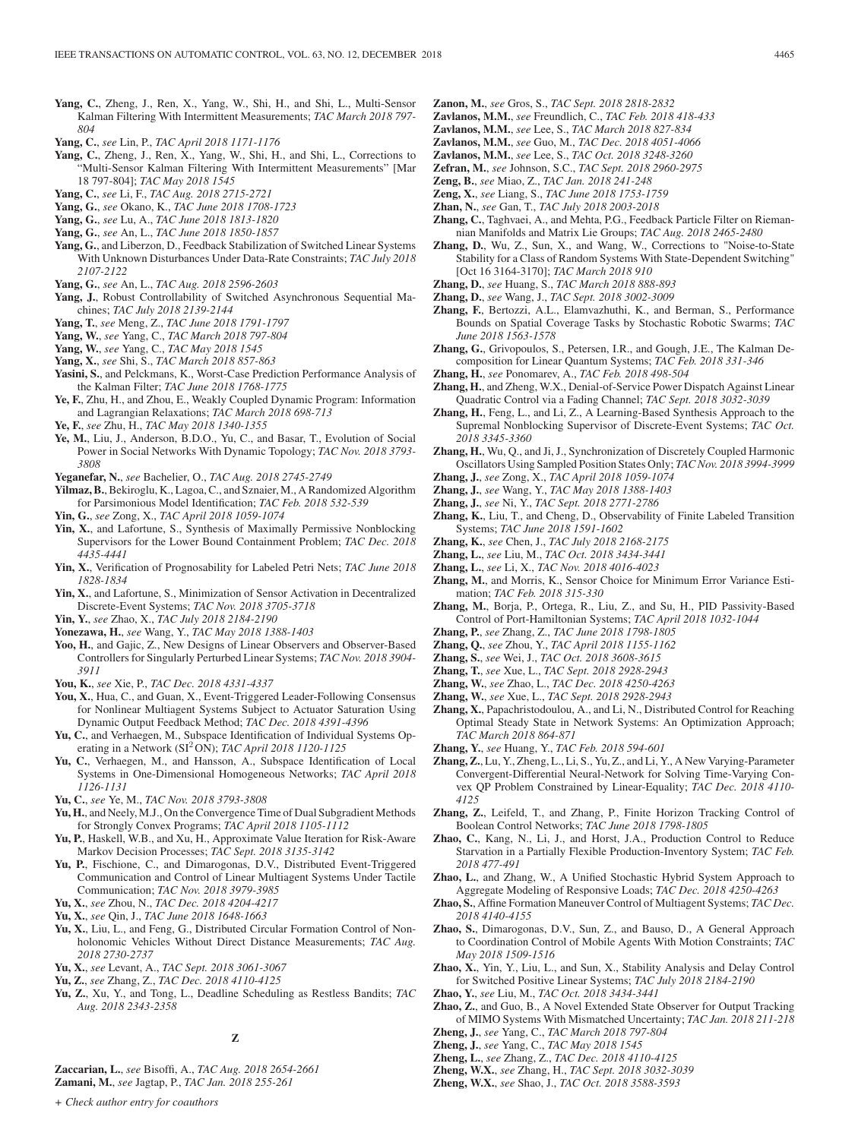- **Yang, C.**, Zheng, J., Ren, X., Yang, W., Shi, H., and Shi, L., Multi-Sensor Kalman Filtering With Intermittent Measurements; *TAC March 2018 797- 804*
- **Yang, C.**, *see* Lin, P., *TAC April 2018 1171-1176*
- **Yang, C.**, Zheng, J., Ren, X., Yang, W., Shi, H., and Shi, L., Corrections to "Multi-Sensor Kalman Filtering With Intermittent Measurements" [Mar 18 797-804]; *TAC May 2018 1545*
- **Yang, C.**, *see* Li, F., *TAC Aug. 2018 2715-2721*
- **Yang, G.**, *see* Okano, K., *TAC June 2018 1708-1723*
- **Yang, G.**, *see* Lu, A., *TAC June 2018 1813-1820*
- **Yang, G.**, *see* An, L., *TAC June 2018 1850-1857*
- **Yang, G.**, and Liberzon, D., Feedback Stabilization of Switched Linear Systems With Unknown Disturbances Under Data-Rate Constraints; *TAC July 2018 2107-2122*
- **Yang, G.**, *see* An, L., *TAC Aug. 2018 2596-2603*
- **Yang, J.**, Robust Controllability of Switched Asynchronous Sequential Machines; *TAC July 2018 2139-2144*
- **Yang, T.**, *see* Meng, Z., *TAC June 2018 1791-1797*
- **Yang, W.**, *see* Yang, C., *TAC March 2018 797-804*
- **Yang, W.**, *see* Yang, C., *TAC May 2018 1545*
- **Yang, X.**, *see* Shi, S., *TAC March 2018 857-863*
- Yasini, S., and Pelckmans, K., Worst-Case Prediction Performance Analysis of the Kalman Filter; *TAC June 2018 1768-1775*
- **Ye, F.**, Zhu, H., and Zhou, E., Weakly Coupled Dynamic Program: Information and Lagrangian Relaxations; *TAC March 2018 698-713*
- **Ye, F.**, *see* Zhu, H., *TAC May 2018 1340-1355*
- **Ye, M.**, Liu, J., Anderson, B.D.O., Yu, C., and Basar, T., Evolution of Social Power in Social Networks With Dynamic Topology; *TAC Nov. 2018 3793- 3808*
- **Yeganefar, N.**, *see* Bachelier, O., *TAC Aug. 2018 2745-2749*
- **Yilmaz, B.**, Bekiroglu, K., Lagoa, C., and Sznaier, M., A Randomized Algorithm for Parsimonious Model Identification; *TAC Feb. 2018 532-539*
- **Yin, G.**, *see* Zong, X., *TAC April 2018 1059-1074*
- **Yin, X.**, and Lafortune, S., Synthesis of Maximally Permissive Nonblocking Supervisors for the Lower Bound Containment Problem; *TAC Dec. 2018 4435-4441*
- **Yin, X.**, Verification of Prognosability for Labeled Petri Nets; *TAC June 2018 1828-1834*
- **Yin, X.**, and Lafortune, S., Minimization of Sensor Activation in Decentralized Discrete-Event Systems; *TAC Nov. 2018 3705-3718*
- **Yin, Y.**, *see* Zhao, X., *TAC July 2018 2184-2190*
- **Yonezawa, H.**, *see* Wang, Y., *TAC May 2018 1388-1403*
- Yoo, H., and Gajic, Z., New Designs of Linear Observers and Observer-Based Controllers for Singularly Perturbed Linear Systems; *TAC Nov. 2018 3904- 3911*
- **You, K.**, *see* Xie, P., *TAC Dec. 2018 4331-4337*
- **You, X.**, Hua, C., and Guan, X., Event-Triggered Leader-Following Consensus for Nonlinear Multiagent Systems Subject to Actuator Saturation Using Dynamic Output Feedback Method; *TAC Dec. 2018 4391-4396*
- **Yu, C.**, and Verhaegen, M., Subspace Identification of Individual Systems Operating in a Network (SI<sup>2</sup>ON); *TAC April 2018 1120-1125*
- **Yu, C.**, Verhaegen, M., and Hansson, A., Subspace Identification of Local Systems in One-Dimensional Homogeneous Networks; *TAC April 2018 1126-1131*
- **Yu, C.**, *see* Ye, M., *TAC Nov. 2018 3793-3808*
- **Yu, H.**, and Neely, M.J., On the Convergence Time of Dual Subgradient Methods for Strongly Convex Programs; *TAC April 2018 1105-1112*
- **Yu, P.**, Haskell, W.B., and Xu, H., Approximate Value Iteration for Risk-Aware Markov Decision Processes; *TAC Sept. 2018 3135-3142*
- **Yu, P.**, Fischione, C., and Dimarogonas, D.V., Distributed Event-Triggered Communication and Control of Linear Multiagent Systems Under Tactile Communication; *TAC Nov. 2018 3979-3985*
- **Yu, X.**, *see* Zhou, N., *TAC Dec. 2018 4204-4217*
- **Yu, X.**, *see* Qin, J., *TAC June 2018 1648-1663*
- **Yu, X.**, Liu, L., and Feng, G., Distributed Circular Formation Control of Nonholonomic Vehicles Without Direct Distance Measurements; *TAC Aug. 2018 2730-2737*
- **Yu, X.**, *see* Levant, A., *TAC Sept. 2018 3061-3067*
- **Yu, Z.**, *see* Zhang, Z., *TAC Dec. 2018 4110-4125*
- **Yu, Z.**, Xu, Y., and Tong, L., Deadline Scheduling as Restless Bandits; *TAC Aug. 2018 2343-2358*

**Z**

**Zaccarian, L.**, *see* Bisoffi, A., *TAC Aug. 2018 2654-2661* **Zamani, M.**, *see* Jagtap, P., *TAC Jan. 2018 255-261*

- **Zanon, M.**, *see* Gros, S., *TAC Sept. 2018 2818-2832*
- **Zavlanos, M.M.**, *see* Freundlich, C., *TAC Feb. 2018 418-433*
- **Zavlanos, M.M.**, *see* Lee, S., *TAC March 2018 827-834*
- **Zavlanos, M.M.**, *see* Guo, M., *TAC Dec. 2018 4051-4066*
- **Zavlanos, M.M.**, *see* Lee, S., *TAC Oct. 2018 3248-3260*
- **Zefran, M.**, *see* Johnson, S.C., *TAC Sept. 2018 2960-2975*
- **Zeng, B.**, *see* Miao, Z., *TAC Jan. 2018 241-248*
- **Zeng, X.**, *see* Liang, S., *TAC June 2018 1753-1759*
- **Zhan, N.**, *see* Gan, T., *TAC July 2018 2003-2018*
- **Zhang, C.**, Taghvaei, A., and Mehta, P.G., Feedback Particle Filter on Riemannian Manifolds and Matrix Lie Groups; *TAC Aug. 2018 2465-2480*
- **Zhang, D.**, Wu, Z., Sun, X., and Wang, W., Corrections to "Noise-to-State Stability for a Class of Random Systems With State-Dependent Switching" [Oct 16 3164-3170]; *TAC March 2018 910*
- **Zhang, D.**, *see* Huang, S., *TAC March 2018 888-893*
- **Zhang, D.**, *see* Wang, J., *TAC Sept. 2018 3002-3009*
- **Zhang, F.**, Bertozzi, A.L., Elamvazhuthi, K., and Berman, S., Performance Bounds on Spatial Coverage Tasks by Stochastic Robotic Swarms; *TAC June 2018 1563-1578*
- **Zhang, G.**, Grivopoulos, S., Petersen, I.R., and Gough, J.E., The Kalman Decomposition for Linear Quantum Systems; *TAC Feb. 2018 331-346*
- **Zhang, H.**, *see* Ponomarev, A., *TAC Feb. 2018 498-504*
- **Zhang, H.**, and Zheng, W.X., Denial-of-Service Power Dispatch Against Linear Quadratic Control via a Fading Channel; *TAC Sept. 2018 3032-3039*
- **Zhang, H.**, Feng, L., and Li, Z., A Learning-Based Synthesis Approach to the Supremal Nonblocking Supervisor of Discrete-Event Systems; *TAC Oct. 2018 3345-3360*
- **Zhang, H.**, Wu, Q., and Ji, J., Synchronization of Discretely Coupled Harmonic Oscillators Using Sampled Position States Only; *TAC Nov. 2018 3994-3999*
- **Zhang, J.**, *see* Zong, X., *TAC April 2018 1059-1074*
- **Zhang, J.**, *see* Wang, Y., *TAC May 2018 1388-1403*
- **Zhang, J.**, *see* Ni, Y., *TAC Sept. 2018 2771-2786*
- **Zhang, K.**, Liu, T., and Cheng, D., Observability of Finite Labeled Transition Systems; *TAC June 2018 1591-1602*
- **Zhang, K.**, *see* Chen, J., *TAC July 2018 2168-2175*
- **Zhang, L.**, *see* Liu, M., *TAC Oct. 2018 3434-3441*
- **Zhang, L.**, *see* Li, X., *TAC Nov. 2018 4016-4023*
- **Zhang, M.**, and Morris, K., Sensor Choice for Minimum Error Variance Estimation; *TAC Feb. 2018 315-330*
- **Zhang, M.**, Borja, P., Ortega, R., Liu, Z., and Su, H., PID Passivity-Based Control of Port-Hamiltonian Systems; *TAC April 2018 1032-1044*
- **Zhang, P.**, *see* Zhang, Z., *TAC June 2018 1798-1805*
- **Zhang, Q.**, *see* Zhou, Y., *TAC April 2018 1155-1162*
- **Zhang, S.**, *see* Wei, J., *TAC Oct. 2018 3608-3615*
- **Zhang, T.**, *see* Xue, L., *TAC Sept. 2018 2928-2943*
- **Zhang, W.**, *see* Zhao, L., *TAC Dec. 2018 4250-4263*
- **Zhang, W.**, *see* Xue, L., *TAC Sept. 2018 2928-2943*
- **Zhang, X.**, Papachristodoulou, A., and Li, N., Distributed Control for Reaching Optimal Steady State in Network Systems: An Optimization Approach; *TAC March 2018 864-871*
- **Zhang, Y.**, *see* Huang, Y., *TAC Feb. 2018 594-601*
- **Zhang, Z.**, Lu, Y., Zheng, L., Li, S., Yu, Z., and Li, Y., A New Varying-Parameter Convergent-Differential Neural-Network for Solving Time-Varying Convex QP Problem Constrained by Linear-Equality; *TAC Dec. 2018 4110- 4125*
- **Zhang, Z.**, Leifeld, T., and Zhang, P., Finite Horizon Tracking Control of Boolean Control Networks; *TAC June 2018 1798-1805*
- **Zhao, C.**, Kang, N., Li, J., and Horst, J.A., Production Control to Reduce Starvation in a Partially Flexible Production-Inventory System; *TAC Feb. 2018 477-491*
- **Zhao, L.**, and Zhang, W., A Unified Stochastic Hybrid System Approach to Aggregate Modeling of Responsive Loads; *TAC Dec. 2018 4250-4263*
- **Zhao, S.**, Affine Formation Maneuver Control of Multiagent Systems; *TAC Dec. 2018 4140-4155*
- **Zhao, S.**, Dimarogonas, D.V., Sun, Z., and Bauso, D., A General Approach to Coordination Control of Mobile Agents With Motion Constraints; *TAC May 2018 1509-1516*
- **Zhao, X.**, Yin, Y., Liu, L., and Sun, X., Stability Analysis and Delay Control for Switched Positive Linear Systems; *TAC July 2018 2184-2190*
- **Zhao, Y.**, *see* Liu, M., *TAC Oct. 2018 3434-3441*

**Zhao, Z.**, and Guo, B., A Novel Extended State Observer for Output Tracking of MIMO Systems With Mismatched Uncertainty; *TAC Jan. 2018 211-218* **Zheng, J.**, *see* Yang, C., *TAC March 2018 797-804*

- **Zheng, J.**, *see* Yang, C., *TAC May 2018 1545*
- **Zheng, L.**, *see* Zhang, Z., *TAC Dec. 2018 4110-4125*
- **Zheng, W.X.**, *see* Zhang, H., *TAC Sept. 2018 3032-3039*
- **Zheng, W.X.**, *see* Shao, J., *TAC Oct. 2018 3588-3593*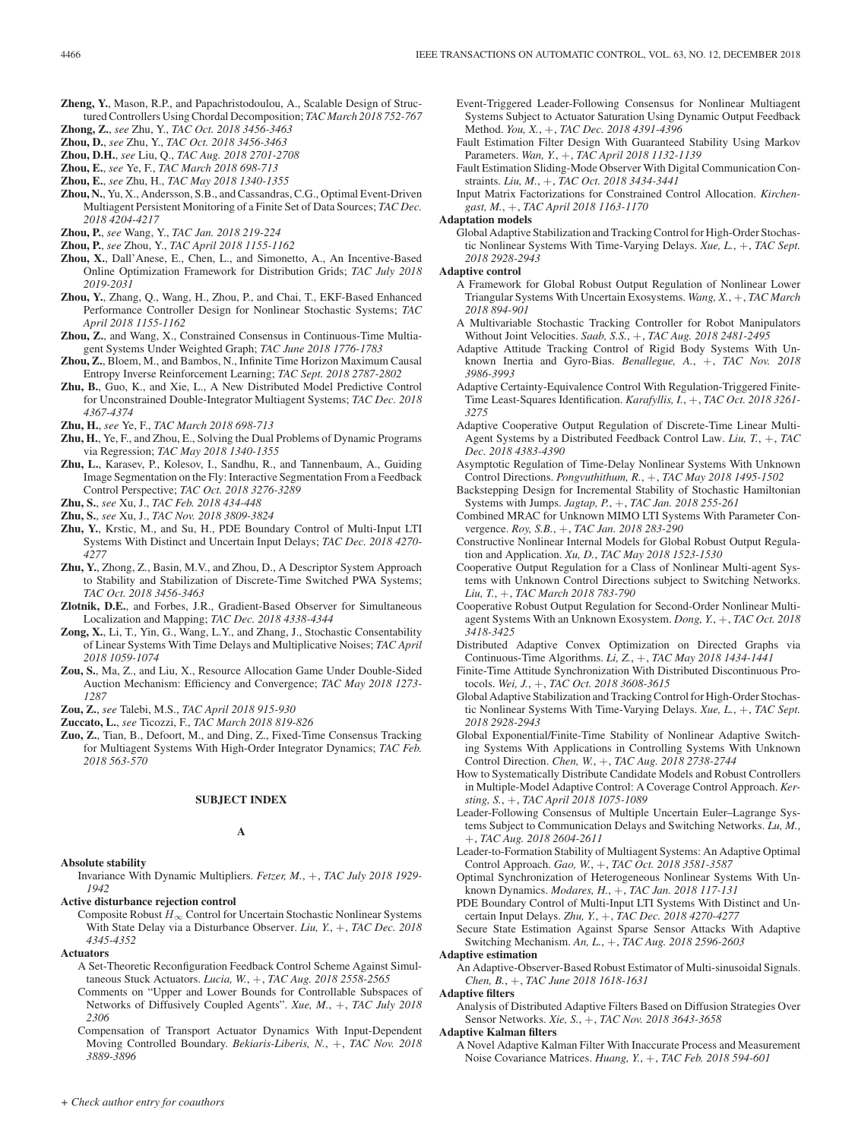- **Zheng, Y.**, Mason, R.P., and Papachristodoulou, A., Scalable Design of Structured Controllers Using Chordal Decomposition; *TAC March 2018 752-767* **Zhong, Z.**, *see* Zhu, Y., *TAC Oct. 2018 3456-3463*
- **Zhou, D.**, *see* Zhu, Y., *TAC Oct. 2018 3456-3463*
- **Zhou, D.H.**, *see* Liu, Q., *TAC Aug. 2018 2701-2708*
- **Zhou, E.**, *see* Ye, F., *TAC March 2018 698-713*
- 
- **Zhou, E.**, *see* Zhu, H., *TAC May 2018 1340-1355*
- **Zhou, N.**, Yu, X., Andersson, S.B., and Cassandras, C.G., Optimal Event-Driven Multiagent Persistent Monitoring of a Finite Set of Data Sources; *TAC Dec. 2018 4204-4217*
- **Zhou, P.**, *see* Wang, Y., *TAC Jan. 2018 219-224*
- **Zhou, P.**, *see* Zhou, Y., *TAC April 2018 1155-1162*
- **Zhou, X.**, Dall'Anese, E., Chen, L., and Simonetto, A., An Incentive-Based Online Optimization Framework for Distribution Grids; *TAC July 2018 2019-2031*
- **Zhou, Y.**, Zhang, Q., Wang, H., Zhou, P., and Chai, T., EKF-Based Enhanced Performance Controller Design for Nonlinear Stochastic Systems; *TAC April 2018 1155-1162*
- **Zhou, Z.**, and Wang, X., Constrained Consensus in Continuous-Time Multiagent Systems Under Weighted Graph; *TAC June 2018 1776-1783*
- **Zhou, Z.**, Bloem, M., and Bambos, N., Infinite Time Horizon Maximum Causal Entropy Inverse Reinforcement Learning; *TAC Sept. 2018 2787-2802*
- **Zhu, B.**, Guo, K., and Xie, L., A New Distributed Model Predictive Control for Unconstrained Double-Integrator Multiagent Systems; *TAC Dec. 2018 4367-4374*
- **Zhu, H.**, *see* Ye, F., *TAC March 2018 698-713*
- **Zhu, H.**, Ye, F., and Zhou, E., Solving the Dual Problems of Dynamic Programs via Regression; *TAC May 2018 1340-1355*
- **Zhu, L.**, Karasev, P., Kolesov, I., Sandhu, R., and Tannenbaum, A., Guiding Image Segmentation on the Fly: Interactive Segmentation From a Feedback Control Perspective; *TAC Oct. 2018 3276-3289*
- **Zhu, S.**, *see* Xu, J., *TAC Feb. 2018 434-448*
- **Zhu, S.**, *see* Xu, J., *TAC Nov. 2018 3809-3824*
- **Zhu, Y.**, Krstic, M., and Su, H., PDE Boundary Control of Multi-Input LTI Systems With Distinct and Uncertain Input Delays; *TAC Dec. 2018 4270- 4277*
- **Zhu, Y.**, Zhong, Z., Basin, M.V., and Zhou, D., A Descriptor System Approach to Stability and Stabilization of Discrete-Time Switched PWA Systems; *TAC Oct. 2018 3456-3463*
- **Zlotnik, D.E.**, and Forbes, J.R., Gradient-Based Observer for Simultaneous Localization and Mapping; *TAC Dec. 2018 4338-4344*
- **Zong, X.**, Li, T., Yin, G., Wang, L.Y., and Zhang, J., Stochastic Consentability of Linear Systems With Time Delays and Multiplicative Noises; *TAC April 2018 1059-1074*
- **Zou, S.**, Ma, Z., and Liu, X., Resource Allocation Game Under Double-Sided Auction Mechanism: Efficiency and Convergence; *TAC May 2018 1273- 1287*
- **Zou, Z.**, *see* Talebi, M.S., *TAC April 2018 915-930*
- **Zuccato, L.**, *see* Ticozzi, F., *TAC March 2018 819-826*
- **Zuo, Z.**, Tian, B., Defoort, M., and Ding, Z., Fixed-Time Consensus Tracking for Multiagent Systems With High-Order Integrator Dynamics; *TAC Feb. 2018 563-570*

### **SUBJECT INDEX**

### **A**

### **Absolute stability**

Invariance With Dynamic Multipliers. *Fetzer, M.*, +, *TAC July 2018 1929- 1942*

**Active disturbance rejection control**

Composite Robust  $H_{\infty}$  Control for Uncertain Stochastic Nonlinear Systems With State Delay via a Disturbance Observer. *Liu, Y.*, +, *TAC Dec. 2018 4345-4352*

- **Actuators**
	- A Set-Theoretic Reconfiguration Feedback Control Scheme Against Simultaneous Stuck Actuators. *Lucia, W.*, +, *TAC Aug. 2018 2558-2565*
	- Comments on "Upper and Lower Bounds for Controllable Subspaces of Networks of Diffusively Coupled Agents". *Xue, M.*, +, *TAC July 2018 2306*
	- Compensation of Transport Actuator Dynamics With Input-Dependent Moving Controlled Boundary. *Bekiaris-Liberis, N.*, +, *TAC Nov. 2018 3889-3896*
- Event-Triggered Leader-Following Consensus for Nonlinear Multiagent Systems Subject to Actuator Saturation Using Dynamic Output Feedback Method. *You, X.*, +, *TAC Dec. 2018 4391-4396*
- Fault Estimation Filter Design With Guaranteed Stability Using Markov Parameters. *Wan, Y.*, +, *TAC April 2018 1132-1139*
- Fault Estimation Sliding-Mode Observer With Digital Communication Constraints. *Liu, M.*, +, *TAC Oct. 2018 3434-3441*
- Input Matrix Factorizations for Constrained Control Allocation. *Kirchengast, M.*, +, *TAC April 2018 1163-1170*

**Adaptation models**

Global Adaptive Stabilization and Tracking Control for High-Order Stochastic Nonlinear Systems With Time-Varying Delays. *Xue, L.*, +, *TAC Sept. 2018 2928-2943*

### **Adaptive control**

- A Framework for Global Robust Output Regulation of Nonlinear Lower Triangular Systems With Uncertain Exosystems. *Wang, X.*, +, *TAC March 2018 894-901*
- A Multivariable Stochastic Tracking Controller for Robot Manipulators Without Joint Velocities. *Saab, S.S.*, +, *TAC Aug. 2018 2481-2495*
- Adaptive Attitude Tracking Control of Rigid Body Systems With Unknown Inertia and Gyro-Bias. *Benallegue, A.*, +, *TAC Nov. 2018 3986-3993*
- Adaptive Certainty-Equivalence Control With Regulation-Triggered Finite-Time Least-Squares Identification. *Karafyllis, I.*, +, *TAC Oct. 2018 3261- 3275*
- Adaptive Cooperative Output Regulation of Discrete-Time Linear Multi-Agent Systems by a Distributed Feedback Control Law. *Liu, T.*, +, *TAC Dec. 2018 4383-4390*
- Asymptotic Regulation of Time-Delay Nonlinear Systems With Unknown Control Directions. *Pongvuthithum, R.*, +, *TAC May 2018 1495-1502*
- Backstepping Design for Incremental Stability of Stochastic Hamiltonian Systems with Jumps. *Jagtap, P.*, +, *TAC Jan. 2018 255-261*
- Combined MRAC for Unknown MIMO LTI Systems With Parameter Convergence. *Roy, S.B.*, +, *TAC Jan. 2018 283-290*
- Constructive Nonlinear Internal Models for Global Robust Output Regulation and Application. *Xu, D.*, *TAC May 2018 1523-1530*
- Cooperative Output Regulation for a Class of Nonlinear Multi-agent Systems with Unknown Control Directions subject to Switching Networks. *Liu, T.*, +, *TAC March 2018 783-790*
- Cooperative Robust Output Regulation for Second-Order Nonlinear Multiagent Systems With an Unknown Exosystem. *Dong, Y.*, +, *TAC Oct. 2018 3418-3425*
- Distributed Adaptive Convex Optimization on Directed Graphs via Continuous-Time Algorithms. *Li, Z.*, +, *TAC May 2018 1434-1441*
- Finite-Time Attitude Synchronization With Distributed Discontinuous Protocols. *Wei, J.*, +, *TAC Oct. 2018 3608-3615*
- Global Adaptive Stabilization and Tracking Control for High-Order Stochastic Nonlinear Systems With Time-Varying Delays. *Xue, L.*, +, *TAC Sept. 2018 2928-2943*
- Global Exponential/Finite-Time Stability of Nonlinear Adaptive Switching Systems With Applications in Controlling Systems With Unknown Control Direction. *Chen, W.*, +, *TAC Aug. 2018 2738-2744*
- How to Systematically Distribute Candidate Models and Robust Controllers in Multiple-Model Adaptive Control: A Coverage Control Approach. *Kersting, S.*, +, *TAC April 2018 1075-1089*
- Leader-Following Consensus of Multiple Uncertain Euler–Lagrange Systems Subject to Communication Delays and Switching Networks. *Lu, M.*, +, *TAC Aug. 2018 2604-2611*
- Leader-to-Formation Stability of Multiagent Systems: An Adaptive Optimal Control Approach. *Gao, W.*, +, *TAC Oct. 2018 3581-3587*
- Optimal Synchronization of Heterogeneous Nonlinear Systems With Unknown Dynamics. *Modares, H.*, +, *TAC Jan. 2018 117-131*
- PDE Boundary Control of Multi-Input LTI Systems With Distinct and Uncertain Input Delays. *Zhu, Y.*, +, *TAC Dec. 2018 4270-4277*
- Secure State Estimation Against Sparse Sensor Attacks With Adaptive Switching Mechanism. *An, L.*, +, *TAC Aug. 2018 2596-2603*

**Adaptive estimation**

An Adaptive-Observer-Based Robust Estimator of Multi-sinusoidal Signals. *Chen, B.*, +, *TAC June 2018 1618-1631*

**Adaptive filters**

Analysis of Distributed Adaptive Filters Based on Diffusion Strategies Over Sensor Networks. *Xie, S.*, +, *TAC Nov. 2018 3643-3658* **Adaptive Kalman filters**

A Novel Adaptive Kalman Filter With Inaccurate Process and Measurement Noise Covariance Matrices. *Huang, Y.*, +, *TAC Feb. 2018 594-601*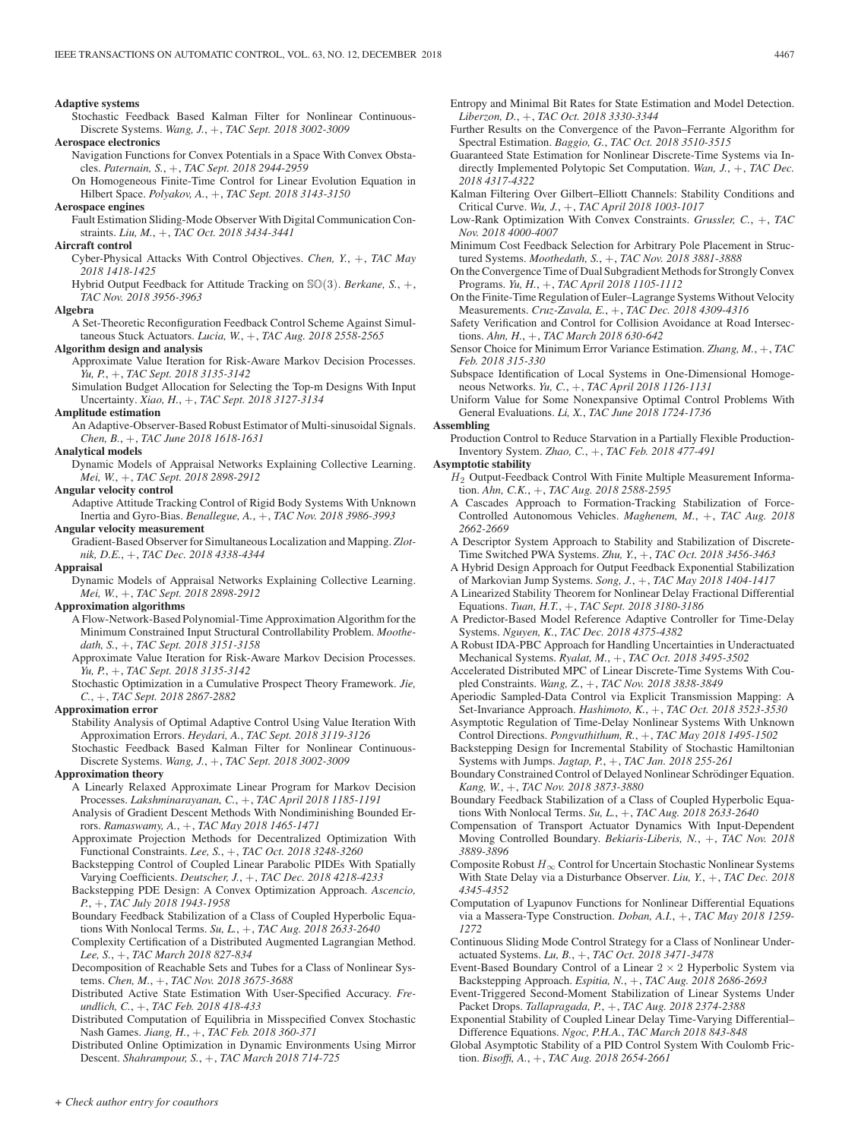### **Adaptive systems**

Stochastic Feedback Based Kalman Filter for Nonlinear Continuous-Discrete Systems. *Wang, J.*, +, *TAC Sept. 2018 3002-3009*

### **Aerospace electronics**

- Navigation Functions for Convex Potentials in a Space With Convex Obstacles. *Paternain, S.*, +, *TAC Sept. 2018 2944-2959*
- On Homogeneous Finite-Time Control for Linear Evolution Equation in Hilbert Space. *Polyakov, A.*, +, *TAC Sept. 2018 3143-3150*

### **Aerospace engines**

Fault Estimation Sliding-Mode Observer With Digital Communication Constraints. *Liu, M.*, +, *TAC Oct. 2018 3434-3441*

### **Aircraft control**

Cyber-Physical Attacks With Control Objectives. *Chen, Y.*, +, *TAC May 2018 1418-1425*

Hybrid Output Feedback for Attitude Tracking on SO(3). *Berkane, S.*, +, *TAC Nov. 2018 3956-3963*

### **Algebra**

A Set-Theoretic Reconfiguration Feedback Control Scheme Against Simultaneous Stuck Actuators. *Lucia, W.*, +, *TAC Aug. 2018 2558-2565*

### **Algorithm design and analysis**

- Approximate Value Iteration for Risk-Aware Markov Decision Processes. *Yu, P.*, +, *TAC Sept. 2018 3135-3142*
- Simulation Budget Allocation for Selecting the Top-m Designs With Input Uncertainty. *Xiao, H.*, +, *TAC Sept. 2018 3127-3134*

### **Amplitude estimation**

An Adaptive-Observer-Based Robust Estimator of Multi-sinusoidal Signals. *Chen, B.*, +, *TAC June 2018 1618-1631*

### **Analytical models**

Dynamic Models of Appraisal Networks Explaining Collective Learning. *Mei, W.*, +, *TAC Sept. 2018 2898-2912*

### **Angular velocity control**

Adaptive Attitude Tracking Control of Rigid Body Systems With Unknown Inertia and Gyro-Bias. *Benallegue, A.*, +, *TAC Nov. 2018 3986-3993*

# **Angular velocity measurement**

Gradient-Based Observer for Simultaneous Localization and Mapping. *Zlotnik, D.E.*, +, *TAC Dec. 2018 4338-4344*

# **Appraisal**

Dynamic Models of Appraisal Networks Explaining Collective Learning. *Mei, W.*, +, *TAC Sept. 2018 2898-2912*

# **Approximation algorithms**

- A Flow-Network-Based Polynomial-Time Approximation Algorithm for the Minimum Constrained Input Structural Controllability Problem. *Moothedath, S.*, +, *TAC Sept. 2018 3151-3158*
- Approximate Value Iteration for Risk-Aware Markov Decision Processes. *Yu, P.*, +, *TAC Sept. 2018 3135-3142*
- Stochastic Optimization in a Cumulative Prospect Theory Framework. *Jie, C.*, +, *TAC Sept. 2018 2867-2882*

# **Approximation error**

- Stability Analysis of Optimal Adaptive Control Using Value Iteration With Approximation Errors. *Heydari, A.*, *TAC Sept. 2018 3119-3126*
- Stochastic Feedback Based Kalman Filter for Nonlinear Continuous-Discrete Systems. *Wang, J.*, +, *TAC Sept. 2018 3002-3009*

## **Approximation theory**

- A Linearly Relaxed Approximate Linear Program for Markov Decision Processes. *Lakshminarayanan, C.*, +, *TAC April 2018 1185-1191*
- Analysis of Gradient Descent Methods With Nondiminishing Bounded Errors. *Ramaswamy, A.*, +, *TAC May 2018 1465-1471*
- Approximate Projection Methods for Decentralized Optimization With Functional Constraints. *Lee, S.*, +, *TAC Oct. 2018 3248-3260*
- Backstepping Control of Coupled Linear Parabolic PIDEs With Spatially Varying Coefficients. *Deutscher, J.*, +, *TAC Dec. 2018 4218-4233*
- Backstepping PDE Design: A Convex Optimization Approach. *Ascencio, P.*, +, *TAC July 2018 1943-1958*
- Boundary Feedback Stabilization of a Class of Coupled Hyperbolic Equations With Nonlocal Terms. *Su, L.*, +, *TAC Aug. 2018 2633-2640*

Complexity Certification of a Distributed Augmented Lagrangian Method. *Lee, S.*, +, *TAC March 2018 827-834*

- Decomposition of Reachable Sets and Tubes for a Class of Nonlinear Systems. *Chen, M.*, +, *TAC Nov. 2018 3675-3688*
- Distributed Active State Estimation With User-Specified Accuracy. *Freundlich, C.*, +, *TAC Feb. 2018 418-433*
- Distributed Computation of Equilibria in Misspecified Convex Stochastic Nash Games. *Jiang, H.*, +, *TAC Feb. 2018 360-371*
- Distributed Online Optimization in Dynamic Environments Using Mirror Descent. *Shahrampour, S.*, +, *TAC March 2018 714-725*
- Entropy and Minimal Bit Rates for State Estimation and Model Detection. *Liberzon, D.*, +, *TAC Oct. 2018 3330-3344*
- Further Results on the Convergence of the Pavon–Ferrante Algorithm for Spectral Estimation. *Baggio, G.*, *TAC Oct. 2018 3510-3515*
- Guaranteed State Estimation for Nonlinear Discrete-Time Systems via Indirectly Implemented Polytopic Set Computation. *Wan, J.*, +, *TAC Dec. 2018 4317-4322*
- Kalman Filtering Over Gilbert–Elliott Channels: Stability Conditions and Critical Curve. *Wu, J.*, +, *TAC April 2018 1003-1017*
- Low-Rank Optimization With Convex Constraints. *Grussler, C.*, +, *TAC Nov. 2018 4000-4007*
- Minimum Cost Feedback Selection for Arbitrary Pole Placement in Structured Systems. *Moothedath, S.*, +, *TAC Nov. 2018 3881-3888*
- On the Convergence Time of Dual Subgradient Methods for Strongly Convex Programs. *Yu, H.*, +, *TAC April 2018 1105-1112*
- On the Finite-Time Regulation of Euler–Lagrange Systems Without Velocity Measurements. *Cruz-Zavala, E.*, +, *TAC Dec. 2018 4309-4316*
- Safety Verification and Control for Collision Avoidance at Road Intersections. *Ahn, H.*, +, *TAC March 2018 630-642*
- Sensor Choice for Minimum Error Variance Estimation. *Zhang, M.*, +, *TAC Feb. 2018 315-330*
- Subspace Identification of Local Systems in One-Dimensional Homogeneous Networks. *Yu, C.*, +, *TAC April 2018 1126-1131*

Uniform Value for Some Nonexpansive Optimal Control Problems With General Evaluations. *Li, X.*, *TAC June 2018 1724-1736*

# **Assembling**

Production Control to Reduce Starvation in a Partially Flexible Production-Inventory System. *Zhao, C.*, +, *TAC Feb. 2018 477-491*

### **Asymptotic stability**

- $H_2$  Output-Feedback Control With Finite Multiple Measurement Information. *Ahn, C.K.*, +, *TAC Aug. 2018 2588-2595*
- A Cascades Approach to Formation-Tracking Stabilization of Force-Controlled Autonomous Vehicles. *Maghenem, M.*, +, *TAC Aug. 2018 2662-2669*
- A Descriptor System Approach to Stability and Stabilization of Discrete-Time Switched PWA Systems. *Zhu, Y.*, +, *TAC Oct. 2018 3456-3463*
- A Hybrid Design Approach for Output Feedback Exponential Stabilization of Markovian Jump Systems. *Song, J.*, +, *TAC May 2018 1404-1417*
- A Linearized Stability Theorem for Nonlinear Delay Fractional Differential Equations. *Tuan, H.T.*, +, *TAC Sept. 2018 3180-3186*
- A Predictor-Based Model Reference Adaptive Controller for Time-Delay Systems. *Nguyen, K.*, *TAC Dec. 2018 4375-4382*
- A Robust IDA-PBC Approach for Handling Uncertainties in Underactuated Mechanical Systems. *Ryalat, M.*, +, *TAC Oct. 2018 3495-3502*
- Accelerated Distributed MPC of Linear Discrete-Time Systems With Coupled Constraints. *Wang, Z.*, +, *TAC Nov. 2018 3838-3849*
- Aperiodic Sampled-Data Control via Explicit Transmission Mapping: A Set-Invariance Approach. *Hashimoto, K.*, +, *TAC Oct. 2018 3523-3530*
- Asymptotic Regulation of Time-Delay Nonlinear Systems With Unknown Control Directions. *Pongvuthithum, R.*, +, *TAC May 2018 1495-1502*
- Backstepping Design for Incremental Stability of Stochastic Hamiltonian Systems with Jumps. *Jagtap, P.*, +, *TAC Jan. 2018 255-261*
- Boundary Constrained Control of Delayed Nonlinear Schrödinger Equation. *Kang, W.*, +, *TAC Nov. 2018 3873-3880*
- Boundary Feedback Stabilization of a Class of Coupled Hyperbolic Equations With Nonlocal Terms. *Su, L.*, +, *TAC Aug. 2018 2633-2640*
- Compensation of Transport Actuator Dynamics With Input-Dependent Moving Controlled Boundary. *Bekiaris-Liberis, N.*, +, *TAC Nov. 2018 3889-3896*
- Composite Robust  $H_{\infty}$  Control for Uncertain Stochastic Nonlinear Systems With State Delay via a Disturbance Observer. *Liu, Y.*, +, *TAC Dec. 2018 4345-4352*
- Computation of Lyapunov Functions for Nonlinear Differential Equations via a Massera-Type Construction. *Doban, A.I.*, +, *TAC May 2018 1259- 1272*
- Continuous Sliding Mode Control Strategy for a Class of Nonlinear Underactuated Systems. *Lu, B.*, +, *TAC Oct. 2018 3471-3478*
- Event-Based Boundary Control of a Linear  $2 \times 2$  Hyperbolic System via Backstepping Approach. *Espitia, N.*, +, *TAC Aug. 2018 2686-2693*
- Event-Triggered Second-Moment Stabilization of Linear Systems Under Packet Drops. *Tallapragada, P.*, +, *TAC Aug. 2018 2374-2388*
- Exponential Stability of Coupled Linear Delay Time-Varying Differential– Difference Equations. *Ngoc, P.H.A.*, *TAC March 2018 843-848*
- Global Asymptotic Stability of a PID Control System With Coulomb Friction. *Bisoffi, A.*, +, *TAC Aug. 2018 2654-2661*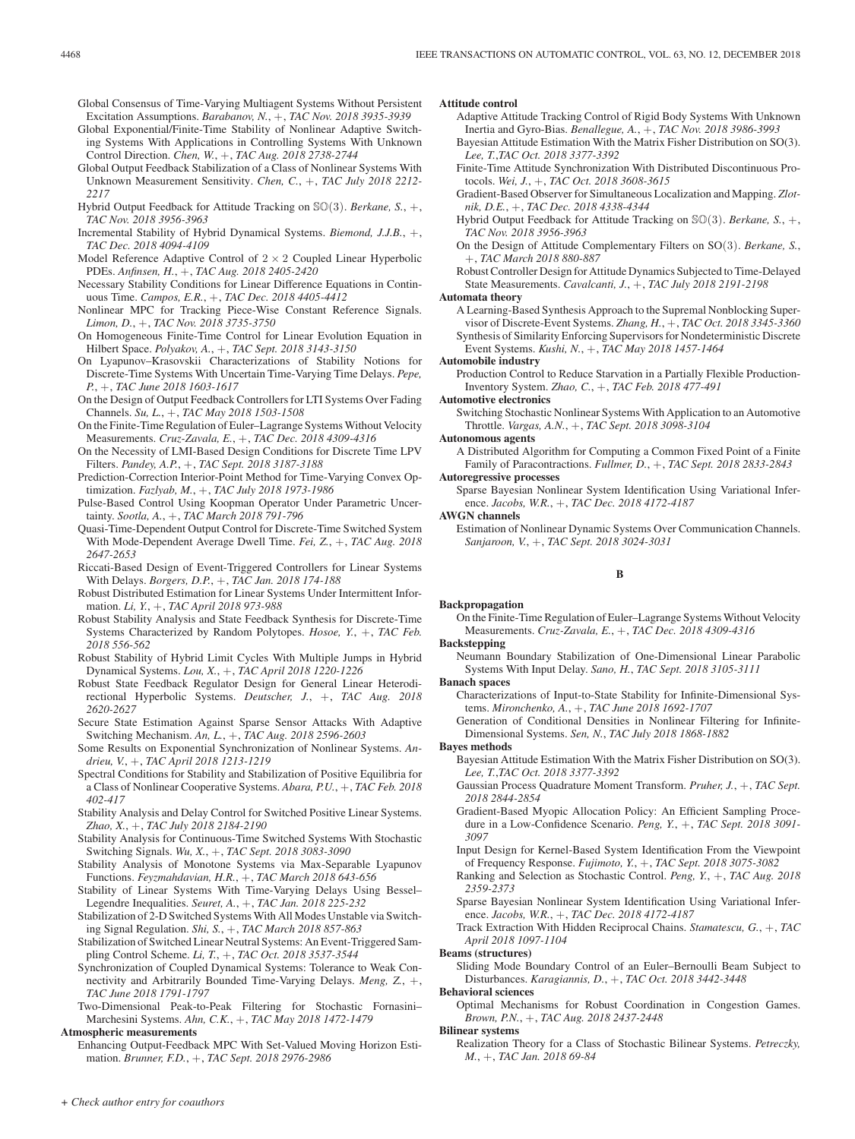Global Consensus of Time-Varying Multiagent Systems Without Persistent Excitation Assumptions. *Barabanov, N.*, +, *TAC Nov. 2018 3935-3939*

- Global Exponential/Finite-Time Stability of Nonlinear Adaptive Switching Systems With Applications in Controlling Systems With Unknown Control Direction. *Chen, W.*, +, *TAC Aug. 2018 2738-2744*
- Global Output Feedback Stabilization of a Class of Nonlinear Systems With Unknown Measurement Sensitivity. *Chen, C.*, +, *TAC July 2018 2212- 2217*
- Hybrid Output Feedback for Attitude Tracking on SO(3). *Berkane, S.*, +, *TAC Nov. 2018 3956-3963*
- Incremental Stability of Hybrid Dynamical Systems. *Biemond, J.J.B.*, +, *TAC Dec. 2018 4094-4109*
- Model Reference Adaptive Control of  $2 \times 2$  Coupled Linear Hyperbolic PDEs. *Anfinsen, H.*, +, *TAC Aug. 2018 2405-2420*
- Necessary Stability Conditions for Linear Difference Equations in Continuous Time. *Campos, E.R.*, +, *TAC Dec. 2018 4405-4412*
- Nonlinear MPC for Tracking Piece-Wise Constant Reference Signals. *Limon, D.*, +, *TAC Nov. 2018 3735-3750*
- On Homogeneous Finite-Time Control for Linear Evolution Equation in Hilbert Space. *Polyakov, A.*, +, *TAC Sept. 2018 3143-3150*
- On Lyapunov–Krasovskii Characterizations of Stability Notions for Discrete-Time Systems With Uncertain Time-Varying Time Delays. *Pepe, P.*, +, *TAC June 2018 1603-1617*
- On the Design of Output Feedback Controllers for LTI Systems Over Fading Channels. *Su, L.*, +, *TAC May 2018 1503-1508*
- On the Finite-Time Regulation of Euler–Lagrange Systems Without Velocity Measurements. *Cruz-Zavala, E.*, +, *TAC Dec. 2018 4309-4316*
- On the Necessity of LMI-Based Design Conditions for Discrete Time LPV Filters. *Pandey, A.P.*, +, *TAC Sept. 2018 3187-3188*
- Prediction-Correction Interior-Point Method for Time-Varying Convex Optimization. *Fazlyab, M.*, +, *TAC July 2018 1973-1986*
- Pulse-Based Control Using Koopman Operator Under Parametric Uncertainty. *Sootla, A.*, +, *TAC March 2018 791-796*
- Quasi-Time-Dependent Output Control for Discrete-Time Switched System With Mode-Dependent Average Dwell Time. *Fei, Z.*, +, *TAC Aug. 2018 2647-2653*
- Riccati-Based Design of Event-Triggered Controllers for Linear Systems With Delays. *Borgers, D.P.*, +, *TAC Jan. 2018 174-188*
- Robust Distributed Estimation for Linear Systems Under Intermittent Information. *Li, Y.*, +, *TAC April 2018 973-988*
- Robust Stability Analysis and State Feedback Synthesis for Discrete-Time Systems Characterized by Random Polytopes. *Hosoe, Y.*, +, *TAC Feb. 2018 556-562*
- Robust Stability of Hybrid Limit Cycles With Multiple Jumps in Hybrid Dynamical Systems. *Lou, X.*, +, *TAC April 2018 1220-1226*
- Robust State Feedback Regulator Design for General Linear Heterodirectional Hyperbolic Systems. *Deutscher, J.*, +, *TAC Aug. 2018 2620-2627*
- Secure State Estimation Against Sparse Sensor Attacks With Adaptive Switching Mechanism. *An, L.*, +, *TAC Aug. 2018 2596-2603*
- Some Results on Exponential Synchronization of Nonlinear Systems. *Andrieu, V.*, +, *TAC April 2018 1213-1219*
- Spectral Conditions for Stability and Stabilization of Positive Equilibria for a Class of Nonlinear Cooperative Systems. *Abara, P.U.*, +, *TAC Feb. 2018 402-417*
- Stability Analysis and Delay Control for Switched Positive Linear Systems. *Zhao, X.*, +, *TAC July 2018 2184-2190*
- Stability Analysis for Continuous-Time Switched Systems With Stochastic Switching Signals. *Wu, X.*, +, *TAC Sept. 2018 3083-3090*
- Stability Analysis of Monotone Systems via Max-Separable Lyapunov Functions. *Feyzmahdavian, H.R.*, +, *TAC March 2018 643-656*
- Stability of Linear Systems With Time-Varying Delays Using Bessel– Legendre Inequalities. *Seuret, A.*, +, *TAC Jan. 2018 225-232*
- Stabilization of 2-D Switched Systems With All Modes Unstable via Switching Signal Regulation. *Shi, S.*, +, *TAC March 2018 857-863*
- Stabilization of Switched Linear Neutral Systems: An Event-Triggered Sampling Control Scheme. *Li, T.*, +, *TAC Oct. 2018 3537-3544*
- Synchronization of Coupled Dynamical Systems: Tolerance to Weak Connectivity and Arbitrarily Bounded Time-Varying Delays. *Meng, Z.*, +, *TAC June 2018 1791-1797*
- Two-Dimensional Peak-to-Peak Filtering for Stochastic Fornasini– Marchesini Systems. *Ahn, C.K.*, +, *TAC May 2018 1472-1479*

# **Atmospheric measurements**

Enhancing Output-Feedback MPC With Set-Valued Moving Horizon Estimation. *Brunner, F.D.*, +, *TAC Sept. 2018 2976-2986*

### **Attitude control**

- Adaptive Attitude Tracking Control of Rigid Body Systems With Unknown Inertia and Gyro-Bias. *Benallegue, A.*, +, *TAC Nov. 2018 3986-3993*
- Bayesian Attitude Estimation With the Matrix Fisher Distribution on SO(3). *Lee, T.*,*TAC Oct. 2018 3377-3392*
- Finite-Time Attitude Synchronization With Distributed Discontinuous Protocols. *Wei, J.*, +, *TAC Oct. 2018 3608-3615*
- Gradient-Based Observer for Simultaneous Localization and Mapping. *Zlotnik, D.E.*, +, *TAC Dec. 2018 4338-4344*
- Hybrid Output Feedback for Attitude Tracking on SO(3). *Berkane, S.*, +, *TAC Nov. 2018 3956-3963*
- On the Design of Attitude Complementary Filters on SO(3). *Berkane, S.*, +, *TAC March 2018 880-887*

Robust Controller Design for Attitude Dynamics Subjected to Time-Delayed State Measurements. *Cavalcanti, J.*, +, *TAC July 2018 2191-2198*

# **Automata theory**

A Learning-Based Synthesis Approach to the Supremal Nonblocking Supervisor of Discrete-Event Systems. *Zhang, H.*, +, *TAC Oct. 2018 3345-3360* Synthesis of Similarity Enforcing Supervisors for Nondeterministic Discrete Event Systems. *Kushi, N.*, +, *TAC May 2018 1457-1464*

### **Automobile industry**

Production Control to Reduce Starvation in a Partially Flexible Production-Inventory System. *Zhao, C.*, +, *TAC Feb. 2018 477-491*

**Automotive electronics**

Switching Stochastic Nonlinear Systems With Application to an Automotive Throttle. *Vargas, A.N.*, +, *TAC Sept. 2018 3098-3104*

### **Autonomous agents**

- A Distributed Algorithm for Computing a Common Fixed Point of a Finite Family of Paracontractions. *Fullmer, D.*, +, *TAC Sept. 2018 2833-2843* **Autoregressive processes**
	- Sparse Bayesian Nonlinear System Identification Using Variational Inference. *Jacobs, W.R.*, +, *TAC Dec. 2018 4172-4187*

**AWGN channels**

Estimation of Nonlinear Dynamic Systems Over Communication Channels. *Sanjaroon, V.*, +, *TAC Sept. 2018 3024-3031*

# **B**

### **Backpropagation**

On the Finite-Time Regulation of Euler–Lagrange Systems Without Velocity Measurements. *Cruz-Zavala, E.*, +, *TAC Dec. 2018 4309-4316*

**Backstepping**

Neumann Boundary Stabilization of One-Dimensional Linear Parabolic Systems With Input Delay. *Sano, H.*, *TAC Sept. 2018 3105-3111*

### **Banach spaces**

Characterizations of Input-to-State Stability for Infinite-Dimensional Systems. *Mironchenko, A.*, +, *TAC June 2018 1692-1707*

Generation of Conditional Densities in Nonlinear Filtering for Infinite-Dimensional Systems. *Sen, N.*, *TAC July 2018 1868-1882*

### **Bayes methods**

- Bayesian Attitude Estimation With the Matrix Fisher Distribution on SO(3). *Lee, T.*,*TAC Oct. 2018 3377-3392*
- Gaussian Process Quadrature Moment Transform. *Pruher, J.*, +, *TAC Sept. 2018 2844-2854*
- Gradient-Based Myopic Allocation Policy: An Efficient Sampling Procedure in a Low-Confidence Scenario. *Peng, Y.*, +, *TAC Sept. 2018 3091- 3097*
- Input Design for Kernel-Based System Identification From the Viewpoint of Frequency Response. *Fujimoto, Y.*, +, *TAC Sept. 2018 3075-3082*
- Ranking and Selection as Stochastic Control. *Peng, Y.*, +, *TAC Aug. 2018 2359-2373*
- Sparse Bayesian Nonlinear System Identification Using Variational Inference. *Jacobs, W.R.*, +, *TAC Dec. 2018 4172-4187*
- Track Extraction With Hidden Reciprocal Chains. *Stamatescu, G.*, +, *TAC April 2018 1097-1104*

**Beams (structures)**

- Sliding Mode Boundary Control of an Euler–Bernoulli Beam Subject to Disturbances. *Karagiannis, D.*, +, *TAC Oct. 2018 3442-3448* **Behavioral sciences**
	- Optimal Mechanisms for Robust Coordination in Congestion Games. *Brown, P.N.*, +, *TAC Aug. 2018 2437-2448*

**Bilinear systems**

Realization Theory for a Class of Stochastic Bilinear Systems. *Petreczky, M.*, +, *TAC Jan. 2018 69-84*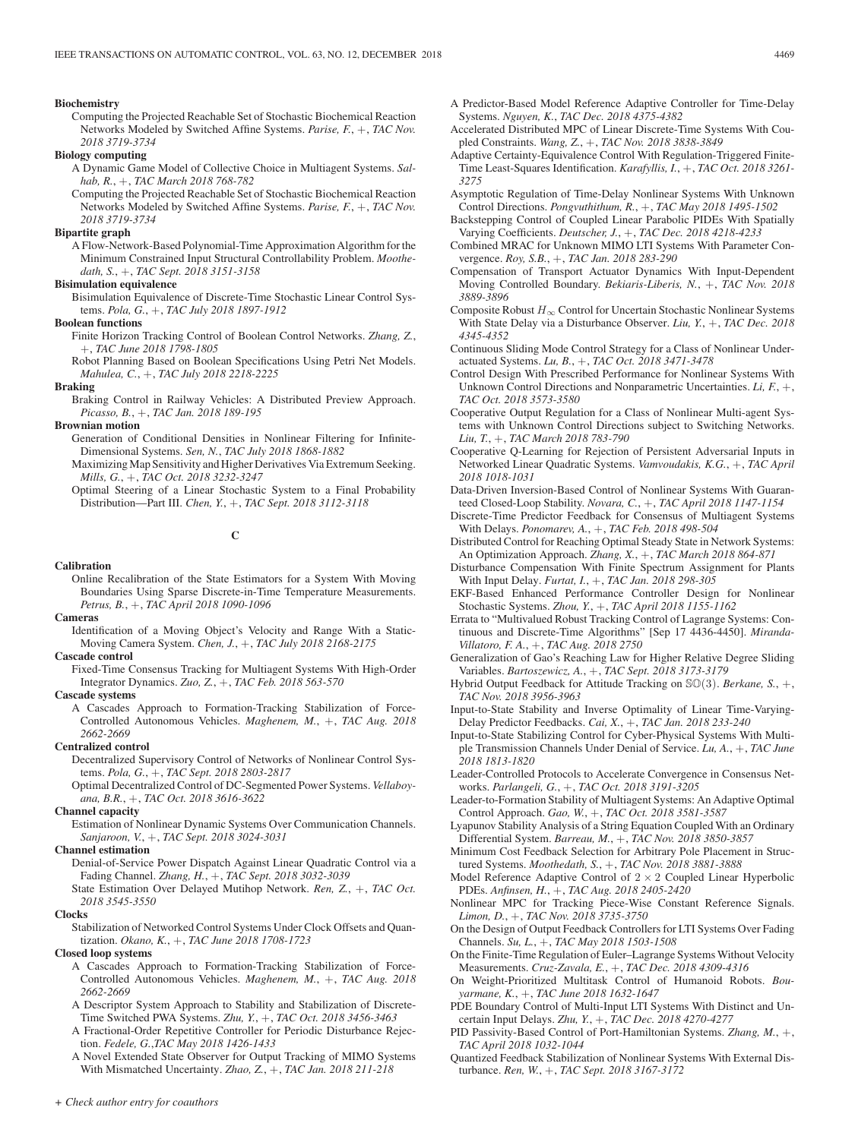### **Biochemistry**

Computing the Projected Reachable Set of Stochastic Biochemical Reaction Networks Modeled by Switched Affine Systems. *Parise, F.*, +, *TAC Nov. 2018 3719-3734*

# **Biology computing**

- A Dynamic Game Model of Collective Choice in Multiagent Systems. *Salhab, R.*, +, *TAC March 2018 768-782*
- Computing the Projected Reachable Set of Stochastic Biochemical Reaction Networks Modeled by Switched Affine Systems. *Parise, F.*, +, *TAC Nov. 2018 3719-3734*

### **Bipartite graph**

A Flow-Network-Based Polynomial-Time Approximation Algorithm for the Minimum Constrained Input Structural Controllability Problem. *Moothedath, S.*, +, *TAC Sept. 2018 3151-3158*

### **Bisimulation equivalence**

Bisimulation Equivalence of Discrete-Time Stochastic Linear Control Systems. *Pola, G.*, +, *TAC July 2018 1897-1912*

### **Boolean functions**

Finite Horizon Tracking Control of Boolean Control Networks. *Zhang, Z.*, +, *TAC June 2018 1798-1805*

Robot Planning Based on Boolean Specifications Using Petri Net Models. *Mahulea, C.*, +, *TAC July 2018 2218-2225*

### **Braking**

Braking Control in Railway Vehicles: A Distributed Preview Approach. *Picasso, B.*, +, *TAC Jan. 2018 189-195*

### **Brownian motion**

- Generation of Conditional Densities in Nonlinear Filtering for Infinite-Dimensional Systems. *Sen, N.*, *TAC July 2018 1868-1882*
- Maximizing Map Sensitivity and Higher Derivatives Via Extremum Seeking. *Mills, G.*, +, *TAC Oct. 2018 3232-3247*
- Optimal Steering of a Linear Stochastic System to a Final Probability Distribution—Part III. *Chen, Y.*, +, *TAC Sept. 2018 3112-3118*

# **C**

# **Calibration**

Online Recalibration of the State Estimators for a System With Moving Boundaries Using Sparse Discrete-in-Time Temperature Measurements. *Petrus, B.*, +, *TAC April 2018 1090-1096*

# **Cameras**

- Identification of a Moving Object's Velocity and Range With a Static-Moving Camera System. *Chen, J.*, +, *TAC July 2018 2168-2175*
- **Cascade control**

Fixed-Time Consensus Tracking for Multiagent Systems With High-Order Integrator Dynamics. *Zuo, Z.*, +, *TAC Feb. 2018 563-570*

# **Cascade systems**

A Cascades Approach to Formation-Tracking Stabilization of Force-Controlled Autonomous Vehicles. *Maghenem, M.*, +, *TAC Aug. 2018 2662-2669*

### **Centralized control**

- Decentralized Supervisory Control of Networks of Nonlinear Control Systems. *Pola, G.*, +, *TAC Sept. 2018 2803-2817*
- Optimal Decentralized Control of DC-Segmented Power Systems. *Vellaboyana, B.R.*, +, *TAC Oct. 2018 3616-3622*

# **Channel capacity**

Estimation of Nonlinear Dynamic Systems Over Communication Channels. *Sanjaroon, V.*, +, *TAC Sept. 2018 3024-3031*

### **Channel estimation**

- Denial-of-Service Power Dispatch Against Linear Quadratic Control via a Fading Channel. *Zhang, H.*, +, *TAC Sept. 2018 3032-3039*
- State Estimation Over Delayed Mutihop Network. *Ren, Z.*, +, *TAC Oct. 2018 3545-3550*

### **Clocks**

Stabilization of Networked Control Systems Under Clock Offsets and Quantization. *Okano, K.*, +, *TAC June 2018 1708-1723*

### **Closed loop systems**

- A Cascades Approach to Formation-Tracking Stabilization of Force-Controlled Autonomous Vehicles. *Maghenem, M.*, +, *TAC Aug. 2018 2662-2669*
- A Descriptor System Approach to Stability and Stabilization of Discrete-Time Switched PWA Systems. *Zhu, Y.*, +, *TAC Oct. 2018 3456-3463*
- A Fractional-Order Repetitive Controller for Periodic Disturbance Rejection. *Fedele, G.*,*TAC May 2018 1426-1433*
- A Novel Extended State Observer for Output Tracking of MIMO Systems With Mismatched Uncertainty. *Zhao, Z.*, +, *TAC Jan. 2018 211-218*
- A Predictor-Based Model Reference Adaptive Controller for Time-Delay Systems. *Nguyen, K.*, *TAC Dec. 2018 4375-4382*
- Accelerated Distributed MPC of Linear Discrete-Time Systems With Coupled Constraints. *Wang, Z.*, +, *TAC Nov. 2018 3838-3849*
- Adaptive Certainty-Equivalence Control With Regulation-Triggered Finite-Time Least-Squares Identification. *Karafyllis, I.*, +, *TAC Oct. 2018 3261- 3275*
- Asymptotic Regulation of Time-Delay Nonlinear Systems With Unknown Control Directions. *Pongvuthithum, R.*, +, *TAC May 2018 1495-1502*
- Backstepping Control of Coupled Linear Parabolic PIDEs With Spatially Varying Coefficients. *Deutscher, J.*, +, *TAC Dec. 2018 4218-4233*
- Combined MRAC for Unknown MIMO LTI Systems With Parameter Convergence. *Roy, S.B.*, +, *TAC Jan. 2018 283-290*
- Compensation of Transport Actuator Dynamics With Input-Dependent Moving Controlled Boundary. *Bekiaris-Liberis, N.*, +, *TAC Nov. 2018 3889-3896*
- Composite Robust  $H_{\infty}$  Control for Uncertain Stochastic Nonlinear Systems With State Delay via a Disturbance Observer. *Liu, Y.*, +, *TAC Dec. 2018 4345-4352*
- Continuous Sliding Mode Control Strategy for a Class of Nonlinear Underactuated Systems. *Lu, B.*, +, *TAC Oct. 2018 3471-3478*
- Control Design With Prescribed Performance for Nonlinear Systems With Unknown Control Directions and Nonparametric Uncertainties. *Li, F.*, +, *TAC Oct. 2018 3573-3580*
- Cooperative Output Regulation for a Class of Nonlinear Multi-agent Systems with Unknown Control Directions subject to Switching Networks. *Liu, T.*, +, *TAC March 2018 783-790*
- Cooperative Q-Learning for Rejection of Persistent Adversarial Inputs in Networked Linear Quadratic Systems. *Vamvoudakis, K.G.*, +, *TAC April 2018 1018-1031*
- Data-Driven Inversion-Based Control of Nonlinear Systems With Guaranteed Closed-Loop Stability. *Novara, C.*, +, *TAC April 2018 1147-1154*
- Discrete-Time Predictor Feedback for Consensus of Multiagent Systems With Delays. *Ponomarev, A.*, +, *TAC Feb. 2018 498-504*
- Distributed Control for Reaching Optimal Steady State in Network Systems: An Optimization Approach. *Zhang, X.*, +, *TAC March 2018 864-871*
- Disturbance Compensation With Finite Spectrum Assignment for Plants With Input Delay. *Furtat, I.*, +, *TAC Jan. 2018 298-305*
- EKF-Based Enhanced Performance Controller Design for Nonlinear Stochastic Systems. *Zhou, Y.*, +, *TAC April 2018 1155-1162*
- Errata to "Multivalued Robust Tracking Control of Lagrange Systems: Continuous and Discrete-Time Algorithms" [Sep 17 4436-4450]. *Miranda-Villatoro, F. A.*, +, *TAC Aug. 2018 2750*
- Generalization of Gao's Reaching Law for Higher Relative Degree Sliding Variables. *Bartoszewicz, A.*, +, *TAC Sept. 2018 3173-3179*
- Hybrid Output Feedback for Attitude Tracking on SO(3). *Berkane, S.*, +, *TAC Nov. 2018 3956-3963*
- Input-to-State Stability and Inverse Optimality of Linear Time-Varying-Delay Predictor Feedbacks. *Cai, X.*, +, *TAC Jan. 2018 233-240*
- Input-to-State Stabilizing Control for Cyber-Physical Systems With Multiple Transmission Channels Under Denial of Service. *Lu, A.*, +, *TAC June 2018 1813-1820*
- Leader-Controlled Protocols to Accelerate Convergence in Consensus Networks. *Parlangeli, G.*, +, *TAC Oct. 2018 3191-3205*
- Leader-to-Formation Stability of Multiagent Systems: An Adaptive Optimal Control Approach. *Gao, W.*, +, *TAC Oct. 2018 3581-3587*
- Lyapunov Stability Analysis of a String Equation Coupled With an Ordinary Differential System. *Barreau, M.*, +, *TAC Nov. 2018 3850-3857*
- Minimum Cost Feedback Selection for Arbitrary Pole Placement in Structured Systems. *Moothedath, S.*, +, *TAC Nov. 2018 3881-3888*
- Model Reference Adaptive Control of  $2 \times 2$  Coupled Linear Hyperbolic PDEs. *Anfinsen, H.*, +, *TAC Aug. 2018 2405-2420*
- Nonlinear MPC for Tracking Piece-Wise Constant Reference Signals. *Limon, D.*, +, *TAC Nov. 2018 3735-3750*
- On the Design of Output Feedback Controllers for LTI Systems Over Fading Channels. *Su, L.*, +, *TAC May 2018 1503-1508*
- On the Finite-Time Regulation of Euler–Lagrange Systems Without Velocity Measurements. *Cruz-Zavala, E.*, +, *TAC Dec. 2018 4309-4316*
- On Weight-Prioritized Multitask Control of Humanoid Robots. *Bouyarmane, K.*, +, *TAC June 2018 1632-1647*
- PDE Boundary Control of Multi-Input LTI Systems With Distinct and Uncertain Input Delays. *Zhu, Y.*, +, *TAC Dec. 2018 4270-4277*
- PID Passivity-Based Control of Port-Hamiltonian Systems. *Zhang, M.*, +, *TAC April 2018 1032-1044*
- Quantized Feedback Stabilization of Nonlinear Systems With External Disturbance. *Ren, W.*, +, *TAC Sept. 2018 3167-3172*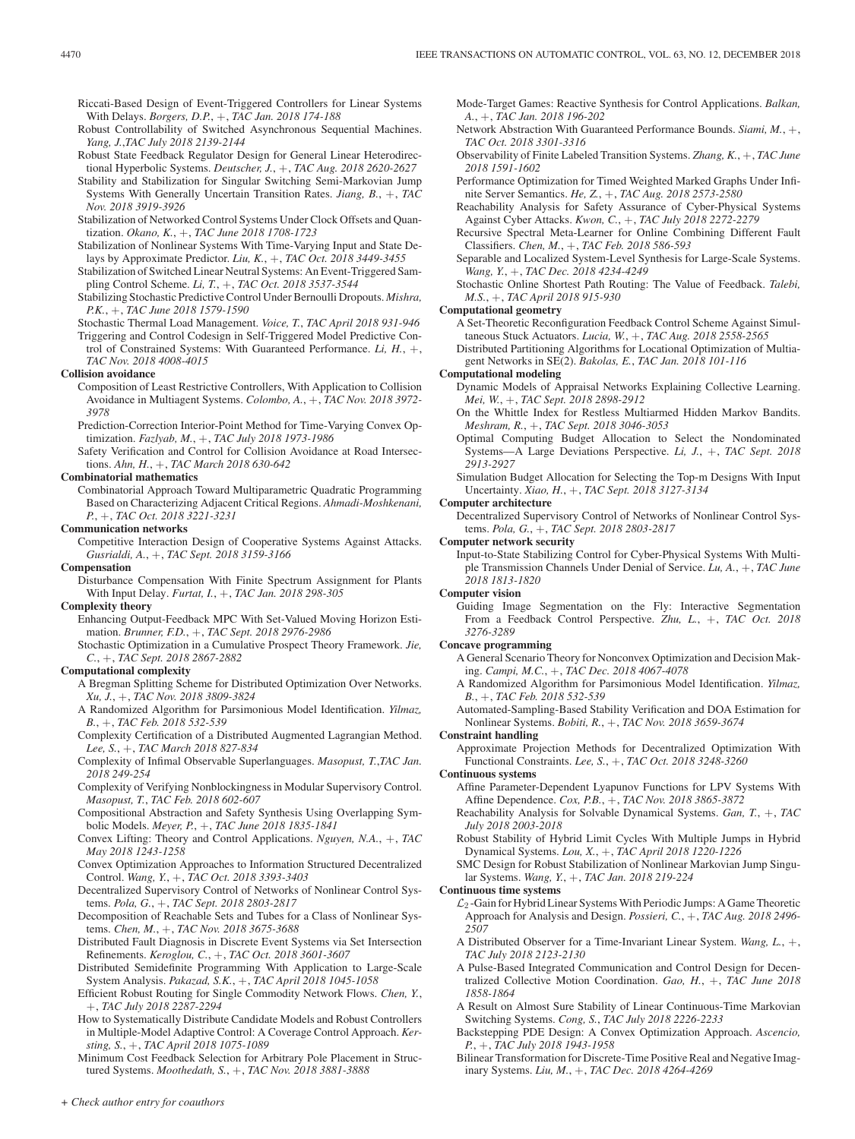Riccati-Based Design of Event-Triggered Controllers for Linear Systems With Delays. *Borgers, D.P.*, +, *TAC Jan. 2018 174-188*

- Robust Controllability of Switched Asynchronous Sequential Machines. *Yang, J.*,*TAC July 2018 2139-2144*
- Robust State Feedback Regulator Design for General Linear Heterodirectional Hyperbolic Systems. *Deutscher, J.*, +, *TAC Aug. 2018 2620-2627*
- Stability and Stabilization for Singular Switching Semi-Markovian Jump Systems With Generally Uncertain Transition Rates. *Jiang, B.*, +, *TAC Nov. 2018 3919-3926*
- Stabilization of Networked Control Systems Under Clock Offsets and Quantization. *Okano, K.*, +, *TAC June 2018 1708-1723*
- Stabilization of Nonlinear Systems With Time-Varying Input and State Delays by Approximate Predictor. *Liu, K.*, +, *TAC Oct. 2018 3449-3455*
- Stabilization of Switched Linear Neutral Systems: An Event-Triggered Sampling Control Scheme. *Li, T.*, +, *TAC Oct. 2018 3537-3544*
- Stabilizing Stochastic Predictive Control Under Bernoulli Dropouts. *Mishra, P.K.*, +, *TAC June 2018 1579-1590*

Stochastic Thermal Load Management. *Voice, T.*, *TAC April 2018 931-946* Triggering and Control Codesign in Self-Triggered Model Predictive Control of Constrained Systems: With Guaranteed Performance. *Li, H.*, +, *TAC Nov. 2018 4008-4015*

### **Collision avoidance**

- Composition of Least Restrictive Controllers, With Application to Collision Avoidance in Multiagent Systems. *Colombo, A.*, +, *TAC Nov. 2018 3972- 3978*
- Prediction-Correction Interior-Point Method for Time-Varying Convex Optimization. *Fazlyab, M.*, +, *TAC July 2018 1973-1986*
- Safety Verification and Control for Collision Avoidance at Road Intersections. *Ahn, H.*, +, *TAC March 2018 630-642*

### **Combinatorial mathematics**

Combinatorial Approach Toward Multiparametric Quadratic Programming Based on Characterizing Adjacent Critical Regions. *Ahmadi-Moshkenani, P.*, +, *TAC Oct. 2018 3221-3231*

### **Communication networks**

Competitive Interaction Design of Cooperative Systems Against Attacks. *Gusrialdi, A.*, +, *TAC Sept. 2018 3159-3166*

# **Compensation**

Disturbance Compensation With Finite Spectrum Assignment for Plants With Input Delay. *Furtat, I.*, +, *TAC Jan. 2018 298-305*

- **Complexity theory**
	- Enhancing Output-Feedback MPC With Set-Valued Moving Horizon Estimation. *Brunner, F.D.*, +, *TAC Sept. 2018 2976-2986*
	- Stochastic Optimization in a Cumulative Prospect Theory Framework. *Jie, C.*, +, *TAC Sept. 2018 2867-2882*

### **Computational complexity**

- A Bregman Splitting Scheme for Distributed Optimization Over Networks. *Xu, J.*, +, *TAC Nov. 2018 3809-3824*
- A Randomized Algorithm for Parsimonious Model Identification. *Yilmaz, B.*, +, *TAC Feb. 2018 532-539*
- Complexity Certification of a Distributed Augmented Lagrangian Method. *Lee, S.*, +, *TAC March 2018 827-834*
- Complexity of Infimal Observable Superlanguages. *Masopust, T.*,*TAC Jan. 2018 249-254*
- Complexity of Verifying Nonblockingness in Modular Supervisory Control. *Masopust, T.*, *TAC Feb. 2018 602-607*
- Compositional Abstraction and Safety Synthesis Using Overlapping Symbolic Models. *Meyer, P.*, +, *TAC June 2018 1835-1841*
- Convex Lifting: Theory and Control Applications. *Nguyen, N.A.*, +, *TAC May 2018 1243-1258*
- Convex Optimization Approaches to Information Structured Decentralized Control. *Wang, Y.*, +, *TAC Oct. 2018 3393-3403*
- Decentralized Supervisory Control of Networks of Nonlinear Control Systems. *Pola, G.*, +, *TAC Sept. 2018 2803-2817*
- Decomposition of Reachable Sets and Tubes for a Class of Nonlinear Systems. *Chen, M.*, +, *TAC Nov. 2018 3675-3688*
- Distributed Fault Diagnosis in Discrete Event Systems via Set Intersection Refinements. *Keroglou, C.*, +, *TAC Oct. 2018 3601-3607*
- Distributed Semidefinite Programming With Application to Large-Scale System Analysis. *Pakazad, S.K.*, +, *TAC April 2018 1045-1058*
- Efficient Robust Routing for Single Commodity Network Flows. *Chen, Y.*, +, *TAC July 2018 2287-2294*
- How to Systematically Distribute Candidate Models and Robust Controllers in Multiple-Model Adaptive Control: A Coverage Control Approach. *Kersting, S.*, +, *TAC April 2018 1075-1089*
- Minimum Cost Feedback Selection for Arbitrary Pole Placement in Structured Systems. *Moothedath, S.*, +, *TAC Nov. 2018 3881-3888*
- Mode-Target Games: Reactive Synthesis for Control Applications. *Balkan, A.*, +, *TAC Jan. 2018 196-202*
- Network Abstraction With Guaranteed Performance Bounds. *Siami, M.*, +, *TAC Oct. 2018 3301-3316*
- Observability of Finite Labeled Transition Systems. *Zhang, K.*, +, *TAC June 2018 1591-1602*
- Performance Optimization for Timed Weighted Marked Graphs Under Infinite Server Semantics. *He, Z.*, +, *TAC Aug. 2018 2573-2580*

Reachability Analysis for Safety Assurance of Cyber-Physical Systems Against Cyber Attacks. *Kwon, C.*, +, *TAC July 2018 2272-2279*

Recursive Spectral Meta-Learner for Online Combining Different Fault Classifiers. *Chen, M.*, +, *TAC Feb. 2018 586-593*

Separable and Localized System-Level Synthesis for Large-Scale Systems. *Wang, Y.*, +, *TAC Dec. 2018 4234-4249*

Stochastic Online Shortest Path Routing: The Value of Feedback. *Talebi, M.S.*, +, *TAC April 2018 915-930*

### **Computational geometry**

A Set-Theoretic Reconfiguration Feedback Control Scheme Against Simultaneous Stuck Actuators. *Lucia, W.*, +, *TAC Aug. 2018 2558-2565*

Distributed Partitioning Algorithms for Locational Optimization of Multiagent Networks in SE(2). *Bakolas, E.*, *TAC Jan. 2018 101-116*

# **Computational modeling**

- Dynamic Models of Appraisal Networks Explaining Collective Learning. *Mei, W.*, +, *TAC Sept. 2018 2898-2912*
- On the Whittle Index for Restless Multiarmed Hidden Markov Bandits. *Meshram, R.*, +, *TAC Sept. 2018 3046-3053*
- Optimal Computing Budget Allocation to Select the Nondominated Systems—A Large Deviations Perspective. *Li, J.*, +, *TAC Sept. 2018 2913-2927*

Simulation Budget Allocation for Selecting the Top-m Designs With Input Uncertainty. *Xiao, H.*, +, *TAC Sept. 2018 3127-3134*

# **Computer architecture**

Decentralized Supervisory Control of Networks of Nonlinear Control Systems. *Pola, G.*, +, *TAC Sept. 2018 2803-2817*

# **Computer network security**

Input-to-State Stabilizing Control for Cyber-Physical Systems With Multiple Transmission Channels Under Denial of Service. *Lu, A.*, +, *TAC June 2018 1813-1820*

### **Computer vision**

Guiding Image Segmentation on the Fly: Interactive Segmentation From a Feedback Control Perspective. *Zhu, L.*, +, *TAC Oct. 2018 3276-3289*

# **Concave programming**

A General Scenario Theory for Nonconvex Optimization and Decision Making. *Campi, M.C.*, +, *TAC Dec. 2018 4067-4078*

- A Randomized Algorithm for Parsimonious Model Identification. *Yilmaz, B.*, +, *TAC Feb. 2018 532-539*
- Automated-Sampling-Based Stability Verification and DOA Estimation for Nonlinear Systems. *Bobiti, R.*, +, *TAC Nov. 2018 3659-3674*

### **Constraint handling**

Approximate Projection Methods for Decentralized Optimization With Functional Constraints. *Lee, S.*, +, *TAC Oct. 2018 3248-3260*

### **Continuous systems**

- Affine Parameter-Dependent Lyapunov Functions for LPV Systems With Affine Dependence. *Cox, P.B.*, +, *TAC Nov. 2018 3865-3872*
- Reachability Analysis for Solvable Dynamical Systems. *Gan, T.*, +, *TAC July 2018 2003-2018*
- Robust Stability of Hybrid Limit Cycles With Multiple Jumps in Hybrid Dynamical Systems. *Lou, X.*, +, *TAC April 2018 1220-1226*
- SMC Design for Robust Stabilization of Nonlinear Markovian Jump Singular Systems. *Wang, Y.*, +, *TAC Jan. 2018 219-224*

### **Continuous time systems**

- $\mathcal{L}_2$ -Gain for Hybrid Linear Systems With Periodic Jumps: A Game Theoretic Approach for Analysis and Design. *Possieri, C.*, +, *TAC Aug. 2018 2496- 2507*
- A Distributed Observer for a Time-Invariant Linear System. *Wang, L.*, +, *TAC July 2018 2123-2130*
- A Pulse-Based Integrated Communication and Control Design for Decentralized Collective Motion Coordination. *Gao, H.*, +, *TAC June 2018 1858-1864*
- A Result on Almost Sure Stability of Linear Continuous-Time Markovian Switching Systems. *Cong, S.*, *TAC July 2018 2226-2233*
- Backstepping PDE Design: A Convex Optimization Approach. *Ascencio, P.*, +, *TAC July 2018 1943-1958*
- Bilinear Transformation for Discrete-Time Positive Real and Negative Imaginary Systems. *Liu, M.*, +, *TAC Dec. 2018 4264-4269*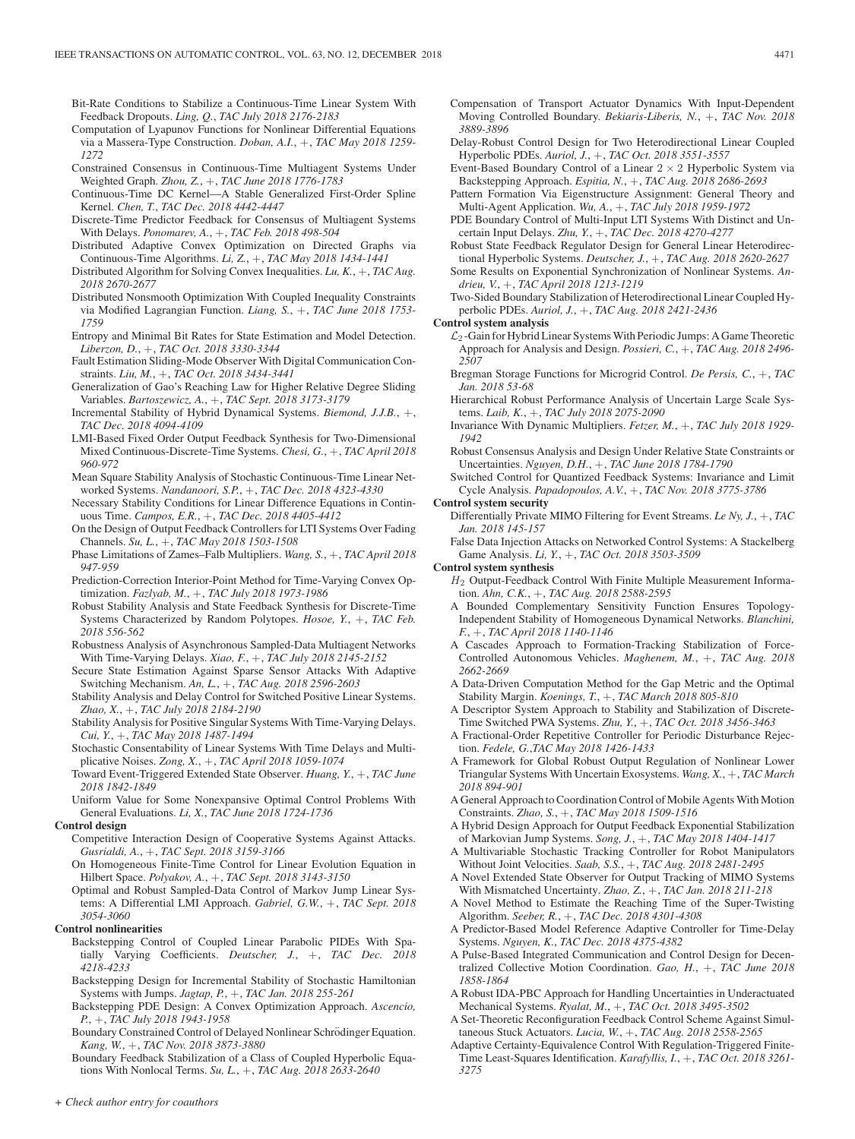Bit-Rate Conditions to Stabilize a Continuous-Time Linear System With Feedback Dropouts. *Ling, Q.*, *TAC July 2018 2176-2183*

- Computation of Lyapunov Functions for Nonlinear Differential Equations via a Massera-Type Construction. *Doban, A.I.*, +, *TAC May 2018 1259- 1272*
- Constrained Consensus in Continuous-Time Multiagent Systems Under Weighted Graph. *Zhou, Z.*, +, *TAC June 2018 1776-1783*
- Continuous-Time DC Kernel—A Stable Generalized First-Order Spline Kernel. *Chen, T.*, *TAC Dec. 2018 4442-4447*
- Discrete-Time Predictor Feedback for Consensus of Multiagent Systems With Delays. *Ponomarev, A.*, +, *TAC Feb. 2018 498-504*
- Distributed Adaptive Convex Optimization on Directed Graphs via Continuous-Time Algorithms. *Li, Z.*, +, *TAC May 2018 1434-1441*
- Distributed Algorithm for Solving Convex Inequalities. *Lu, K.*, +, *TAC Aug. 2018 2670-2677*
- Distributed Nonsmooth Optimization With Coupled Inequality Constraints via Modified Lagrangian Function. *Liang, S.*, +, *TAC June 2018 1753- 1759*
- Entropy and Minimal Bit Rates for State Estimation and Model Detection. *Liberzon, D.*, +, *TAC Oct. 2018 3330-3344*
- Fault Estimation Sliding-Mode Observer With Digital Communication Constraints. *Liu, M.*, +, *TAC Oct. 2018 3434-3441*
- Generalization of Gao's Reaching Law for Higher Relative Degree Sliding Variables. *Bartoszewicz, A.*, +, *TAC Sept. 2018 3173-3179*
- Incremental Stability of Hybrid Dynamical Systems. *Biemond, J.J.B.*, +, *TAC Dec. 2018 4094-4109*
- LMI-Based Fixed Order Output Feedback Synthesis for Two-Dimensional Mixed Continuous-Discrete-Time Systems. *Chesi, G.*, +, *TAC April 2018 960-972*
- Mean Square Stability Analysis of Stochastic Continuous-Time Linear Networked Systems. *Nandanoori, S.P.*, +, *TAC Dec. 2018 4323-4330*
- Necessary Stability Conditions for Linear Difference Equations in Continuous Time. *Campos, E.R.*, +, *TAC Dec. 2018 4405-4412*
- On the Design of Output Feedback Controllers for LTI Systems Over Fading Channels. *Su, L.*, +, *TAC May 2018 1503-1508*
- Phase Limitations of Zames–Falb Multipliers. *Wang, S.*, +, *TAC April 2018 947-959*
- Prediction-Correction Interior-Point Method for Time-Varying Convex Optimization. *Fazlyab, M.*, +, *TAC July 2018 1973-1986*
- Robust Stability Analysis and State Feedback Synthesis for Discrete-Time Systems Characterized by Random Polytopes. *Hosoe, Y.*, +, *TAC Feb. 2018 556-562*
- Robustness Analysis of Asynchronous Sampled-Data Multiagent Networks With Time-Varying Delays. *Xiao, F.*, +, *TAC July 2018 2145-2152*
- Secure State Estimation Against Sparse Sensor Attacks With Adaptive Switching Mechanism. *An, L.*, +, *TAC Aug. 2018 2596-2603*
- Stability Analysis and Delay Control for Switched Positive Linear Systems. *Zhao, X.*, +, *TAC July 2018 2184-2190*
- Stability Analysis for Positive Singular Systems With Time-Varying Delays. *Cui, Y.*, +, *TAC May 2018 1487-1494*
- Stochastic Consentability of Linear Systems With Time Delays and Multiplicative Noises. *Zong, X.*, +, *TAC April 2018 1059-1074*
- Toward Event-Triggered Extended State Observer. *Huang, Y.*, +, *TAC June 2018 1842-1849*
- Uniform Value for Some Nonexpansive Optimal Control Problems With General Evaluations. *Li, X.*, *TAC June 2018 1724-1736*

### **Control design**

- Competitive Interaction Design of Cooperative Systems Against Attacks. *Gusrialdi, A.*, +, *TAC Sept. 2018 3159-3166*
- On Homogeneous Finite-Time Control for Linear Evolution Equation in Hilbert Space. *Polyakov, A.*, +, *TAC Sept. 2018 3143-3150*
- Optimal and Robust Sampled-Data Control of Markov Jump Linear Systems: A Differential LMI Approach. *Gabriel, G.W.*, +, *TAC Sept. 2018 3054-3060*

# **Control nonlinearities**

- Backstepping Control of Coupled Linear Parabolic PIDEs With Spatially Varying Coefficients. *Deutscher, J.*, +, *TAC Dec. 2018 4218-4233*
- Backstepping Design for Incremental Stability of Stochastic Hamiltonian Systems with Jumps. *Jagtap, P.*, +, *TAC Jan. 2018 255-261*
- Backstepping PDE Design: A Convex Optimization Approach. *Ascencio, P.*, +, *TAC July 2018 1943-1958*
- Boundary Constrained Control of Delayed Nonlinear Schrödinger Equation. *Kang, W.*, +, *TAC Nov. 2018 3873-3880*
- Boundary Feedback Stabilization of a Class of Coupled Hyperbolic Equations With Nonlocal Terms. *Su, L.*, +, *TAC Aug. 2018 2633-2640*
- Compensation of Transport Actuator Dynamics With Input-Dependent Moving Controlled Boundary. *Bekiaris-Liberis, N.*, +, *TAC Nov. 2018 3889-3896*
- Delay-Robust Control Design for Two Heterodirectional Linear Coupled Hyperbolic PDEs. *Auriol, J.*, +, *TAC Oct. 2018 3551-3557*
- Event-Based Boundary Control of a Linear  $2 \times 2$  Hyperbolic System via Backstepping Approach. *Espitia, N.*, +, *TAC Aug. 2018 2686-2693*
- Pattern Formation Via Eigenstructure Assignment: General Theory and Multi-Agent Application. *Wu, A.*, +, *TAC July 2018 1959-1972*
- PDE Boundary Control of Multi-Input LTI Systems With Distinct and Uncertain Input Delays. *Zhu, Y.*, +, *TAC Dec. 2018 4270-4277*
- Robust State Feedback Regulator Design for General Linear Heterodirectional Hyperbolic Systems. *Deutscher, J.*, +, *TAC Aug. 2018 2620-2627*
- Some Results on Exponential Synchronization of Nonlinear Systems. *Andrieu, V.*, +, *TAC April 2018 1213-1219*
- Two-Sided Boundary Stabilization of Heterodirectional Linear Coupled Hyperbolic PDEs. *Auriol, J.*, +, *TAC Aug. 2018 2421-2436*

### **Control system analysis**

- $\mathcal{L}_2$ -Gain for Hybrid Linear Systems With Periodic Jumps: A Game Theoretic Approach for Analysis and Design. *Possieri, C.*, +, *TAC Aug. 2018 2496- 2507*
- Bregman Storage Functions for Microgrid Control. *De Persis, C.*, +, *TAC Jan. 2018 53-68*
- Hierarchical Robust Performance Analysis of Uncertain Large Scale Systems. *Laib, K.*, +, *TAC July 2018 2075-2090*
- Invariance With Dynamic Multipliers. *Fetzer, M.*, +, *TAC July 2018 1929- 1942*
- Robust Consensus Analysis and Design Under Relative State Constraints or Uncertainties. *Nguyen, D.H.*, +, *TAC June 2018 1784-1790*
- Switched Control for Quantized Feedback Systems: Invariance and Limit Cycle Analysis. *Papadopoulos, A.V.*, +, *TAC Nov. 2018 3775-3786*

# **Control system security**

- Differentially Private MIMO Filtering for Event Streams. *Le Ny, J.*, +, *TAC Jan. 2018 145-157*
- False Data Injection Attacks on Networked Control Systems: A Stackelberg Game Analysis. *Li, Y.*, +, *TAC Oct. 2018 3503-3509*

### **Control system synthesis**

- $H<sub>2</sub>$  Output-Feedback Control With Finite Multiple Measurement Information. *Ahn, C.K.*, +, *TAC Aug. 2018 2588-2595*
- A Bounded Complementary Sensitivity Function Ensures Topology-Independent Stability of Homogeneous Dynamical Networks. *Blanchini, F.*, +, *TAC April 2018 1140-1146*
- A Cascades Approach to Formation-Tracking Stabilization of Force-Controlled Autonomous Vehicles. *Maghenem, M.*, +, *TAC Aug. 2018 2662-2669*
- A Data-Driven Computation Method for the Gap Metric and the Optimal Stability Margin. *Koenings, T.*, +, *TAC March 2018 805-810*
- A Descriptor System Approach to Stability and Stabilization of Discrete-Time Switched PWA Systems. *Zhu, Y.*, +, *TAC Oct. 2018 3456-3463*
- A Fractional-Order Repetitive Controller for Periodic Disturbance Rejection. *Fedele, G.*,*TAC May 2018 1426-1433*
- A Framework for Global Robust Output Regulation of Nonlinear Lower Triangular Systems With Uncertain Exosystems. *Wang, X.*, +, *TAC March 2018 894-901*
- A General Approach to Coordination Control of Mobile Agents With Motion Constraints. *Zhao, S.*, +, *TAC May 2018 1509-1516*
- A Hybrid Design Approach for Output Feedback Exponential Stabilization of Markovian Jump Systems. *Song, J.*, +, *TAC May 2018 1404-1417*
- A Multivariable Stochastic Tracking Controller for Robot Manipulators Without Joint Velocities. *Saab, S.S.*, +, *TAC Aug. 2018 2481-2495*
- A Novel Extended State Observer for Output Tracking of MIMO Systems With Mismatched Uncertainty. *Zhao, Z.*, +, *TAC Jan. 2018 211-218*
- A Novel Method to Estimate the Reaching Time of the Super-Twisting Algorithm. *Seeber, R.*, +, *TAC Dec. 2018 4301-4308*
- A Predictor-Based Model Reference Adaptive Controller for Time-Delay Systems. *Nguyen, K.*, *TAC Dec. 2018 4375-4382*
- A Pulse-Based Integrated Communication and Control Design for Decentralized Collective Motion Coordination. *Gao, H.*, +, *TAC June 2018 1858-1864*
- A Robust IDA-PBC Approach for Handling Uncertainties in Underactuated Mechanical Systems. *Ryalat, M.*, +, *TAC Oct. 2018 3495-3502*
- A Set-Theoretic Reconfiguration Feedback Control Scheme Against Simultaneous Stuck Actuators. *Lucia, W.*, +, *TAC Aug. 2018 2558-2565*
- Adaptive Certainty-Equivalence Control With Regulation-Triggered Finite-Time Least-Squares Identification. *Karafyllis, I.*, +, *TAC Oct. 2018 3261- 3275*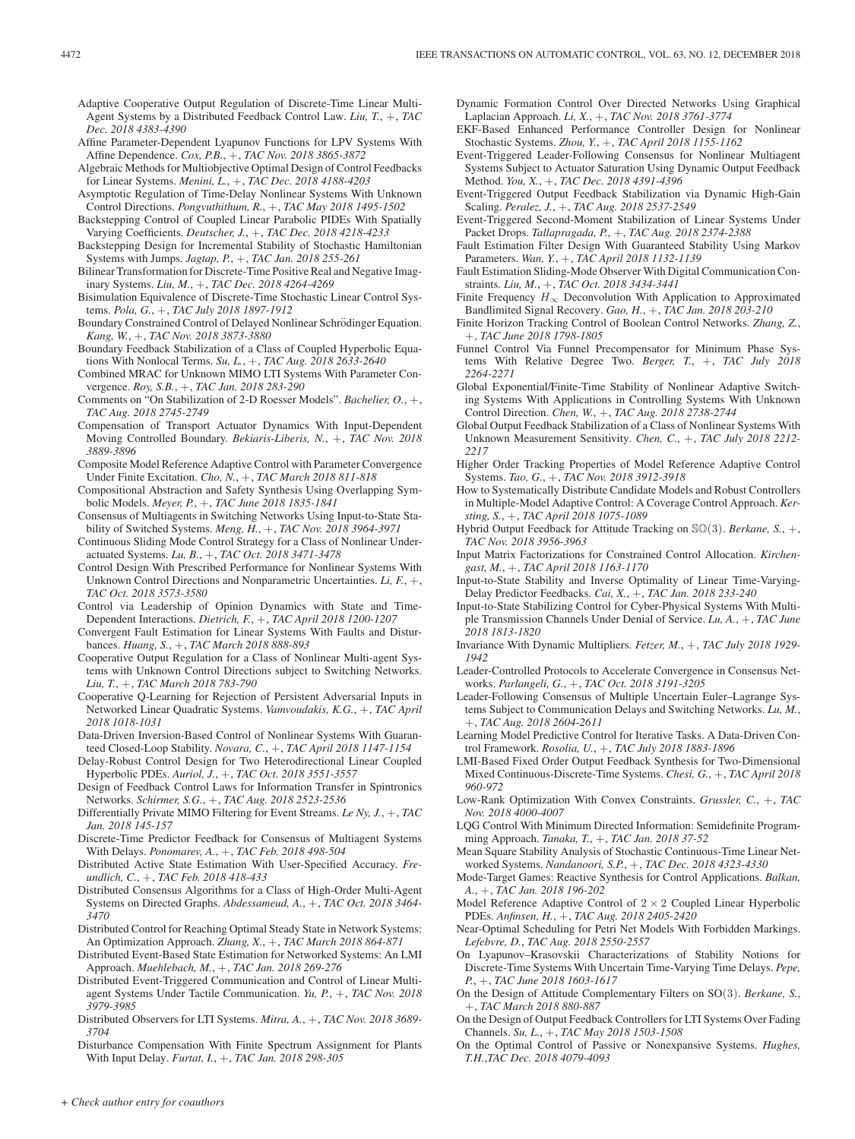Disturbance Compensation With Finite Spectrum Assignment for Plants With Input Delay. *Furtat, I.*, +, *TAC Jan. 2018 298-305*

- Dynamic Formation Control Over Directed Networks Using Graphical Laplacian Approach. *Li, X.*, +, *TAC Nov. 2018 3761-3774*
	- EKF-Based Enhanced Performance Controller Design for Nonlinear Stochastic Systems. *Zhou, Y.*, +, *TAC April 2018 1155-1162*
	- Event-Triggered Leader-Following Consensus for Nonlinear Multiagent Systems Subject to Actuator Saturation Using Dynamic Output Feedback Method. *You, X.*, +, *TAC Dec. 2018 4391-4396*
	- Event-Triggered Output Feedback Stabilization via Dynamic High-Gain Scaling. *Peralez, J.*, +, *TAC Aug. 2018 2537-2549*
	- Event-Triggered Second-Moment Stabilization of Linear Systems Under Packet Drops. *Tallapragada, P.*, +, *TAC Aug. 2018 2374-2388*
	- Fault Estimation Filter Design With Guaranteed Stability Using Markov Parameters. *Wan, Y.*, +, *TAC April 2018 1132-1139*
	- Fault Estimation Sliding-Mode Observer With Digital Communication Constraints. *Liu, M.*, +, *TAC Oct. 2018 3434-3441*
	- Finite Frequency  $H_{\infty}$  Deconvolution With Application to Approximated Bandlimited Signal Recovery. *Gao, H.*, +, *TAC Jan. 2018 203-210*
	- Finite Horizon Tracking Control of Boolean Control Networks. *Zhang, Z.*, +, *TAC June 2018 1798-1805*
	- Funnel Control Via Funnel Precompensator for Minimum Phase Systems With Relative Degree Two. *Berger, T.*, +, *TAC July 2018 2264-2271*
	- Global Exponential/Finite-Time Stability of Nonlinear Adaptive Switching Systems With Applications in Controlling Systems With Unknown Control Direction. *Chen, W.*, +, *TAC Aug. 2018 2738-2744*
	- Global Output Feedback Stabilization of a Class of Nonlinear Systems With Unknown Measurement Sensitivity. *Chen, C.*, +, *TAC July 2018 2212- 2217*
	- Higher Order Tracking Properties of Model Reference Adaptive Control Systems. *Tao, G.*, +, *TAC Nov. 2018 3912-3918*
	- How to Systematically Distribute Candidate Models and Robust Controllers in Multiple-Model Adaptive Control: A Coverage Control Approach. *Kersting, S.*, +, *TAC April 2018 1075-1089*
	- Hybrid Output Feedback for Attitude Tracking on SO(3). *Berkane, S.*, +, *TAC Nov. 2018 3956-3963*
	- Input Matrix Factorizations for Constrained Control Allocation. *Kirchengast, M.*, +, *TAC April 2018 1163-1170*
	- Input-to-State Stability and Inverse Optimality of Linear Time-Varying-Delay Predictor Feedbacks. *Cai, X.*, +, *TAC Jan. 2018 233-240*
	- Input-to-State Stabilizing Control for Cyber-Physical Systems With Multiple Transmission Channels Under Denial of Service. *Lu, A.*, +, *TAC June 2018 1813-1820*
	- Invariance With Dynamic Multipliers. *Fetzer, M.*, +, *TAC July 2018 1929- 1942*
	- Leader-Controlled Protocols to Accelerate Convergence in Consensus Networks. *Parlangeli, G.*, +, *TAC Oct. 2018 3191-3205*
	- Leader-Following Consensus of Multiple Uncertain Euler–Lagrange Systems Subject to Communication Delays and Switching Networks. *Lu, M.*, +, *TAC Aug. 2018 2604-2611*
	- Learning Model Predictive Control for Iterative Tasks. A Data-Driven Control Framework. *Rosolia, U.*, +, *TAC July 2018 1883-1896*
	- LMI-Based Fixed Order Output Feedback Synthesis for Two-Dimensional Mixed Continuous-Discrete-Time Systems. *Chesi, G.*, +, *TAC April 2018 960-972*
	- Low-Rank Optimization With Convex Constraints. *Grussler, C.*, +, *TAC Nov. 2018 4000-4007*
	- LQG Control With Minimum Directed Information: Semidefinite Programming Approach. *Tanaka, T.*, +, *TAC Jan. 2018 37-52*
	- Mean Square Stability Analysis of Stochastic Continuous-Time Linear Networked Systems. *Nandanoori, S.P.*, +, *TAC Dec. 2018 4323-4330*
	- Mode-Target Games: Reactive Synthesis for Control Applications. *Balkan, A.*, +, *TAC Jan. 2018 196-202*
	- Model Reference Adaptive Control of  $2 \times 2$  Coupled Linear Hyperbolic PDEs. *Anfinsen, H.*, +, *TAC Aug. 2018 2405-2420*
	- Near-Optimal Scheduling for Petri Net Models With Forbidden Markings. *Lefebvre, D.*, *TAC Aug. 2018 2550-2557*
	- On Lyapunov–Krasovskii Characterizations of Stability Notions for Discrete-Time Systems With Uncertain Time-Varying Time Delays. *Pepe, P.*, +, *TAC June 2018 1603-1617*
	- On the Design of Attitude Complementary Filters on SO(3). *Berkane, S.*, +, *TAC March 2018 880-887*
	- On the Design of Output Feedback Controllers for LTI Systems Over Fading Channels. *Su, L.*, +, *TAC May 2018 1503-1508*
	- On the Optimal Control of Passive or Nonexpansive Systems. *Hughes, T.H.*,*TAC Dec. 2018 4079-4093*
- Adaptive Cooperative Output Regulation of Discrete-Time Linear Multi-Agent Systems by a Distributed Feedback Control Law. *Liu, T.*, +, *TAC Dec. 2018 4383-4390*
- Affine Parameter-Dependent Lyapunov Functions for LPV Systems With Affine Dependence. *Cox, P.B.*, +, *TAC Nov. 2018 3865-3872*
- Algebraic Methods for Multiobjective Optimal Design of Control Feedbacks for Linear Systems. *Menini, L.*, +, *TAC Dec. 2018 4188-4203*
- Asymptotic Regulation of Time-Delay Nonlinear Systems With Unknown Control Directions. *Pongvuthithum, R.*, +, *TAC May 2018 1495-1502*
- Backstepping Control of Coupled Linear Parabolic PIDEs With Spatially Varying Coefficients. *Deutscher, J.*, +, *TAC Dec. 2018 4218-4233*
- Backstepping Design for Incremental Stability of Stochastic Hamiltonian Systems with Jumps. *Jagtap, P.*, +, *TAC Jan. 2018 255-261*
- Bilinear Transformation for Discrete-Time Positive Real and Negative Imaginary Systems. *Liu, M.*, +, *TAC Dec. 2018 4264-4269*
- Bisimulation Equivalence of Discrete-Time Stochastic Linear Control Systems. *Pola, G.*, +, *TAC July 2018 1897-1912*
- Boundary Constrained Control of Delayed Nonlinear Schrödinger Equation. *Kang, W.*, +, *TAC Nov. 2018 3873-3880*
- Boundary Feedback Stabilization of a Class of Coupled Hyperbolic Equations With Nonlocal Terms. *Su, L.*, +, *TAC Aug. 2018 2633-2640*
- Combined MRAC for Unknown MIMO LTI Systems With Parameter Convergence. *Roy, S.B.*, +, *TAC Jan. 2018 283-290*
- Comments on "On Stabilization of 2-D Roesser Models". *Bachelier, O.*, +, *TAC Aug. 2018 2745-2749*
- Compensation of Transport Actuator Dynamics With Input-Dependent Moving Controlled Boundary. *Bekiaris-Liberis, N.*, +, *TAC Nov. 2018 3889-3896*
- Composite Model Reference Adaptive Control with Parameter Convergence Under Finite Excitation. *Cho, N.*, +, *TAC March 2018 811-818*
- Compositional Abstraction and Safety Synthesis Using Overlapping Symbolic Models. *Meyer, P.*, +, *TAC June 2018 1835-1841*
- Consensus of Multiagents in Switching Networks Using Input-to-State Stability of Switched Systems. *Meng, H.*, +, *TAC Nov. 2018 3964-3971*
- Continuous Sliding Mode Control Strategy for a Class of Nonlinear Underactuated Systems. *Lu, B.*, +, *TAC Oct. 2018 3471-3478*
- Control Design With Prescribed Performance for Nonlinear Systems With Unknown Control Directions and Nonparametric Uncertainties. *Li, F.*, +, *TAC Oct. 2018 3573-3580*
- Control via Leadership of Opinion Dynamics with State and Time-Dependent Interactions. *Dietrich, F.*, +, *TAC April 2018 1200-1207*
- Convergent Fault Estimation for Linear Systems With Faults and Disturbances. *Huang, S.*, +, *TAC March 2018 888-893*
- Cooperative Output Regulation for a Class of Nonlinear Multi-agent Systems with Unknown Control Directions subject to Switching Networks. *Liu, T.*, +, *TAC March 2018 783-790*
- Cooperative Q-Learning for Rejection of Persistent Adversarial Inputs in Networked Linear Quadratic Systems. *Vamvoudakis, K.G.*, +, *TAC April 2018 1018-1031*
- Data-Driven Inversion-Based Control of Nonlinear Systems With Guaranteed Closed-Loop Stability. *Novara, C.*, +, *TAC April 2018 1147-1154*
- Delay-Robust Control Design for Two Heterodirectional Linear Coupled Hyperbolic PDEs. *Auriol, J.*, +, *TAC Oct. 2018 3551-3557*
- Design of Feedback Control Laws for Information Transfer in Spintronics Networks. *Schirmer, S.G.*, +, *TAC Aug. 2018 2523-2536*
- Differentially Private MIMO Filtering for Event Streams. *Le Ny, J.*, +, *TAC Jan. 2018 145-157*
- Discrete-Time Predictor Feedback for Consensus of Multiagent Systems With Delays. *Ponomarev, A.*, +, *TAC Feb. 2018 498-504*
- Distributed Active State Estimation With User-Specified Accuracy. *Freundlich, C.*, +, *TAC Feb. 2018 418-433*
- Distributed Consensus Algorithms for a Class of High-Order Multi-Agent Systems on Directed Graphs. *Abdessameud, A.*, +, *TAC Oct. 2018 3464- 3470*
- Distributed Control for Reaching Optimal Steady State in Network Systems: An Optimization Approach. *Zhang, X.*, +, *TAC March 2018 864-871*
- Distributed Event-Based State Estimation for Networked Systems: An LMI Approach. *Muehlebach, M.*, +, *TAC Jan. 2018 269-276*
- Distributed Event-Triggered Communication and Control of Linear Multiagent Systems Under Tactile Communication. *Yu, P.*, +, *TAC Nov. 2018 3979-3985*

*3704*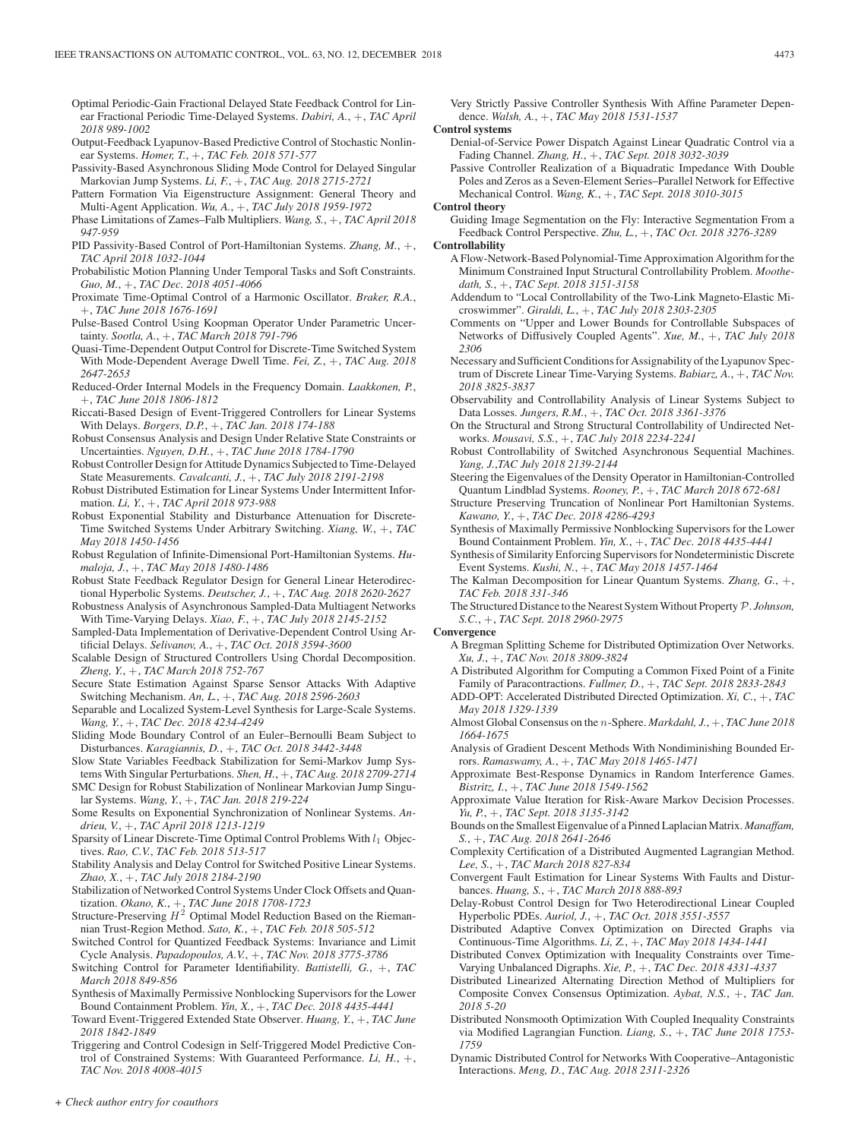- Optimal Periodic-Gain Fractional Delayed State Feedback Control for Linear Fractional Periodic Time-Delayed Systems. *Dabiri, A.*, +, *TAC April 2018 989-1002*
- Output-Feedback Lyapunov-Based Predictive Control of Stochastic Nonlinear Systems. *Homer, T.*, +, *TAC Feb. 2018 571-577*
- Passivity-Based Asynchronous Sliding Mode Control for Delayed Singular Markovian Jump Systems. *Li, F.*, +, *TAC Aug. 2018 2715-2721*
- Pattern Formation Via Eigenstructure Assignment: General Theory and Multi-Agent Application. *Wu, A.*, +, *TAC July 2018 1959-1972*
- Phase Limitations of Zames–Falb Multipliers. *Wang, S.*, +, *TAC April 2018 947-959*
- PID Passivity-Based Control of Port-Hamiltonian Systems. *Zhang, M.*, +, *TAC April 2018 1032-1044*
- Probabilistic Motion Planning Under Temporal Tasks and Soft Constraints. *Guo, M.*, +, *TAC Dec. 2018 4051-4066*
- Proximate Time-Optimal Control of a Harmonic Oscillator. *Braker, R.A.*, +, *TAC June 2018 1676-1691*
- Pulse-Based Control Using Koopman Operator Under Parametric Uncertainty. *Sootla, A.*, +, *TAC March 2018 791-796*
- Quasi-Time-Dependent Output Control for Discrete-Time Switched System With Mode-Dependent Average Dwell Time. *Fei, Z.*, +, *TAC Aug. 2018 2647-2653*
- Reduced-Order Internal Models in the Frequency Domain. *Laakkonen, P.*, +, *TAC June 2018 1806-1812*
- Riccati-Based Design of Event-Triggered Controllers for Linear Systems With Delays. *Borgers, D.P.*, +, *TAC Jan. 2018 174-188*
- Robust Consensus Analysis and Design Under Relative State Constraints or Uncertainties. *Nguyen, D.H.*, +, *TAC June 2018 1784-1790*
- Robust Controller Design for Attitude Dynamics Subjected to Time-Delayed State Measurements. *Cavalcanti, J.*, +, *TAC July 2018 2191-2198*

Robust Distributed Estimation for Linear Systems Under Intermittent Information. *Li, Y.*, +, *TAC April 2018 973-988*

Robust Exponential Stability and Disturbance Attenuation for Discrete-Time Switched Systems Under Arbitrary Switching. *Xiang, W.*, +, *TAC May 2018 1450-1456*

Robust Regulation of Infinite-Dimensional Port-Hamiltonian Systems. *Humaloja, J.*, +, *TAC May 2018 1480-1486*

Robust State Feedback Regulator Design for General Linear Heterodirectional Hyperbolic Systems. *Deutscher, J.*, +, *TAC Aug. 2018 2620-2627*

Robustness Analysis of Asynchronous Sampled-Data Multiagent Networks With Time-Varying Delays. *Xiao, F.*, +, *TAC July 2018 2145-2152*

Sampled-Data Implementation of Derivative-Dependent Control Using Artificial Delays. *Selivanov, A.*, +, *TAC Oct. 2018 3594-3600*

Scalable Design of Structured Controllers Using Chordal Decomposition. *Zheng, Y.*, +, *TAC March 2018 752-767*

- Secure State Estimation Against Sparse Sensor Attacks With Adaptive Switching Mechanism. *An, L.*, +, *TAC Aug. 2018 2596-2603*
- Separable and Localized System-Level Synthesis for Large-Scale Systems. *Wang, Y.*, +, *TAC Dec. 2018 4234-4249*
- Sliding Mode Boundary Control of an Euler–Bernoulli Beam Subject to Disturbances. *Karagiannis, D.*, +, *TAC Oct. 2018 3442-3448*
- Slow State Variables Feedback Stabilization for Semi-Markov Jump Systems With Singular Perturbations. *Shen, H.*, +, *TAC Aug. 2018 2709-2714*

SMC Design for Robust Stabilization of Nonlinear Markovian Jump Singular Systems. *Wang, Y.*, +, *TAC Jan. 2018 219-224*

Some Results on Exponential Synchronization of Nonlinear Systems. *Andrieu, V.*, +, *TAC April 2018 1213-1219*

Sparsity of Linear Discrete-Time Optimal Control Problems With  $l_1$  Objectives. *Rao, C.V.*, *TAC Feb. 2018 513-517*

Stability Analysis and Delay Control for Switched Positive Linear Systems. *Zhao, X.*, +, *TAC July 2018 2184-2190*

- Stabilization of Networked Control Systems Under Clock Offsets and Quantization. *Okano, K.*, +, *TAC June 2018 1708-1723*
- Structure-Preserving  $H^2$  Optimal Model Reduction Based on the Riemannian Trust-Region Method. *Sato, K.*, +, *TAC Feb. 2018 505-512*
- Switched Control for Quantized Feedback Systems: Invariance and Limit Cycle Analysis. *Papadopoulos, A.V.*, +, *TAC Nov. 2018 3775-3786*
- Switching Control for Parameter Identifiability. *Battistelli, G.*, +, *TAC March 2018 849-856*
- Synthesis of Maximally Permissive Nonblocking Supervisors for the Lower Bound Containment Problem. *Yin, X.*, +, *TAC Dec. 2018 4435-4441*
- Toward Event-Triggered Extended State Observer. *Huang, Y.*, +, *TAC June 2018 1842-1849*
- Triggering and Control Codesign in Self-Triggered Model Predictive Control of Constrained Systems: With Guaranteed Performance. *Li, H.*, +, *TAC Nov. 2018 4008-4015*

Very Strictly Passive Controller Synthesis With Affine Parameter Dependence. *Walsh, A.*, +, *TAC May 2018 1531-1537*

**Control systems**

Denial-of-Service Power Dispatch Against Linear Quadratic Control via a Fading Channel. *Zhang, H.*, +, *TAC Sept. 2018 3032-3039*

Passive Controller Realization of a Biquadratic Impedance With Double Poles and Zeros as a Seven-Element Series–Parallel Network for Effective Mechanical Control. *Wang, K.*, +, *TAC Sept. 2018 3010-3015*

**Control theory**

Guiding Image Segmentation on the Fly: Interactive Segmentation From a Feedback Control Perspective. *Zhu, L.*, +, *TAC Oct. 2018 3276-3289*

**Controllability**

- A Flow-Network-Based Polynomial-Time Approximation Algorithm for the Minimum Constrained Input Structural Controllability Problem. *Moothedath, S.*, +, *TAC Sept. 2018 3151-3158*
- Addendum to "Local Controllability of the Two-Link Magneto-Elastic Microswimmer". *Giraldi, L.*, +, *TAC July 2018 2303-2305*
- Comments on "Upper and Lower Bounds for Controllable Subspaces of Networks of Diffusively Coupled Agents". *Xue, M.*, +, *TAC July 2018 2306*
- Necessary and Sufficient Conditions for Assignability of the Lyapunov Spectrum of Discrete Linear Time-Varying Systems. *Babiarz, A.*, +, *TAC Nov. 2018 3825-3837*
- Observability and Controllability Analysis of Linear Systems Subject to Data Losses. *Jungers, R.M.*, +, *TAC Oct. 2018 3361-3376*
- On the Structural and Strong Structural Controllability of Undirected Networks. *Mousavi, S.S.*, +, *TAC July 2018 2234-2241*
- Robust Controllability of Switched Asynchronous Sequential Machines. *Yang, J.*,*TAC July 2018 2139-2144*
- Steering the Eigenvalues of the Density Operator in Hamiltonian-Controlled Quantum Lindblad Systems. *Rooney, P.*, +, *TAC March 2018 672-681*
- Structure Preserving Truncation of Nonlinear Port Hamiltonian Systems. *Kawano, Y.*, +, *TAC Dec. 2018 4286-4293*
- Synthesis of Maximally Permissive Nonblocking Supervisors for the Lower Bound Containment Problem. *Yin, X.*, +, *TAC Dec. 2018 4435-4441*
- Synthesis of Similarity Enforcing Supervisors for Nondeterministic Discrete Event Systems. *Kushi, N.*, +, *TAC May 2018 1457-1464*
- The Kalman Decomposition for Linear Quantum Systems. *Zhang, G.*, +, *TAC Feb. 2018 331-346*
- The Structured Distance to the Nearest System Without Property P. Johnson, *S.C.*, +, *TAC Sept. 2018 2960-2975*
- **Convergence**
	- A Bregman Splitting Scheme for Distributed Optimization Over Networks. *Xu, J.*, +, *TAC Nov. 2018 3809-3824*
	- A Distributed Algorithm for Computing a Common Fixed Point of a Finite Family of Paracontractions. *Fullmer, D.*, +, *TAC Sept. 2018 2833-2843*
	- ADD-OPT: Accelerated Distributed Directed Optimization. *Xi, C.*, +, *TAC May 2018 1329-1339*
	- Almost Global Consensus on the n-Sphere. *Markdahl, J.*, +, *TAC June 2018 1664-1675*
	- Analysis of Gradient Descent Methods With Nondiminishing Bounded Errors. *Ramaswamy, A.*, +, *TAC May 2018 1465-1471*

Approximate Best-Response Dynamics in Random Interference Games. *Bistritz, I.*, +, *TAC June 2018 1549-1562*

Approximate Value Iteration for Risk-Aware Markov Decision Processes. *Yu, P.*, +, *TAC Sept. 2018 3135-3142*

- Bounds on the Smallest Eigenvalue of a Pinned Laplacian Matrix. *Manaffam, S.*, +, *TAC Aug. 2018 2641-2646*
- Complexity Certification of a Distributed Augmented Lagrangian Method. *Lee, S.*, +, *TAC March 2018 827-834*
- Convergent Fault Estimation for Linear Systems With Faults and Disturbances. *Huang, S.*, +, *TAC March 2018 888-893*
- Delay-Robust Control Design for Two Heterodirectional Linear Coupled Hyperbolic PDEs. *Auriol, J.*, +, *TAC Oct. 2018 3551-3557*
- Distributed Adaptive Convex Optimization on Directed Graphs via Continuous-Time Algorithms. *Li, Z.*, +, *TAC May 2018 1434-1441*
- Distributed Convex Optimization with Inequality Constraints over Time-Varying Unbalanced Digraphs. *Xie, P.*, +, *TAC Dec. 2018 4331-4337*
- Distributed Linearized Alternating Direction Method of Multipliers for Composite Convex Consensus Optimization. *Aybat, N.S.*, +, *TAC Jan. 2018 5-20*
- Distributed Nonsmooth Optimization With Coupled Inequality Constraints via Modified Lagrangian Function. *Liang, S.*, +, *TAC June 2018 1753- 1759*
- Dynamic Distributed Control for Networks With Cooperative–Antagonistic Interactions. *Meng, D.*, *TAC Aug. 2018 2311-2326*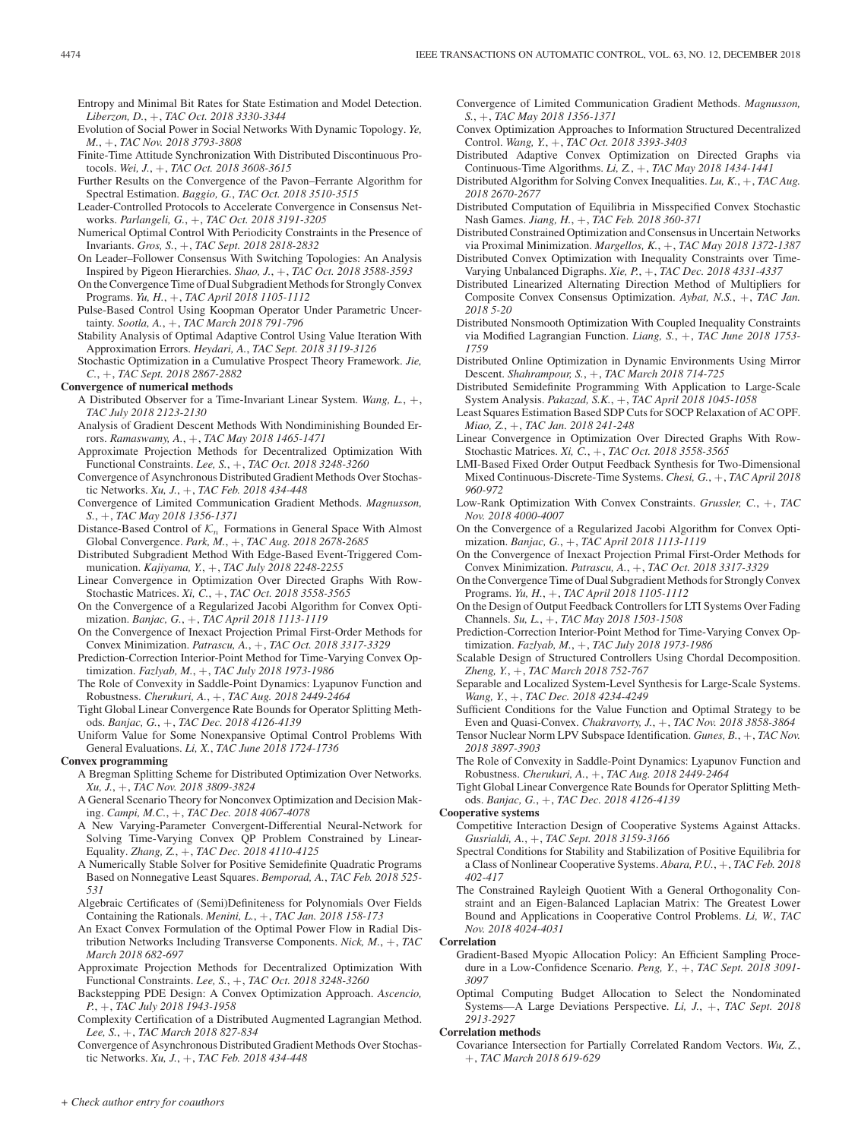Entropy and Minimal Bit Rates for State Estimation and Model Detection. *Liberzon, D.*, +, *TAC Oct. 2018 3330-3344*

- Evolution of Social Power in Social Networks With Dynamic Topology. *Ye, M.*, +, *TAC Nov. 2018 3793-3808*
- Finite-Time Attitude Synchronization With Distributed Discontinuous Protocols. *Wei, J.*, +, *TAC Oct. 2018 3608-3615*
- Further Results on the Convergence of the Pavon–Ferrante Algorithm for Spectral Estimation. *Baggio, G.*, *TAC Oct. 2018 3510-3515*
- Leader-Controlled Protocols to Accelerate Convergence in Consensus Networks. *Parlangeli, G.*, +, *TAC Oct. 2018 3191-3205*
- Numerical Optimal Control With Periodicity Constraints in the Presence of Invariants. *Gros, S.*, +, *TAC Sept. 2018 2818-2832*
- On Leader–Follower Consensus With Switching Topologies: An Analysis Inspired by Pigeon Hierarchies. *Shao, J.*, +, *TAC Oct. 2018 3588-3593*
- On the Convergence Time of Dual Subgradient Methods for Strongly Convex Programs. *Yu, H.*, +, *TAC April 2018 1105-1112*
- Pulse-Based Control Using Koopman Operator Under Parametric Uncertainty. *Sootla, A.*, +, *TAC March 2018 791-796*
- Stability Analysis of Optimal Adaptive Control Using Value Iteration With Approximation Errors. *Heydari, A.*, *TAC Sept. 2018 3119-3126*
- Stochastic Optimization in a Cumulative Prospect Theory Framework. *Jie, C.*, +, *TAC Sept. 2018 2867-2882*

# **Convergence of numerical methods**

- A Distributed Observer for a Time-Invariant Linear System. *Wang, L.*, +, *TAC July 2018 2123-2130*
- Analysis of Gradient Descent Methods With Nondiminishing Bounded Errors. *Ramaswamy, A.*, +, *TAC May 2018 1465-1471*
- Approximate Projection Methods for Decentralized Optimization With Functional Constraints. *Lee, S.*, +, *TAC Oct. 2018 3248-3260*
- Convergence of Asynchronous Distributed Gradient Methods Over Stochastic Networks. *Xu, J.*, +, *TAC Feb. 2018 434-448*
- Convergence of Limited Communication Gradient Methods. *Magnusson, S.*, +, *TAC May 2018 1356-1371*
- Distance-Based Control of  $\mathcal{K}_n$  Formations in General Space With Almost Global Convergence. *Park, M.*, +, *TAC Aug. 2018 2678-2685*
- Distributed Subgradient Method With Edge-Based Event-Triggered Communication. *Kajiyama, Y.*, +, *TAC July 2018 2248-2255*
- Linear Convergence in Optimization Over Directed Graphs With Row-Stochastic Matrices. *Xi, C.*, +, *TAC Oct. 2018 3558-3565*
- On the Convergence of a Regularized Jacobi Algorithm for Convex Optimization. *Banjac, G.*, +, *TAC April 2018 1113-1119*
- On the Convergence of Inexact Projection Primal First-Order Methods for Convex Minimization. *Patrascu, A.*, +, *TAC Oct. 2018 3317-3329*
- Prediction-Correction Interior-Point Method for Time-Varying Convex Optimization. *Fazlyab, M.*, +, *TAC July 2018 1973-1986*
- The Role of Convexity in Saddle-Point Dynamics: Lyapunov Function and Robustness. *Cherukuri, A.*, +, *TAC Aug. 2018 2449-2464*
- Tight Global Linear Convergence Rate Bounds for Operator Splitting Methods. *Banjac, G.*, +, *TAC Dec. 2018 4126-4139*
- Uniform Value for Some Nonexpansive Optimal Control Problems With General Evaluations. *Li, X.*, *TAC June 2018 1724-1736*

### **Convex programming**

- A Bregman Splitting Scheme for Distributed Optimization Over Networks. *Xu, J.*, +, *TAC Nov. 2018 3809-3824*
- A General Scenario Theory for Nonconvex Optimization and Decision Making. *Campi, M.C.*, +, *TAC Dec. 2018 4067-4078*
- A New Varying-Parameter Convergent-Differential Neural-Network for Solving Time-Varying Convex QP Problem Constrained by Linear-Equality. *Zhang, Z.*, +, *TAC Dec. 2018 4110-4125*
- A Numerically Stable Solver for Positive Semidefinite Quadratic Programs Based on Nonnegative Least Squares. *Bemporad, A.*, *TAC Feb. 2018 525- 531*
- Algebraic Certificates of (Semi)Definiteness for Polynomials Over Fields Containing the Rationals. *Menini, L.*, +, *TAC Jan. 2018 158-173*
- An Exact Convex Formulation of the Optimal Power Flow in Radial Distribution Networks Including Transverse Components. *Nick, M.*, +, *TAC March 2018 682-697*
- Approximate Projection Methods for Decentralized Optimization With Functional Constraints. *Lee, S.*, +, *TAC Oct. 2018 3248-3260*
- Backstepping PDE Design: A Convex Optimization Approach. *Ascencio, P.*, +, *TAC July 2018 1943-1958*
- Complexity Certification of a Distributed Augmented Lagrangian Method. *Lee, S.*, +, *TAC March 2018 827-834*
- Convergence of Asynchronous Distributed Gradient Methods Over Stochastic Networks. *Xu, J.*, +, *TAC Feb. 2018 434-448*

Convergence of Limited Communication Gradient Methods. *Magnusson, S.*, +, *TAC May 2018 1356-1371*

- Convex Optimization Approaches to Information Structured Decentralized Control. *Wang, Y.*, +, *TAC Oct. 2018 3393-3403*
- Distributed Adaptive Convex Optimization on Directed Graphs via Continuous-Time Algorithms. *Li, Z.*, +, *TAC May 2018 1434-1441*
- Distributed Algorithm for Solving Convex Inequalities. *Lu, K.*, +, *TAC Aug. 2018 2670-2677*
- Distributed Computation of Equilibria in Misspecified Convex Stochastic Nash Games. *Jiang, H.*, +, *TAC Feb. 2018 360-371*
- Distributed Constrained Optimization and Consensus in Uncertain Networks via Proximal Minimization. *Margellos, K.*, +, *TAC May 2018 1372-1387*
- Distributed Convex Optimization with Inequality Constraints over Time-Varying Unbalanced Digraphs. *Xie, P.*, +, *TAC Dec. 2018 4331-4337*
- Distributed Linearized Alternating Direction Method of Multipliers for Composite Convex Consensus Optimization. *Aybat, N.S.*, +, *TAC Jan. 2018 5-20*
- Distributed Nonsmooth Optimization With Coupled Inequality Constraints via Modified Lagrangian Function. *Liang, S.*, +, *TAC June 2018 1753- 1759*
- Distributed Online Optimization in Dynamic Environments Using Mirror Descent. *Shahrampour, S.*, +, *TAC March 2018 714-725*
- Distributed Semidefinite Programming With Application to Large-Scale System Analysis. *Pakazad, S.K.*, +, *TAC April 2018 1045-1058*
- Least Squares Estimation Based SDP Cuts for SOCP Relaxation of AC OPF. *Miao, Z.*, +, *TAC Jan. 2018 241-248*
- Linear Convergence in Optimization Over Directed Graphs With Row-Stochastic Matrices. *Xi, C.*, +, *TAC Oct. 2018 3558-3565*
- LMI-Based Fixed Order Output Feedback Synthesis for Two-Dimensional Mixed Continuous-Discrete-Time Systems. *Chesi, G.*, +, *TAC April 2018 960-972*
- Low-Rank Optimization With Convex Constraints. *Grussler, C.*, +, *TAC Nov. 2018 4000-4007*
- On the Convergence of a Regularized Jacobi Algorithm for Convex Optimization. *Banjac, G.*, +, *TAC April 2018 1113-1119*
- On the Convergence of Inexact Projection Primal First-Order Methods for Convex Minimization. *Patrascu, A.*, +, *TAC Oct. 2018 3317-3329*
- On the Convergence Time of Dual Subgradient Methods for Strongly Convex Programs. *Yu, H.*, +, *TAC April 2018 1105-1112*
- On the Design of Output Feedback Controllers for LTI Systems Over Fading Channels. *Su, L.*, +, *TAC May 2018 1503-1508*
- Prediction-Correction Interior-Point Method for Time-Varying Convex Optimization. *Fazlyab, M.*, +, *TAC July 2018 1973-1986*
- Scalable Design of Structured Controllers Using Chordal Decomposition. *Zheng, Y.*, +, *TAC March 2018 752-767*
- Separable and Localized System-Level Synthesis for Large-Scale Systems. *Wang, Y.*, +, *TAC Dec. 2018 4234-4249*
- Sufficient Conditions for the Value Function and Optimal Strategy to be Even and Quasi-Convex. *Chakravorty, J.*, +, *TAC Nov. 2018 3858-3864*
- Tensor Nuclear Norm LPV Subspace Identification. *Gunes, B.*, +, *TAC Nov. 2018 3897-3903*
- The Role of Convexity in Saddle-Point Dynamics: Lyapunov Function and Robustness. *Cherukuri, A.*, +, *TAC Aug. 2018 2449-2464*
- Tight Global Linear Convergence Rate Bounds for Operator Splitting Methods. *Banjac, G.*, +, *TAC Dec. 2018 4126-4139*

### **Cooperative systems**

- Competitive Interaction Design of Cooperative Systems Against Attacks. *Gusrialdi, A.*, +, *TAC Sept. 2018 3159-3166*
- Spectral Conditions for Stability and Stabilization of Positive Equilibria for a Class of Nonlinear Cooperative Systems. *Abara, P.U.*, +, *TAC Feb. 2018 402-417*
- The Constrained Rayleigh Quotient With a General Orthogonality Constraint and an Eigen-Balanced Laplacian Matrix: The Greatest Lower Bound and Applications in Cooperative Control Problems. *Li, W.*, *TAC Nov. 2018 4024-4031*

### **Correlation**

- Gradient-Based Myopic Allocation Policy: An Efficient Sampling Procedure in a Low-Confidence Scenario. *Peng, Y.*, +, *TAC Sept. 2018 3091- 3097*
- Optimal Computing Budget Allocation to Select the Nondominated Systems—A Large Deviations Perspective. *Li, J.*, +, *TAC Sept. 2018 2913-2927*

### **Correlation methods**

Covariance Intersection for Partially Correlated Random Vectors. *Wu, Z.*, +, *TAC March 2018 619-629*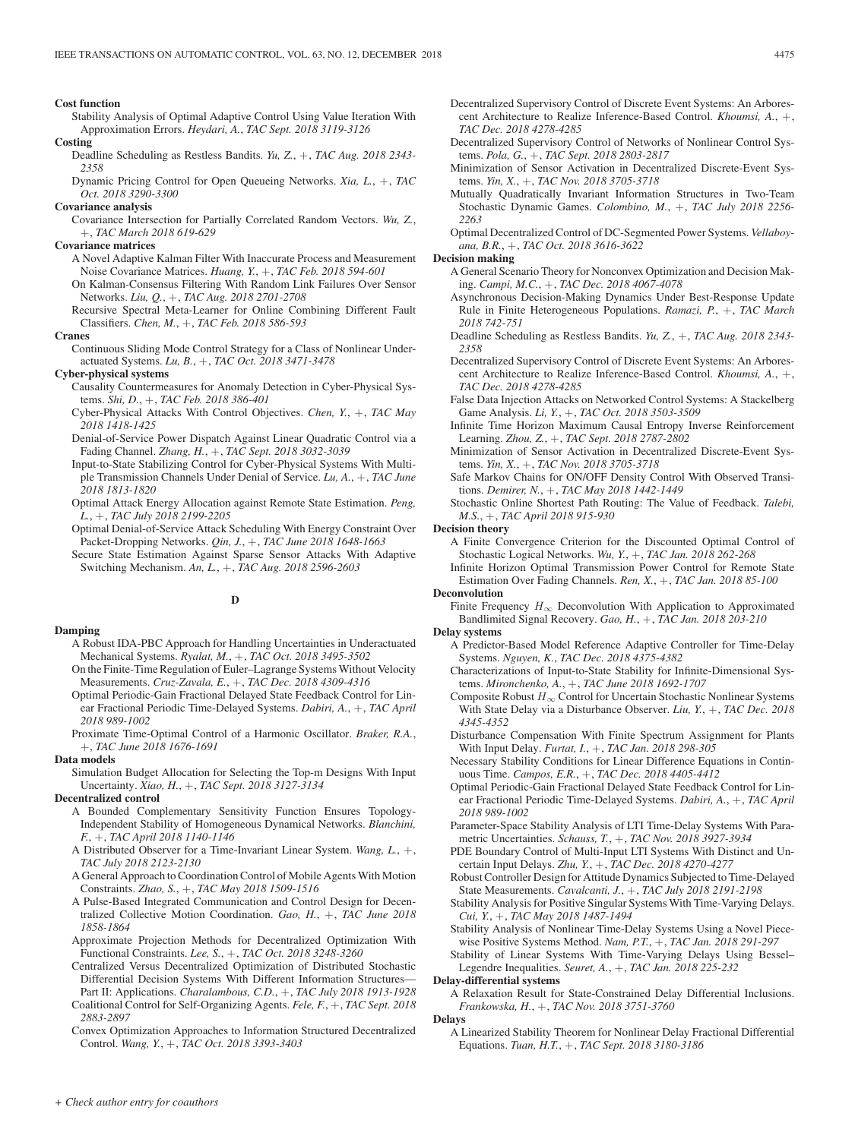### **Cost function**

Stability Analysis of Optimal Adaptive Control Using Value Iteration With Approximation Errors. *Heydari, A.*, *TAC Sept. 2018 3119-3126*

# **Costing**

- Deadline Scheduling as Restless Bandits. *Yu, Z.*, +, *TAC Aug. 2018 2343- 2358*
- Dynamic Pricing Control for Open Queueing Networks. *Xia, L.*, +, *TAC Oct. 2018 3290-3300*

### **Covariance analysis**

Covariance Intersection for Partially Correlated Random Vectors. *Wu, Z.*, +, *TAC March 2018 619-629*

### **Covariance matrices**

- A Novel Adaptive Kalman Filter With Inaccurate Process and Measurement Noise Covariance Matrices. *Huang, Y.*, +, *TAC Feb. 2018 594-601*
- On Kalman-Consensus Filtering With Random Link Failures Over Sensor Networks. *Liu, Q.*, +, *TAC Aug. 2018 2701-2708*
- Recursive Spectral Meta-Learner for Online Combining Different Fault Classifiers. *Chen, M.*, +, *TAC Feb. 2018 586-593*

### **Cranes**

Continuous Sliding Mode Control Strategy for a Class of Nonlinear Underactuated Systems. *Lu, B.*, +, *TAC Oct. 2018 3471-3478*

### **Cyber-physical systems**

- Causality Countermeasures for Anomaly Detection in Cyber-Physical Systems. *Shi, D.*, +, *TAC Feb. 2018 386-401*
- Cyber-Physical Attacks With Control Objectives. *Chen, Y.*, +, *TAC May 2018 1418-1425*
- Denial-of-Service Power Dispatch Against Linear Quadratic Control via a Fading Channel. *Zhang, H.*, +, *TAC Sept. 2018 3032-3039*
- Input-to-State Stabilizing Control for Cyber-Physical Systems With Multiple Transmission Channels Under Denial of Service. *Lu, A.*, +, *TAC June 2018 1813-1820*
- Optimal Attack Energy Allocation against Remote State Estimation. *Peng, L.*, +, *TAC July 2018 2199-2205*
- Optimal Denial-of-Service Attack Scheduling With Energy Constraint Over Packet-Dropping Networks. *Qin, J.*, +, *TAC June 2018 1648-1663*
- Secure State Estimation Against Sparse Sensor Attacks With Adaptive Switching Mechanism. *An, L.*, +, *TAC Aug. 2018 2596-2603*

# **D**

### **Damping**

- A Robust IDA-PBC Approach for Handling Uncertainties in Underactuated Mechanical Systems. *Ryalat, M.*, +, *TAC Oct. 2018 3495-3502*
- On the Finite-Time Regulation of Euler–Lagrange Systems Without Velocity Measurements. *Cruz-Zavala, E.*, +, *TAC Dec. 2018 4309-4316*
- Optimal Periodic-Gain Fractional Delayed State Feedback Control for Linear Fractional Periodic Time-Delayed Systems. *Dabiri, A.*, +, *TAC April 2018 989-1002*
- Proximate Time-Optimal Control of a Harmonic Oscillator. *Braker, R.A.*, +, *TAC June 2018 1676-1691*

### **Data models**

Simulation Budget Allocation for Selecting the Top-m Designs With Input Uncertainty. *Xiao, H.*, +, *TAC Sept. 2018 3127-3134*

### **Decentralized control**

- A Bounded Complementary Sensitivity Function Ensures Topology-Independent Stability of Homogeneous Dynamical Networks. *Blanchini, F.*, +, *TAC April 2018 1140-1146*
- A Distributed Observer for a Time-Invariant Linear System. *Wang, L.*, +, *TAC July 2018 2123-2130*
- A General Approach to Coordination Control of Mobile Agents With Motion Constraints. *Zhao, S.*, +, *TAC May 2018 1509-1516*
- A Pulse-Based Integrated Communication and Control Design for Decentralized Collective Motion Coordination. *Gao, H.*, +, *TAC June 2018 1858-1864*
- Approximate Projection Methods for Decentralized Optimization With Functional Constraints. *Lee, S.*, +, *TAC Oct. 2018 3248-3260*
- Centralized Versus Decentralized Optimization of Distributed Stochastic Differential Decision Systems With Different Information Structures— Part II: Applications. *Charalambous, C.D.*, +, *TAC July 2018 1913-1928*
- Coalitional Control for Self-Organizing Agents. *Fele, F.*, +, *TAC Sept. 2018 2883-2897*
- Convex Optimization Approaches to Information Structured Decentralized Control. *Wang, Y.*, +, *TAC Oct. 2018 3393-3403*
- Decentralized Supervisory Control of Discrete Event Systems: An Arborescent Architecture to Realize Inference-Based Control. *Khoumsi, A.*, +, *TAC Dec. 2018 4278-4285*
- Decentralized Supervisory Control of Networks of Nonlinear Control Systems. *Pola, G.*, +, *TAC Sept. 2018 2803-2817*
- Minimization of Sensor Activation in Decentralized Discrete-Event Systems. *Yin, X.*, +, *TAC Nov. 2018 3705-3718*
- Mutually Quadratically Invariant Information Structures in Two-Team Stochastic Dynamic Games. *Colombino, M.*, +, *TAC July 2018 2256- 2263*
- Optimal Decentralized Control of DC-Segmented Power Systems. *Vellaboyana, B.R.*, +, *TAC Oct. 2018 3616-3622*

# **Decision making**

- A General Scenario Theory for Nonconvex Optimization and Decision Making. *Campi, M.C.*, +, *TAC Dec. 2018 4067-4078*
- Asynchronous Decision-Making Dynamics Under Best-Response Update Rule in Finite Heterogeneous Populations. *Ramazi, P.*, +, *TAC March 2018 742-751*
- Deadline Scheduling as Restless Bandits. *Yu, Z.*, +, *TAC Aug. 2018 2343- 2358*
- Decentralized Supervisory Control of Discrete Event Systems: An Arborescent Architecture to Realize Inference-Based Control. *Khoumsi, A.*, +, *TAC Dec. 2018 4278-4285*
- False Data Injection Attacks on Networked Control Systems: A Stackelberg Game Analysis. *Li, Y.*, +, *TAC Oct. 2018 3503-3509*
- Infinite Time Horizon Maximum Causal Entropy Inverse Reinforcement Learning. *Zhou, Z.*, +, *TAC Sept. 2018 2787-2802*
- Minimization of Sensor Activation in Decentralized Discrete-Event Systems. *Yin, X.*, +, *TAC Nov. 2018 3705-3718*
- Safe Markov Chains for ON/OFF Density Control With Observed Transitions. *Demirer, N.*, +, *TAC May 2018 1442-1449*
- Stochastic Online Shortest Path Routing: The Value of Feedback. *Talebi, M.S.*, +, *TAC April 2018 915-930*

### **Decision theory**

- A Finite Convergence Criterion for the Discounted Optimal Control of Stochastic Logical Networks. *Wu, Y.*, +, *TAC Jan. 2018 262-268*
- Infinite Horizon Optimal Transmission Power Control for Remote State Estimation Over Fading Channels. *Ren, X.*, +, *TAC Jan. 2018 85-100*

### **Deconvolution**

Finite Frequency  $H_{\infty}$  Deconvolution With Application to Approximated Bandlimited Signal Recovery. *Gao, H.*, +, *TAC Jan. 2018 203-210*

### **Delay systems**

- A Predictor-Based Model Reference Adaptive Controller for Time-Delay Systems. *Nguyen, K.*, *TAC Dec. 2018 4375-4382*
- Characterizations of Input-to-State Stability for Infinite-Dimensional Systems. *Mironchenko, A.*, +, *TAC June 2018 1692-1707*
- Composite Robust  $H_{\infty}$  Control for Uncertain Stochastic Nonlinear Systems With State Delay via a Disturbance Observer. *Liu, Y.*, +, *TAC Dec. 2018 4345-4352*
- Disturbance Compensation With Finite Spectrum Assignment for Plants With Input Delay. *Furtat, I.*, +, *TAC Jan. 2018 298-305*
- Necessary Stability Conditions for Linear Difference Equations in Continuous Time. *Campos, E.R.*, +, *TAC Dec. 2018 4405-4412*
- Optimal Periodic-Gain Fractional Delayed State Feedback Control for Linear Fractional Periodic Time-Delayed Systems. *Dabiri, A.*, +, *TAC April 2018 989-1002*
- Parameter-Space Stability Analysis of LTI Time-Delay Systems With Parametric Uncertainties. *Schauss, T.*, +, *TAC Nov. 2018 3927-3934*
- PDE Boundary Control of Multi-Input LTI Systems With Distinct and Uncertain Input Delays. *Zhu, Y.*, +, *TAC Dec. 2018 4270-4277*
- Robust Controller Design for Attitude Dynamics Subjected to Time-Delayed State Measurements. *Cavalcanti, J.*, +, *TAC July 2018 2191-2198*
- Stability Analysis for Positive Singular Systems With Time-Varying Delays. *Cui, Y.*, +, *TAC May 2018 1487-1494*
- Stability Analysis of Nonlinear Time-Delay Systems Using a Novel Piecewise Positive Systems Method. *Nam, P.T.*, +, *TAC Jan. 2018 291-297*
- Stability of Linear Systems With Time-Varying Delays Using Bessel– Legendre Inequalities. *Seuret, A.*, +, *TAC Jan. 2018 225-232*
- **Delay-differential systems**

A Relaxation Result for State-Constrained Delay Differential Inclusions. *Frankowska, H.*, +, *TAC Nov. 2018 3751-3760*

**Delays**

A Linearized Stability Theorem for Nonlinear Delay Fractional Differential Equations. *Tuan, H.T.*, +, *TAC Sept. 2018 3180-3186*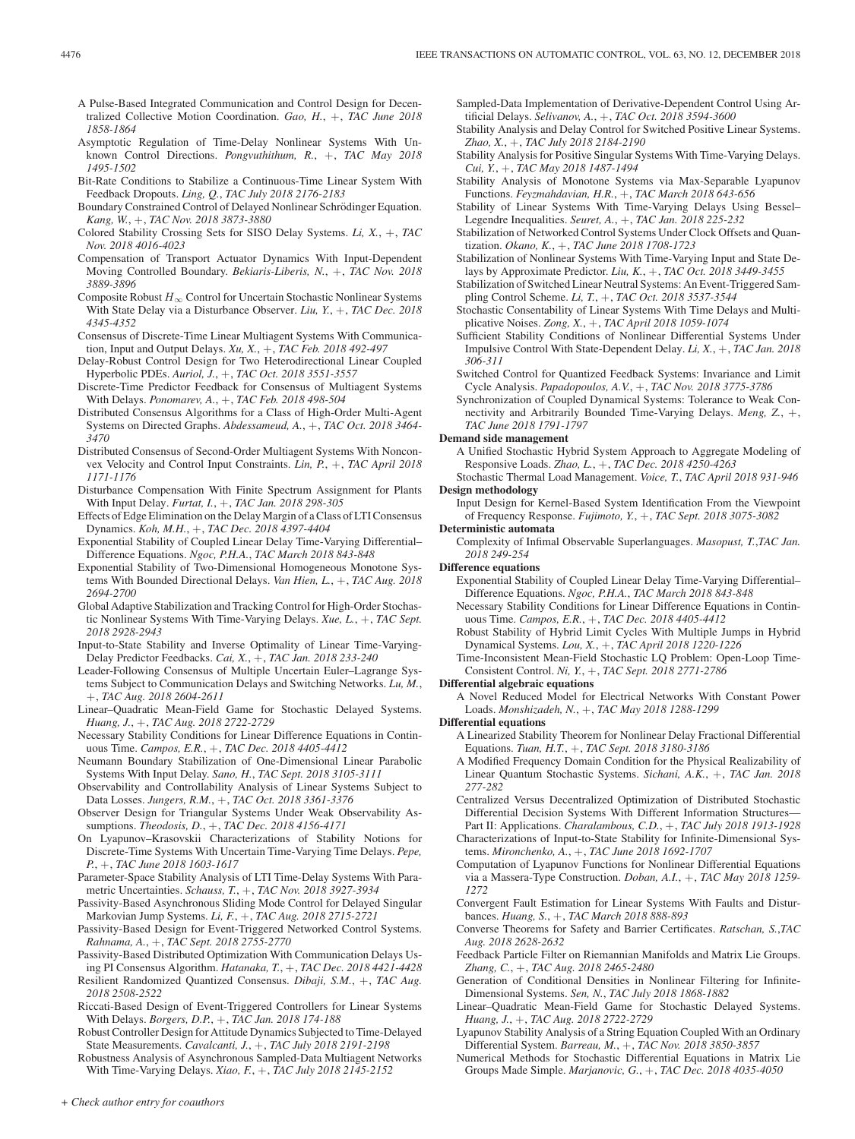- A Pulse-Based Integrated Communication and Control Design for Decentralized Collective Motion Coordination. *Gao, H.*, +, *TAC June 2018 1858-1864*
- Asymptotic Regulation of Time-Delay Nonlinear Systems With Unknown Control Directions. *Pongvuthithum, R.*, +, *TAC May 2018 1495-1502*
- Bit-Rate Conditions to Stabilize a Continuous-Time Linear System With Feedback Dropouts. *Ling, Q.*, *TAC July 2018 2176-2183*
- Boundary Constrained Control of Delayed Nonlinear Schrödinger Equation. *Kang, W.*, +, *TAC Nov. 2018 3873-3880*
- Colored Stability Crossing Sets for SISO Delay Systems. *Li, X.*, +, *TAC Nov. 2018 4016-4023*
- Compensation of Transport Actuator Dynamics With Input-Dependent Moving Controlled Boundary. *Bekiaris-Liberis, N.*, +, *TAC Nov. 2018 3889-3896*
- Composite Robust  $H_{\infty}$  Control for Uncertain Stochastic Nonlinear Systems With State Delay via a Disturbance Observer. *Liu, Y.*, +, *TAC Dec. 2018 4345-4352*
- Consensus of Discrete-Time Linear Multiagent Systems With Communication, Input and Output Delays. *Xu, X.*, +, *TAC Feb. 2018 492-497*
- Delay-Robust Control Design for Two Heterodirectional Linear Coupled Hyperbolic PDEs. *Auriol, J.*, +, *TAC Oct. 2018 3551-3557*
- Discrete-Time Predictor Feedback for Consensus of Multiagent Systems With Delays. *Ponomarev, A.*, +, *TAC Feb. 2018 498-504*
- Distributed Consensus Algorithms for a Class of High-Order Multi-Agent Systems on Directed Graphs. *Abdessameud, A.*, +, *TAC Oct. 2018 3464- 3470*
- Distributed Consensus of Second-Order Multiagent Systems With Nonconvex Velocity and Control Input Constraints. *Lin, P.*, +, *TAC April 2018 1171-1176*
- Disturbance Compensation With Finite Spectrum Assignment for Plants With Input Delay. *Furtat, I.*, +, *TAC Jan. 2018 298-305*
- Effects of Edge Elimination on the Delay Margin of a Class of LTI Consensus Dynamics. *Koh, M.H.*, +, *TAC Dec. 2018 4397-4404*
- Exponential Stability of Coupled Linear Delay Time-Varying Differential– Difference Equations. *Ngoc, P.H.A.*, *TAC March 2018 843-848*
- Exponential Stability of Two-Dimensional Homogeneous Monotone Systems With Bounded Directional Delays. *Van Hien, L.*, +, *TAC Aug. 2018 2694-2700*
- Global Adaptive Stabilization and Tracking Control for High-Order Stochastic Nonlinear Systems With Time-Varying Delays. *Xue, L.*, +, *TAC Sept. 2018 2928-2943*
- Input-to-State Stability and Inverse Optimality of Linear Time-Varying-Delay Predictor Feedbacks. *Cai, X.*, +, *TAC Jan. 2018 233-240*
- Leader-Following Consensus of Multiple Uncertain Euler–Lagrange Systems Subject to Communication Delays and Switching Networks. *Lu, M.*, +, *TAC Aug. 2018 2604-2611*
- Linear–Quadratic Mean-Field Game for Stochastic Delayed Systems. *Huang, J.*, +, *TAC Aug. 2018 2722-2729*
- Necessary Stability Conditions for Linear Difference Equations in Continuous Time. *Campos, E.R.*, +, *TAC Dec. 2018 4405-4412*
- Neumann Boundary Stabilization of One-Dimensional Linear Parabolic Systems With Input Delay. *Sano, H.*, *TAC Sept. 2018 3105-3111*
- Observability and Controllability Analysis of Linear Systems Subject to Data Losses. *Jungers, R.M.*, +, *TAC Oct. 2018 3361-3376*
- Observer Design for Triangular Systems Under Weak Observability Assumptions. *Theodosis, D.*, +, *TAC Dec. 2018 4156-4171*
- On Lyapunov–Krasovskii Characterizations of Stability Notions for Discrete-Time Systems With Uncertain Time-Varying Time Delays. *Pepe, P.*, +, *TAC June 2018 1603-1617*
- Parameter-Space Stability Analysis of LTI Time-Delay Systems With Parametric Uncertainties. *Schauss, T.*, +, *TAC Nov. 2018 3927-3934*
- Passivity-Based Asynchronous Sliding Mode Control for Delayed Singular Markovian Jump Systems. *Li, F.*, +, *TAC Aug. 2018 2715-2721*
- Passivity-Based Design for Event-Triggered Networked Control Systems. *Rahnama, A.*, +, *TAC Sept. 2018 2755-2770*
- Passivity-Based Distributed Optimization With Communication Delays Using PI Consensus Algorithm. *Hatanaka, T.*, +, *TAC Dec. 2018 4421-4428*
- Resilient Randomized Quantized Consensus. *Dibaji, S.M.*, +, *TAC Aug. 2018 2508-2522*
- Riccati-Based Design of Event-Triggered Controllers for Linear Systems With Delays. *Borgers, D.P.*, +, *TAC Jan. 2018 174-188*
- Robust Controller Design for Attitude Dynamics Subjected to Time-Delayed State Measurements. *Cavalcanti, J.*, +, *TAC July 2018 2191-2198*

Robustness Analysis of Asynchronous Sampled-Data Multiagent Networks With Time-Varying Delays. *Xiao, F.*, +, *TAC July 2018 2145-2152*

Sampled-Data Implementation of Derivative-Dependent Control Using Artificial Delays. *Selivanov, A.*, +, *TAC Oct. 2018 3594-3600*

- Stability Analysis and Delay Control for Switched Positive Linear Systems. *Zhao, X.*, +, *TAC July 2018 2184-2190*
- Stability Analysis for Positive Singular Systems With Time-Varying Delays. *Cui, Y.*, +, *TAC May 2018 1487-1494*
- Stability Analysis of Monotone Systems via Max-Separable Lyapunov Functions. *Feyzmahdavian, H.R.*, +, *TAC March 2018 643-656*
- Stability of Linear Systems With Time-Varying Delays Using Bessel– Legendre Inequalities. *Seuret, A.*, +, *TAC Jan. 2018 225-232*
- Stabilization of Networked Control Systems Under Clock Offsets and Quantization. *Okano, K.*, +, *TAC June 2018 1708-1723*
- Stabilization of Nonlinear Systems With Time-Varying Input and State Delays by Approximate Predictor. *Liu, K.*, +, *TAC Oct. 2018 3449-3455*
- Stabilization of Switched Linear Neutral Systems: An Event-Triggered Sampling Control Scheme. *Li, T.*, +, *TAC Oct. 2018 3537-3544*
- Stochastic Consentability of Linear Systems With Time Delays and Multiplicative Noises. *Zong, X.*, +, *TAC April 2018 1059-1074*
- Sufficient Stability Conditions of Nonlinear Differential Systems Under Impulsive Control With State-Dependent Delay. *Li, X.*, +, *TAC Jan. 2018 306-311*
- Switched Control for Quantized Feedback Systems: Invariance and Limit Cycle Analysis. *Papadopoulos, A.V.*, +, *TAC Nov. 2018 3775-3786*

Synchronization of Coupled Dynamical Systems: Tolerance to Weak Connectivity and Arbitrarily Bounded Time-Varying Delays. *Meng, Z.*, +, *TAC June 2018 1791-1797*

**Demand side management**

A Unified Stochastic Hybrid System Approach to Aggregate Modeling of Responsive Loads. *Zhao, L.*, +, *TAC Dec. 2018 4250-4263*

- Stochastic Thermal Load Management. *Voice, T.*, *TAC April 2018 931-946* **Design methodology**
	- Input Design for Kernel-Based System Identification From the Viewpoint of Frequency Response. *Fujimoto, Y.*, +, *TAC Sept. 2018 3075-3082*

**Deterministic automata**

- Complexity of Infimal Observable Superlanguages. *Masopust, T.*,*TAC Jan. 2018 249-254*
- **Difference equations**
	- Exponential Stability of Coupled Linear Delay Time-Varying Differential– Difference Equations. *Ngoc, P.H.A.*, *TAC March 2018 843-848*
	- Necessary Stability Conditions for Linear Difference Equations in Continuous Time. *Campos, E.R.*, +, *TAC Dec. 2018 4405-4412*
	- Robust Stability of Hybrid Limit Cycles With Multiple Jumps in Hybrid Dynamical Systems. *Lou, X.*, +, *TAC April 2018 1220-1226*
	- Time-Inconsistent Mean-Field Stochastic LQ Problem: Open-Loop Time-Consistent Control. *Ni, Y.*, +, *TAC Sept. 2018 2771-2786*

# **Differential algebraic equations**

- A Novel Reduced Model for Electrical Networks With Constant Power Loads. *Monshizadeh, N.*, +, *TAC May 2018 1288-1299*
- **Differential equations**
	- A Linearized Stability Theorem for Nonlinear Delay Fractional Differential Equations. *Tuan, H.T.*, +, *TAC Sept. 2018 3180-3186*
	- A Modified Frequency Domain Condition for the Physical Realizability of Linear Quantum Stochastic Systems. *Sichani, A.K.*, +, *TAC Jan. 2018 277-282*
	- Centralized Versus Decentralized Optimization of Distributed Stochastic Differential Decision Systems With Different Information Structures— Part II: Applications. *Charalambous, C.D.*, +, *TAC July 2018 1913-1928*
	- Characterizations of Input-to-State Stability for Infinite-Dimensional Systems. *Mironchenko, A.*, +, *TAC June 2018 1692-1707*
	- Computation of Lyapunov Functions for Nonlinear Differential Equations via a Massera-Type Construction. *Doban, A.I.*, +, *TAC May 2018 1259- 1272*
	- Convergent Fault Estimation for Linear Systems With Faults and Disturbances. *Huang, S.*, +, *TAC March 2018 888-893*
	- Converse Theorems for Safety and Barrier Certificates. *Ratschan, S.*,*TAC Aug. 2018 2628-2632*
	- Feedback Particle Filter on Riemannian Manifolds and Matrix Lie Groups. *Zhang, C.*, +, *TAC Aug. 2018 2465-2480*
	- Generation of Conditional Densities in Nonlinear Filtering for Infinite-Dimensional Systems. *Sen, N.*, *TAC July 2018 1868-1882*
	- Linear–Quadratic Mean-Field Game for Stochastic Delayed Systems. *Huang, J.*, +, *TAC Aug. 2018 2722-2729*
	- Lyapunov Stability Analysis of a String Equation Coupled With an Ordinary Differential System. *Barreau, M.*, +, *TAC Nov. 2018 3850-3857*
	- Numerical Methods for Stochastic Differential Equations in Matrix Lie Groups Made Simple. *Marjanovic, G.*, +, *TAC Dec. 2018 4035-4050*

*+ Check author entry for coauthors*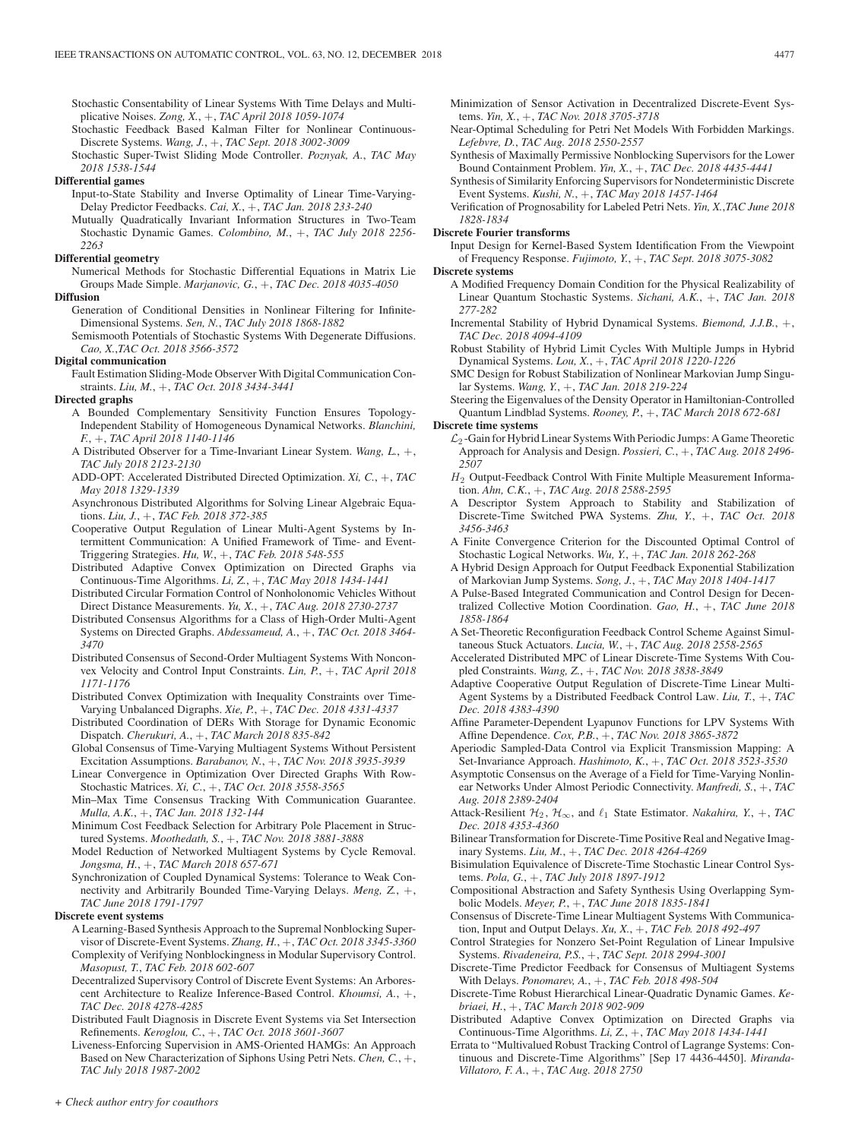Stochastic Consentability of Linear Systems With Time Delays and Multiplicative Noises. *Zong, X.*, +, *TAC April 2018 1059-1074*

- Stochastic Feedback Based Kalman Filter for Nonlinear Continuous-Discrete Systems. *Wang, J.*, +, *TAC Sept. 2018 3002-3009*
- Stochastic Super-Twist Sliding Mode Controller. *Poznyak, A.*, *TAC May 2018 1538-1544*
- **Differential games**
	- Input-to-State Stability and Inverse Optimality of Linear Time-Varying-Delay Predictor Feedbacks. *Cai, X.*, +, *TAC Jan. 2018 233-240*
	- Mutually Quadratically Invariant Information Structures in Two-Team Stochastic Dynamic Games. *Colombino, M.*, +, *TAC July 2018 2256- 2263*

### **Differential geometry**

Numerical Methods for Stochastic Differential Equations in Matrix Lie Groups Made Simple. *Marjanovic, G.*, +, *TAC Dec. 2018 4035-4050*

- **Diffusion**
	- Generation of Conditional Densities in Nonlinear Filtering for Infinite-Dimensional Systems. *Sen, N.*, *TAC July 2018 1868-1882*
	- Semismooth Potentials of Stochastic Systems With Degenerate Diffusions. *Cao, X.*,*TAC Oct. 2018 3566-3572*

**Digital communication**

Fault Estimation Sliding-Mode Observer With Digital Communication Constraints. *Liu, M.*, +, *TAC Oct. 2018 3434-3441*

**Directed graphs**

- A Bounded Complementary Sensitivity Function Ensures Topology-Independent Stability of Homogeneous Dynamical Networks. *Blanchini, F.*, +, *TAC April 2018 1140-1146*
- A Distributed Observer for a Time-Invariant Linear System. *Wang, L.*, +, *TAC July 2018 2123-2130*
- ADD-OPT: Accelerated Distributed Directed Optimization. *Xi, C.*, +, *TAC May 2018 1329-1339*
- Asynchronous Distributed Algorithms for Solving Linear Algebraic Equations. *Liu, J.*, +, *TAC Feb. 2018 372-385*
- Cooperative Output Regulation of Linear Multi-Agent Systems by Intermittent Communication: A Unified Framework of Time- and Event-Triggering Strategies. *Hu, W.*, +, *TAC Feb. 2018 548-555*
- Distributed Adaptive Convex Optimization on Directed Graphs via Continuous-Time Algorithms. *Li, Z.*, +, *TAC May 2018 1434-1441*
- Distributed Circular Formation Control of Nonholonomic Vehicles Without Direct Distance Measurements. *Yu, X.*, +, *TAC Aug. 2018 2730-2737*
- Distributed Consensus Algorithms for a Class of High-Order Multi-Agent Systems on Directed Graphs. *Abdessameud, A.*, +, *TAC Oct. 2018 3464- 3470*
- Distributed Consensus of Second-Order Multiagent Systems With Nonconvex Velocity and Control Input Constraints. *Lin, P.*, +, *TAC April 2018 1171-1176*
- Distributed Convex Optimization with Inequality Constraints over Time-Varying Unbalanced Digraphs. *Xie, P.*, +, *TAC Dec. 2018 4331-4337*
- Distributed Coordination of DERs With Storage for Dynamic Economic Dispatch. *Cherukuri, A.*, +, *TAC March 2018 835-842*
- Global Consensus of Time-Varying Multiagent Systems Without Persistent Excitation Assumptions. *Barabanov, N.*, +, *TAC Nov. 2018 3935-3939*

Linear Convergence in Optimization Over Directed Graphs With Row-Stochastic Matrices. *Xi, C.*, +, *TAC Oct. 2018 3558-3565*

- Min–Max Time Consensus Tracking With Communication Guarantee. *Mulla, A.K.*, +, *TAC Jan. 2018 132-144*
- Minimum Cost Feedback Selection for Arbitrary Pole Placement in Structured Systems. *Moothedath, S.*, +, *TAC Nov. 2018 3881-3888*

Model Reduction of Networked Multiagent Systems by Cycle Removal. *Jongsma, H.*, +, *TAC March 2018 657-671*

Synchronization of Coupled Dynamical Systems: Tolerance to Weak Connectivity and Arbitrarily Bounded Time-Varying Delays. *Meng, Z.*, +, *TAC June 2018 1791-1797*

### **Discrete event systems**

- A Learning-Based Synthesis Approach to the Supremal Nonblocking Supervisor of Discrete-Event Systems. *Zhang, H.*, +, *TAC Oct. 2018 3345-3360* Complexity of Verifying Nonblockingness in Modular Supervisory Control.
- *Masopust, T.*, *TAC Feb. 2018 602-607* Decentralized Supervisory Control of Discrete Event Systems: An Arborescent Architecture to Realize Inference-Based Control. *Khoumsi, A.*, +, *TAC Dec. 2018 4278-4285*
- Distributed Fault Diagnosis in Discrete Event Systems via Set Intersection Refinements. *Keroglou, C.*, +, *TAC Oct. 2018 3601-3607*
- Liveness-Enforcing Supervision in AMS-Oriented HAMGs: An Approach Based on New Characterization of Siphons Using Petri Nets. *Chen, C.*, +, *TAC July 2018 1987-2002*
- Minimization of Sensor Activation in Decentralized Discrete-Event Systems. *Yin, X.*, +, *TAC Nov. 2018 3705-3718*
- Near-Optimal Scheduling for Petri Net Models With Forbidden Markings. *Lefebvre, D.*, *TAC Aug. 2018 2550-2557*
- Synthesis of Maximally Permissive Nonblocking Supervisors for the Lower Bound Containment Problem. *Yin, X.*, +, *TAC Dec. 2018 4435-4441*
- Synthesis of Similarity Enforcing Supervisors for Nondeterministic Discrete Event Systems. *Kushi, N.*, +, *TAC May 2018 1457-1464*
- Verification of Prognosability for Labeled Petri Nets. *Yin, X.*,*TAC June 2018 1828-1834*

# **Discrete Fourier transforms**

Input Design for Kernel-Based System Identification From the Viewpoint of Frequency Response. *Fujimoto, Y.*, +, *TAC Sept. 2018 3075-3082*

- **Discrete systems**
	- A Modified Frequency Domain Condition for the Physical Realizability of Linear Quantum Stochastic Systems. *Sichani, A.K.*, +, *TAC Jan. 2018 277-282*
	- Incremental Stability of Hybrid Dynamical Systems. *Biemond, J.J.B.*, +, *TAC Dec. 2018 4094-4109*
	- Robust Stability of Hybrid Limit Cycles With Multiple Jumps in Hybrid Dynamical Systems. *Lou, X.*, +, *TAC April 2018 1220-1226*
	- SMC Design for Robust Stabilization of Nonlinear Markovian Jump Singular Systems. *Wang, Y.*, +, *TAC Jan. 2018 219-224*
	- Steering the Eigenvalues of the Density Operator in Hamiltonian-Controlled Quantum Lindblad Systems. *Rooney, P.*, +, *TAC March 2018 672-681*

### **Discrete time systems**

- $\mathcal{L}_2$ -Gain for Hybrid Linear Systems With Periodic Jumps: A Game Theoretic Approach for Analysis and Design. *Possieri, C.*, +, *TAC Aug. 2018 2496- 2507*
- $H<sub>2</sub>$  Output-Feedback Control With Finite Multiple Measurement Information. *Ahn, C.K.*, +, *TAC Aug. 2018 2588-2595*
- A Descriptor System Approach to Stability and Stabilization of Discrete-Time Switched PWA Systems. *Zhu, Y.*, +, *TAC Oct. 2018 3456-3463*
- A Finite Convergence Criterion for the Discounted Optimal Control of Stochastic Logical Networks. *Wu, Y.*, +, *TAC Jan. 2018 262-268*
- A Hybrid Design Approach for Output Feedback Exponential Stabilization of Markovian Jump Systems. *Song, J.*, +, *TAC May 2018 1404-1417*
- A Pulse-Based Integrated Communication and Control Design for Decentralized Collective Motion Coordination. *Gao, H.*, +, *TAC June 2018 1858-1864*
- A Set-Theoretic Reconfiguration Feedback Control Scheme Against Simultaneous Stuck Actuators. *Lucia, W.*, +, *TAC Aug. 2018 2558-2565*
- Accelerated Distributed MPC of Linear Discrete-Time Systems With Coupled Constraints. *Wang, Z.*, +, *TAC Nov. 2018 3838-3849*
- Adaptive Cooperative Output Regulation of Discrete-Time Linear Multi-Agent Systems by a Distributed Feedback Control Law. *Liu, T.*, +, *TAC Dec. 2018 4383-4390*
- Affine Parameter-Dependent Lyapunov Functions for LPV Systems With Affine Dependence. *Cox, P.B.*, +, *TAC Nov. 2018 3865-3872*
- Aperiodic Sampled-Data Control via Explicit Transmission Mapping: A Set-Invariance Approach. *Hashimoto, K.*, +, *TAC Oct. 2018 3523-3530*
- Asymptotic Consensus on the Average of a Field for Time-Varying Nonlinear Networks Under Almost Periodic Connectivity. *Manfredi, S.*, +, *TAC Aug. 2018 2389-2404*
- Attack-Resilient  $\mathcal{H}_2$ ,  $\mathcal{H}_{\infty}$ , and  $\ell_1$  State Estimator. *Nakahira*, *Y.*, +, *TAC Dec. 2018 4353-4360*
- Bilinear Transformation for Discrete-Time Positive Real and Negative Imaginary Systems. *Liu, M.*, +, *TAC Dec. 2018 4264-4269*
- Bisimulation Equivalence of Discrete-Time Stochastic Linear Control Systems. *Pola, G.*, +, *TAC July 2018 1897-1912*
- Compositional Abstraction and Safety Synthesis Using Overlapping Symbolic Models. *Meyer, P.*, +, *TAC June 2018 1835-1841*
- Consensus of Discrete-Time Linear Multiagent Systems With Communication, Input and Output Delays. *Xu, X.*, +, *TAC Feb. 2018 492-497*
- Control Strategies for Nonzero Set-Point Regulation of Linear Impulsive Systems. *Rivadeneira, P.S.*, +, *TAC Sept. 2018 2994-3001*
- Discrete-Time Predictor Feedback for Consensus of Multiagent Systems With Delays. *Ponomarev, A.*, +, *TAC Feb. 2018 498-504*
- Discrete-Time Robust Hierarchical Linear-Quadratic Dynamic Games. *Kebriaei, H.*, +, *TAC March 2018 902-909*
- Distributed Adaptive Convex Optimization on Directed Graphs via Continuous-Time Algorithms. *Li, Z.*, +, *TAC May 2018 1434-1441*
- Errata to "Multivalued Robust Tracking Control of Lagrange Systems: Continuous and Discrete-Time Algorithms" [Sep 17 4436-4450]. *Miranda-Villatoro, F. A.*, +, *TAC Aug. 2018 2750*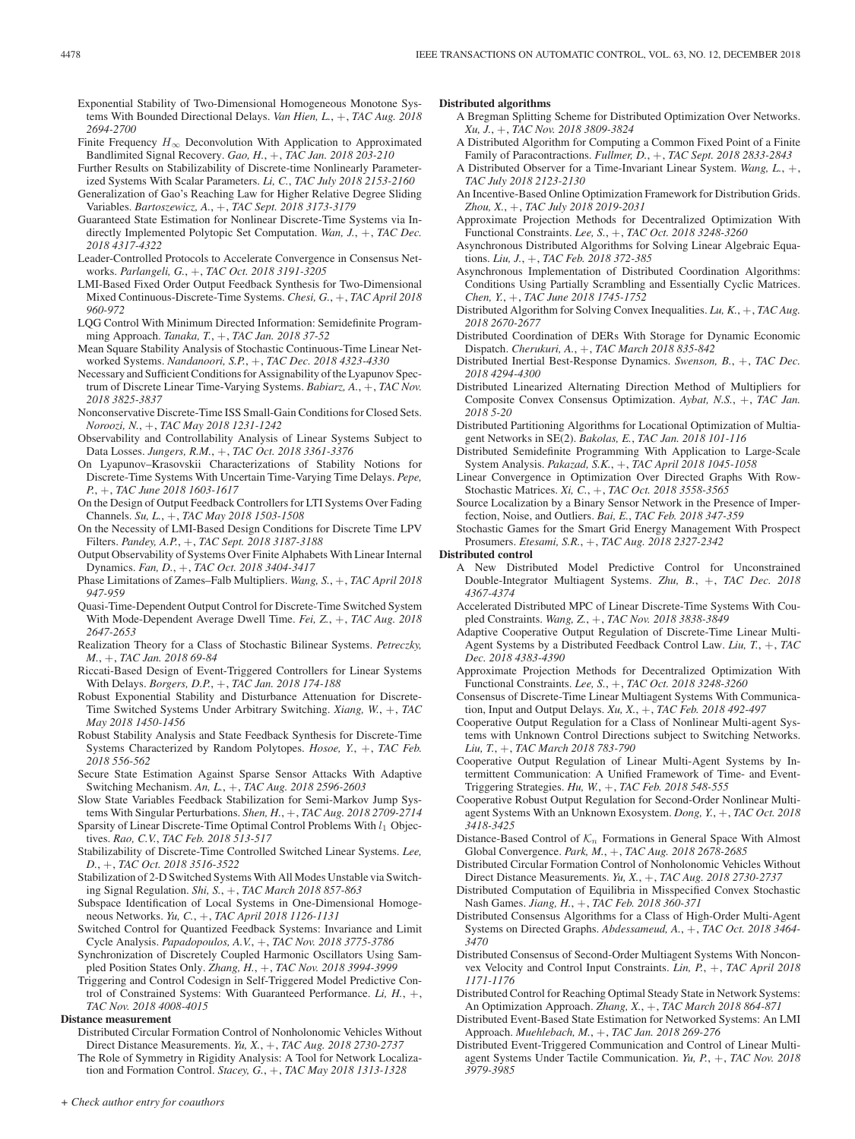- Exponential Stability of Two-Dimensional Homogeneous Monotone Systems With Bounded Directional Delays. *Van Hien, L.*, +, *TAC Aug. 2018 2694-2700*
- Finite Frequency  $H_{\infty}$  Deconvolution With Application to Approximated Bandlimited Signal Recovery. *Gao, H.*, +, *TAC Jan. 2018 203-210*
- Further Results on Stabilizability of Discrete-time Nonlinearly Parameterized Systems With Scalar Parameters. *Li, C.*, *TAC July 2018 2153-2160*
- Generalization of Gao's Reaching Law for Higher Relative Degree Sliding Variables. *Bartoszewicz, A.*, +, *TAC Sept. 2018 3173-3179*
- Guaranteed State Estimation for Nonlinear Discrete-Time Systems via Indirectly Implemented Polytopic Set Computation. *Wan, J.*, +, *TAC Dec. 2018 4317-4322*
- Leader-Controlled Protocols to Accelerate Convergence in Consensus Networks. *Parlangeli, G.*, +, *TAC Oct. 2018 3191-3205*
- LMI-Based Fixed Order Output Feedback Synthesis for Two-Dimensional Mixed Continuous-Discrete-Time Systems. *Chesi, G.*, +, *TAC April 2018 960-972*
- LQG Control With Minimum Directed Information: Semidefinite Programming Approach. *Tanaka, T.*, +, *TAC Jan. 2018 37-52*
- Mean Square Stability Analysis of Stochastic Continuous-Time Linear Networked Systems. *Nandanoori, S.P.*, +, *TAC Dec. 2018 4323-4330*
- Necessary and Sufficient Conditions for Assignability of the Lyapunov Spectrum of Discrete Linear Time-Varying Systems. *Babiarz, A.*, +, *TAC Nov. 2018 3825-3837*
- Nonconservative Discrete-Time ISS Small-Gain Conditions for Closed Sets. *Noroozi, N.*, +, *TAC May 2018 1231-1242*
- Observability and Controllability Analysis of Linear Systems Subject to Data Losses. *Jungers, R.M.*, +, *TAC Oct. 2018 3361-3376*
- On Lyapunov–Krasovskii Characterizations of Stability Notions for Discrete-Time Systems With Uncertain Time-Varying Time Delays. *Pepe, P.*, +, *TAC June 2018 1603-1617*
- On the Design of Output Feedback Controllers for LTI Systems Over Fading Channels. *Su, L.*, +, *TAC May 2018 1503-1508*
- On the Necessity of LMI-Based Design Conditions for Discrete Time LPV Filters. *Pandey, A.P.*, +, *TAC Sept. 2018 3187-3188*
- Output Observability of Systems Over Finite Alphabets With Linear Internal Dynamics. *Fan, D.*, +, *TAC Oct. 2018 3404-3417*
- Phase Limitations of Zames–Falb Multipliers. *Wang, S.*, +, *TAC April 2018 947-959*
- Quasi-Time-Dependent Output Control for Discrete-Time Switched System With Mode-Dependent Average Dwell Time. *Fei, Z.*, +, *TAC Aug. 2018 2647-2653*
- Realization Theory for a Class of Stochastic Bilinear Systems. *Petreczky, M.*, +, *TAC Jan. 2018 69-84*
- Riccati-Based Design of Event-Triggered Controllers for Linear Systems With Delays. *Borgers, D.P.*, +, *TAC Jan. 2018 174-188*
- Robust Exponential Stability and Disturbance Attenuation for Discrete-Time Switched Systems Under Arbitrary Switching. *Xiang, W.*, +, *TAC May 2018 1450-1456*
- Robust Stability Analysis and State Feedback Synthesis for Discrete-Time Systems Characterized by Random Polytopes. *Hosoe, Y.*, +, *TAC Feb. 2018 556-562*
- Secure State Estimation Against Sparse Sensor Attacks With Adaptive Switching Mechanism. *An, L.*, +, *TAC Aug. 2018 2596-2603*
- Slow State Variables Feedback Stabilization for Semi-Markov Jump Systems With Singular Perturbations. *Shen, H.*, +, *TAC Aug. 2018 2709-2714*
- Sparsity of Linear Discrete-Time Optimal Control Problems With  $l_1$  Objectives. *Rao, C.V.*, *TAC Feb. 2018 513-517*
- Stabilizability of Discrete-Time Controlled Switched Linear Systems. *Lee, D.*, +, *TAC Oct. 2018 3516-3522*
- Stabilization of 2-D Switched Systems With All Modes Unstable via Switching Signal Regulation. *Shi, S.*, +, *TAC March 2018 857-863*
- Subspace Identification of Local Systems in One-Dimensional Homogeneous Networks. *Yu, C.*, +, *TAC April 2018 1126-1131*
- Switched Control for Quantized Feedback Systems: Invariance and Limit Cycle Analysis. *Papadopoulos, A.V.*, +, *TAC Nov. 2018 3775-3786*
- Synchronization of Discretely Coupled Harmonic Oscillators Using Sampled Position States Only. *Zhang, H.*, +, *TAC Nov. 2018 3994-3999*
- Triggering and Control Codesign in Self-Triggered Model Predictive Control of Constrained Systems: With Guaranteed Performance. *Li, H.*, +, *TAC Nov. 2018 4008-4015*

# **Distance measurement**

- Distributed Circular Formation Control of Nonholonomic Vehicles Without Direct Distance Measurements. *Yu, X.*, +, *TAC Aug. 2018 2730-2737*
- The Role of Symmetry in Rigidity Analysis: A Tool for Network Localization and Formation Control. *Stacey, G.*, +, *TAC May 2018 1313-1328*

### **Distributed algorithms**

- A Bregman Splitting Scheme for Distributed Optimization Over Networks. *Xu, J.*, +, *TAC Nov. 2018 3809-3824*
- A Distributed Algorithm for Computing a Common Fixed Point of a Finite Family of Paracontractions. *Fullmer, D.*, +, *TAC Sept. 2018 2833-2843*
- A Distributed Observer for a Time-Invariant Linear System. *Wang, L.*, +, *TAC July 2018 2123-2130*
- An Incentive-Based Online Optimization Framework for Distribution Grids. *Zhou, X.*, +, *TAC July 2018 2019-2031*
- Approximate Projection Methods for Decentralized Optimization With Functional Constraints. *Lee, S.*, +, *TAC Oct. 2018 3248-3260*
- Asynchronous Distributed Algorithms for Solving Linear Algebraic Equations. *Liu, J.*, +, *TAC Feb. 2018 372-385*
- Asynchronous Implementation of Distributed Coordination Algorithms: Conditions Using Partially Scrambling and Essentially Cyclic Matrices. *Chen, Y.*, +, *TAC June 2018 1745-1752*
- Distributed Algorithm for Solving Convex Inequalities. *Lu, K.*, +, *TAC Aug. 2018 2670-2677*
- Distributed Coordination of DERs With Storage for Dynamic Economic Dispatch. *Cherukuri, A.*, +, *TAC March 2018 835-842*
- Distributed Inertial Best-Response Dynamics. *Swenson, B.*, +, *TAC Dec. 2018 4294-4300*
- Distributed Linearized Alternating Direction Method of Multipliers for Composite Convex Consensus Optimization. *Aybat, N.S.*, +, *TAC Jan. 2018 5-20*
- Distributed Partitioning Algorithms for Locational Optimization of Multiagent Networks in SE(2). *Bakolas, E.*, *TAC Jan. 2018 101-116*
- Distributed Semidefinite Programming With Application to Large-Scale System Analysis. *Pakazad, S.K.*, +, *TAC April 2018 1045-1058*
- Linear Convergence in Optimization Over Directed Graphs With Row-Stochastic Matrices. *Xi, C.*, +, *TAC Oct. 2018 3558-3565*
- Source Localization by a Binary Sensor Network in the Presence of Imperfection, Noise, and Outliers. *Bai, E.*, *TAC Feb. 2018 347-359*
- Stochastic Games for the Smart Grid Energy Management With Prospect Prosumers. *Etesami, S.R.*, +, *TAC Aug. 2018 2327-2342*

### **Distributed control**

- A New Distributed Model Predictive Control for Unconstrained Double-Integrator Multiagent Systems. *Zhu, B.*, +, *TAC Dec. 2018 4367-4374*
- Accelerated Distributed MPC of Linear Discrete-Time Systems With Coupled Constraints. *Wang, Z.*, +, *TAC Nov. 2018 3838-3849*
- Adaptive Cooperative Output Regulation of Discrete-Time Linear Multi-Agent Systems by a Distributed Feedback Control Law. *Liu, T.*, +, *TAC Dec. 2018 4383-4390*
- Approximate Projection Methods for Decentralized Optimization With Functional Constraints. *Lee, S.*, +, *TAC Oct. 2018 3248-3260*
- Consensus of Discrete-Time Linear Multiagent Systems With Communication, Input and Output Delays. *Xu, X.*, +, *TAC Feb. 2018 492-497*
- Cooperative Output Regulation for a Class of Nonlinear Multi-agent Systems with Unknown Control Directions subject to Switching Networks. *Liu, T.*, +, *TAC March 2018 783-790*
- Cooperative Output Regulation of Linear Multi-Agent Systems by Intermittent Communication: A Unified Framework of Time- and Event-Triggering Strategies. *Hu, W.*, +, *TAC Feb. 2018 548-555*
- Cooperative Robust Output Regulation for Second-Order Nonlinear Multiagent Systems With an Unknown Exosystem. *Dong, Y.*, +, *TAC Oct. 2018 3418-3425*
- Distance-Based Control of  $\mathcal{K}_n$  Formations in General Space With Almost Global Convergence. *Park, M.*, +, *TAC Aug. 2018 2678-2685*
- Distributed Circular Formation Control of Nonholonomic Vehicles Without Direct Distance Measurements. *Yu, X.*, +, *TAC Aug. 2018 2730-2737*
- Distributed Computation of Equilibria in Misspecified Convex Stochastic Nash Games. *Jiang, H.*, +, *TAC Feb. 2018 360-371*
- Distributed Consensus Algorithms for a Class of High-Order Multi-Agent Systems on Directed Graphs. *Abdessameud, A.*, +, *TAC Oct. 2018 3464- 3470*
- Distributed Consensus of Second-Order Multiagent Systems With Nonconvex Velocity and Control Input Constraints. *Lin, P.*, +, *TAC April 2018 1171-1176*
- Distributed Control for Reaching Optimal Steady State in Network Systems: An Optimization Approach. *Zhang, X.*, +, *TAC March 2018 864-871*
- Distributed Event-Based State Estimation for Networked Systems: An LMI Approach. *Muehlebach, M.*, +, *TAC Jan. 2018 269-276*
- Distributed Event-Triggered Communication and Control of Linear Multiagent Systems Under Tactile Communication. *Yu, P.*, +, *TAC Nov. 2018 3979-3985*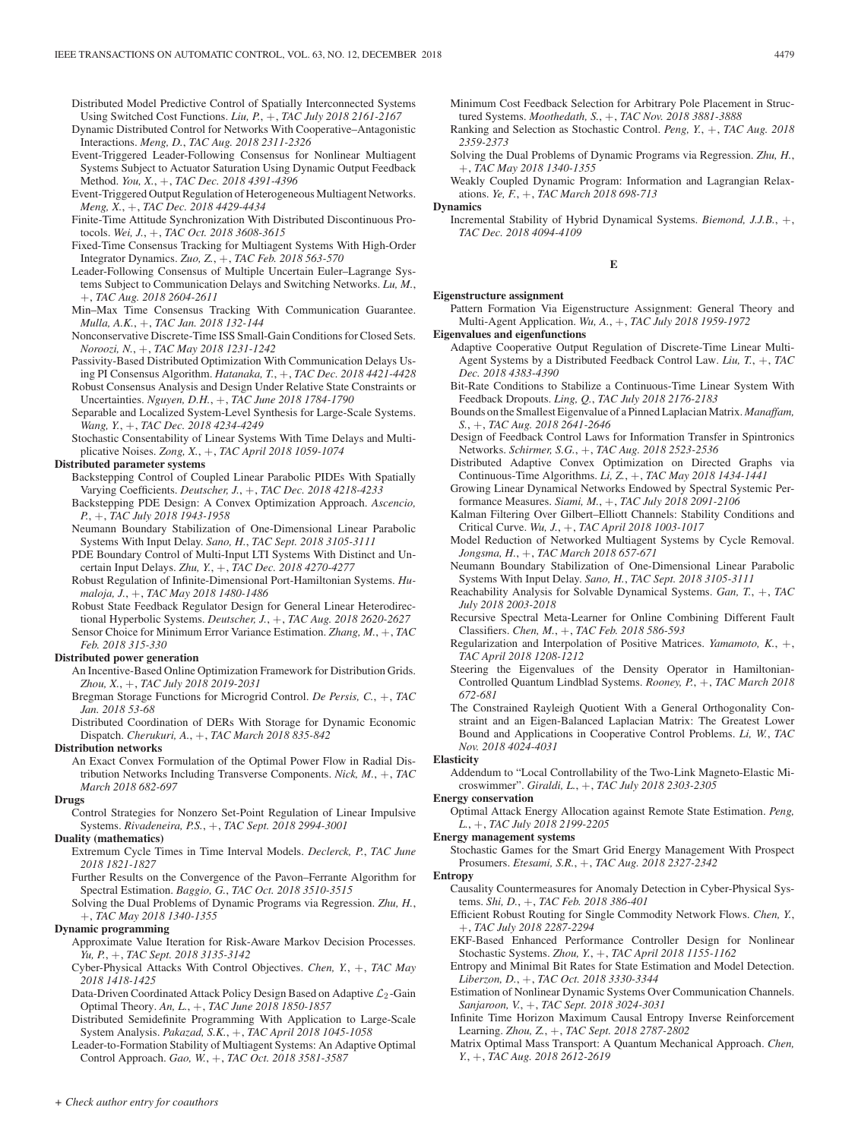Distributed Model Predictive Control of Spatially Interconnected Systems Using Switched Cost Functions. *Liu, P.*, +, *TAC July 2018 2161-2167*

- Dynamic Distributed Control for Networks With Cooperative–Antagonistic Interactions. *Meng, D.*, *TAC Aug. 2018 2311-2326*
- Event-Triggered Leader-Following Consensus for Nonlinear Multiagent Systems Subject to Actuator Saturation Using Dynamic Output Feedback Method. *You, X.*, +, *TAC Dec. 2018 4391-4396*
- Event-Triggered Output Regulation of Heterogeneous Multiagent Networks. *Meng, X.*, +, *TAC Dec. 2018 4429-4434*
- Finite-Time Attitude Synchronization With Distributed Discontinuous Protocols. *Wei, J.*, +, *TAC Oct. 2018 3608-3615*
- Fixed-Time Consensus Tracking for Multiagent Systems With High-Order Integrator Dynamics. *Zuo, Z.*, +, *TAC Feb. 2018 563-570*
- Leader-Following Consensus of Multiple Uncertain Euler–Lagrange Systems Subject to Communication Delays and Switching Networks. *Lu, M.*, +, *TAC Aug. 2018 2604-2611*
- Min–Max Time Consensus Tracking With Communication Guarantee. *Mulla, A.K.*, +, *TAC Jan. 2018 132-144*
- Nonconservative Discrete-Time ISS Small-Gain Conditions for Closed Sets. *Noroozi, N.*, +, *TAC May 2018 1231-1242*
- Passivity-Based Distributed Optimization With Communication Delays Using PI Consensus Algorithm. *Hatanaka, T.*, +, *TAC Dec. 2018 4421-4428*
- Robust Consensus Analysis and Design Under Relative State Constraints or Uncertainties. *Nguyen, D.H.*, +, *TAC June 2018 1784-1790*
- Separable and Localized System-Level Synthesis for Large-Scale Systems. *Wang, Y.*, +, *TAC Dec. 2018 4234-4249*

Stochastic Consentability of Linear Systems With Time Delays and Multiplicative Noises. *Zong, X.*, +, *TAC April 2018 1059-1074*

# **Distributed parameter systems**

- Backstepping Control of Coupled Linear Parabolic PIDEs With Spatially Varying Coefficients. *Deutscher, J.*, +, *TAC Dec. 2018 4218-4233*
- Backstepping PDE Design: A Convex Optimization Approach. *Ascencio, P.*, +, *TAC July 2018 1943-1958*
- Neumann Boundary Stabilization of One-Dimensional Linear Parabolic Systems With Input Delay. *Sano, H.*, *TAC Sept. 2018 3105-3111*
- PDE Boundary Control of Multi-Input LTI Systems With Distinct and Uncertain Input Delays. *Zhu, Y.*, +, *TAC Dec. 2018 4270-4277*
- Robust Regulation of Infinite-Dimensional Port-Hamiltonian Systems. *Humaloja, J.*, +, *TAC May 2018 1480-1486*

Robust State Feedback Regulator Design for General Linear Heterodirectional Hyperbolic Systems. *Deutscher, J.*, +, *TAC Aug. 2018 2620-2627* Sensor Choice for Minimum Error Variance Estimation. *Zhang, M.*, +, *TAC*

# *Feb. 2018 315-330* **Distributed power generation**

- An Incentive-Based Online Optimization Framework for Distribution Grids. *Zhou, X.*, +, *TAC July 2018 2019-2031*
- Bregman Storage Functions for Microgrid Control. *De Persis, C.*, +, *TAC Jan. 2018 53-68*
- Distributed Coordination of DERs With Storage for Dynamic Economic Dispatch. *Cherukuri, A.*, +, *TAC March 2018 835-842*

# **Distribution networks**

An Exact Convex Formulation of the Optimal Power Flow in Radial Distribution Networks Including Transverse Components. *Nick, M.*, +, *TAC March 2018 682-697*

### **Drugs**

Control Strategies for Nonzero Set-Point Regulation of Linear Impulsive Systems. *Rivadeneira, P.S.*, +, *TAC Sept. 2018 2994-3001*

### **Duality (mathematics)**

- Extremum Cycle Times in Time Interval Models. *Declerck, P.*, *TAC June 2018 1821-1827*
- Further Results on the Convergence of the Pavon–Ferrante Algorithm for Spectral Estimation. *Baggio, G.*, *TAC Oct. 2018 3510-3515*
- Solving the Dual Problems of Dynamic Programs via Regression. *Zhu, H.*, +, *TAC May 2018 1340-1355*

### **Dynamic programming**

- Approximate Value Iteration for Risk-Aware Markov Decision Processes. *Yu, P.*, +, *TAC Sept. 2018 3135-3142*
- Cyber-Physical Attacks With Control Objectives. *Chen, Y.*, +, *TAC May 2018 1418-1425*
- Data-Driven Coordinated Attack Policy Design Based on Adaptive  $\mathcal{L}_2$ -Gain Optimal Theory. *An, L.*, +, *TAC June 2018 1850-1857*
- Distributed Semidefinite Programming With Application to Large-Scale System Analysis. *Pakazad, S.K.*, +, *TAC April 2018 1045-1058*
- Leader-to-Formation Stability of Multiagent Systems: An Adaptive Optimal Control Approach. *Gao, W.*, +, *TAC Oct. 2018 3581-3587*
- Minimum Cost Feedback Selection for Arbitrary Pole Placement in Structured Systems. *Moothedath, S.*, +, *TAC Nov. 2018 3881-3888*
- Ranking and Selection as Stochastic Control. *Peng, Y.*, +, *TAC Aug. 2018 2359-2373*
- Solving the Dual Problems of Dynamic Programs via Regression. *Zhu, H.*, +, *TAC May 2018 1340-1355*
- Weakly Coupled Dynamic Program: Information and Lagrangian Relaxations. *Ye, F.*, +, *TAC March 2018 698-713*

### **Dynamics**

Incremental Stability of Hybrid Dynamical Systems. *Biemond, J.J.B.*, +, *TAC Dec. 2018 4094-4109*

### **E**

### **Eigenstructure assignment**

Pattern Formation Via Eigenstructure Assignment: General Theory and Multi-Agent Application. *Wu, A.*, +, *TAC July 2018 1959-1972*

### **Eigenvalues and eigenfunctions**

- Adaptive Cooperative Output Regulation of Discrete-Time Linear Multi-Agent Systems by a Distributed Feedback Control Law. *Liu, T.*, +, *TAC Dec. 2018 4383-4390*
- Bit-Rate Conditions to Stabilize a Continuous-Time Linear System With Feedback Dropouts. *Ling, Q.*, *TAC July 2018 2176-2183*
- Bounds on the Smallest Eigenvalue of a Pinned Laplacian Matrix. *Manaffam, S.*, +, *TAC Aug. 2018 2641-2646*
- Design of Feedback Control Laws for Information Transfer in Spintronics Networks. *Schirmer, S.G.*, +, *TAC Aug. 2018 2523-2536*
- Distributed Adaptive Convex Optimization on Directed Graphs via Continuous-Time Algorithms. *Li, Z.*, +, *TAC May 2018 1434-1441*
- Growing Linear Dynamical Networks Endowed by Spectral Systemic Performance Measures. *Siami, M.*, +, *TAC July 2018 2091-2106*
- Kalman Filtering Over Gilbert–Elliott Channels: Stability Conditions and Critical Curve. *Wu, J.*, +, *TAC April 2018 1003-1017*
- Model Reduction of Networked Multiagent Systems by Cycle Removal. *Jongsma, H.*, +, *TAC March 2018 657-671*
- Neumann Boundary Stabilization of One-Dimensional Linear Parabolic Systems With Input Delay. *Sano, H.*, *TAC Sept. 2018 3105-3111*
- Reachability Analysis for Solvable Dynamical Systems. *Gan, T.*, +, *TAC July 2018 2003-2018*
- Recursive Spectral Meta-Learner for Online Combining Different Fault Classifiers. *Chen, M.*, +, *TAC Feb. 2018 586-593*
- Regularization and Interpolation of Positive Matrices. *Yamamoto, K.*, +, *TAC April 2018 1208-1212*
- Steering the Eigenvalues of the Density Operator in Hamiltonian-Controlled Quantum Lindblad Systems. *Rooney, P.*, +, *TAC March 2018 672-681*
- The Constrained Rayleigh Quotient With a General Orthogonality Constraint and an Eigen-Balanced Laplacian Matrix: The Greatest Lower Bound and Applications in Cooperative Control Problems. *Li, W.*, *TAC Nov. 2018 4024-4031*

# **Elasticity**

Addendum to "Local Controllability of the Two-Link Magneto-Elastic Microswimmer". *Giraldi, L.*, +, *TAC July 2018 2303-2305*

### **Energy conservation**

Optimal Attack Energy Allocation against Remote State Estimation. *Peng, L.*, +, *TAC July 2018 2199-2205*

**Energy management systems**

Stochastic Games for the Smart Grid Energy Management With Prospect Prosumers. *Etesami, S.R.*, +, *TAC Aug. 2018 2327-2342*

**Entropy**

- Causality Countermeasures for Anomaly Detection in Cyber-Physical Systems. *Shi, D.*, +, *TAC Feb. 2018 386-401*
- Efficient Robust Routing for Single Commodity Network Flows. *Chen, Y.*, +, *TAC July 2018 2287-2294*
- EKF-Based Enhanced Performance Controller Design for Nonlinear Stochastic Systems. *Zhou, Y.*, +, *TAC April 2018 1155-1162*
- Entropy and Minimal Bit Rates for State Estimation and Model Detection. *Liberzon, D.*, +, *TAC Oct. 2018 3330-3344*
- Estimation of Nonlinear Dynamic Systems Over Communication Channels. *Sanjaroon, V.*, +, *TAC Sept. 2018 3024-3031*
- Infinite Time Horizon Maximum Causal Entropy Inverse Reinforcement Learning. *Zhou, Z.*, +, *TAC Sept. 2018 2787-2802*
- Matrix Optimal Mass Transport: A Quantum Mechanical Approach. *Chen, Y.*, +, *TAC Aug. 2018 2612-2619*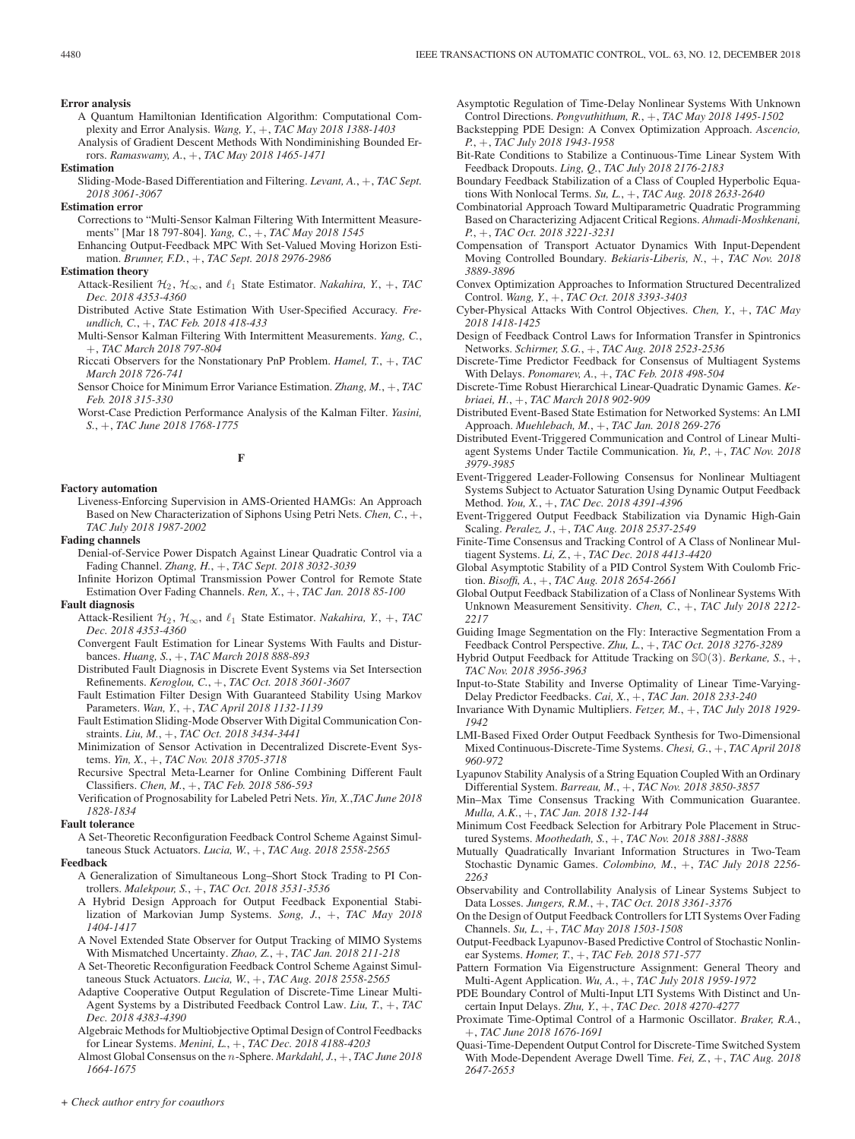### **Error analysis**

- A Quantum Hamiltonian Identification Algorithm: Computational Complexity and Error Analysis. *Wang, Y.*, +, *TAC May 2018 1388-1403* Analysis of Gradient Descent Methods With Nondiminishing Bounded Er-
- rors. *Ramaswamy, A.*, +, *TAC May 2018 1465-1471*
- **Estimation**
- Sliding-Mode-Based Differentiation and Filtering. *Levant, A.*, +, *TAC Sept. 2018 3061-3067*
- **Estimation error**
	- Corrections to "Multi-Sensor Kalman Filtering With Intermittent Measurements" [Mar 18 797-804]. *Yang, C.*, +, *TAC May 2018 1545*
	- Enhancing Output-Feedback MPC With Set-Valued Moving Horizon Estimation. *Brunner, F.D.*, +, *TAC Sept. 2018 2976-2986*
- **Estimation theory**
	- Attack-Resilient  $\mathcal{H}_2$ ,  $\mathcal{H}_{\infty}$ , and  $\ell_1$  State Estimator. *Nakahira*, *Y.*, +, *TAC Dec. 2018 4353-4360*
	- Distributed Active State Estimation With User-Specified Accuracy. *Freundlich, C.*, +, *TAC Feb. 2018 418-433*
	- Multi-Sensor Kalman Filtering With Intermittent Measurements. *Yang, C.*, +, *TAC March 2018 797-804*
	- Riccati Observers for the Nonstationary PnP Problem. *Hamel, T.*, +, *TAC March 2018 726-741*
	- Sensor Choice for Minimum Error Variance Estimation. *Zhang, M.*, +, *TAC Feb. 2018 315-330*
	- Worst-Case Prediction Performance Analysis of the Kalman Filter. *Yasini, S.*, +, *TAC June 2018 1768-1775*

**F**

### **Factory automation**

Liveness-Enforcing Supervision in AMS-Oriented HAMGs: An Approach Based on New Characterization of Siphons Using Petri Nets. *Chen, C.*, +, *TAC July 2018 1987-2002*

**Fading channels**

- Denial-of-Service Power Dispatch Against Linear Quadratic Control via a Fading Channel. *Zhang, H.*, +, *TAC Sept. 2018 3032-3039*
- Infinite Horizon Optimal Transmission Power Control for Remote State Estimation Over Fading Channels. *Ren, X.*, +, *TAC Jan. 2018 85-100*

### **Fault diagnosis**

- Attack-Resilient  $\mathcal{H}_2$ ,  $\mathcal{H}_{\infty}$ , and  $\ell_1$  State Estimator. *Nakahira*, *Y.*, +, *TAC Dec. 2018 4353-4360*
- Convergent Fault Estimation for Linear Systems With Faults and Disturbances. *Huang, S.*, +, *TAC March 2018 888-893*
- Distributed Fault Diagnosis in Discrete Event Systems via Set Intersection Refinements. *Keroglou, C.*, +, *TAC Oct. 2018 3601-3607*
- Fault Estimation Filter Design With Guaranteed Stability Using Markov Parameters. *Wan, Y.*, +, *TAC April 2018 1132-1139*
- Fault Estimation Sliding-Mode Observer With Digital Communication Constraints. *Liu, M.*, +, *TAC Oct. 2018 3434-3441*
- Minimization of Sensor Activation in Decentralized Discrete-Event Systems. *Yin, X.*, +, *TAC Nov. 2018 3705-3718*
- Recursive Spectral Meta-Learner for Online Combining Different Fault Classifiers. *Chen, M.*, +, *TAC Feb. 2018 586-593*
- Verification of Prognosability for Labeled Petri Nets. *Yin, X.*,*TAC June 2018 1828-1834*

### **Fault tolerance**

A Set-Theoretic Reconfiguration Feedback Control Scheme Against Simultaneous Stuck Actuators. *Lucia, W.*, +, *TAC Aug. 2018 2558-2565*

### **Feedback**

- A Generalization of Simultaneous Long–Short Stock Trading to PI Controllers. *Malekpour, S.*, +, *TAC Oct. 2018 3531-3536*
- A Hybrid Design Approach for Output Feedback Exponential Stabilization of Markovian Jump Systems. *Song, J.*, +, *TAC May 2018 1404-1417*
- A Novel Extended State Observer for Output Tracking of MIMO Systems With Mismatched Uncertainty. *Zhao, Z.*, +, *TAC Jan. 2018 211-218*
- A Set-Theoretic Reconfiguration Feedback Control Scheme Against Simultaneous Stuck Actuators. *Lucia, W.*, +, *TAC Aug. 2018 2558-2565*
- Adaptive Cooperative Output Regulation of Discrete-Time Linear Multi-Agent Systems by a Distributed Feedback Control Law. *Liu, T.*, +, *TAC Dec. 2018 4383-4390*
- Algebraic Methods for Multiobjective Optimal Design of Control Feedbacks for Linear Systems. *Menini, L.*, +, *TAC Dec. 2018 4188-4203*
- Almost Global Consensus on the n-Sphere. *Markdahl, J.*, +, *TAC June 2018 1664-1675*

Asymptotic Regulation of Time-Delay Nonlinear Systems With Unknown Control Directions. *Pongvuthithum, R.*, +, *TAC May 2018 1495-1502*

- Backstepping PDE Design: A Convex Optimization Approach. *Ascencio, P.*, +, *TAC July 2018 1943-1958*
- Bit-Rate Conditions to Stabilize a Continuous-Time Linear System With Feedback Dropouts. *Ling, Q.*, *TAC July 2018 2176-2183*
- Boundary Feedback Stabilization of a Class of Coupled Hyperbolic Equations With Nonlocal Terms. *Su, L.*, +, *TAC Aug. 2018 2633-2640*
- Combinatorial Approach Toward Multiparametric Quadratic Programming Based on Characterizing Adjacent Critical Regions. *Ahmadi-Moshkenani, P.*, +, *TAC Oct. 2018 3221-3231*
- Compensation of Transport Actuator Dynamics With Input-Dependent Moving Controlled Boundary. *Bekiaris-Liberis, N.*, +, *TAC Nov. 2018 3889-3896*
- Convex Optimization Approaches to Information Structured Decentralized Control. *Wang, Y.*, +, *TAC Oct. 2018 3393-3403*
- Cyber-Physical Attacks With Control Objectives. *Chen, Y.*, +, *TAC May 2018 1418-1425*
- Design of Feedback Control Laws for Information Transfer in Spintronics Networks. *Schirmer, S.G.*, +, *TAC Aug. 2018 2523-2536*
- Discrete-Time Predictor Feedback for Consensus of Multiagent Systems With Delays. *Ponomarev, A.*, +, *TAC Feb. 2018 498-504*
- Discrete-Time Robust Hierarchical Linear-Quadratic Dynamic Games. *Kebriaei, H.*, +, *TAC March 2018 902-909*
- Distributed Event-Based State Estimation for Networked Systems: An LMI Approach. *Muehlebach, M.*, +, *TAC Jan. 2018 269-276*
- Distributed Event-Triggered Communication and Control of Linear Multiagent Systems Under Tactile Communication. *Yu, P.*, +, *TAC Nov. 2018 3979-3985*
- Event-Triggered Leader-Following Consensus for Nonlinear Multiagent Systems Subject to Actuator Saturation Using Dynamic Output Feedback Method. *You, X.*, +, *TAC Dec. 2018 4391-4396*
- Event-Triggered Output Feedback Stabilization via Dynamic High-Gain Scaling. *Peralez, J.*, +, *TAC Aug. 2018 2537-2549*
- Finite-Time Consensus and Tracking Control of A Class of Nonlinear Multiagent Systems. *Li, Z.*, +, *TAC Dec. 2018 4413-4420*
- Global Asymptotic Stability of a PID Control System With Coulomb Friction. *Bisoffi, A.*, +, *TAC Aug. 2018 2654-2661*
- Global Output Feedback Stabilization of a Class of Nonlinear Systems With Unknown Measurement Sensitivity. *Chen, C.*, +, *TAC July 2018 2212- 2217*
- Guiding Image Segmentation on the Fly: Interactive Segmentation From a Feedback Control Perspective. *Zhu, L.*, +, *TAC Oct. 2018 3276-3289*
- Hybrid Output Feedback for Attitude Tracking on SO(3). *Berkane, S.*, +, *TAC Nov. 2018 3956-3963*
- Input-to-State Stability and Inverse Optimality of Linear Time-Varying-Delay Predictor Feedbacks. *Cai, X.*, +, *TAC Jan. 2018 233-240*
- Invariance With Dynamic Multipliers. *Fetzer, M.*, +, *TAC July 2018 1929- 1942*
- LMI-Based Fixed Order Output Feedback Synthesis for Two-Dimensional Mixed Continuous-Discrete-Time Systems. *Chesi, G.*, +, *TAC April 2018 960-972*
- Lyapunov Stability Analysis of a String Equation Coupled With an Ordinary Differential System. *Barreau, M.*, +, *TAC Nov. 2018 3850-3857*
- Min–Max Time Consensus Tracking With Communication Guarantee. *Mulla, A.K.*, +, *TAC Jan. 2018 132-144*
- Minimum Cost Feedback Selection for Arbitrary Pole Placement in Structured Systems. *Moothedath, S.*, +, *TAC Nov. 2018 3881-3888*
- Mutually Quadratically Invariant Information Structures in Two-Team Stochastic Dynamic Games. *Colombino, M.*, +, *TAC July 2018 2256- 2263*
- Observability and Controllability Analysis of Linear Systems Subject to Data Losses. *Jungers, R.M.*, +, *TAC Oct. 2018 3361-3376*
- On the Design of Output Feedback Controllers for LTI Systems Over Fading Channels. *Su, L.*, +, *TAC May 2018 1503-1508*
- Output-Feedback Lyapunov-Based Predictive Control of Stochastic Nonlinear Systems. *Homer, T.*, +, *TAC Feb. 2018 571-577*
- Pattern Formation Via Eigenstructure Assignment: General Theory and Multi-Agent Application. *Wu, A.*, +, *TAC July 2018 1959-1972*
- PDE Boundary Control of Multi-Input LTI Systems With Distinct and Uncertain Input Delays. *Zhu, Y.*, +, *TAC Dec. 2018 4270-4277*
- Proximate Time-Optimal Control of a Harmonic Oscillator. *Braker, R.A.*, +, *TAC June 2018 1676-1691*
- Quasi-Time-Dependent Output Control for Discrete-Time Switched System With Mode-Dependent Average Dwell Time. *Fei, Z.*, +, *TAC Aug. 2018 2647-2653*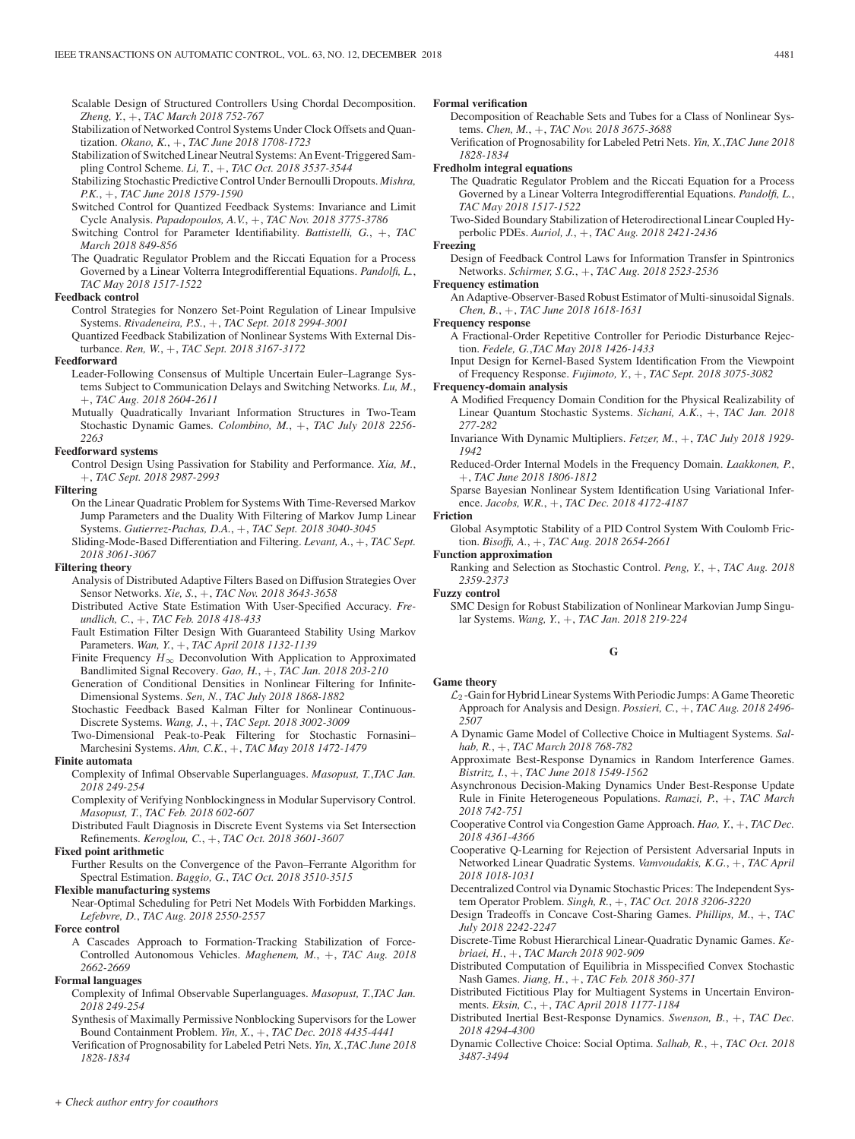Scalable Design of Structured Controllers Using Chordal Decomposition. *Zheng, Y.*, +, *TAC March 2018 752-767*

Stabilization of Networked Control Systems Under Clock Offsets and Quantization. *Okano, K.*, +, *TAC June 2018 1708-1723*

- Stabilization of Switched Linear Neutral Systems: An Event-Triggered Sampling Control Scheme. *Li, T.*, +, *TAC Oct. 2018 3537-3544*
- Stabilizing Stochastic Predictive Control Under Bernoulli Dropouts. *Mishra, P.K.*, +, *TAC June 2018 1579-1590*
- Switched Control for Quantized Feedback Systems: Invariance and Limit Cycle Analysis. *Papadopoulos, A.V.*, +, *TAC Nov. 2018 3775-3786*
- Switching Control for Parameter Identifiability. *Battistelli, G.*, +, *TAC March 2018 849-856*

The Quadratic Regulator Problem and the Riccati Equation for a Process Governed by a Linear Volterra Integrodifferential Equations. *Pandolfi, L.*, *TAC May 2018 1517-1522*

# **Feedback control**

- Control Strategies for Nonzero Set-Point Regulation of Linear Impulsive Systems. *Rivadeneira, P.S.*, +, *TAC Sept. 2018 2994-3001*
- Quantized Feedback Stabilization of Nonlinear Systems With External Disturbance. *Ren, W.*, +, *TAC Sept. 2018 3167-3172*

# **Feedforward**

- Leader-Following Consensus of Multiple Uncertain Euler–Lagrange Systems Subject to Communication Delays and Switching Networks. *Lu, M.*, +, *TAC Aug. 2018 2604-2611*
- Mutually Quadratically Invariant Information Structures in Two-Team Stochastic Dynamic Games. *Colombino, M.*, +, *TAC July 2018 2256- 2263*

# **Feedforward systems**

Control Design Using Passivation for Stability and Performance. *Xia, M.*, +, *TAC Sept. 2018 2987-2993*

### **Filtering**

- On the Linear Quadratic Problem for Systems With Time-Reversed Markov Jump Parameters and the Duality With Filtering of Markov Jump Linear Systems. *Gutierrez-Pachas, D.A.*, +, *TAC Sept. 2018 3040-3045*
- Sliding-Mode-Based Differentiation and Filtering. *Levant, A.*, +, *TAC Sept. 2018 3061-3067*

# **Filtering theory**

- Analysis of Distributed Adaptive Filters Based on Diffusion Strategies Over Sensor Networks. *Xie, S.*, +, *TAC Nov. 2018 3643-3658*
- Distributed Active State Estimation With User-Specified Accuracy. *Freundlich, C.*, +, *TAC Feb. 2018 418-433*
- Fault Estimation Filter Design With Guaranteed Stability Using Markov Parameters. *Wan, Y.*, +, *TAC April 2018 1132-1139*
- Finite Frequency  $H_{\infty}$  Deconvolution With Application to Approximated Bandlimited Signal Recovery. *Gao, H.*, +, *TAC Jan. 2018 203-210*
- Generation of Conditional Densities in Nonlinear Filtering for Infinite-Dimensional Systems. *Sen, N.*, *TAC July 2018 1868-1882*
- Stochastic Feedback Based Kalman Filter for Nonlinear Continuous-Discrete Systems. *Wang, J.*, +, *TAC Sept. 2018 3002-3009*
- Two-Dimensional Peak-to-Peak Filtering for Stochastic Fornasini– Marchesini Systems. *Ahn, C.K.*, +, *TAC May 2018 1472-1479*

### **Finite automata**

- Complexity of Infimal Observable Superlanguages. *Masopust, T.*,*TAC Jan. 2018 249-254*
- Complexity of Verifying Nonblockingness in Modular Supervisory Control. *Masopust, T.*, *TAC Feb. 2018 602-607*
- Distributed Fault Diagnosis in Discrete Event Systems via Set Intersection Refinements. *Keroglou, C.*, +, *TAC Oct. 2018 3601-3607*

### **Fixed point arithmetic**

Further Results on the Convergence of the Pavon–Ferrante Algorithm for Spectral Estimation. *Baggio, G.*, *TAC Oct. 2018 3510-3515*

# **Flexible manufacturing systems**

Near-Optimal Scheduling for Petri Net Models With Forbidden Markings. *Lefebvre, D.*, *TAC Aug. 2018 2550-2557*

### **Force control**

A Cascades Approach to Formation-Tracking Stabilization of Force-Controlled Autonomous Vehicles. *Maghenem, M.*, +, *TAC Aug. 2018 2662-2669*

# **Formal languages**

- Complexity of Infimal Observable Superlanguages. *Masopust, T.*,*TAC Jan. 2018 249-254*
- Synthesis of Maximally Permissive Nonblocking Supervisors for the Lower Bound Containment Problem. *Yin, X.*, +, *TAC Dec. 2018 4435-4441*
- Verification of Prognosability for Labeled Petri Nets. *Yin, X.*,*TAC June 2018 1828-1834*

# **Formal verification**

- Decomposition of Reachable Sets and Tubes for a Class of Nonlinear Systems. *Chen, M.*, +, *TAC Nov. 2018 3675-3688*
- Verification of Prognosability for Labeled Petri Nets. *Yin, X.*,*TAC June 2018 1828-1834*

# **Fredholm integral equations**

- The Quadratic Regulator Problem and the Riccati Equation for a Process Governed by a Linear Volterra Integrodifferential Equations. *Pandolfi, L.*, *TAC May 2018 1517-1522*
- Two-Sided Boundary Stabilization of Heterodirectional Linear Coupled Hyperbolic PDEs. *Auriol, J.*, +, *TAC Aug. 2018 2421-2436*

### **Freezing**

Design of Feedback Control Laws for Information Transfer in Spintronics Networks. *Schirmer, S.G.*, +, *TAC Aug. 2018 2523-2536*

# **Frequency estimation**

- An Adaptive-Observer-Based Robust Estimator of Multi-sinusoidal Signals. *Chen, B.*, +, *TAC June 2018 1618-1631*
- **Frequency response**
	- A Fractional-Order Repetitive Controller for Periodic Disturbance Rejection. *Fedele, G.*,*TAC May 2018 1426-1433*
	- Input Design for Kernel-Based System Identification From the Viewpoint of Frequency Response. *Fujimoto, Y.*, +, *TAC Sept. 2018 3075-3082*

### **Frequency-domain analysis**

- A Modified Frequency Domain Condition for the Physical Realizability of Linear Quantum Stochastic Systems. *Sichani, A.K.*, +, *TAC Jan. 2018 277-282*
- Invariance With Dynamic Multipliers. *Fetzer, M.*, +, *TAC July 2018 1929- 1942*
- Reduced-Order Internal Models in the Frequency Domain. *Laakkonen, P.*, +, *TAC June 2018 1806-1812*
- Sparse Bayesian Nonlinear System Identification Using Variational Inference. *Jacobs, W.R.*, +, *TAC Dec. 2018 4172-4187*

### **Friction**

Global Asymptotic Stability of a PID Control System With Coulomb Friction. *Bisoffi, A.*, +, *TAC Aug. 2018 2654-2661*

### **Function approximation**

Ranking and Selection as Stochastic Control. *Peng, Y.*, +, *TAC Aug. 2018 2359-2373*

**Fuzzy control**

SMC Design for Robust Stabilization of Nonlinear Markovian Jump Singular Systems. *Wang, Y.*, +, *TAC Jan. 2018 219-224*

# **G**

### **Game theory**

- $\mathcal{L}_2$ -Gain for Hybrid Linear Systems With Periodic Jumps: A Game Theoretic Approach for Analysis and Design. *Possieri, C.*, +, *TAC Aug. 2018 2496- 2507*
- A Dynamic Game Model of Collective Choice in Multiagent Systems. *Salhab, R.*, +, *TAC March 2018 768-782*
- Approximate Best-Response Dynamics in Random Interference Games. *Bistritz, I.*, +, *TAC June 2018 1549-1562*
- Asynchronous Decision-Making Dynamics Under Best-Response Update Rule in Finite Heterogeneous Populations. *Ramazi, P.*, +, *TAC March 2018 742-751*
- Cooperative Control via Congestion Game Approach. *Hao, Y.*, +, *TAC Dec. 2018 4361-4366*
- Cooperative Q-Learning for Rejection of Persistent Adversarial Inputs in Networked Linear Quadratic Systems. *Vamvoudakis, K.G.*, +, *TAC April 2018 1018-1031*
- Decentralized Control via Dynamic Stochastic Prices: The Independent System Operator Problem. *Singh, R.*, +, *TAC Oct. 2018 3206-3220*
- Design Tradeoffs in Concave Cost-Sharing Games. *Phillips, M.*, +, *TAC July 2018 2242-2247*
- Discrete-Time Robust Hierarchical Linear-Quadratic Dynamic Games. *Kebriaei, H.*, +, *TAC March 2018 902-909*
- Distributed Computation of Equilibria in Misspecified Convex Stochastic Nash Games. *Jiang, H.*, +, *TAC Feb. 2018 360-371*
- Distributed Fictitious Play for Multiagent Systems in Uncertain Environments. *Eksin, C.*, +, *TAC April 2018 1177-1184*
- Distributed Inertial Best-Response Dynamics. *Swenson, B.*, +, *TAC Dec. 2018 4294-4300*
- Dynamic Collective Choice: Social Optima. *Salhab, R.*, +, *TAC Oct. 2018 3487-3494*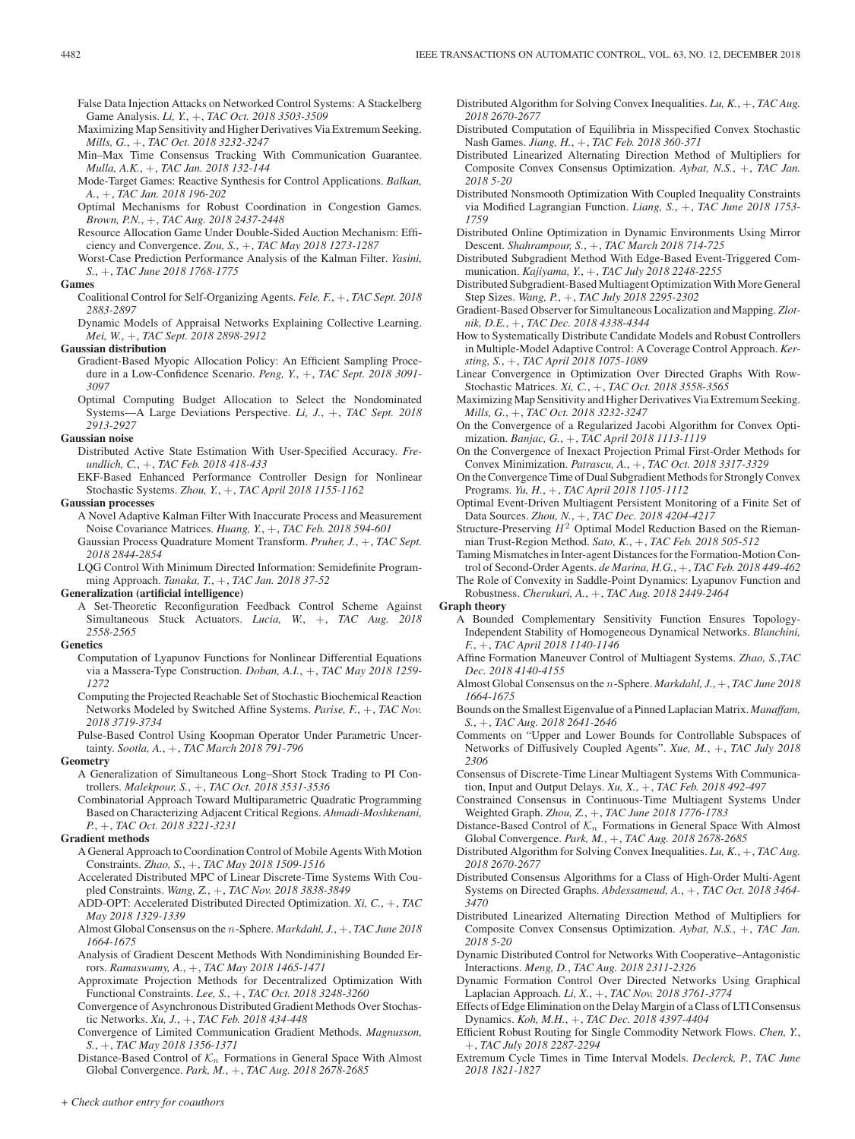False Data Injection Attacks on Networked Control Systems: A Stackelberg Game Analysis. *Li, Y.*, +, *TAC Oct. 2018 3503-3509*

- Maximizing Map Sensitivity and Higher Derivatives Via Extremum Seeking. *Mills, G.*, +, *TAC Oct. 2018 3232-3247*
- Min–Max Time Consensus Tracking With Communication Guarantee. *Mulla, A.K.*, +, *TAC Jan. 2018 132-144*
- Mode-Target Games: Reactive Synthesis for Control Applications. *Balkan, A.*, +, *TAC Jan. 2018 196-202*
- Optimal Mechanisms for Robust Coordination in Congestion Games. *Brown, P.N.*, +, *TAC Aug. 2018 2437-2448*
- Resource Allocation Game Under Double-Sided Auction Mechanism: Efficiency and Convergence. *Zou, S.*, +, *TAC May 2018 1273-1287*
- Worst-Case Prediction Performance Analysis of the Kalman Filter. *Yasini, S.*, +, *TAC June 2018 1768-1775*

# **Games**

Coalitional Control for Self-Organizing Agents. *Fele, F.*, +, *TAC Sept. 2018 2883-2897*

Dynamic Models of Appraisal Networks Explaining Collective Learning. *Mei, W.*, +, *TAC Sept. 2018 2898-2912*

### **Gaussian distribution**

- Gradient-Based Myopic Allocation Policy: An Efficient Sampling Procedure in a Low-Confidence Scenario. *Peng, Y.*, +, *TAC Sept. 2018 3091- 3097*
- Optimal Computing Budget Allocation to Select the Nondominated Systems—A Large Deviations Perspective. *Li, J.*, +, *TAC Sept. 2018 2913-2927*

### **Gaussian noise**

- Distributed Active State Estimation With User-Specified Accuracy. *Freundlich, C.*, +, *TAC Feb. 2018 418-433*
- EKF-Based Enhanced Performance Controller Design for Nonlinear Stochastic Systems. *Zhou, Y.*, +, *TAC April 2018 1155-1162*

### **Gaussian processes**

- A Novel Adaptive Kalman Filter With Inaccurate Process and Measurement Noise Covariance Matrices. *Huang, Y.*, +, *TAC Feb. 2018 594-601*
- Gaussian Process Quadrature Moment Transform. *Pruher, J.*, +, *TAC Sept. 2018 2844-2854*
- LQG Control With Minimum Directed Information: Semidefinite Programming Approach. *Tanaka, T.*, +, *TAC Jan. 2018 37-52*

### **Generalization (artificial intelligence)**

A Set-Theoretic Reconfiguration Feedback Control Scheme Against Simultaneous Stuck Actuators. *Lucia, W.*, +, *TAC Aug. 2018 2558-2565*

### **Genetics**

- Computation of Lyapunov Functions for Nonlinear Differential Equations via a Massera-Type Construction. *Doban, A.I.*, +, *TAC May 2018 1259- 1272*
- Computing the Projected Reachable Set of Stochastic Biochemical Reaction Networks Modeled by Switched Affine Systems. *Parise, F.*, +, *TAC Nov. 2018 3719-3734*
- Pulse-Based Control Using Koopman Operator Under Parametric Uncertainty. *Sootla, A.*, +, *TAC March 2018 791-796*

### **Geometry**

- A Generalization of Simultaneous Long–Short Stock Trading to PI Controllers. *Malekpour, S.*, +, *TAC Oct. 2018 3531-3536*
- Combinatorial Approach Toward Multiparametric Quadratic Programming Based on Characterizing Adjacent Critical Regions. *Ahmadi-Moshkenani, P.*, +, *TAC Oct. 2018 3221-3231*

### **Gradient methods**

- A General Approach to Coordination Control of Mobile Agents With Motion Constraints. *Zhao, S.*, +, *TAC May 2018 1509-1516*
- Accelerated Distributed MPC of Linear Discrete-Time Systems With Coupled Constraints. *Wang, Z.*, +, *TAC Nov. 2018 3838-3849*
- ADD-OPT: Accelerated Distributed Directed Optimization. *Xi, C.*, +, *TAC May 2018 1329-1339*
- Almost Global Consensus on the n-Sphere. *Markdahl, J.*, +, *TAC June 2018 1664-1675*
- Analysis of Gradient Descent Methods With Nondiminishing Bounded Errors. *Ramaswamy, A.*, +, *TAC May 2018 1465-1471*
- Approximate Projection Methods for Decentralized Optimization With Functional Constraints. *Lee, S.*, +, *TAC Oct. 2018 3248-3260*
- Convergence of Asynchronous Distributed Gradient Methods Over Stochastic Networks. *Xu, J.*, +, *TAC Feb. 2018 434-448*
- Convergence of Limited Communication Gradient Methods. *Magnusson, S.*, +, *TAC May 2018 1356-1371*
- Distance-Based Control of  $K_n$  Formations in General Space With Almost Global Convergence. *Park, M.*, +, *TAC Aug. 2018 2678-2685*
- Distributed Algorithm for Solving Convex Inequalities. *Lu, K.*, +, *TAC Aug. 2018 2670-2677*
- Distributed Computation of Equilibria in Misspecified Convex Stochastic Nash Games. *Jiang, H.*, +, *TAC Feb. 2018 360-371*
- Distributed Linearized Alternating Direction Method of Multipliers for Composite Convex Consensus Optimization. *Aybat, N.S.*, +, *TAC Jan. 2018 5-20*
- Distributed Nonsmooth Optimization With Coupled Inequality Constraints via Modified Lagrangian Function. *Liang, S.*, +, *TAC June 2018 1753- 1759*
- Distributed Online Optimization in Dynamic Environments Using Mirror Descent. *Shahrampour, S.*, +, *TAC March 2018 714-725*
- Distributed Subgradient Method With Edge-Based Event-Triggered Communication. *Kajiyama, Y.*, +, *TAC July 2018 2248-2255*
- Distributed Subgradient-Based Multiagent Optimization With More General Step Sizes. *Wang, P.*, +, *TAC July 2018 2295-2302*
- Gradient-Based Observer for Simultaneous Localization and Mapping. *Zlotnik, D.E.*, +, *TAC Dec. 2018 4338-4344*
- How to Systematically Distribute Candidate Models and Robust Controllers in Multiple-Model Adaptive Control: A Coverage Control Approach. *Kersting, S.*, +, *TAC April 2018 1075-1089*
- Linear Convergence in Optimization Over Directed Graphs With Row-Stochastic Matrices. *Xi, C.*, +, *TAC Oct. 2018 3558-3565*
- Maximizing Map Sensitivity and Higher Derivatives Via Extremum Seeking. *Mills, G.*, +, *TAC Oct. 2018 3232-3247*
- On the Convergence of a Regularized Jacobi Algorithm for Convex Optimization. *Banjac, G.*, +, *TAC April 2018 1113-1119*
- On the Convergence of Inexact Projection Primal First-Order Methods for Convex Minimization. *Patrascu, A.*, +, *TAC Oct. 2018 3317-3329*
- On the Convergence Time of Dual Subgradient Methods for Strongly Convex Programs. *Yu, H.*, +, *TAC April 2018 1105-1112*
- Optimal Event-Driven Multiagent Persistent Monitoring of a Finite Set of Data Sources. *Zhou, N.*, +, *TAC Dec. 2018 4204-4217*
- Structure-Preserving  $H^2$  Optimal Model Reduction Based on the Riemannian Trust-Region Method. *Sato, K.*, +, *TAC Feb. 2018 505-512*
- Taming Mismatches in Inter-agent Distances for the Formation-Motion Control of Second-Order Agents. *de Marina, H.G.*, +, *TAC Feb. 2018 449-462*
- The Role of Convexity in Saddle-Point Dynamics: Lyapunov Function and Robustness. *Cherukuri, A.*, +, *TAC Aug. 2018 2449-2464*

### **Graph theory**

- A Bounded Complementary Sensitivity Function Ensures Topology-Independent Stability of Homogeneous Dynamical Networks. *Blanchini, F.*, +, *TAC April 2018 1140-1146*
- Affine Formation Maneuver Control of Multiagent Systems. *Zhao, S.*,*TAC Dec. 2018 4140-4155*
- Almost Global Consensus on the n-Sphere. *Markdahl, J.*, +, *TAC June 2018 1664-1675*
- Bounds on the Smallest Eigenvalue of a Pinned Laplacian Matrix. *Manaffam, S.*, +, *TAC Aug. 2018 2641-2646*
- Comments on "Upper and Lower Bounds for Controllable Subspaces of Networks of Diffusively Coupled Agents". *Xue, M.*, +, *TAC July 2018 2306*
- Consensus of Discrete-Time Linear Multiagent Systems With Communication, Input and Output Delays. *Xu, X.*, +, *TAC Feb. 2018 492-497*
- Constrained Consensus in Continuous-Time Multiagent Systems Under Weighted Graph. *Zhou, Z.*, +, *TAC June 2018 1776-1783*
- Distance-Based Control of  $\mathcal{K}_n$  Formations in General Space With Almost Global Convergence. *Park, M.*, +, *TAC Aug. 2018 2678-2685*
- Distributed Algorithm for Solving Convex Inequalities. *Lu, K.*, +, *TAC Aug. 2018 2670-2677*
- Distributed Consensus Algorithms for a Class of High-Order Multi-Agent Systems on Directed Graphs. *Abdessameud, A.*, +, *TAC Oct. 2018 3464- 3470*
- Distributed Linearized Alternating Direction Method of Multipliers for Composite Convex Consensus Optimization. *Aybat, N.S.*, +, *TAC Jan. 2018 5-20*
- Dynamic Distributed Control for Networks With Cooperative–Antagonistic Interactions. *Meng, D.*, *TAC Aug. 2018 2311-2326*
- Dynamic Formation Control Over Directed Networks Using Graphical Laplacian Approach. *Li, X.*, +, *TAC Nov. 2018 3761-3774*
- Effects of Edge Elimination on the Delay Margin of a Class of LTI Consensus Dynamics. *Koh, M.H.*, +, *TAC Dec. 2018 4397-4404*
- Efficient Robust Routing for Single Commodity Network Flows. *Chen, Y.*, +, *TAC July 2018 2287-2294*
- Extremum Cycle Times in Time Interval Models. *Declerck, P.*, *TAC June 2018 1821-1827*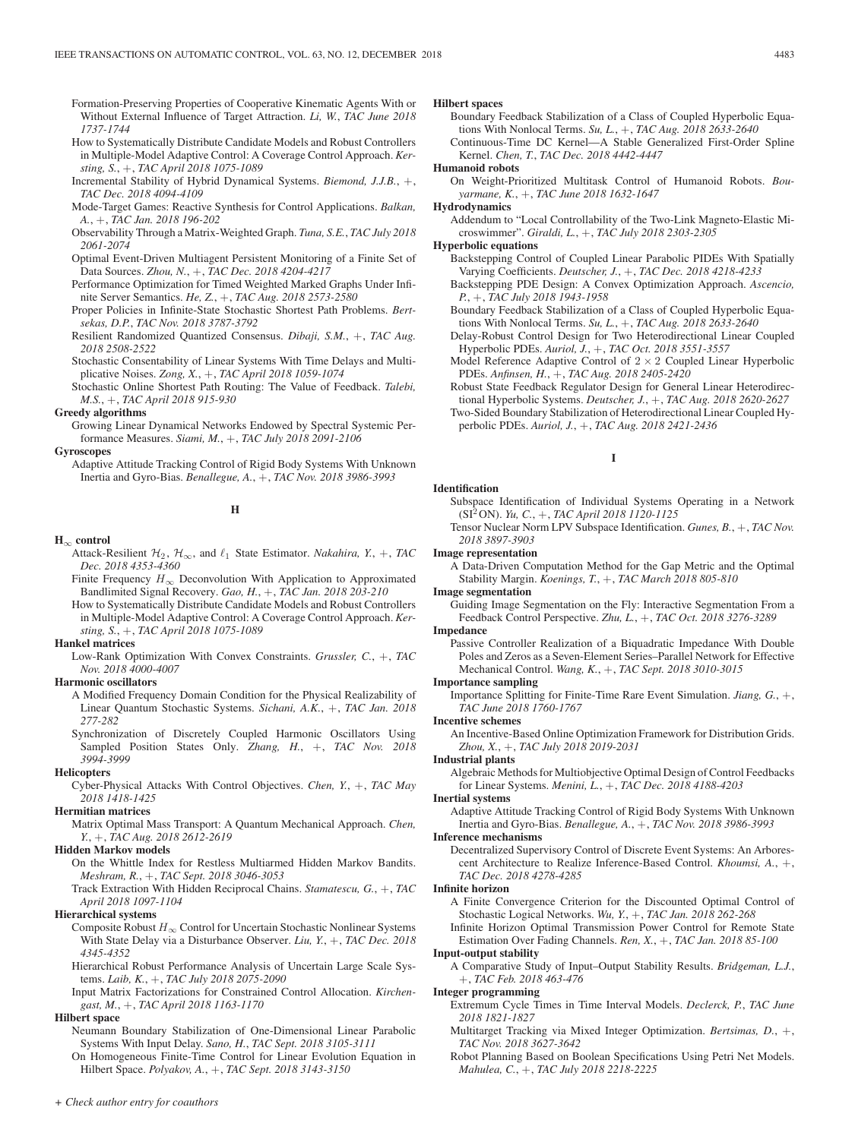Formation-Preserving Properties of Cooperative Kinematic Agents With or Without External Influence of Target Attraction. *Li, W.*, *TAC June 2018 1737-1744*

- How to Systematically Distribute Candidate Models and Robust Controllers in Multiple-Model Adaptive Control: A Coverage Control Approach. *Kersting, S.*, +, *TAC April 2018 1075-1089*
- Incremental Stability of Hybrid Dynamical Systems. *Biemond, J.J.B.*, +, *TAC Dec. 2018 4094-4109*
- Mode-Target Games: Reactive Synthesis for Control Applications. *Balkan, A.*, +, *TAC Jan. 2018 196-202*
- Observability Through a Matrix-Weighted Graph. *Tuna, S.E.*, *TAC July 2018 2061-2074*
- Optimal Event-Driven Multiagent Persistent Monitoring of a Finite Set of Data Sources. *Zhou, N.*, +, *TAC Dec. 2018 4204-4217*
- Performance Optimization for Timed Weighted Marked Graphs Under Infinite Server Semantics. *He, Z.*, +, *TAC Aug. 2018 2573-2580*
- Proper Policies in Infinite-State Stochastic Shortest Path Problems. *Bertsekas, D.P.*, *TAC Nov. 2018 3787-3792*
- Resilient Randomized Quantized Consensus. *Dibaji, S.M.*, +, *TAC Aug. 2018 2508-2522*
- Stochastic Consentability of Linear Systems With Time Delays and Multiplicative Noises. *Zong, X.*, +, *TAC April 2018 1059-1074*
- Stochastic Online Shortest Path Routing: The Value of Feedback. *Talebi, M.S.*, +, *TAC April 2018 915-930*

**Greedy algorithms**

Growing Linear Dynamical Networks Endowed by Spectral Systemic Performance Measures. *Siami, M.*, +, *TAC July 2018 2091-2106*

### **Gyroscopes**

Adaptive Attitude Tracking Control of Rigid Body Systems With Unknown Inertia and Gyro-Bias. *Benallegue, A.*, +, *TAC Nov. 2018 3986-3993*

# **H**

### **H**<sup>∞</sup> **control**

- Attack-Resilient  $\mathcal{H}_2$ ,  $\mathcal{H}_{\infty}$ , and  $\ell_1$  State Estimator. *Nakahira*, *Y.*, +, *TAC Dec. 2018 4353-4360*
- Finite Frequency  $H_{\infty}$  Deconvolution With Application to Approximated Bandlimited Signal Recovery. *Gao, H.*, +, *TAC Jan. 2018 203-210*
- How to Systematically Distribute Candidate Models and Robust Controllers in Multiple-Model Adaptive Control: A Coverage Control Approach. *Kersting, S.*, +, *TAC April 2018 1075-1089*

### **Hankel matrices**

Low-Rank Optimization With Convex Constraints. *Grussler, C.*, +, *TAC Nov. 2018 4000-4007*

# **Harmonic oscillators**

A Modified Frequency Domain Condition for the Physical Realizability of Linear Quantum Stochastic Systems. *Sichani, A.K.*, +, *TAC Jan. 2018 277-282*

Synchronization of Discretely Coupled Harmonic Oscillators Using Sampled Position States Only. *Zhang, H.*, +, *TAC Nov. 2018 3994-3999*

### **Helicopters**

Cyber-Physical Attacks With Control Objectives. *Chen, Y.*, +, *TAC May 2018 1418-1425*

# **Hermitian matrices**

Matrix Optimal Mass Transport: A Quantum Mechanical Approach. *Chen, Y.*, +, *TAC Aug. 2018 2612-2619*

# **Hidden Markov models**

On the Whittle Index for Restless Multiarmed Hidden Markov Bandits. *Meshram, R.*, +, *TAC Sept. 2018 3046-3053*

### **Hierarchical systems**

Composite Robust  $H_{\infty}$  Control for Uncertain Stochastic Nonlinear Systems With State Delay via a Disturbance Observer. *Liu, Y.*, +, *TAC Dec. 2018 4345-4352*

Hierarchical Robust Performance Analysis of Uncertain Large Scale Systems. *Laib, K.*, +, *TAC July 2018 2075-2090*

Input Matrix Factorizations for Constrained Control Allocation. *Kirchengast, M.*, +, *TAC April 2018 1163-1170*

# **Hilbert space**

Neumann Boundary Stabilization of One-Dimensional Linear Parabolic Systems With Input Delay. *Sano, H.*, *TAC Sept. 2018 3105-3111*

On Homogeneous Finite-Time Control for Linear Evolution Equation in Hilbert Space. *Polyakov, A.*, +, *TAC Sept. 2018 3143-3150*

### **Hilbert spaces**

Boundary Feedback Stabilization of a Class of Coupled Hyperbolic Equations With Nonlocal Terms. *Su, L.*, +, *TAC Aug. 2018 2633-2640* Continuous-Time DC Kernel—A Stable Generalized First-Order Spline

Kernel. *Chen, T.*, *TAC Dec. 2018 4442-4447*

# **Humanoid robots**

On Weight-Prioritized Multitask Control of Humanoid Robots. *Bouyarmane, K.*, +, *TAC June 2018 1632-1647*

### **Hydrodynamics**

Addendum to "Local Controllability of the Two-Link Magneto-Elastic Microswimmer". *Giraldi, L.*, +, *TAC July 2018 2303-2305*

### **Hyperbolic equations**

- Backstepping Control of Coupled Linear Parabolic PIDEs With Spatially Varying Coefficients. *Deutscher, J.*, +, *TAC Dec. 2018 4218-4233*
- Backstepping PDE Design: A Convex Optimization Approach. *Ascencio, P.*, +, *TAC July 2018 1943-1958*
- Boundary Feedback Stabilization of a Class of Coupled Hyperbolic Equations With Nonlocal Terms. *Su, L.*, +, *TAC Aug. 2018 2633-2640*
- Delay-Robust Control Design for Two Heterodirectional Linear Coupled Hyperbolic PDEs. *Auriol, J.*, +, *TAC Oct. 2018 3551-3557*
- Model Reference Adaptive Control of  $2 \times 2$  Coupled Linear Hyperbolic PDEs. *Anfinsen, H.*, +, *TAC Aug. 2018 2405-2420*
- Robust State Feedback Regulator Design for General Linear Heterodirectional Hyperbolic Systems. *Deutscher, J.*, +, *TAC Aug. 2018 2620-2627*

Two-Sided Boundary Stabilization of Heterodirectional Linear Coupled Hyperbolic PDEs. *Auriol, J.*, +, *TAC Aug. 2018 2421-2436*

# **I**

### **Identification**

- Subspace Identification of Individual Systems Operating in a Network (SI<sup>2</sup> ON). *Yu, C.*, +, *TAC April 2018 1120-1125*
- Tensor Nuclear Norm LPV Subspace Identification. *Gunes, B.*, +, *TAC Nov. 2018 3897-3903*

### **Image representation**

A Data-Driven Computation Method for the Gap Metric and the Optimal Stability Margin. *Koenings, T.*, +, *TAC March 2018 805-810*

### **Image segmentation**

Guiding Image Segmentation on the Fly: Interactive Segmentation From a Feedback Control Perspective. *Zhu, L.*, +, *TAC Oct. 2018 3276-3289*

### **Impedance**

Passive Controller Realization of a Biquadratic Impedance With Double Poles and Zeros as a Seven-Element Series–Parallel Network for Effective Mechanical Control. *Wang, K.*, +, *TAC Sept. 2018 3010-3015*

### **Importance sampling**

Importance Splitting for Finite-Time Rare Event Simulation. *Jiang, G.*, +, *TAC June 2018 1760-1767*

### **Incentive schemes**

An Incentive-Based Online Optimization Framework for Distribution Grids. *Zhou, X.*, +, *TAC July 2018 2019-2031*

### **Industrial plants**

Algebraic Methods for Multiobjective Optimal Design of Control Feedbacks for Linear Systems. *Menini, L.*, +, *TAC Dec. 2018 4188-4203*

# **Inertial systems**

Adaptive Attitude Tracking Control of Rigid Body Systems With Unknown Inertia and Gyro-Bias. *Benallegue, A.*, +, *TAC Nov. 2018 3986-3993*

### **Inference mechanisms**

Decentralized Supervisory Control of Discrete Event Systems: An Arborescent Architecture to Realize Inference-Based Control. *Khoumsi, A.*, +, *TAC Dec. 2018 4278-4285*

### **Infinite horizon**

A Finite Convergence Criterion for the Discounted Optimal Control of Stochastic Logical Networks. *Wu, Y.*, +, *TAC Jan. 2018 262-268* Infinite Horizon Optimal Transmission Power Control for Remote State

Estimation Over Fading Channels. *Ren, X.*, +, *TAC Jan. 2018 85-100*

# **Input-output stability**

A Comparative Study of Input–Output Stability Results. *Bridgeman, L.J.*, +, *TAC Feb. 2018 463-476*

### **Integer programming**

- Extremum Cycle Times in Time Interval Models. *Declerck, P.*, *TAC June 2018 1821-1827*
- Multitarget Tracking via Mixed Integer Optimization. *Bertsimas, D.*, +, *TAC Nov. 2018 3627-3642*
- Robot Planning Based on Boolean Specifications Using Petri Net Models. *Mahulea, C.*, +, *TAC July 2018 2218-2225*

Track Extraction With Hidden Reciprocal Chains. *Stamatescu, G.*, +, *TAC April 2018 1097-1104*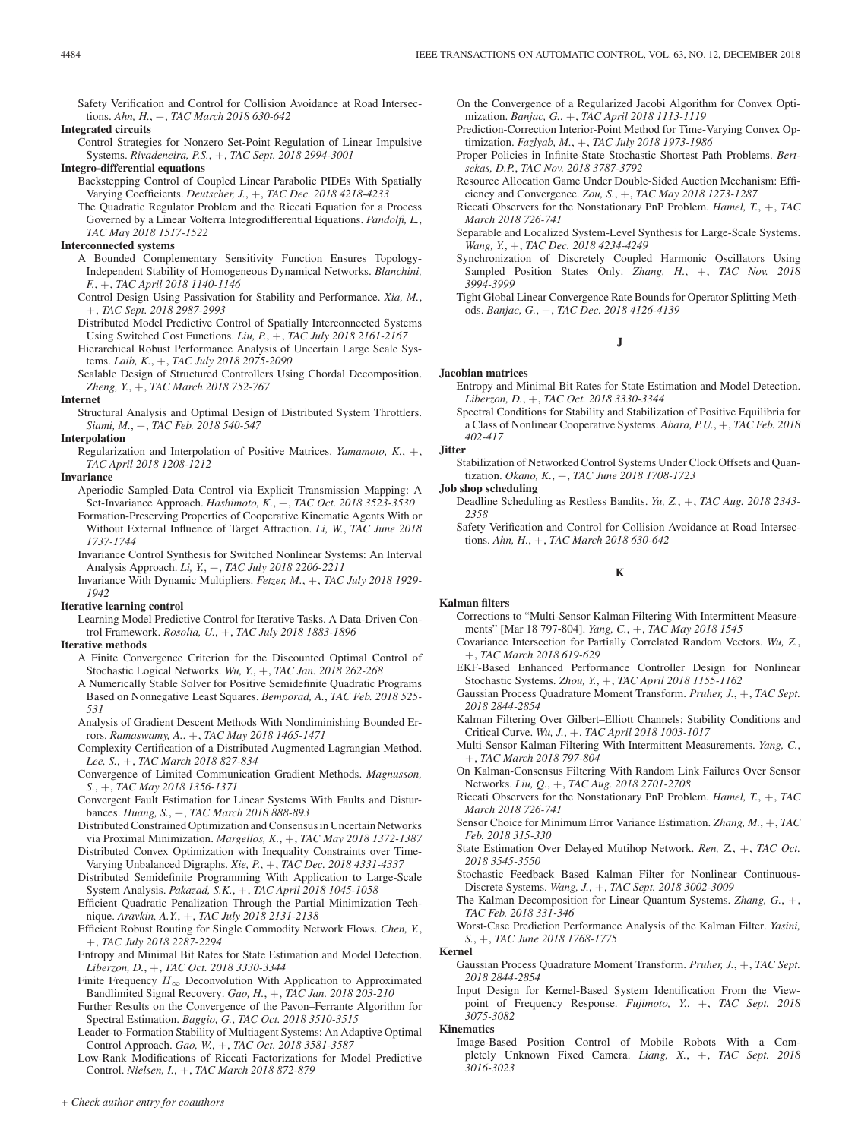Safety Verification and Control for Collision Avoidance at Road Intersections. *Ahn, H.*, +, *TAC March 2018 630-642*

# **Integrated circuits**

Control Strategies for Nonzero Set-Point Regulation of Linear Impulsive Systems. *Rivadeneira, P.S.*, +, *TAC Sept. 2018 2994-3001*

### **Integro-differential equations**

Backstepping Control of Coupled Linear Parabolic PIDEs With Spatially Varying Coefficients. *Deutscher, J.*, +, *TAC Dec. 2018 4218-4233*

The Quadratic Regulator Problem and the Riccati Equation for a Process Governed by a Linear Volterra Integrodifferential Equations. *Pandolfi, L.*, *TAC May 2018 1517-1522*

# **Interconnected systems**

A Bounded Complementary Sensitivity Function Ensures Topology-Independent Stability of Homogeneous Dynamical Networks. *Blanchini, F.*, +, *TAC April 2018 1140-1146*

- Control Design Using Passivation for Stability and Performance. *Xia, M.*, +, *TAC Sept. 2018 2987-2993*
- Distributed Model Predictive Control of Spatially Interconnected Systems Using Switched Cost Functions. *Liu, P.*, +, *TAC July 2018 2161-2167*
- Hierarchical Robust Performance Analysis of Uncertain Large Scale Systems. *Laib, K.*, +, *TAC July 2018 2075-2090*
- Scalable Design of Structured Controllers Using Chordal Decomposition. *Zheng, Y.*, +, *TAC March 2018 752-767*

### **Internet**

Structural Analysis and Optimal Design of Distributed System Throttlers. *Siami, M.*, +, *TAC Feb. 2018 540-547*

### **Interpolation**

Regularization and Interpolation of Positive Matrices. *Yamamoto, K.*, +, *TAC April 2018 1208-1212*

### **Invariance**

- Aperiodic Sampled-Data Control via Explicit Transmission Mapping: A Set-Invariance Approach. *Hashimoto, K.*, +, *TAC Oct. 2018 3523-3530*
- Formation-Preserving Properties of Cooperative Kinematic Agents With or Without External Influence of Target Attraction. *Li, W.*, *TAC June 2018 1737-1744*
- Invariance Control Synthesis for Switched Nonlinear Systems: An Interval Analysis Approach. *Li, Y.*, +, *TAC July 2018 2206-2211*
- Invariance With Dynamic Multipliers. *Fetzer, M.*, +, *TAC July 2018 1929- 1942*

### **Iterative learning control**

Learning Model Predictive Control for Iterative Tasks. A Data-Driven Control Framework. *Rosolia, U.*, +, *TAC July 2018 1883-1896*

# **Iterative methods**

- A Finite Convergence Criterion for the Discounted Optimal Control of Stochastic Logical Networks. *Wu, Y.*, +, *TAC Jan. 2018 262-268*
- A Numerically Stable Solver for Positive Semidefinite Quadratic Programs Based on Nonnegative Least Squares. *Bemporad, A.*, *TAC Feb. 2018 525- 531*
- Analysis of Gradient Descent Methods With Nondiminishing Bounded Errors. *Ramaswamy, A.*, +, *TAC May 2018 1465-1471*
- Complexity Certification of a Distributed Augmented Lagrangian Method. *Lee, S.*, +, *TAC March 2018 827-834*
- Convergence of Limited Communication Gradient Methods. *Magnusson, S.*, +, *TAC May 2018 1356-1371*
- Convergent Fault Estimation for Linear Systems With Faults and Disturbances. *Huang, S.*, +, *TAC March 2018 888-893*
- Distributed Constrained Optimization and Consensus in Uncertain Networks via Proximal Minimization. *Margellos, K.*, +, *TAC May 2018 1372-1387*
- Distributed Convex Optimization with Inequality Constraints over Time-Varying Unbalanced Digraphs. *Xie, P.*, +, *TAC Dec. 2018 4331-4337*
- Distributed Semidefinite Programming With Application to Large-Scale System Analysis. *Pakazad, S.K.*, +, *TAC April 2018 1045-1058*
- Efficient Quadratic Penalization Through the Partial Minimization Technique. *Aravkin, A.Y.*, +, *TAC July 2018 2131-2138*
- Efficient Robust Routing for Single Commodity Network Flows. *Chen, Y.*, +, *TAC July 2018 2287-2294*
- Entropy and Minimal Bit Rates for State Estimation and Model Detection. *Liberzon, D.*, +, *TAC Oct. 2018 3330-3344*
- Finite Frequency  $H_{\infty}$  Deconvolution With Application to Approximated Bandlimited Signal Recovery. *Gao, H.*, +, *TAC Jan. 2018 203-210*
- Further Results on the Convergence of the Pavon–Ferrante Algorithm for Spectral Estimation. *Baggio, G.*, *TAC Oct. 2018 3510-3515*
- Leader-to-Formation Stability of Multiagent Systems: An Adaptive Optimal Control Approach. *Gao, W.*, +, *TAC Oct. 2018 3581-3587*
- Low-Rank Modifications of Riccati Factorizations for Model Predictive Control. *Nielsen, I.*, +, *TAC March 2018 872-879*

On the Convergence of a Regularized Jacobi Algorithm for Convex Optimization. *Banjac, G.*, +, *TAC April 2018 1113-1119*

- Prediction-Correction Interior-Point Method for Time-Varying Convex Optimization. *Fazlyab, M.*, +, *TAC July 2018 1973-1986*
- Proper Policies in Infinite-State Stochastic Shortest Path Problems. *Bertsekas, D.P.*, *TAC Nov. 2018 3787-3792*
- Resource Allocation Game Under Double-Sided Auction Mechanism: Efficiency and Convergence. *Zou, S.*, +, *TAC May 2018 1273-1287*

Riccati Observers for the Nonstationary PnP Problem. *Hamel, T.*, +, *TAC March 2018 726-741*

- Separable and Localized System-Level Synthesis for Large-Scale Systems. *Wang, Y.*, +, *TAC Dec. 2018 4234-4249*
- Synchronization of Discretely Coupled Harmonic Oscillators Using Sampled Position States Only. *Zhang, H.*, +, *TAC Nov. 2018 3994-3999*
- Tight Global Linear Convergence Rate Bounds for Operator Splitting Methods. *Banjac, G.*, +, *TAC Dec. 2018 4126-4139*

### **J**

### **Jacobian matrices**

Entropy and Minimal Bit Rates for State Estimation and Model Detection. *Liberzon, D.*, +, *TAC Oct. 2018 3330-3344*

Spectral Conditions for Stability and Stabilization of Positive Equilibria for a Class of Nonlinear Cooperative Systems. *Abara, P.U.*, +, *TAC Feb. 2018 402-417*

# **Jitter**

Stabilization of Networked Control Systems Under Clock Offsets and Quantization. *Okano, K.*, +, *TAC June 2018 1708-1723*

### **Job shop scheduling**

**Kalman filters**

- Deadline Scheduling as Restless Bandits. *Yu, Z.*, +, *TAC Aug. 2018 2343- 2358*
- Safety Verification and Control for Collision Avoidance at Road Intersections. *Ahn, H.*, +, *TAC March 2018 630-642*

**K**

- Corrections to "Multi-Sensor Kalman Filtering With Intermittent Measurements" [Mar 18 797-804]. *Yang, C.*, +, *TAC May 2018 1545*
- Covariance Intersection for Partially Correlated Random Vectors. *Wu, Z.*, +, *TAC March 2018 619-629*
- EKF-Based Enhanced Performance Controller Design for Nonlinear Stochastic Systems. *Zhou, Y.*, +, *TAC April 2018 1155-1162*
- Gaussian Process Quadrature Moment Transform. *Pruher, J.*, +, *TAC Sept. 2018 2844-2854*
- Kalman Filtering Over Gilbert–Elliott Channels: Stability Conditions and Critical Curve. *Wu, J.*, +, *TAC April 2018 1003-1017*
- Multi-Sensor Kalman Filtering With Intermittent Measurements. *Yang, C.*, +, *TAC March 2018 797-804*
- On Kalman-Consensus Filtering With Random Link Failures Over Sensor Networks. *Liu, Q.*, +, *TAC Aug. 2018 2701-2708*
- Riccati Observers for the Nonstationary PnP Problem. *Hamel, T.*, +, *TAC March 2018 726-741*
- Sensor Choice for Minimum Error Variance Estimation. *Zhang, M.*, +, *TAC Feb. 2018 315-330*
- State Estimation Over Delayed Mutihop Network. *Ren, Z.*, +, *TAC Oct. 2018 3545-3550*
- Stochastic Feedback Based Kalman Filter for Nonlinear Continuous-Discrete Systems. *Wang, J.*, +, *TAC Sept. 2018 3002-3009*
- The Kalman Decomposition for Linear Quantum Systems. *Zhang, G.*, +, *TAC Feb. 2018 331-346*

Worst-Case Prediction Performance Analysis of the Kalman Filter. *Yasini, S.*, +, *TAC June 2018 1768-1775*

### **Kernel**

- Gaussian Process Quadrature Moment Transform. *Pruher, J.*, +, *TAC Sept. 2018 2844-2854*
- Input Design for Kernel-Based System Identification From the Viewpoint of Frequency Response. *Fujimoto, Y.*, +, *TAC Sept. 2018 3075-3082*

#### **Kinematics**

Image-Based Position Control of Mobile Robots With a Completely Unknown Fixed Camera. *Liang, X.*, +, *TAC Sept. 2018 3016-3023*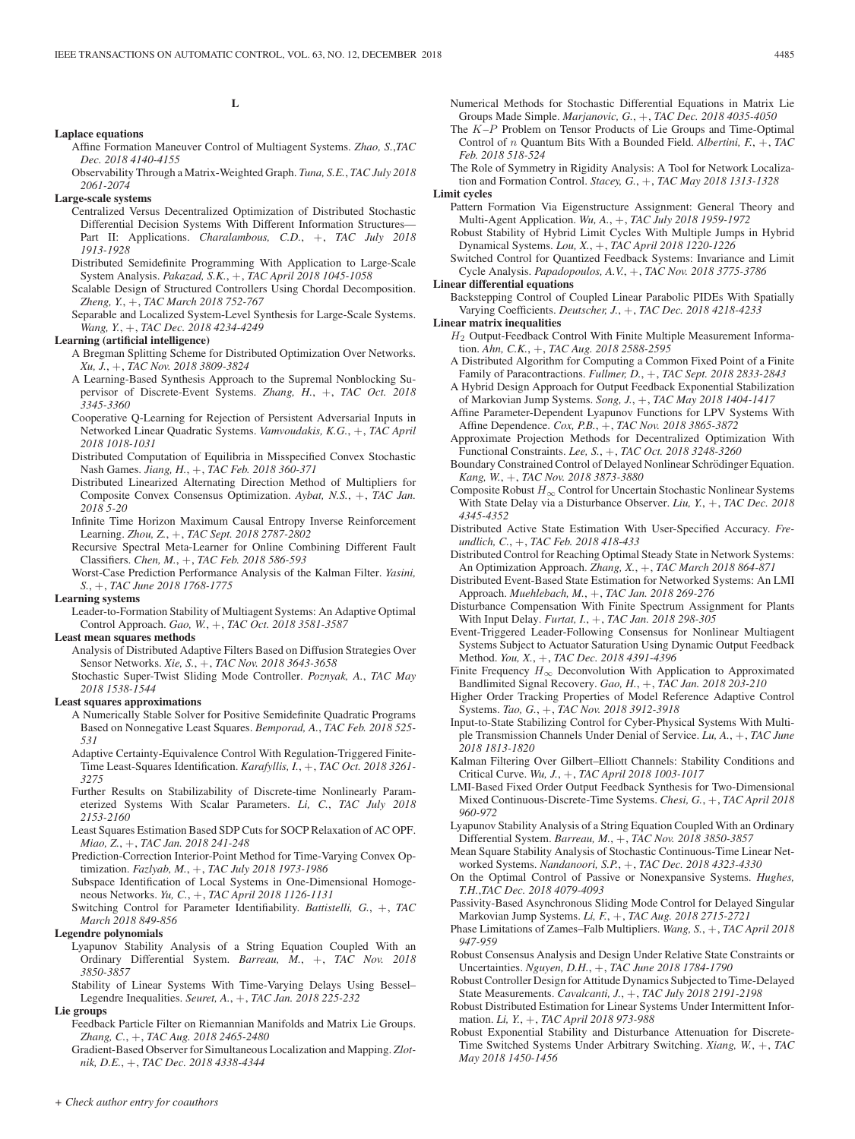# **L**

### **Laplace equations**

- Affine Formation Maneuver Control of Multiagent Systems. *Zhao, S.*,*TAC Dec. 2018 4140-4155*
- Observability Through a Matrix-Weighted Graph. *Tuna, S.E.*, *TAC July 2018 2061-2074*
- **Large-scale systems**
	- Centralized Versus Decentralized Optimization of Distributed Stochastic Differential Decision Systems With Different Information Structures— Part II: Applications. *Charalambous, C.D.*, +, *TAC July 2018 1913-1928*
	- Distributed Semidefinite Programming With Application to Large-Scale System Analysis. *Pakazad, S.K.*, +, *TAC April 2018 1045-1058*
	- Scalable Design of Structured Controllers Using Chordal Decomposition. *Zheng, Y.*, +, *TAC March 2018 752-767*
	- Separable and Localized System-Level Synthesis for Large-Scale Systems. *Wang, Y.*, +, *TAC Dec. 2018 4234-4249*

# **Learning (artificial intelligence)**

- A Bregman Splitting Scheme for Distributed Optimization Over Networks. *Xu, J.*, +, *TAC Nov. 2018 3809-3824*
- A Learning-Based Synthesis Approach to the Supremal Nonblocking Supervisor of Discrete-Event Systems. *Zhang, H.*, +, *TAC Oct. 2018 3345-3360*
- Cooperative Q-Learning for Rejection of Persistent Adversarial Inputs in Networked Linear Quadratic Systems. *Vamvoudakis, K.G.*, +, *TAC April 2018 1018-1031*
- Distributed Computation of Equilibria in Misspecified Convex Stochastic Nash Games. *Jiang, H.*, +, *TAC Feb. 2018 360-371*
- Distributed Linearized Alternating Direction Method of Multipliers for Composite Convex Consensus Optimization. *Aybat, N.S.*, +, *TAC Jan. 2018 5-20*
- Infinite Time Horizon Maximum Causal Entropy Inverse Reinforcement Learning. *Zhou, Z.*, +, *TAC Sept. 2018 2787-2802*
- Recursive Spectral Meta-Learner for Online Combining Different Fault Classifiers. *Chen, M.*, +, *TAC Feb. 2018 586-593*
- Worst-Case Prediction Performance Analysis of the Kalman Filter. *Yasini, S.*, +, *TAC June 2018 1768-1775*

### **Learning systems**

Leader-to-Formation Stability of Multiagent Systems: An Adaptive Optimal Control Approach. *Gao, W.*, +, *TAC Oct. 2018 3581-3587*

# **Least mean squares methods**

- Analysis of Distributed Adaptive Filters Based on Diffusion Strategies Over Sensor Networks. *Xie, S.*, +, *TAC Nov. 2018 3643-3658*
- Stochastic Super-Twist Sliding Mode Controller. *Poznyak, A.*, *TAC May 2018 1538-1544*

# **Least squares approximations**

- A Numerically Stable Solver for Positive Semidefinite Quadratic Programs Based on Nonnegative Least Squares. *Bemporad, A.*, *TAC Feb. 2018 525- 531*
- Adaptive Certainty-Equivalence Control With Regulation-Triggered Finite-Time Least-Squares Identification. *Karafyllis, I.*, +, *TAC Oct. 2018 3261- 3275*
- Further Results on Stabilizability of Discrete-time Nonlinearly Parameterized Systems With Scalar Parameters. *Li, C.*, *TAC July 2018 2153-2160*
- Least Squares Estimation Based SDP Cuts for SOCP Relaxation of AC OPF. *Miao, Z.*, +, *TAC Jan. 2018 241-248*
- Prediction-Correction Interior-Point Method for Time-Varying Convex Optimization. *Fazlyab, M.*, +, *TAC July 2018 1973-1986*
- Subspace Identification of Local Systems in One-Dimensional Homogeneous Networks. *Yu, C.*, +, *TAC April 2018 1126-1131*
- Switching Control for Parameter Identifiability. *Battistelli, G.*, +, *TAC March 2018 849-856*

# **Legendre polynomials**

- Lyapunov Stability Analysis of a String Equation Coupled With an Ordinary Differential System. *Barreau, M.*, +, *TAC Nov. 2018 3850-3857*
- Stability of Linear Systems With Time-Varying Delays Using Bessel– Legendre Inequalities. *Seuret, A.*, +, *TAC Jan. 2018 225-232*

### **Lie groups**

Feedback Particle Filter on Riemannian Manifolds and Matrix Lie Groups. *Zhang, C.*, +, *TAC Aug. 2018 2465-2480*

Gradient-Based Observer for Simultaneous Localization and Mapping. *Zlotnik, D.E.*, +, *TAC Dec. 2018 4338-4344*

tion. *Ahn, C.K.*, +, *TAC Aug. 2018 2588-2595*

*Feb. 2018 518-524*

**Linear differential equations**

**Linear matrix inequalities**

**Limit cycles**

A Distributed Algorithm for Computing a Common Fixed Point of a Finite Family of Paracontractions. *Fullmer, D.*, +, *TAC Sept. 2018 2833-2843*

Backstepping Control of Coupled Linear Parabolic PIDEs With Spatially Varying Coefficients. *Deutscher, J.*, +, *TAC Dec. 2018 4218-4233*

 $H_2$  Output-Feedback Control With Finite Multiple Measurement Informa-

Numerical Methods for Stochastic Differential Equations in Matrix Lie Groups Made Simple. *Marjanovic, G.*, +, *TAC Dec. 2018 4035-4050* The K–P Problem on Tensor Products of Lie Groups and Time-Optimal Control of n Quantum Bits With a Bounded Field. *Albertini, F.*, +, *TAC*

The Role of Symmetry in Rigidity Analysis: A Tool for Network Localization and Formation Control. *Stacey, G.*, +, *TAC May 2018 1313-1328*

Pattern Formation Via Eigenstructure Assignment: General Theory and Multi-Agent Application. *Wu, A.*, +, *TAC July 2018 1959-1972* Robust Stability of Hybrid Limit Cycles With Multiple Jumps in Hybrid

Dynamical Systems. *Lou, X.*, +, *TAC April 2018 1220-1226* Switched Control for Quantized Feedback Systems: Invariance and Limit Cycle Analysis. *Papadopoulos, A.V.*, +, *TAC Nov. 2018 3775-3786*

- A Hybrid Design Approach for Output Feedback Exponential Stabilization of Markovian Jump Systems. *Song, J.*, +, *TAC May 2018 1404-1417*
- Affine Parameter-Dependent Lyapunov Functions for LPV Systems With Affine Dependence. *Cox, P.B.*, +, *TAC Nov. 2018 3865-3872*
- Approximate Projection Methods for Decentralized Optimization With Functional Constraints. *Lee, S.*, +, *TAC Oct. 2018 3248-3260*
- Boundary Constrained Control of Delayed Nonlinear Schrödinger Equation. *Kang, W.*, +, *TAC Nov. 2018 3873-3880*
- Composite Robust  $H_{\infty}$  Control for Uncertain Stochastic Nonlinear Systems With State Delay via a Disturbance Observer. *Liu, Y.*, +, *TAC Dec. 2018 4345-4352*
- Distributed Active State Estimation With User-Specified Accuracy. *Freundlich, C.*, +, *TAC Feb. 2018 418-433*
- Distributed Control for Reaching Optimal Steady State in Network Systems: An Optimization Approach. *Zhang, X.*, +, *TAC March 2018 864-871*
- Distributed Event-Based State Estimation for Networked Systems: An LMI Approach. *Muehlebach, M.*, +, *TAC Jan. 2018 269-276*
- Disturbance Compensation With Finite Spectrum Assignment for Plants With Input Delay. *Furtat, I.*, +, *TAC Jan. 2018 298-305*
- Event-Triggered Leader-Following Consensus for Nonlinear Multiagent Systems Subject to Actuator Saturation Using Dynamic Output Feedback Method. *You, X.*, +, *TAC Dec. 2018 4391-4396*
- Finite Frequency  $H_{\infty}$  Deconvolution With Application to Approximated Bandlimited Signal Recovery. *Gao, H.*, +, *TAC Jan. 2018 203-210*
- Higher Order Tracking Properties of Model Reference Adaptive Control Systems. *Tao, G.*, +, *TAC Nov. 2018 3912-3918*
- Input-to-State Stabilizing Control for Cyber-Physical Systems With Multiple Transmission Channels Under Denial of Service. *Lu, A.*, +, *TAC June 2018 1813-1820*
- Kalman Filtering Over Gilbert–Elliott Channels: Stability Conditions and Critical Curve. *Wu, J.*, +, *TAC April 2018 1003-1017*
- LMI-Based Fixed Order Output Feedback Synthesis for Two-Dimensional Mixed Continuous-Discrete-Time Systems. *Chesi, G.*, +, *TAC April 2018 960-972*
- Lyapunov Stability Analysis of a String Equation Coupled With an Ordinary Differential System. *Barreau, M.*, +, *TAC Nov. 2018 3850-3857*
- Mean Square Stability Analysis of Stochastic Continuous-Time Linear Networked Systems. *Nandanoori, S.P.*, +, *TAC Dec. 2018 4323-4330*
- On the Optimal Control of Passive or Nonexpansive Systems. *Hughes, T.H.*,*TAC Dec. 2018 4079-4093*
- Passivity-Based Asynchronous Sliding Mode Control for Delayed Singular Markovian Jump Systems. *Li, F.*, +, *TAC Aug. 2018 2715-2721*
- Phase Limitations of Zames–Falb Multipliers. *Wang, S.*, +, *TAC April 2018 947-959*
- Robust Consensus Analysis and Design Under Relative State Constraints or Uncertainties. *Nguyen, D.H.*, +, *TAC June 2018 1784-1790*
- Robust Controller Design for Attitude Dynamics Subjected to Time-Delayed State Measurements. *Cavalcanti, J.*, +, *TAC July 2018 2191-2198*
- Robust Distributed Estimation for Linear Systems Under Intermittent Information. *Li, Y.*, +, *TAC April 2018 973-988*
- Robust Exponential Stability and Disturbance Attenuation for Discrete-Time Switched Systems Under Arbitrary Switching. *Xiang, W.*, +, *TAC May 2018 1450-1456*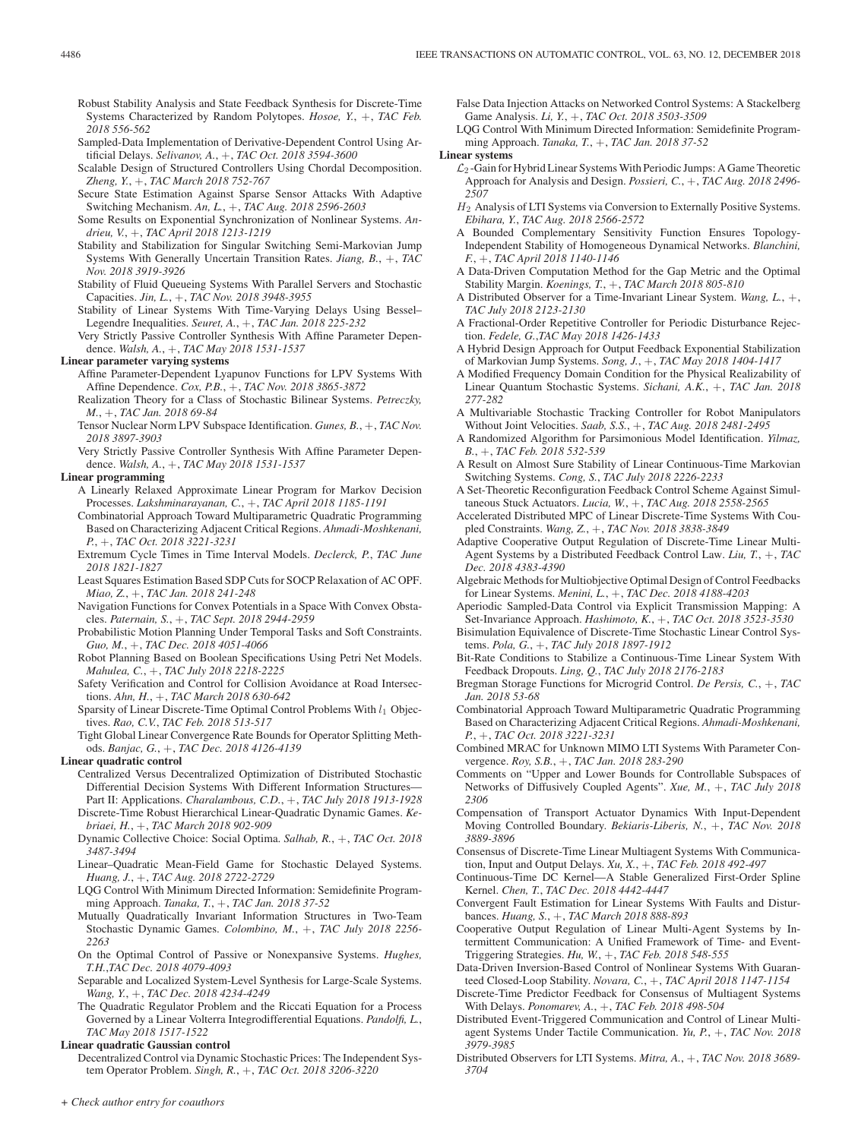- Robust Stability Analysis and State Feedback Synthesis for Discrete-Time Systems Characterized by Random Polytopes. *Hosoe, Y.*, +, *TAC Feb. 2018 556-562*
- Sampled-Data Implementation of Derivative-Dependent Control Using Artificial Delays. *Selivanov, A.*, +, *TAC Oct. 2018 3594-3600*
- Scalable Design of Structured Controllers Using Chordal Decomposition. *Zheng, Y.*, +, *TAC March 2018 752-767*
- Secure State Estimation Against Sparse Sensor Attacks With Adaptive Switching Mechanism. *An, L.*, +, *TAC Aug. 2018 2596-2603*
- Some Results on Exponential Synchronization of Nonlinear Systems. *Andrieu, V.*, +, *TAC April 2018 1213-1219*
- Stability and Stabilization for Singular Switching Semi-Markovian Jump Systems With Generally Uncertain Transition Rates. *Jiang, B.*, +, *TAC Nov. 2018 3919-3926*
- Stability of Fluid Queueing Systems With Parallel Servers and Stochastic Capacities. *Jin, L.*, +, *TAC Nov. 2018 3948-3955*
- Stability of Linear Systems With Time-Varying Delays Using Bessel– Legendre Inequalities. *Seuret, A.*, +, *TAC Jan. 2018 225-232*
- Very Strictly Passive Controller Synthesis With Affine Parameter Dependence. *Walsh, A.*, +, *TAC May 2018 1531-1537*

# **Linear parameter varying systems**

- Affine Parameter-Dependent Lyapunov Functions for LPV Systems With Affine Dependence. *Cox, P.B.*, +, *TAC Nov. 2018 3865-3872*
- Realization Theory for a Class of Stochastic Bilinear Systems. *Petreczky, M.*, +, *TAC Jan. 2018 69-84*
- Tensor Nuclear Norm LPV Subspace Identification. *Gunes, B.*, +, *TAC Nov. 2018 3897-3903*
- Very Strictly Passive Controller Synthesis With Affine Parameter Dependence. *Walsh, A.*, +, *TAC May 2018 1531-1537*

### **Linear programming**

- A Linearly Relaxed Approximate Linear Program for Markov Decision Processes. *Lakshminarayanan, C.*, +, *TAC April 2018 1185-1191*
- Combinatorial Approach Toward Multiparametric Quadratic Programming Based on Characterizing Adjacent Critical Regions. *Ahmadi-Moshkenani, P.*, +, *TAC Oct. 2018 3221-3231*
- Extremum Cycle Times in Time Interval Models. *Declerck, P.*, *TAC June 2018 1821-1827*
- Least Squares Estimation Based SDP Cuts for SOCP Relaxation of AC OPF. *Miao, Z.*, +, *TAC Jan. 2018 241-248*
- Navigation Functions for Convex Potentials in a Space With Convex Obstacles. *Paternain, S.*, +, *TAC Sept. 2018 2944-2959*
- Probabilistic Motion Planning Under Temporal Tasks and Soft Constraints. *Guo, M.*, +, *TAC Dec. 2018 4051-4066*
- Robot Planning Based on Boolean Specifications Using Petri Net Models. *Mahulea, C.*, +, *TAC July 2018 2218-2225*
- Safety Verification and Control for Collision Avoidance at Road Intersections. *Ahn, H.*, +, *TAC March 2018 630-642*
- Sparsity of Linear Discrete-Time Optimal Control Problems With  $l_1$  Objectives. *Rao, C.V.*, *TAC Feb. 2018 513-517*
- Tight Global Linear Convergence Rate Bounds for Operator Splitting Methods. *Banjac, G.*, +, *TAC Dec. 2018 4126-4139*

### **Linear quadratic control**

- Centralized Versus Decentralized Optimization of Distributed Stochastic Differential Decision Systems With Different Information Structures— Part II: Applications. *Charalambous, C.D.*, +, *TAC July 2018 1913-1928*
- Discrete-Time Robust Hierarchical Linear-Quadratic Dynamic Games. *Kebriaei, H.*, +, *TAC March 2018 902-909*
- Dynamic Collective Choice: Social Optima. *Salhab, R.*, +, *TAC Oct. 2018 3487-3494*
- Linear–Quadratic Mean-Field Game for Stochastic Delayed Systems. *Huang, J.*, +, *TAC Aug. 2018 2722-2729*
- LQG Control With Minimum Directed Information: Semidefinite Programming Approach. *Tanaka, T.*, +, *TAC Jan. 2018 37-52*
- Mutually Quadratically Invariant Information Structures in Two-Team Stochastic Dynamic Games. *Colombino, M.*, +, *TAC July 2018 2256- 2263*
- On the Optimal Control of Passive or Nonexpansive Systems. *Hughes, T.H.*,*TAC Dec. 2018 4079-4093*
- Separable and Localized System-Level Synthesis for Large-Scale Systems. *Wang, Y.*, +, *TAC Dec. 2018 4234-4249*
- The Quadratic Regulator Problem and the Riccati Equation for a Process Governed by a Linear Volterra Integrodifferential Equations. *Pandolfi, L.*, *TAC May 2018 1517-1522*
- **Linear quadratic Gaussian control**

False Data Injection Attacks on Networked Control Systems: A Stackelberg Game Analysis. *Li, Y.*, +, *TAC Oct. 2018 3503-3509*

LQG Control With Minimum Directed Information: Semidefinite Programming Approach. *Tanaka, T.*, +, *TAC Jan. 2018 37-52*

### **Linear systems**

- $\mathcal{L}_2$ -Gain for Hybrid Linear Systems With Periodic Jumps: A Game Theoretic Approach for Analysis and Design. *Possieri, C.*, +, *TAC Aug. 2018 2496- 2507*
- H2 Analysis of LTI Systems via Conversion to Externally Positive Systems. *Ebihara, Y.*, *TAC Aug. 2018 2566-2572*
- A Bounded Complementary Sensitivity Function Ensures Topology-Independent Stability of Homogeneous Dynamical Networks. *Blanchini, F.*, +, *TAC April 2018 1140-1146*
- A Data-Driven Computation Method for the Gap Metric and the Optimal Stability Margin. *Koenings, T.*, +, *TAC March 2018 805-810*
- A Distributed Observer for a Time-Invariant Linear System. *Wang, L.*, +, *TAC July 2018 2123-2130*
- A Fractional-Order Repetitive Controller for Periodic Disturbance Rejection. *Fedele, G.*,*TAC May 2018 1426-1433*
- A Hybrid Design Approach for Output Feedback Exponential Stabilization of Markovian Jump Systems. *Song, J.*, +, *TAC May 2018 1404-1417*
- A Modified Frequency Domain Condition for the Physical Realizability of Linear Quantum Stochastic Systems. *Sichani, A.K.*, +, *TAC Jan. 2018 277-282*
- A Multivariable Stochastic Tracking Controller for Robot Manipulators Without Joint Velocities. *Saab, S.S.*, +, *TAC Aug. 2018 2481-2495*
- A Randomized Algorithm for Parsimonious Model Identification. *Yilmaz, B.*, +, *TAC Feb. 2018 532-539*
- A Result on Almost Sure Stability of Linear Continuous-Time Markovian Switching Systems. *Cong, S.*, *TAC July 2018 2226-2233*
- A Set-Theoretic Reconfiguration Feedback Control Scheme Against Simultaneous Stuck Actuators. *Lucia, W.*, +, *TAC Aug. 2018 2558-2565*
- Accelerated Distributed MPC of Linear Discrete-Time Systems With Coupled Constraints. *Wang, Z.*, +, *TAC Nov. 2018 3838-3849*
- Adaptive Cooperative Output Regulation of Discrete-Time Linear Multi-Agent Systems by a Distributed Feedback Control Law. *Liu, T.*, +, *TAC Dec. 2018 4383-4390*
- Algebraic Methods for Multiobjective Optimal Design of Control Feedbacks for Linear Systems. *Menini, L.*, +, *TAC Dec. 2018 4188-4203*
- Aperiodic Sampled-Data Control via Explicit Transmission Mapping: A Set-Invariance Approach. *Hashimoto, K.*, +, *TAC Oct. 2018 3523-3530*
- Bisimulation Equivalence of Discrete-Time Stochastic Linear Control Systems. *Pola, G.*, +, *TAC July 2018 1897-1912*
- Bit-Rate Conditions to Stabilize a Continuous-Time Linear System With Feedback Dropouts. *Ling, Q.*, *TAC July 2018 2176-2183*
- Bregman Storage Functions for Microgrid Control. *De Persis, C.*, +, *TAC Jan. 2018 53-68*
- Combinatorial Approach Toward Multiparametric Quadratic Programming Based on Characterizing Adjacent Critical Regions. *Ahmadi-Moshkenani, P.*, +, *TAC Oct. 2018 3221-3231*
- Combined MRAC for Unknown MIMO LTI Systems With Parameter Convergence. *Roy, S.B.*, +, *TAC Jan. 2018 283-290*
- Comments on "Upper and Lower Bounds for Controllable Subspaces of Networks of Diffusively Coupled Agents". *Xue, M.*, +, *TAC July 2018 2306*
- Compensation of Transport Actuator Dynamics With Input-Dependent Moving Controlled Boundary. *Bekiaris-Liberis, N.*, +, *TAC Nov. 2018 3889-3896*
- Consensus of Discrete-Time Linear Multiagent Systems With Communication, Input and Output Delays. *Xu, X.*, +, *TAC Feb. 2018 492-497*
- Continuous-Time DC Kernel—A Stable Generalized First-Order Spline Kernel. *Chen, T.*, *TAC Dec. 2018 4442-4447*
- Convergent Fault Estimation for Linear Systems With Faults and Disturbances. *Huang, S.*, +, *TAC March 2018 888-893*
- Cooperative Output Regulation of Linear Multi-Agent Systems by Intermittent Communication: A Unified Framework of Time- and Event-Triggering Strategies. *Hu, W.*, +, *TAC Feb. 2018 548-555*
- Data-Driven Inversion-Based Control of Nonlinear Systems With Guaranteed Closed-Loop Stability. *Novara, C.*, +, *TAC April 2018 1147-1154*
- Discrete-Time Predictor Feedback for Consensus of Multiagent Systems With Delays. *Ponomarev, A.*, +, *TAC Feb. 2018 498-504*
- Distributed Event-Triggered Communication and Control of Linear Multiagent Systems Under Tactile Communication. *Yu, P.*, +, *TAC Nov. 2018 3979-3985*
- Distributed Observers for LTI Systems. *Mitra, A.*, +, *TAC Nov. 2018 3689- 3704*

Decentralized Control via Dynamic Stochastic Prices: The Independent System Operator Problem. *Singh, R.*, +, *TAC Oct. 2018 3206-3220*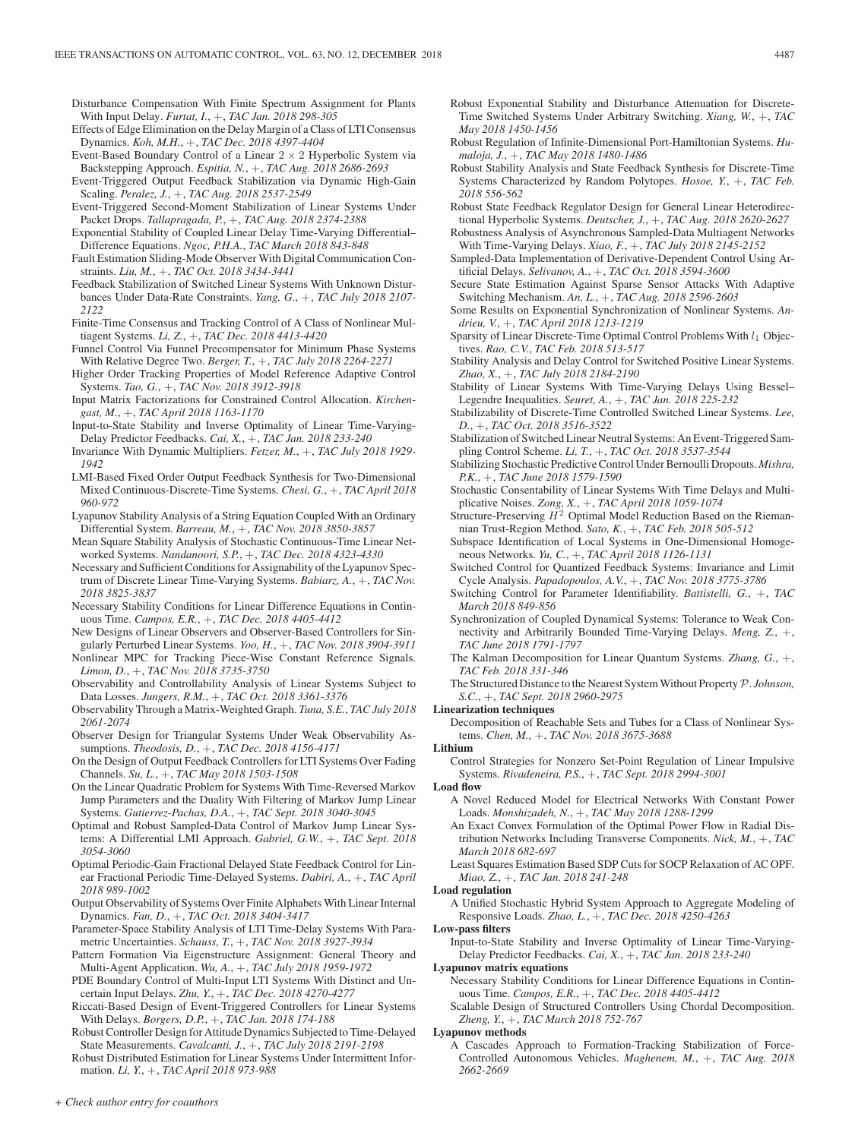Disturbance Compensation With Finite Spectrum Assignment for Plants With Input Delay. *Furtat, I.*, +, *TAC Jan. 2018 298-305*

- Effects of Edge Elimination on the Delay Margin of a Class of LTI Consensus Dynamics. *Koh, M.H.*, +, *TAC Dec. 2018 4397-4404*
- Event-Based Boundary Control of a Linear  $2 \times 2$  Hyperbolic System via Backstepping Approach. *Espitia, N.*, +, *TAC Aug. 2018 2686-2693*
- Event-Triggered Output Feedback Stabilization via Dynamic High-Gain Scaling. *Peralez, J.*, +, *TAC Aug. 2018 2537-2549*
- Event-Triggered Second-Moment Stabilization of Linear Systems Under Packet Drops. *Tallapragada, P.*, +, *TAC Aug. 2018 2374-2388*
- Exponential Stability of Coupled Linear Delay Time-Varying Differential– Difference Equations. *Ngoc, P.H.A.*, *TAC March 2018 843-848*
- Fault Estimation Sliding-Mode Observer With Digital Communication Constraints. *Liu, M.*, +, *TAC Oct. 2018 3434-3441*
- Feedback Stabilization of Switched Linear Systems With Unknown Disturbances Under Data-Rate Constraints. *Yang, G.*, +, *TAC July 2018 2107- 2122*
- Finite-Time Consensus and Tracking Control of A Class of Nonlinear Multiagent Systems. *Li, Z.*, +, *TAC Dec. 2018 4413-4420*
- Funnel Control Via Funnel Precompensator for Minimum Phase Systems With Relative Degree Two. *Berger, T.*, +, *TAC July 2018 2264-2271*
- Higher Order Tracking Properties of Model Reference Adaptive Control Systems. *Tao, G.*, +, *TAC Nov. 2018 3912-3918*
- Input Matrix Factorizations for Constrained Control Allocation. *Kirchengast, M.*, +, *TAC April 2018 1163-1170*
- Input-to-State Stability and Inverse Optimality of Linear Time-Varying-Delay Predictor Feedbacks. *Cai, X.*, +, *TAC Jan. 2018 233-240*
- Invariance With Dynamic Multipliers. *Fetzer, M.*, +, *TAC July 2018 1929- 1942*
- LMI-Based Fixed Order Output Feedback Synthesis for Two-Dimensional Mixed Continuous-Discrete-Time Systems. *Chesi, G.*, +, *TAC April 2018 960-972*
- Lyapunov Stability Analysis of a String Equation Coupled With an Ordinary Differential System. *Barreau, M.*, +, *TAC Nov. 2018 3850-3857*
- Mean Square Stability Analysis of Stochastic Continuous-Time Linear Networked Systems. *Nandanoori, S.P.*, +, *TAC Dec. 2018 4323-4330*
- Necessary and Sufficient Conditions for Assignability of the Lyapunov Spectrum of Discrete Linear Time-Varying Systems. *Babiarz, A.*, +, *TAC Nov. 2018 3825-3837*
- Necessary Stability Conditions for Linear Difference Equations in Continuous Time. *Campos, E.R.*, +, *TAC Dec. 2018 4405-4412*

New Designs of Linear Observers and Observer-Based Controllers for Singularly Perturbed Linear Systems. *Yoo, H.*, +, *TAC Nov. 2018 3904-3911*

Nonlinear MPC for Tracking Piece-Wise Constant Reference Signals. *Limon, D.*, +, *TAC Nov. 2018 3735-3750*

- Observability and Controllability Analysis of Linear Systems Subject to Data Losses. *Jungers, R.M.*, +, *TAC Oct. 2018 3361-3376*
- Observability Through a Matrix-Weighted Graph. *Tuna, S.E.*, *TAC July 2018 2061-2074*
- Observer Design for Triangular Systems Under Weak Observability Assumptions. *Theodosis, D.*, +, *TAC Dec. 2018 4156-4171*
- On the Design of Output Feedback Controllers for LTI Systems Over Fading Channels. *Su, L.*, +, *TAC May 2018 1503-1508*
- On the Linear Quadratic Problem for Systems With Time-Reversed Markov Jump Parameters and the Duality With Filtering of Markov Jump Linear Systems. *Gutierrez-Pachas, D.A.*, +, *TAC Sept. 2018 3040-3045*
- Optimal and Robust Sampled-Data Control of Markov Jump Linear Systems: A Differential LMI Approach. *Gabriel, G.W.*, +, *TAC Sept. 2018 3054-3060*
- Optimal Periodic-Gain Fractional Delayed State Feedback Control for Linear Fractional Periodic Time-Delayed Systems. *Dabiri, A.*, +, *TAC April 2018 989-1002*
- Output Observability of Systems Over Finite Alphabets With Linear Internal Dynamics. *Fan, D.*, +, *TAC Oct. 2018 3404-3417*
- Parameter-Space Stability Analysis of LTI Time-Delay Systems With Parametric Uncertainties. *Schauss, T.*, +, *TAC Nov. 2018 3927-3934*
- Pattern Formation Via Eigenstructure Assignment: General Theory and Multi-Agent Application. *Wu, A.*, +, *TAC July 2018 1959-1972*
- PDE Boundary Control of Multi-Input LTI Systems With Distinct and Uncertain Input Delays. *Zhu, Y.*, +, *TAC Dec. 2018 4270-4277*
- Riccati-Based Design of Event-Triggered Controllers for Linear Systems With Delays. *Borgers, D.P.*, +, *TAC Jan. 2018 174-188*
- Robust Controller Design for Attitude Dynamics Subjected to Time-Delayed State Measurements. *Cavalcanti, J.*, +, *TAC July 2018 2191-2198*

Robust Distributed Estimation for Linear Systems Under Intermittent Information. *Li, Y.*, +, *TAC April 2018 973-988*

- Robust Exponential Stability and Disturbance Attenuation for Discrete-Time Switched Systems Under Arbitrary Switching. *Xiang, W.*, +, *TAC May 2018 1450-1456*
- Robust Regulation of Infinite-Dimensional Port-Hamiltonian Systems. *Humaloja, J.*, +, *TAC May 2018 1480-1486*
- Robust Stability Analysis and State Feedback Synthesis for Discrete-Time Systems Characterized by Random Polytopes. *Hosoe, Y.*, +, *TAC Feb. 2018 556-562*
- Robust State Feedback Regulator Design for General Linear Heterodirectional Hyperbolic Systems. *Deutscher, J.*, +, *TAC Aug. 2018 2620-2627*
- Robustness Analysis of Asynchronous Sampled-Data Multiagent Networks With Time-Varying Delays. *Xiao, F.*, +, *TAC July 2018 2145-2152*
- Sampled-Data Implementation of Derivative-Dependent Control Using Artificial Delays. *Selivanov, A.*, +, *TAC Oct. 2018 3594-3600*
- Secure State Estimation Against Sparse Sensor Attacks With Adaptive Switching Mechanism. *An, L.*, +, *TAC Aug. 2018 2596-2603*
- Some Results on Exponential Synchronization of Nonlinear Systems. *Andrieu, V.*, +, *TAC April 2018 1213-1219*
- Sparsity of Linear Discrete-Time Optimal Control Problems With  $l_1$  Objectives. *Rao, C.V.*, *TAC Feb. 2018 513-517*
- Stability Analysis and Delay Control for Switched Positive Linear Systems. *Zhao, X.*, +, *TAC July 2018 2184-2190*
- Stability of Linear Systems With Time-Varying Delays Using Bessel– Legendre Inequalities. *Seuret, A.*, +, *TAC Jan. 2018 225-232*
- Stabilizability of Discrete-Time Controlled Switched Linear Systems. *Lee, D.*, +, *TAC Oct. 2018 3516-3522*
- Stabilization of Switched Linear Neutral Systems: An Event-Triggered Sampling Control Scheme. *Li, T.*, +, *TAC Oct. 2018 3537-3544*
- Stabilizing Stochastic Predictive Control Under Bernoulli Dropouts. *Mishra, P.K.*, +, *TAC June 2018 1579-1590*
- Stochastic Consentability of Linear Systems With Time Delays and Multiplicative Noises. *Zong, X.*, +, *TAC April 2018 1059-1074*<br>Structure-Preserving  $H^2$  Optimal Model Reduction Based on the Rieman-
- nian Trust-Region Method. *Sato, K.*, +, *TAC Feb. 2018 505-512*
- Subspace Identification of Local Systems in One-Dimensional Homogeneous Networks. *Yu, C.*, +, *TAC April 2018 1126-1131*
- Switched Control for Quantized Feedback Systems: Invariance and Limit Cycle Analysis. *Papadopoulos, A.V.*, +, *TAC Nov. 2018 3775-3786*
- Switching Control for Parameter Identifiability. *Battistelli, G.*, +, *TAC March 2018 849-856*
- Synchronization of Coupled Dynamical Systems: Tolerance to Weak Connectivity and Arbitrarily Bounded Time-Varying Delays. *Meng, Z.*, +, *TAC June 2018 1791-1797*
- The Kalman Decomposition for Linear Quantum Systems. *Zhang, G.*, +, *TAC Feb. 2018 331-346*
- The Structured Distance to the Nearest System Without Property  $P$ . *Johnson*, *S.C.*, +, *TAC Sept. 2018 2960-2975*

### **Linearization techniques**

- Decomposition of Reachable Sets and Tubes for a Class of Nonlinear Systems. *Chen, M.*, +, *TAC Nov. 2018 3675-3688*
- **Lithium**
	- Control Strategies for Nonzero Set-Point Regulation of Linear Impulsive Systems. *Rivadeneira, P.S.*, +, *TAC Sept. 2018 2994-3001*

**Load flow**

- A Novel Reduced Model for Electrical Networks With Constant Power Loads. *Monshizadeh, N.*, +, *TAC May 2018 1288-1299*
- An Exact Convex Formulation of the Optimal Power Flow in Radial Distribution Networks Including Transverse Components. *Nick, M.*, +, *TAC March 2018 682-697*
- Least Squares Estimation Based SDP Cuts for SOCP Relaxation of AC OPF. *Miao, Z.*, +, *TAC Jan. 2018 241-248*

### **Load regulation**

- A Unified Stochastic Hybrid System Approach to Aggregate Modeling of Responsive Loads. *Zhao, L.*, +, *TAC Dec. 2018 4250-4263*
- **Low-pass filters**
	- Input-to-State Stability and Inverse Optimality of Linear Time-Varying-Delay Predictor Feedbacks. *Cai, X.*, +, *TAC Jan. 2018 233-240*
- **Lyapunov matrix equations**
	- Necessary Stability Conditions for Linear Difference Equations in Continuous Time. *Campos, E.R.*, +, *TAC Dec. 2018 4405-4412*
	- Scalable Design of Structured Controllers Using Chordal Decomposition. *Zheng, Y.*, +, *TAC March 2018 752-767*
- **Lyapunov methods**
	- A Cascades Approach to Formation-Tracking Stabilization of Force-Controlled Autonomous Vehicles. *Maghenem, M.*, +, *TAC Aug. 2018 2662-2669*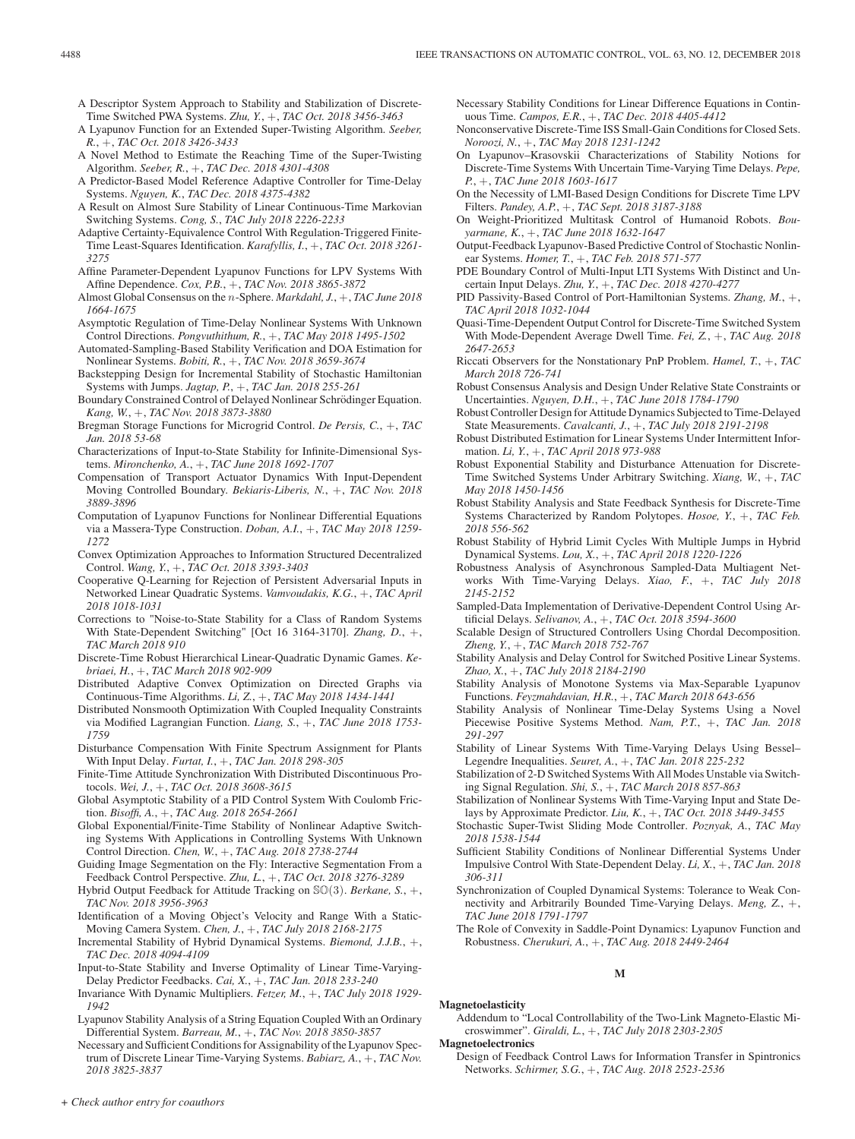- A Descriptor System Approach to Stability and Stabilization of Discrete-Time Switched PWA Systems. *Zhu, Y.*, +, *TAC Oct. 2018 3456-3463*
- A Lyapunov Function for an Extended Super-Twisting Algorithm. *Seeber, R.*, +, *TAC Oct. 2018 3426-3433*
- A Novel Method to Estimate the Reaching Time of the Super-Twisting Algorithm. *Seeber, R.*, +, *TAC Dec. 2018 4301-4308*
- A Predictor-Based Model Reference Adaptive Controller for Time-Delay Systems. *Nguyen, K.*, *TAC Dec. 2018 4375-4382*
- A Result on Almost Sure Stability of Linear Continuous-Time Markovian Switching Systems. *Cong, S.*, *TAC July 2018 2226-2233*
- Adaptive Certainty-Equivalence Control With Regulation-Triggered Finite-Time Least-Squares Identification. *Karafyllis, I.*, +, *TAC Oct. 2018 3261- 3275*
- Affine Parameter-Dependent Lyapunov Functions for LPV Systems With Affine Dependence. *Cox, P.B.*, +, *TAC Nov. 2018 3865-3872*
- Almost Global Consensus on the n-Sphere. *Markdahl, J.*, +, *TAC June 2018 1664-1675*
- Asymptotic Regulation of Time-Delay Nonlinear Systems With Unknown Control Directions. *Pongvuthithum, R.*, +, *TAC May 2018 1495-1502*
- Automated-Sampling-Based Stability Verification and DOA Estimation for Nonlinear Systems. *Bobiti, R.*, +, *TAC Nov. 2018 3659-3674*
- Backstepping Design for Incremental Stability of Stochastic Hamiltonian Systems with Jumps. *Jagtap, P.*, +, *TAC Jan. 2018 255-261*
- Boundary Constrained Control of Delayed Nonlinear Schrödinger Equation. *Kang, W.*, +, *TAC Nov. 2018 3873-3880*
- Bregman Storage Functions for Microgrid Control. *De Persis, C.*, +, *TAC Jan. 2018 53-68*
- Characterizations of Input-to-State Stability for Infinite-Dimensional Systems. *Mironchenko, A.*, +, *TAC June 2018 1692-1707*
- Compensation of Transport Actuator Dynamics With Input-Dependent Moving Controlled Boundary. *Bekiaris-Liberis, N.*, +, *TAC Nov. 2018 3889-3896*
- Computation of Lyapunov Functions for Nonlinear Differential Equations via a Massera-Type Construction. *Doban, A.I.*, +, *TAC May 2018 1259- 1272*
- Convex Optimization Approaches to Information Structured Decentralized Control. *Wang, Y.*, +, *TAC Oct. 2018 3393-3403*
- Cooperative Q-Learning for Rejection of Persistent Adversarial Inputs in Networked Linear Quadratic Systems. *Vamvoudakis, K.G.*, +, *TAC April 2018 1018-1031*
- Corrections to "Noise-to-State Stability for a Class of Random Systems With State-Dependent Switching" [Oct 16 3164-3170]. *Zhang, D.*, +, *TAC March 2018 910*
- Discrete-Time Robust Hierarchical Linear-Quadratic Dynamic Games. *Kebriaei, H.*, +, *TAC March 2018 902-909*
- Distributed Adaptive Convex Optimization on Directed Graphs via Continuous-Time Algorithms. *Li, Z.*, +, *TAC May 2018 1434-1441*
- Distributed Nonsmooth Optimization With Coupled Inequality Constraints via Modified Lagrangian Function. *Liang, S.*, +, *TAC June 2018 1753- 1759*
- Disturbance Compensation With Finite Spectrum Assignment for Plants With Input Delay. *Furtat, I.*, +, *TAC Jan. 2018 298-305*
- Finite-Time Attitude Synchronization With Distributed Discontinuous Protocols. *Wei, J.*, +, *TAC Oct. 2018 3608-3615*
- Global Asymptotic Stability of a PID Control System With Coulomb Friction. *Bisoffi, A.*, +, *TAC Aug. 2018 2654-2661*
- Global Exponential/Finite-Time Stability of Nonlinear Adaptive Switching Systems With Applications in Controlling Systems With Unknown Control Direction. *Chen, W.*, +, *TAC Aug. 2018 2738-2744*
- Guiding Image Segmentation on the Fly: Interactive Segmentation From a Feedback Control Perspective. *Zhu, L.*, +, *TAC Oct. 2018 3276-3289*
- Hybrid Output Feedback for Attitude Tracking on SO(3). *Berkane, S.*, +, *TAC Nov. 2018 3956-3963*
- Identification of a Moving Object's Velocity and Range With a Static-Moving Camera System. *Chen, J.*, +, *TAC July 2018 2168-2175*
- Incremental Stability of Hybrid Dynamical Systems. *Biemond, J.J.B.*, +, *TAC Dec. 2018 4094-4109*
- Input-to-State Stability and Inverse Optimality of Linear Time-Varying-Delay Predictor Feedbacks. *Cai, X.*, +, *TAC Jan. 2018 233-240*
- Invariance With Dynamic Multipliers. *Fetzer, M.*, +, *TAC July 2018 1929- 1942*
- Lyapunov Stability Analysis of a String Equation Coupled With an Ordinary Differential System. *Barreau, M.*, +, *TAC Nov. 2018 3850-3857*
- Necessary and Sufficient Conditions for Assignability of the Lyapunov Spectrum of Discrete Linear Time-Varying Systems. *Babiarz, A.*, +, *TAC Nov. 2018 3825-3837*
- Necessary Stability Conditions for Linear Difference Equations in Continuous Time. *Campos, E.R.*, +, *TAC Dec. 2018 4405-4412*
- Nonconservative Discrete-Time ISS Small-Gain Conditions for Closed Sets. *Noroozi, N.*, +, *TAC May 2018 1231-1242*
- On Lyapunov–Krasovskii Characterizations of Stability Notions for Discrete-Time Systems With Uncertain Time-Varying Time Delays. *Pepe, P.*, +, *TAC June 2018 1603-1617*
- On the Necessity of LMI-Based Design Conditions for Discrete Time LPV Filters. *Pandey, A.P.*, +, *TAC Sept. 2018 3187-3188*
- On Weight-Prioritized Multitask Control of Humanoid Robots. *Bouyarmane, K.*, +, *TAC June 2018 1632-1647*
- Output-Feedback Lyapunov-Based Predictive Control of Stochastic Nonlinear Systems. *Homer, T.*, +, *TAC Feb. 2018 571-577*
- PDE Boundary Control of Multi-Input LTI Systems With Distinct and Uncertain Input Delays. *Zhu, Y.*, +, *TAC Dec. 2018 4270-4277*
- PID Passivity-Based Control of Port-Hamiltonian Systems. *Zhang, M.*, +, *TAC April 2018 1032-1044*
- Quasi-Time-Dependent Output Control for Discrete-Time Switched System With Mode-Dependent Average Dwell Time. *Fei, Z.*, +, *TAC Aug. 2018 2647-2653*
- Riccati Observers for the Nonstationary PnP Problem. *Hamel, T.*, +, *TAC March 2018 726-741*
- Robust Consensus Analysis and Design Under Relative State Constraints or Uncertainties. *Nguyen, D.H.*, +, *TAC June 2018 1784-1790*
- Robust Controller Design for Attitude Dynamics Subjected to Time-Delayed State Measurements. *Cavalcanti, J.*, +, *TAC July 2018 2191-2198*
- Robust Distributed Estimation for Linear Systems Under Intermittent Information. *Li, Y.*, +, *TAC April 2018 973-988*
- Robust Exponential Stability and Disturbance Attenuation for Discrete-Time Switched Systems Under Arbitrary Switching. *Xiang, W.*, +, *TAC May 2018 1450-1456*
- Robust Stability Analysis and State Feedback Synthesis for Discrete-Time Systems Characterized by Random Polytopes. *Hosoe, Y.*, +, *TAC Feb. 2018 556-562*
- Robust Stability of Hybrid Limit Cycles With Multiple Jumps in Hybrid Dynamical Systems. *Lou, X.*, +, *TAC April 2018 1220-1226*
- Robustness Analysis of Asynchronous Sampled-Data Multiagent Networks With Time-Varying Delays. *Xiao, F.*, +, *TAC July 2018 2145-2152*
- Sampled-Data Implementation of Derivative-Dependent Control Using Artificial Delays. *Selivanov, A.*, +, *TAC Oct. 2018 3594-3600*
- Scalable Design of Structured Controllers Using Chordal Decomposition. *Zheng, Y.*, +, *TAC March 2018 752-767*
- Stability Analysis and Delay Control for Switched Positive Linear Systems. *Zhao, X.*, +, *TAC July 2018 2184-2190*
- Stability Analysis of Monotone Systems via Max-Separable Lyapunov Functions. *Feyzmahdavian, H.R.*, +, *TAC March 2018 643-656*
- Stability Analysis of Nonlinear Time-Delay Systems Using a Novel Piecewise Positive Systems Method. *Nam, P.T.*, +, *TAC Jan. 2018 291-297*
- Stability of Linear Systems With Time-Varying Delays Using Bessel– Legendre Inequalities. *Seuret, A.*, +, *TAC Jan. 2018 225-232*
- Stabilization of 2-D Switched Systems With All Modes Unstable via Switching Signal Regulation. *Shi, S.*, +, *TAC March 2018 857-863*
- Stabilization of Nonlinear Systems With Time-Varying Input and State Delays by Approximate Predictor. *Liu, K.*, +, *TAC Oct. 2018 3449-3455*
- Stochastic Super-Twist Sliding Mode Controller. *Poznyak, A.*, *TAC May 2018 1538-1544*
- Sufficient Stability Conditions of Nonlinear Differential Systems Under Impulsive Control With State-Dependent Delay. *Li, X.*, +, *TAC Jan. 2018 306-311*
- Synchronization of Coupled Dynamical Systems: Tolerance to Weak Connectivity and Arbitrarily Bounded Time-Varying Delays. *Meng, Z.*, +, *TAC June 2018 1791-1797*
- The Role of Convexity in Saddle-Point Dynamics: Lyapunov Function and Robustness. *Cherukuri, A.*, +, *TAC Aug. 2018 2449-2464*

### **M**

### **Magnetoelasticity**

Addendum to "Local Controllability of the Two-Link Magneto-Elastic Microswimmer". *Giraldi, L.*, +, *TAC July 2018 2303-2305*

- **Magnetoelectronics**
- Design of Feedback Control Laws for Information Transfer in Spintronics Networks. *Schirmer, S.G.*, +, *TAC Aug. 2018 2523-2536*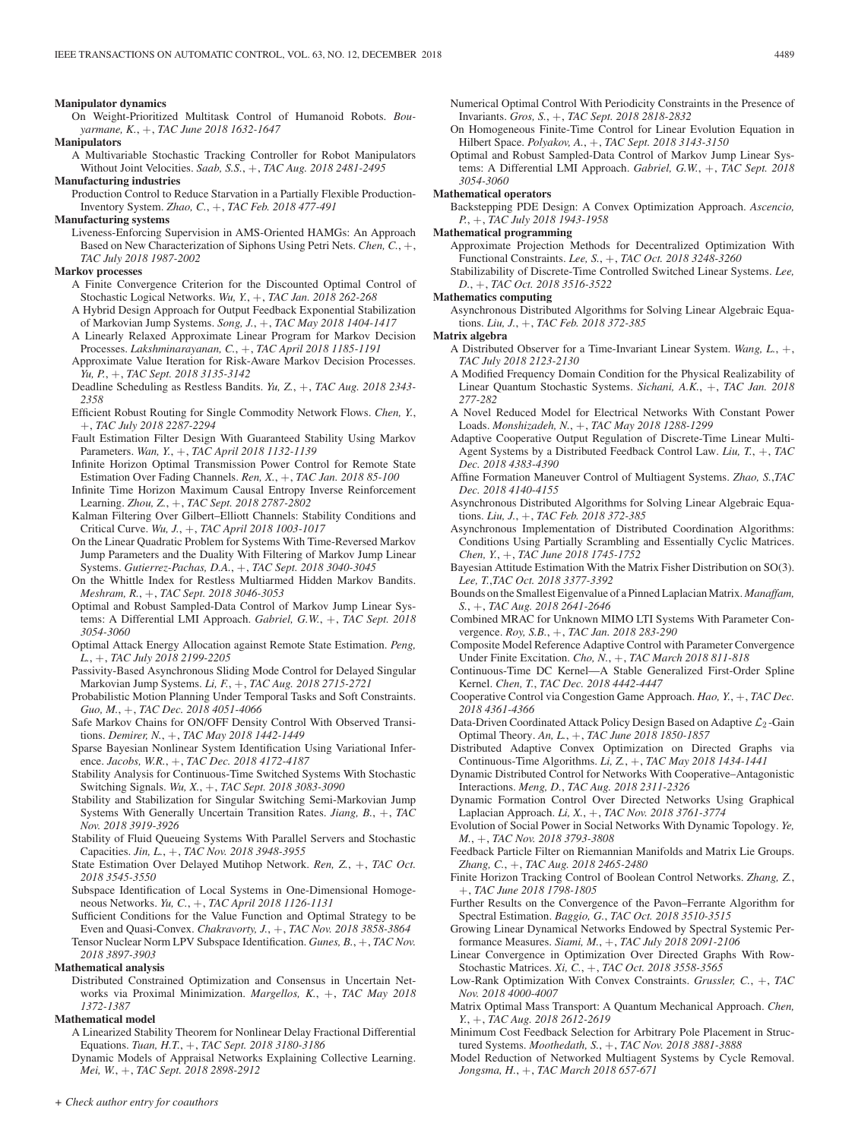### **Manipulator dynamics**

On Weight-Prioritized Multitask Control of Humanoid Robots. *Bouyarmane, K.*, +, *TAC June 2018 1632-1647*

### **Manipulators**

- A Multivariable Stochastic Tracking Controller for Robot Manipulators Without Joint Velocities. *Saab, S.S.*, +, *TAC Aug. 2018 2481-2495*
- **Manufacturing industries**
	- Production Control to Reduce Starvation in a Partially Flexible Production-Inventory System. *Zhao, C.*, +, *TAC Feb. 2018 477-491*
- **Manufacturing systems**
	- Liveness-Enforcing Supervision in AMS-Oriented HAMGs: An Approach Based on New Characterization of Siphons Using Petri Nets. *Chen, C.*, +, *TAC July 2018 1987-2002*

### **Markov processes**

- A Finite Convergence Criterion for the Discounted Optimal Control of Stochastic Logical Networks. *Wu, Y.*, +, *TAC Jan. 2018 262-268*
- A Hybrid Design Approach for Output Feedback Exponential Stabilization of Markovian Jump Systems. *Song, J.*, +, *TAC May 2018 1404-1417*
- A Linearly Relaxed Approximate Linear Program for Markov Decision Processes. *Lakshminarayanan, C.*, +, *TAC April 2018 1185-1191*
- Approximate Value Iteration for Risk-Aware Markov Decision Processes. *Yu, P.*, +, *TAC Sept. 2018 3135-3142*
- Deadline Scheduling as Restless Bandits. *Yu, Z.*, +, *TAC Aug. 2018 2343- 2358*
- Efficient Robust Routing for Single Commodity Network Flows. *Chen, Y.*, +, *TAC July 2018 2287-2294*
- Fault Estimation Filter Design With Guaranteed Stability Using Markov Parameters. *Wan, Y.*, +, *TAC April 2018 1132-1139*
- Infinite Horizon Optimal Transmission Power Control for Remote State Estimation Over Fading Channels. *Ren, X.*, +, *TAC Jan. 2018 85-100*

Infinite Time Horizon Maximum Causal Entropy Inverse Reinforcement Learning. *Zhou, Z.*, +, *TAC Sept. 2018 2787-2802*

- Kalman Filtering Over Gilbert–Elliott Channels: Stability Conditions and Critical Curve. *Wu, J.*, +, *TAC April 2018 1003-1017*
- On the Linear Quadratic Problem for Systems With Time-Reversed Markov Jump Parameters and the Duality With Filtering of Markov Jump Linear Systems. *Gutierrez-Pachas, D.A.*, +, *TAC Sept. 2018 3040-3045*
- On the Whittle Index for Restless Multiarmed Hidden Markov Bandits. *Meshram, R.*, +, *TAC Sept. 2018 3046-3053*
- Optimal and Robust Sampled-Data Control of Markov Jump Linear Systems: A Differential LMI Approach. *Gabriel, G.W.*, +, *TAC Sept. 2018 3054-3060*
- Optimal Attack Energy Allocation against Remote State Estimation. *Peng, L.*, +, *TAC July 2018 2199-2205*
- Passivity-Based Asynchronous Sliding Mode Control for Delayed Singular Markovian Jump Systems. *Li, F.*, +, *TAC Aug. 2018 2715-2721*
- Probabilistic Motion Planning Under Temporal Tasks and Soft Constraints. *Guo, M.*, +, *TAC Dec. 2018 4051-4066*
- Safe Markov Chains for ON/OFF Density Control With Observed Transitions. *Demirer, N.*, +, *TAC May 2018 1442-1449*
- Sparse Bayesian Nonlinear System Identification Using Variational Inference. *Jacobs, W.R.*, +, *TAC Dec. 2018 4172-4187*

Stability Analysis for Continuous-Time Switched Systems With Stochastic Switching Signals. *Wu, X.*, +, *TAC Sept. 2018 3083-3090*

- Stability and Stabilization for Singular Switching Semi-Markovian Jump Systems With Generally Uncertain Transition Rates. *Jiang, B.*, +, *TAC Nov. 2018 3919-3926*
- Stability of Fluid Queueing Systems With Parallel Servers and Stochastic Capacities. *Jin, L.*, +, *TAC Nov. 2018 3948-3955*
- State Estimation Over Delayed Mutihop Network. *Ren, Z.*, +, *TAC Oct. 2018 3545-3550*
- Subspace Identification of Local Systems in One-Dimensional Homogeneous Networks. *Yu, C.*, +, *TAC April 2018 1126-1131*
- Sufficient Conditions for the Value Function and Optimal Strategy to be Even and Quasi-Convex. *Chakravorty, J.*, +, *TAC Nov. 2018 3858-3864* Tensor Nuclear Norm LPV Subspace Identification. *Gunes, B.*, +, *TAC Nov. 2018 3897-3903*

### **Mathematical analysis**

Distributed Constrained Optimization and Consensus in Uncertain Networks via Proximal Minimization. *Margellos, K.*, +, *TAC May 2018 1372-1387*

### **Mathematical model**

- A Linearized Stability Theorem for Nonlinear Delay Fractional Differential Equations. *Tuan, H.T.*, +, *TAC Sept. 2018 3180-3186*
- Dynamic Models of Appraisal Networks Explaining Collective Learning. *Mei, W.*, +, *TAC Sept. 2018 2898-2912*
- Numerical Optimal Control With Periodicity Constraints in the Presence of Invariants. *Gros, S.*, +, *TAC Sept. 2018 2818-2832*
- On Homogeneous Finite-Time Control for Linear Evolution Equation in Hilbert Space. *Polyakov, A.*, +, *TAC Sept. 2018 3143-3150*
- Optimal and Robust Sampled-Data Control of Markov Jump Linear Systems: A Differential LMI Approach. *Gabriel, G.W.*, +, *TAC Sept. 2018 3054-3060*

# **Mathematical operators**

Backstepping PDE Design: A Convex Optimization Approach. *Ascencio, P.*, +, *TAC July 2018 1943-1958*

### **Mathematical programming**

Approximate Projection Methods for Decentralized Optimization With Functional Constraints. *Lee, S.*, +, *TAC Oct. 2018 3248-3260*

Stabilizability of Discrete-Time Controlled Switched Linear Systems. *Lee, D.*, +, *TAC Oct. 2018 3516-3522*

### **Mathematics computing**

Asynchronous Distributed Algorithms for Solving Linear Algebraic Equations. *Liu, J.*, +, *TAC Feb. 2018 372-385*

### **Matrix algebra**

- A Distributed Observer for a Time-Invariant Linear System. *Wang, L.*, +, *TAC July 2018 2123-2130*
- A Modified Frequency Domain Condition for the Physical Realizability of Linear Quantum Stochastic Systems. *Sichani, A.K.*, +, *TAC Jan. 2018 277-282*
- A Novel Reduced Model for Electrical Networks With Constant Power Loads. *Monshizadeh, N.*, +, *TAC May 2018 1288-1299*
- Adaptive Cooperative Output Regulation of Discrete-Time Linear Multi-Agent Systems by a Distributed Feedback Control Law. *Liu, T.*, +, *TAC Dec. 2018 4383-4390*
- Affine Formation Maneuver Control of Multiagent Systems. *Zhao, S.*,*TAC Dec. 2018 4140-4155*
- Asynchronous Distributed Algorithms for Solving Linear Algebraic Equations. *Liu, J.*, +, *TAC Feb. 2018 372-385*
- Asynchronous Implementation of Distributed Coordination Algorithms: Conditions Using Partially Scrambling and Essentially Cyclic Matrices. *Chen, Y.*, +, *TAC June 2018 1745-1752*
- Bayesian Attitude Estimation With the Matrix Fisher Distribution on SO(3). *Lee, T.*,*TAC Oct. 2018 3377-3392*
- Bounds on the Smallest Eigenvalue of a Pinned Laplacian Matrix. *Manaffam, S.*, +, *TAC Aug. 2018 2641-2646*
- Combined MRAC for Unknown MIMO LTI Systems With Parameter Convergence. *Roy, S.B.*, +, *TAC Jan. 2018 283-290*
- Composite Model Reference Adaptive Control with Parameter Convergence Under Finite Excitation. *Cho, N.*, +, *TAC March 2018 811-818*
- Continuous-Time DC Kernel—A Stable Generalized First-Order Spline Kernel. *Chen, T.*, *TAC Dec. 2018 4442-4447*
- Cooperative Control via Congestion Game Approach. *Hao, Y.*, +, *TAC Dec. 2018 4361-4366*
- Data-Driven Coordinated Attack Policy Design Based on Adaptive  $\mathcal{L}_2$ -Gain Optimal Theory. *An, L.*, +, *TAC June 2018 1850-1857*
- Distributed Adaptive Convex Optimization on Directed Graphs via Continuous-Time Algorithms. *Li, Z.*, +, *TAC May 2018 1434-1441*
- Dynamic Distributed Control for Networks With Cooperative–Antagonistic Interactions. *Meng, D.*, *TAC Aug. 2018 2311-2326*
- Dynamic Formation Control Over Directed Networks Using Graphical Laplacian Approach. *Li, X.*, +, *TAC Nov. 2018 3761-3774*
- Evolution of Social Power in Social Networks With Dynamic Topology. *Ye, M.*, +, *TAC Nov. 2018 3793-3808*
- Feedback Particle Filter on Riemannian Manifolds and Matrix Lie Groups. *Zhang, C.*, +, *TAC Aug. 2018 2465-2480*
- Finite Horizon Tracking Control of Boolean Control Networks. *Zhang, Z.*, +, *TAC June 2018 1798-1805*
- Further Results on the Convergence of the Pavon–Ferrante Algorithm for Spectral Estimation. *Baggio, G.*, *TAC Oct. 2018 3510-3515*
- Growing Linear Dynamical Networks Endowed by Spectral Systemic Performance Measures. *Siami, M.*, +, *TAC July 2018 2091-2106*
- Linear Convergence in Optimization Over Directed Graphs With Row-Stochastic Matrices. *Xi, C.*, +, *TAC Oct. 2018 3558-3565*
- Low-Rank Optimization With Convex Constraints. *Grussler, C.*, +, *TAC Nov. 2018 4000-4007*
- Matrix Optimal Mass Transport: A Quantum Mechanical Approach. *Chen, Y.*, +, *TAC Aug. 2018 2612-2619*
- Minimum Cost Feedback Selection for Arbitrary Pole Placement in Structured Systems. *Moothedath, S.*, +, *TAC Nov. 2018 3881-3888*
- Model Reduction of Networked Multiagent Systems by Cycle Removal. *Jongsma, H.*, +, *TAC March 2018 657-671*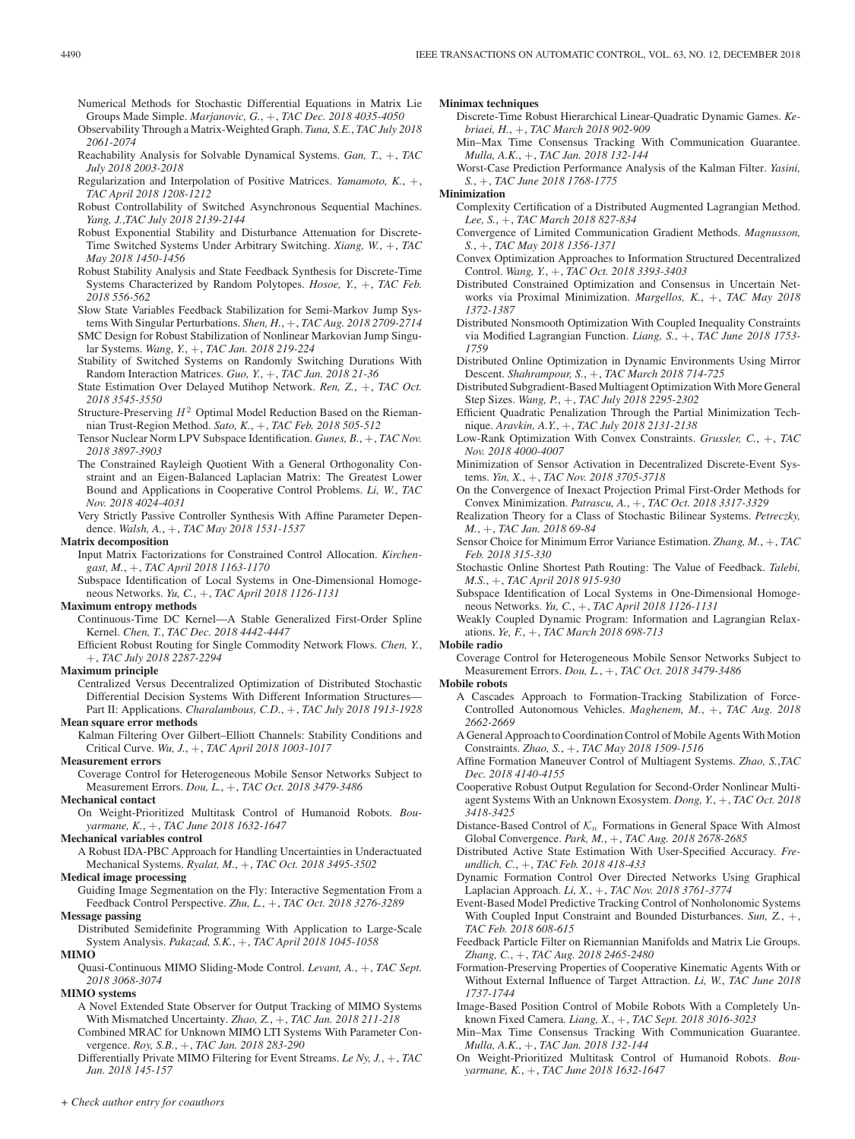Numerical Methods for Stochastic Differential Equations in Matrix Lie Groups Made Simple. *Marjanovic, G.*, +, *TAC Dec. 2018 4035-4050*

Observability Through a Matrix-Weighted Graph. *Tuna, S.E.*, *TAC July 2018 2061-2074*

- Reachability Analysis for Solvable Dynamical Systems. *Gan, T.*, +, *TAC July 2018 2003-2018*
- Regularization and Interpolation of Positive Matrices. *Yamamoto, K.*, +, *TAC April 2018 1208-1212*
- Robust Controllability of Switched Asynchronous Sequential Machines. *Yang, J.*,*TAC July 2018 2139-2144*
- Robust Exponential Stability and Disturbance Attenuation for Discrete-Time Switched Systems Under Arbitrary Switching. *Xiang, W.*, +, *TAC May 2018 1450-1456*

Robust Stability Analysis and State Feedback Synthesis for Discrete-Time Systems Characterized by Random Polytopes. *Hosoe, Y.*, +, *TAC Feb. 2018 556-562*

- Slow State Variables Feedback Stabilization for Semi-Markov Jump Systems With Singular Perturbations. *Shen, H.*, +, *TAC Aug. 2018 2709-2714*
- SMC Design for Robust Stabilization of Nonlinear Markovian Jump Singular Systems. *Wang, Y.*, +, *TAC Jan. 2018 219-224*
- Stability of Switched Systems on Randomly Switching Durations With Random Interaction Matrices. *Guo, Y.*, +, *TAC Jan. 2018 21-36*
- State Estimation Over Delayed Mutihop Network. *Ren, Z.*, +, *TAC Oct. 2018 3545-3550*

Structure-Preserving  $H^2$  Optimal Model Reduction Based on the Riemannian Trust-Region Method. *Sato, K.*, +, *TAC Feb. 2018 505-512*

Tensor Nuclear Norm LPV Subspace Identification. *Gunes, B.*, +, *TAC Nov. 2018 3897-3903*

The Constrained Rayleigh Quotient With a General Orthogonality Constraint and an Eigen-Balanced Laplacian Matrix: The Greatest Lower Bound and Applications in Cooperative Control Problems. *Li, W.*, *TAC Nov. 2018 4024-4031*

Very Strictly Passive Controller Synthesis With Affine Parameter Dependence. *Walsh, A.*, +, *TAC May 2018 1531-1537*

### **Matrix decomposition**

Input Matrix Factorizations for Constrained Control Allocation. *Kirchengast, M.*, +, *TAC April 2018 1163-1170*

Subspace Identification of Local Systems in One-Dimensional Homogeneous Networks. *Yu, C.*, +, *TAC April 2018 1126-1131*

### **Maximum entropy methods**

- Continuous-Time DC Kernel—A Stable Generalized First-Order Spline Kernel. *Chen, T.*, *TAC Dec. 2018 4442-4447*
- Efficient Robust Routing for Single Commodity Network Flows. *Chen, Y.*, +, *TAC July 2018 2287-2294*

### **Maximum principle**

Centralized Versus Decentralized Optimization of Distributed Stochastic Differential Decision Systems With Different Information Structures— Part II: Applications. *Charalambous, C.D.*, +, *TAC July 2018 1913-1928*

### **Mean square error methods**

Kalman Filtering Over Gilbert–Elliott Channels: Stability Conditions and Critical Curve. *Wu, J.*, +, *TAC April 2018 1003-1017*

### **Measurement errors**

Coverage Control for Heterogeneous Mobile Sensor Networks Subject to Measurement Errors. *Dou, L.*, +, *TAC Oct. 2018 3479-3486*

**Mechanical contact**

On Weight-Prioritized Multitask Control of Humanoid Robots. *Bouyarmane, K.*, +, *TAC June 2018 1632-1647*

### **Mechanical variables control**

A Robust IDA-PBC Approach for Handling Uncertainties in Underactuated Mechanical Systems. *Ryalat, M.*, +, *TAC Oct. 2018 3495-3502*

# **Medical image processing**

Guiding Image Segmentation on the Fly: Interactive Segmentation From a Feedback Control Perspective. *Zhu, L.*, +, *TAC Oct. 2018 3276-3289*

**Message passing**

Distributed Semidefinite Programming With Application to Large-Scale System Analysis. *Pakazad, S.K.*, +, *TAC April 2018 1045-1058*

# **MIMO**

Quasi-Continuous MIMO Sliding-Mode Control. *Levant, A.*, +, *TAC Sept. 2018 3068-3074*

# **MIMO systems**

A Novel Extended State Observer for Output Tracking of MIMO Systems With Mismatched Uncertainty. *Zhao, Z.*, +, *TAC Jan. 2018 211-218*

Combined MRAC for Unknown MIMO LTI Systems With Parameter Convergence. *Roy, S.B.*, +, *TAC Jan. 2018 283-290*

Differentially Private MIMO Filtering for Event Streams. *Le Ny, J.*, +, *TAC Jan. 2018 145-157*

### **Minimax techniques**

- Discrete-Time Robust Hierarchical Linear-Quadratic Dynamic Games. *Kebriaei, H.*, +, *TAC March 2018 902-909*
- Min–Max Time Consensus Tracking With Communication Guarantee. *Mulla, A.K.*, +, *TAC Jan. 2018 132-144*

Worst-Case Prediction Performance Analysis of the Kalman Filter. *Yasini, S.*, +, *TAC June 2018 1768-1775*

### **Minimization**

- Complexity Certification of a Distributed Augmented Lagrangian Method. *Lee, S.*, +, *TAC March 2018 827-834*
- Convergence of Limited Communication Gradient Methods. *Magnusson, S.*, +, *TAC May 2018 1356-1371*
- Convex Optimization Approaches to Information Structured Decentralized Control. *Wang, Y.*, +, *TAC Oct. 2018 3393-3403*
- Distributed Constrained Optimization and Consensus in Uncertain Networks via Proximal Minimization. *Margellos, K.*, +, *TAC May 2018 1372-1387*
- Distributed Nonsmooth Optimization With Coupled Inequality Constraints via Modified Lagrangian Function. *Liang, S.*, +, *TAC June 2018 1753- 1759*
- Distributed Online Optimization in Dynamic Environments Using Mirror Descent. *Shahrampour, S.*, +, *TAC March 2018 714-725*

Distributed Subgradient-Based Multiagent Optimization With More General Step Sizes. *Wang, P.*, +, *TAC July 2018 2295-2302*

- Efficient Quadratic Penalization Through the Partial Minimization Technique. *Aravkin, A.Y.*, +, *TAC July 2018 2131-2138*
- Low-Rank Optimization With Convex Constraints. *Grussler, C.*, +, *TAC Nov. 2018 4000-4007*
- Minimization of Sensor Activation in Decentralized Discrete-Event Systems. *Yin, X.*, +, *TAC Nov. 2018 3705-3718*
- On the Convergence of Inexact Projection Primal First-Order Methods for Convex Minimization. *Patrascu, A.*, +, *TAC Oct. 2018 3317-3329*
- Realization Theory for a Class of Stochastic Bilinear Systems. *Petreczky, M.*, +, *TAC Jan. 2018 69-84*
- Sensor Choice for Minimum Error Variance Estimation. *Zhang, M.*, +, *TAC Feb. 2018 315-330*
- Stochastic Online Shortest Path Routing: The Value of Feedback. *Talebi, M.S.*, +, *TAC April 2018 915-930*
- Subspace Identification of Local Systems in One-Dimensional Homogeneous Networks. *Yu, C.*, +, *TAC April 2018 1126-1131*
- Weakly Coupled Dynamic Program: Information and Lagrangian Relaxations. *Ye, F.*, +, *TAC March 2018 698-713*

# **Mobile radio**

Coverage Control for Heterogeneous Mobile Sensor Networks Subject to Measurement Errors. *Dou, L.*, +, *TAC Oct. 2018 3479-3486*

- **Mobile robots**
	- A Cascades Approach to Formation-Tracking Stabilization of Force-Controlled Autonomous Vehicles. *Maghenem, M.*, +, *TAC Aug. 2018 2662-2669*
	- A General Approach to Coordination Control of Mobile Agents With Motion Constraints. *Zhao, S.*, +, *TAC May 2018 1509-1516*
	- Affine Formation Maneuver Control of Multiagent Systems. *Zhao, S.*,*TAC Dec. 2018 4140-4155*
	- Cooperative Robust Output Regulation for Second-Order Nonlinear Multiagent Systems With an Unknown Exosystem. *Dong, Y.*, +, *TAC Oct. 2018 3418-3425*
	- Distance-Based Control of  $\mathcal{K}_n$  Formations in General Space With Almost Global Convergence. *Park, M.*, +, *TAC Aug. 2018 2678-2685*
	- Distributed Active State Estimation With User-Specified Accuracy. *Freundlich, C.*, +, *TAC Feb. 2018 418-433*
	- Dynamic Formation Control Over Directed Networks Using Graphical Laplacian Approach. *Li, X.*, +, *TAC Nov. 2018 3761-3774*
	- Event-Based Model Predictive Tracking Control of Nonholonomic Systems With Coupled Input Constraint and Bounded Disturbances. *Sun, Z.*, +, *TAC Feb. 2018 608-615*
	- Feedback Particle Filter on Riemannian Manifolds and Matrix Lie Groups. *Zhang, C.*, +, *TAC Aug. 2018 2465-2480*
	- Formation-Preserving Properties of Cooperative Kinematic Agents With or Without External Influence of Target Attraction. *Li, W.*, *TAC June 2018 1737-1744*
	- Image-Based Position Control of Mobile Robots With a Completely Unknown Fixed Camera. *Liang, X.*, +, *TAC Sept. 2018 3016-3023*
	- Min–Max Time Consensus Tracking With Communication Guarantee. *Mulla, A.K.*, +, *TAC Jan. 2018 132-144*
	- On Weight-Prioritized Multitask Control of Humanoid Robots. *Bouyarmane, K.*, +, *TAC June 2018 1632-1647*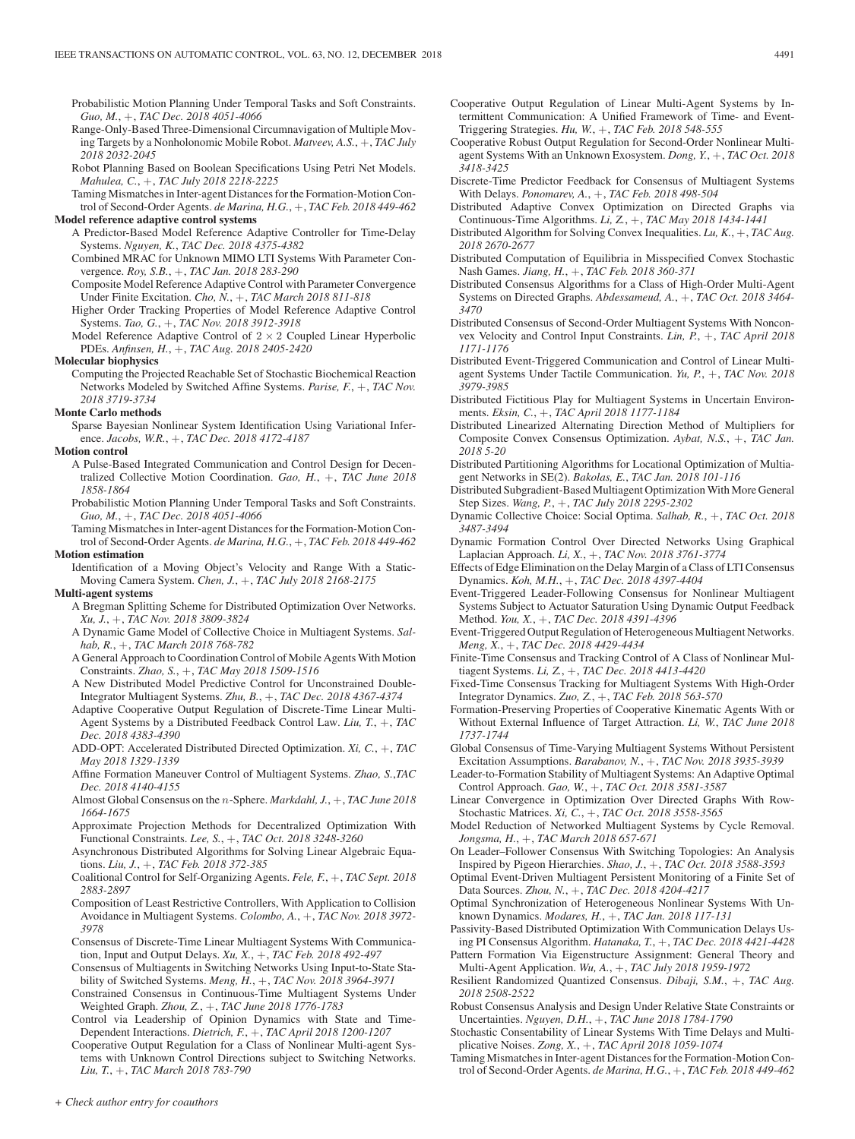Probabilistic Motion Planning Under Temporal Tasks and Soft Constraints. *Guo, M.*, +, *TAC Dec. 2018 4051-4066*

- Range-Only-Based Three-Dimensional Circumnavigation of Multiple Moving Targets by a Nonholonomic Mobile Robot. *Matveev, A.S.*, +, *TAC July 2018 2032-2045*
- Robot Planning Based on Boolean Specifications Using Petri Net Models. *Mahulea, C.*, +, *TAC July 2018 2218-2225*
- Taming Mismatches in Inter-agent Distances for the Formation-Motion Control of Second-Order Agents. *de Marina, H.G.*, +, *TAC Feb. 2018 449-462* **Model reference adaptive control systems**
	- A Predictor-Based Model Reference Adaptive Controller for Time-Delay Systems. *Nguyen, K.*, *TAC Dec. 2018 4375-4382*
	- Combined MRAC for Unknown MIMO LTI Systems With Parameter Convergence. *Roy, S.B.*, +, *TAC Jan. 2018 283-290*
	- Composite Model Reference Adaptive Control with Parameter Convergence Under Finite Excitation. *Cho, N.*, +, *TAC March 2018 811-818*
	- Higher Order Tracking Properties of Model Reference Adaptive Control Systems. *Tao, G.*, +, *TAC Nov. 2018 3912-3918*
	- Model Reference Adaptive Control of  $2 \times 2$  Coupled Linear Hyperbolic PDEs. *Anfinsen, H.*, +, *TAC Aug. 2018 2405-2420*
- **Molecular biophysics**
	- Computing the Projected Reachable Set of Stochastic Biochemical Reaction Networks Modeled by Switched Affine Systems. *Parise, F.*, +, *TAC Nov. 2018 3719-3734*

# **Monte Carlo methods**

Sparse Bayesian Nonlinear System Identification Using Variational Inference. *Jacobs, W.R.*, +, *TAC Dec. 2018 4172-4187*

### **Motion control**

- A Pulse-Based Integrated Communication and Control Design for Decentralized Collective Motion Coordination. *Gao, H.*, +, *TAC June 2018 1858-1864*
- Probabilistic Motion Planning Under Temporal Tasks and Soft Constraints. *Guo, M.*, +, *TAC Dec. 2018 4051-4066*
- Taming Mismatches in Inter-agent Distances for the Formation-Motion Control of Second-Order Agents. *de Marina, H.G.*, +, *TAC Feb. 2018 449-462*

# **Motion estimation**

Identification of a Moving Object's Velocity and Range With a Static-Moving Camera System. *Chen, J.*, +, *TAC July 2018 2168-2175*

### **Multi-agent systems**

- A Bregman Splitting Scheme for Distributed Optimization Over Networks. *Xu, J.*, +, *TAC Nov. 2018 3809-3824*
- A Dynamic Game Model of Collective Choice in Multiagent Systems. *Salhab, R.*, +, *TAC March 2018 768-782*
- A General Approach to Coordination Control of Mobile Agents With Motion Constraints. *Zhao, S.*, +, *TAC May 2018 1509-1516*
- A New Distributed Model Predictive Control for Unconstrained Double-Integrator Multiagent Systems. *Zhu, B.*, +, *TAC Dec. 2018 4367-4374*
- Adaptive Cooperative Output Regulation of Discrete-Time Linear Multi-Agent Systems by a Distributed Feedback Control Law. *Liu, T.*, +, *TAC Dec. 2018 4383-4390*
- ADD-OPT: Accelerated Distributed Directed Optimization. *Xi, C.*, +, *TAC May 2018 1329-1339*
- Affine Formation Maneuver Control of Multiagent Systems. *Zhao, S.*,*TAC Dec. 2018 4140-4155*
- Almost Global Consensus on the n-Sphere. *Markdahl, J.*, +, *TAC June 2018 1664-1675*
- Approximate Projection Methods for Decentralized Optimization With Functional Constraints. *Lee, S.*, +, *TAC Oct. 2018 3248-3260*
- Asynchronous Distributed Algorithms for Solving Linear Algebraic Equations. *Liu, J.*, +, *TAC Feb. 2018 372-385*
- Coalitional Control for Self-Organizing Agents. *Fele, F.*, +, *TAC Sept. 2018 2883-2897*
- Composition of Least Restrictive Controllers, With Application to Collision Avoidance in Multiagent Systems. *Colombo, A.*, +, *TAC Nov. 2018 3972- 3978*
- Consensus of Discrete-Time Linear Multiagent Systems With Communication, Input and Output Delays. *Xu, X.*, +, *TAC Feb. 2018 492-497*
- Consensus of Multiagents in Switching Networks Using Input-to-State Stability of Switched Systems. *Meng, H.*, +, *TAC Nov. 2018 3964-3971*
- Constrained Consensus in Continuous-Time Multiagent Systems Under Weighted Graph. *Zhou, Z.*, +, *TAC June 2018 1776-1783*
- Control via Leadership of Opinion Dynamics with State and Time-Dependent Interactions. *Dietrich, F.*, +, *TAC April 2018 1200-1207*
- Cooperative Output Regulation for a Class of Nonlinear Multi-agent Systems with Unknown Control Directions subject to Switching Networks. *Liu, T.*, +, *TAC March 2018 783-790*
- Cooperative Output Regulation of Linear Multi-Agent Systems by Intermittent Communication: A Unified Framework of Time- and Event-Triggering Strategies. *Hu, W.*, +, *TAC Feb. 2018 548-555*
- Cooperative Robust Output Regulation for Second-Order Nonlinear Multiagent Systems With an Unknown Exosystem. *Dong, Y.*, +, *TAC Oct. 2018 3418-3425*
- Discrete-Time Predictor Feedback for Consensus of Multiagent Systems With Delays. *Ponomarev, A.*, +, *TAC Feb. 2018 498-504*
- Distributed Adaptive Convex Optimization on Directed Graphs via Continuous-Time Algorithms. *Li, Z.*, +, *TAC May 2018 1434-1441*
- Distributed Algorithm for Solving Convex Inequalities. *Lu, K.*, +, *TAC Aug. 2018 2670-2677*
- Distributed Computation of Equilibria in Misspecified Convex Stochastic Nash Games. *Jiang, H.*, +, *TAC Feb. 2018 360-371*
- Distributed Consensus Algorithms for a Class of High-Order Multi-Agent Systems on Directed Graphs. *Abdessameud, A.*, +, *TAC Oct. 2018 3464- 3470*
- Distributed Consensus of Second-Order Multiagent Systems With Nonconvex Velocity and Control Input Constraints. *Lin, P.*, +, *TAC April 2018 1171-1176*
- Distributed Event-Triggered Communication and Control of Linear Multiagent Systems Under Tactile Communication. *Yu, P.*, +, *TAC Nov. 2018 3979-3985*
- Distributed Fictitious Play for Multiagent Systems in Uncertain Environments. *Eksin, C.*, +, *TAC April 2018 1177-1184*
- Distributed Linearized Alternating Direction Method of Multipliers for Composite Convex Consensus Optimization. *Aybat, N.S.*, +, *TAC Jan. 2018 5-20*
- Distributed Partitioning Algorithms for Locational Optimization of Multiagent Networks in SE(2). *Bakolas, E.*, *TAC Jan. 2018 101-116*
- Distributed Subgradient-Based Multiagent Optimization With More General Step Sizes. *Wang, P.*, +, *TAC July 2018 2295-2302*
- Dynamic Collective Choice: Social Optima. *Salhab, R.*, +, *TAC Oct. 2018 3487-3494*
- Dynamic Formation Control Over Directed Networks Using Graphical Laplacian Approach. *Li, X.*, +, *TAC Nov. 2018 3761-3774*
- Effects of Edge Elimination on the Delay Margin of a Class of LTI Consensus Dynamics. *Koh, M.H.*, +, *TAC Dec. 2018 4397-4404*
- Event-Triggered Leader-Following Consensus for Nonlinear Multiagent Systems Subject to Actuator Saturation Using Dynamic Output Feedback Method. *You, X.*, +, *TAC Dec. 2018 4391-4396*
- Event-Triggered Output Regulation of Heterogeneous Multiagent Networks. *Meng, X.*, +, *TAC Dec. 2018 4429-4434*
- Finite-Time Consensus and Tracking Control of A Class of Nonlinear Multiagent Systems. *Li, Z.*, +, *TAC Dec. 2018 4413-4420*
- Fixed-Time Consensus Tracking for Multiagent Systems With High-Order Integrator Dynamics. *Zuo, Z.*, +, *TAC Feb. 2018 563-570*
- Formation-Preserving Properties of Cooperative Kinematic Agents With or Without External Influence of Target Attraction. *Li, W.*, *TAC June 2018 1737-1744*
- Global Consensus of Time-Varying Multiagent Systems Without Persistent Excitation Assumptions. *Barabanov, N.*, +, *TAC Nov. 2018 3935-3939*
- Leader-to-Formation Stability of Multiagent Systems: An Adaptive Optimal Control Approach. *Gao, W.*, +, *TAC Oct. 2018 3581-3587*
- Linear Convergence in Optimization Over Directed Graphs With Row-Stochastic Matrices. *Xi, C.*, +, *TAC Oct. 2018 3558-3565*
- Model Reduction of Networked Multiagent Systems by Cycle Removal. *Jongsma, H.*, +, *TAC March 2018 657-671*
- On Leader–Follower Consensus With Switching Topologies: An Analysis Inspired by Pigeon Hierarchies. *Shao, J.*, +, *TAC Oct. 2018 3588-3593*
- Optimal Event-Driven Multiagent Persistent Monitoring of a Finite Set of Data Sources. *Zhou, N.*, +, *TAC Dec. 2018 4204-4217*
- Optimal Synchronization of Heterogeneous Nonlinear Systems With Unknown Dynamics. *Modares, H.*, +, *TAC Jan. 2018 117-131*

Passivity-Based Distributed Optimization With Communication Delays Using PI Consensus Algorithm. *Hatanaka, T.*, +, *TAC Dec. 2018 4421-4428*

- Pattern Formation Via Eigenstructure Assignment: General Theory and Multi-Agent Application. *Wu, A.*, +, *TAC July 2018 1959-1972*
- Resilient Randomized Quantized Consensus. *Dibaji, S.M.*, +, *TAC Aug. 2018 2508-2522*
- Robust Consensus Analysis and Design Under Relative State Constraints or Uncertainties. *Nguyen, D.H.*, +, *TAC June 2018 1784-1790*
- Stochastic Consentability of Linear Systems With Time Delays and Multiplicative Noises. *Zong, X.*, +, *TAC April 2018 1059-1074*
- Taming Mismatches in Inter-agent Distances for the Formation-Motion Control of Second-Order Agents. *de Marina, H.G.*, +, *TAC Feb. 2018 449-462*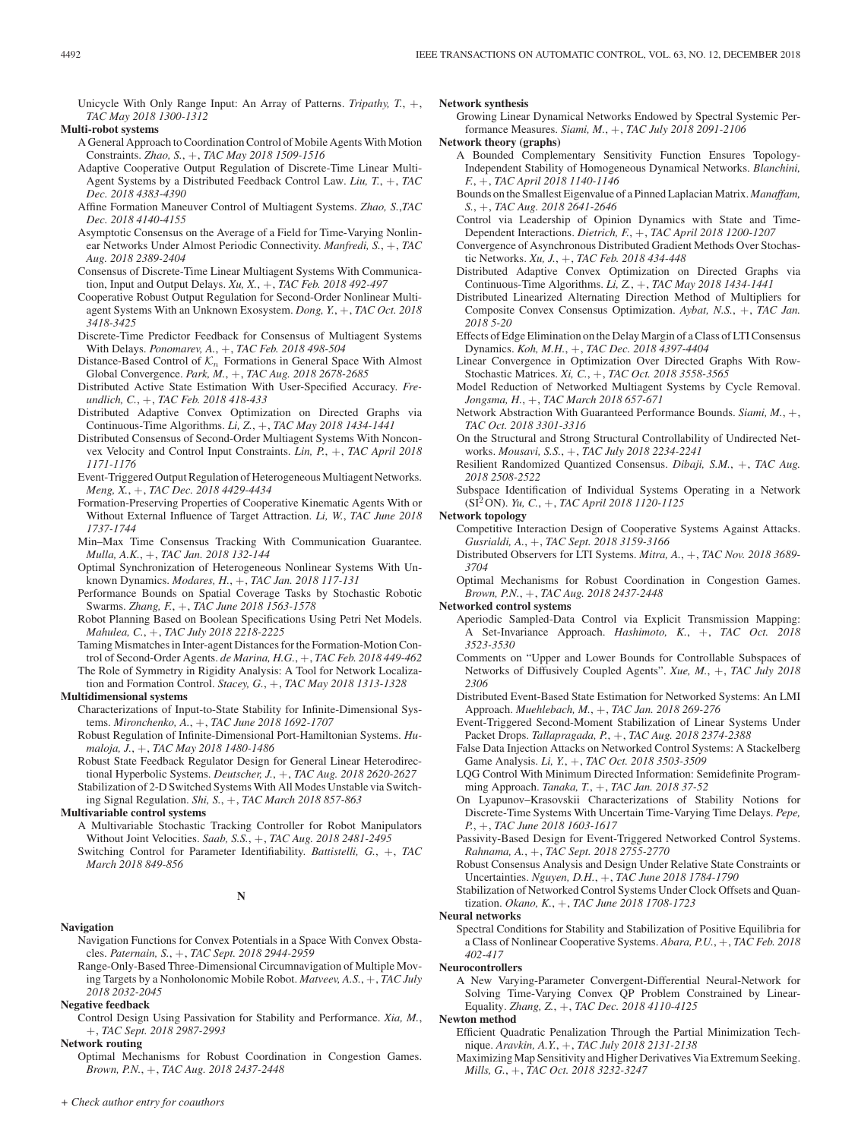Unicycle With Only Range Input: An Array of Patterns. *Tripathy, T.*, +, *TAC May 2018 1300-1312*

**Multi-robot systems**

- A General Approach to Coordination Control of Mobile Agents With Motion Constraints. *Zhao, S.*, +, *TAC May 2018 1509-1516*
- Adaptive Cooperative Output Regulation of Discrete-Time Linear Multi-Agent Systems by a Distributed Feedback Control Law. *Liu, T.*, +, *TAC Dec. 2018 4383-4390*
- Affine Formation Maneuver Control of Multiagent Systems. *Zhao, S.*,*TAC Dec. 2018 4140-4155*
- Asymptotic Consensus on the Average of a Field for Time-Varying Nonlinear Networks Under Almost Periodic Connectivity. *Manfredi, S.*, +, *TAC Aug. 2018 2389-2404*
- Consensus of Discrete-Time Linear Multiagent Systems With Communication, Input and Output Delays. *Xu, X.*, +, *TAC Feb. 2018 492-497*
- Cooperative Robust Output Regulation for Second-Order Nonlinear Multiagent Systems With an Unknown Exosystem. *Dong, Y.*, +, *TAC Oct. 2018 3418-3425*
- Discrete-Time Predictor Feedback for Consensus of Multiagent Systems With Delays. *Ponomarev, A.*, +, *TAC Feb. 2018 498-504*
- Distance-Based Control of  $\mathcal{K}_n$  Formations in General Space With Almost Global Convergence. *Park, M.*, +, *TAC Aug. 2018 2678-2685*
- Distributed Active State Estimation With User-Specified Accuracy. *Freundlich, C.*, +, *TAC Feb. 2018 418-433*
- Distributed Adaptive Convex Optimization on Directed Graphs via Continuous-Time Algorithms. *Li, Z.*, +, *TAC May 2018 1434-1441*
- Distributed Consensus of Second-Order Multiagent Systems With Nonconvex Velocity and Control Input Constraints. *Lin, P.*, +, *TAC April 2018 1171-1176*
- Event-Triggered Output Regulation of Heterogeneous Multiagent Networks. *Meng, X.*, +, *TAC Dec. 2018 4429-4434*
- Formation-Preserving Properties of Cooperative Kinematic Agents With or Without External Influence of Target Attraction. *Li, W.*, *TAC June 2018 1737-1744*
- Min–Max Time Consensus Tracking With Communication Guarantee. *Mulla, A.K.*, +, *TAC Jan. 2018 132-144*
- Optimal Synchronization of Heterogeneous Nonlinear Systems With Unknown Dynamics. *Modares, H.*, +, *TAC Jan. 2018 117-131*
- Performance Bounds on Spatial Coverage Tasks by Stochastic Robotic Swarms. *Zhang, F.*, +, *TAC June 2018 1563-1578*
- Robot Planning Based on Boolean Specifications Using Petri Net Models. *Mahulea, C.*, +, *TAC July 2018 2218-2225*
- Taming Mismatches in Inter-agent Distances for the Formation-Motion Control of Second-Order Agents. *de Marina, H.G.*, +, *TAC Feb. 2018 449-462*
- The Role of Symmetry in Rigidity Analysis: A Tool for Network Localization and Formation Control. *Stacey, G.*, +, *TAC May 2018 1313-1328*

### **Multidimensional systems**

- Characterizations of Input-to-State Stability for Infinite-Dimensional Systems. *Mironchenko, A.*, +, *TAC June 2018 1692-1707*
- Robust Regulation of Infinite-Dimensional Port-Hamiltonian Systems. *Humaloja, J.*, +, *TAC May 2018 1480-1486*
- Robust State Feedback Regulator Design for General Linear Heterodirectional Hyperbolic Systems. *Deutscher, J.*, +, *TAC Aug. 2018 2620-2627* Stabilization of 2-D Switched Systems With All Modes Unstable via Switch-
- ing Signal Regulation. *Shi, S.*, +, *TAC March 2018 857-863*

**Multivariable control systems**

A Multivariable Stochastic Tracking Controller for Robot Manipulators Without Joint Velocities. *Saab, S.S.*, +, *TAC Aug. 2018 2481-2495*

Switching Control for Parameter Identifiability. *Battistelli, G.*, +, *TAC March 2018 849-856*

### **N**

### **Navigation**

- Navigation Functions for Convex Potentials in a Space With Convex Obstacles. *Paternain, S.*, +, *TAC Sept. 2018 2944-2959*
- Range-Only-Based Three-Dimensional Circumnavigation of Multiple Moving Targets by a Nonholonomic Mobile Robot. *Matveev, A.S.*, +, *TAC July 2018 2032-2045*

# **Negative feedback**

Control Design Using Passivation for Stability and Performance. *Xia, M.*, +, *TAC Sept. 2018 2987-2993*

# **Network routing**

Optimal Mechanisms for Robust Coordination in Congestion Games. *Brown, P.N.*, +, *TAC Aug. 2018 2437-2448*

### **Network synthesis**

Growing Linear Dynamical Networks Endowed by Spectral Systemic Performance Measures. *Siami, M.*, +, *TAC July 2018 2091-2106*

- **Network theory (graphs)**
	- A Bounded Complementary Sensitivity Function Ensures Topology-Independent Stability of Homogeneous Dynamical Networks. *Blanchini, F.*, +, *TAC April 2018 1140-1146*
	- Bounds on the Smallest Eigenvalue of a Pinned Laplacian Matrix. *Manaffam, S.*, +, *TAC Aug. 2018 2641-2646*
	- Control via Leadership of Opinion Dynamics with State and Time-Dependent Interactions. *Dietrich, F.*, +, *TAC April 2018 1200-1207*
	- Convergence of Asynchronous Distributed Gradient Methods Over Stochastic Networks. *Xu, J.*, +, *TAC Feb. 2018 434-448*
	- Distributed Adaptive Convex Optimization on Directed Graphs via Continuous-Time Algorithms. *Li, Z.*, +, *TAC May 2018 1434-1441*
	- Distributed Linearized Alternating Direction Method of Multipliers for Composite Convex Consensus Optimization. *Aybat, N.S.*, +, *TAC Jan. 2018 5-20*
	- Effects of Edge Elimination on the Delay Margin of a Class of LTI Consensus Dynamics. *Koh, M.H.*, +, *TAC Dec. 2018 4397-4404*
	- Linear Convergence in Optimization Over Directed Graphs With Row-Stochastic Matrices. *Xi, C.*, +, *TAC Oct. 2018 3558-3565*
	- Model Reduction of Networked Multiagent Systems by Cycle Removal. *Jongsma, H.*, +, *TAC March 2018 657-671*
	- Network Abstraction With Guaranteed Performance Bounds. *Siami, M.*, +, *TAC Oct. 2018 3301-3316*
	- On the Structural and Strong Structural Controllability of Undirected Networks. *Mousavi, S.S.*, +, *TAC July 2018 2234-2241*
	- Resilient Randomized Quantized Consensus. *Dibaji, S.M.*, +, *TAC Aug. 2018 2508-2522*
	- Subspace Identification of Individual Systems Operating in a Network (SI<sup>2</sup> ON). *Yu, C.*, +, *TAC April 2018 1120-1125*

# **Network topology**

- Competitive Interaction Design of Cooperative Systems Against Attacks. *Gusrialdi, A.*, +, *TAC Sept. 2018 3159-3166*
- Distributed Observers for LTI Systems. *Mitra, A.*, +, *TAC Nov. 2018 3689- 3704*
- Optimal Mechanisms for Robust Coordination in Congestion Games. *Brown, P.N.*, +, *TAC Aug. 2018 2437-2448*

### **Networked control systems**

- Aperiodic Sampled-Data Control via Explicit Transmission Mapping: A Set-Invariance Approach. *Hashimoto, K.*, +, *TAC Oct. 2018 3523-3530*
- Comments on "Upper and Lower Bounds for Controllable Subspaces of Networks of Diffusively Coupled Agents". *Xue, M.*, +, *TAC July 2018 2306*
- Distributed Event-Based State Estimation for Networked Systems: An LMI Approach. *Muehlebach, M.*, +, *TAC Jan. 2018 269-276*
- Event-Triggered Second-Moment Stabilization of Linear Systems Under Packet Drops. *Tallapragada, P.*, +, *TAC Aug. 2018 2374-2388*
- False Data Injection Attacks on Networked Control Systems: A Stackelberg Game Analysis. *Li, Y.*, +, *TAC Oct. 2018 3503-3509*
- LQG Control With Minimum Directed Information: Semidefinite Programming Approach. *Tanaka, T.*, +, *TAC Jan. 2018 37-52*
- On Lyapunov–Krasovskii Characterizations of Stability Notions for Discrete-Time Systems With Uncertain Time-Varying Time Delays. *Pepe, P.*, +, *TAC June 2018 1603-1617*
- Passivity-Based Design for Event-Triggered Networked Control Systems. *Rahnama, A.*, +, *TAC Sept. 2018 2755-2770*
- Robust Consensus Analysis and Design Under Relative State Constraints or Uncertainties. *Nguyen, D.H.*, +, *TAC June 2018 1784-1790*
- Stabilization of Networked Control Systems Under Clock Offsets and Quantization. *Okano, K.*, +, *TAC June 2018 1708-1723*
- **Neural networks**
	- Spectral Conditions for Stability and Stabilization of Positive Equilibria for a Class of Nonlinear Cooperative Systems. *Abara, P.U.*, +, *TAC Feb. 2018 402-417*

### **Neurocontrollers**

A New Varying-Parameter Convergent-Differential Neural-Network for Solving Time-Varying Convex QP Problem Constrained by Linear-Equality. *Zhang, Z.*, +, *TAC Dec. 2018 4110-4125*

### **Newton method**

- Efficient Quadratic Penalization Through the Partial Minimization Technique. *Aravkin, A.Y.*, +, *TAC July 2018 2131-2138*
- Maximizing Map Sensitivity and Higher Derivatives Via Extremum Seeking. *Mills, G.*, +, *TAC Oct. 2018 3232-3247*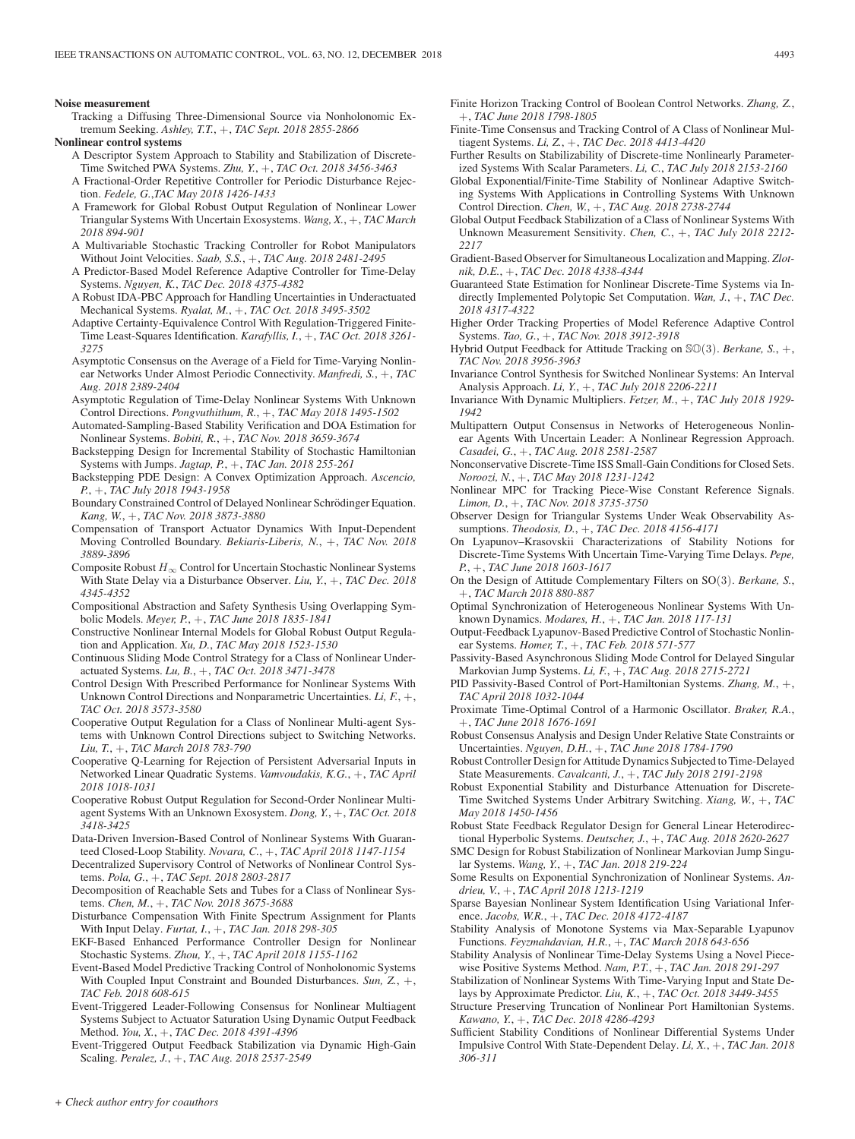### **Noise measurement**

Tracking a Diffusing Three-Dimensional Source via Nonholonomic Extremum Seeking. *Ashley, T.T.*, +, *TAC Sept. 2018 2855-2866*

**Nonlinear control systems**

- A Descriptor System Approach to Stability and Stabilization of Discrete-Time Switched PWA Systems. *Zhu, Y.*, +, *TAC Oct. 2018 3456-3463* A Fractional-Order Repetitive Controller for Periodic Disturbance Rejec-
- tion. *Fedele, G.*,*TAC May 2018 1426-1433*
- A Framework for Global Robust Output Regulation of Nonlinear Lower Triangular Systems With Uncertain Exosystems. *Wang, X.*, +, *TAC March 2018 894-901*
- A Multivariable Stochastic Tracking Controller for Robot Manipulators Without Joint Velocities. *Saab, S.S.*, +, *TAC Aug. 2018 2481-2495*
- A Predictor-Based Model Reference Adaptive Controller for Time-Delay Systems. *Nguyen, K.*, *TAC Dec. 2018 4375-4382*
- A Robust IDA-PBC Approach for Handling Uncertainties in Underactuated Mechanical Systems. *Ryalat, M.*, +, *TAC Oct. 2018 3495-3502*
- Adaptive Certainty-Equivalence Control With Regulation-Triggered Finite-Time Least-Squares Identification. *Karafyllis, I.*, +, *TAC Oct. 2018 3261- 3275*
- Asymptotic Consensus on the Average of a Field for Time-Varying Nonlinear Networks Under Almost Periodic Connectivity. *Manfredi, S.*, +, *TAC Aug. 2018 2389-2404*
- Asymptotic Regulation of Time-Delay Nonlinear Systems With Unknown Control Directions. *Pongvuthithum, R.*, +, *TAC May 2018 1495-1502*
- Automated-Sampling-Based Stability Verification and DOA Estimation for Nonlinear Systems. *Bobiti, R.*, +, *TAC Nov. 2018 3659-3674*
- Backstepping Design for Incremental Stability of Stochastic Hamiltonian Systems with Jumps. *Jagtap, P.*, +, *TAC Jan. 2018 255-261*
- Backstepping PDE Design: A Convex Optimization Approach. *Ascencio, P.*, +, *TAC July 2018 1943-1958*
- Boundary Constrained Control of Delayed Nonlinear Schrödinger Equation. *Kang, W.*, +, *TAC Nov. 2018 3873-3880*
- Compensation of Transport Actuator Dynamics With Input-Dependent Moving Controlled Boundary. *Bekiaris-Liberis, N.*, +, *TAC Nov. 2018 3889-3896*
- Composite Robust  $H_{\infty}$  Control for Uncertain Stochastic Nonlinear Systems With State Delay via a Disturbance Observer. *Liu, Y.*, +, *TAC Dec. 2018 4345-4352*
- Compositional Abstraction and Safety Synthesis Using Overlapping Symbolic Models. *Meyer, P.*, +, *TAC June 2018 1835-1841*
- Constructive Nonlinear Internal Models for Global Robust Output Regulation and Application. *Xu, D.*, *TAC May 2018 1523-1530*
- Continuous Sliding Mode Control Strategy for a Class of Nonlinear Underactuated Systems. *Lu, B.*, +, *TAC Oct. 2018 3471-3478*
- Control Design With Prescribed Performance for Nonlinear Systems With Unknown Control Directions and Nonparametric Uncertainties. *Li, F.*, +, *TAC Oct. 2018 3573-3580*
- Cooperative Output Regulation for a Class of Nonlinear Multi-agent Systems with Unknown Control Directions subject to Switching Networks. *Liu, T.*, +, *TAC March 2018 783-790*
- Cooperative Q-Learning for Rejection of Persistent Adversarial Inputs in Networked Linear Quadratic Systems. *Vamvoudakis, K.G.*, +, *TAC April 2018 1018-1031*
- Cooperative Robust Output Regulation for Second-Order Nonlinear Multiagent Systems With an Unknown Exosystem. *Dong, Y.*, +, *TAC Oct. 2018 3418-3425*
- Data-Driven Inversion-Based Control of Nonlinear Systems With Guaranteed Closed-Loop Stability. *Novara, C.*, +, *TAC April 2018 1147-1154*
- Decentralized Supervisory Control of Networks of Nonlinear Control Systems. *Pola, G.*, +, *TAC Sept. 2018 2803-2817*
- Decomposition of Reachable Sets and Tubes for a Class of Nonlinear Systems. *Chen, M.*, +, *TAC Nov. 2018 3675-3688*
- Disturbance Compensation With Finite Spectrum Assignment for Plants With Input Delay. *Furtat, I.*, +, *TAC Jan. 2018 298-305*
- EKF-Based Enhanced Performance Controller Design for Nonlinear Stochastic Systems. *Zhou, Y.*, +, *TAC April 2018 1155-1162*
- Event-Based Model Predictive Tracking Control of Nonholonomic Systems With Coupled Input Constraint and Bounded Disturbances. *Sun, Z.*, +, *TAC Feb. 2018 608-615*
- Event-Triggered Leader-Following Consensus for Nonlinear Multiagent Systems Subject to Actuator Saturation Using Dynamic Output Feedback Method. *You, X.*, +, *TAC Dec. 2018 4391-4396*
- Event-Triggered Output Feedback Stabilization via Dynamic High-Gain Scaling. *Peralez, J.*, +, *TAC Aug. 2018 2537-2549*
- Finite Horizon Tracking Control of Boolean Control Networks. *Zhang, Z.*, +, *TAC June 2018 1798-1805*
- Finite-Time Consensus and Tracking Control of A Class of Nonlinear Multiagent Systems. *Li, Z.*, +, *TAC Dec. 2018 4413-4420*
- Further Results on Stabilizability of Discrete-time Nonlinearly Parameterized Systems With Scalar Parameters. *Li, C.*, *TAC July 2018 2153-2160*
- Global Exponential/Finite-Time Stability of Nonlinear Adaptive Switching Systems With Applications in Controlling Systems With Unknown Control Direction. *Chen, W.*, +, *TAC Aug. 2018 2738-2744*
- Global Output Feedback Stabilization of a Class of Nonlinear Systems With Unknown Measurement Sensitivity. *Chen, C.*, +, *TAC July 2018 2212- 2217*
- Gradient-Based Observer for Simultaneous Localization and Mapping. *Zlotnik, D.E.*, +, *TAC Dec. 2018 4338-4344*
- Guaranteed State Estimation for Nonlinear Discrete-Time Systems via Indirectly Implemented Polytopic Set Computation. *Wan, J.*, +, *TAC Dec. 2018 4317-4322*
- Higher Order Tracking Properties of Model Reference Adaptive Control Systems. *Tao, G.*, +, *TAC Nov. 2018 3912-3918*
- Hybrid Output Feedback for Attitude Tracking on SO(3). *Berkane, S.*, +, *TAC Nov. 2018 3956-3963*
- Invariance Control Synthesis for Switched Nonlinear Systems: An Interval Analysis Approach. *Li, Y.*, +, *TAC July 2018 2206-2211*
- Invariance With Dynamic Multipliers. *Fetzer, M.*, +, *TAC July 2018 1929- 1942*
- Multipattern Output Consensus in Networks of Heterogeneous Nonlinear Agents With Uncertain Leader: A Nonlinear Regression Approach. *Casadei, G.*, +, *TAC Aug. 2018 2581-2587*
- Nonconservative Discrete-Time ISS Small-Gain Conditions for Closed Sets. *Noroozi, N.*, +, *TAC May 2018 1231-1242*
- Nonlinear MPC for Tracking Piece-Wise Constant Reference Signals. *Limon, D.*, +, *TAC Nov. 2018 3735-3750*
- Observer Design for Triangular Systems Under Weak Observability Assumptions. *Theodosis, D.*, +, *TAC Dec. 2018 4156-4171*
- On Lyapunov–Krasovskii Characterizations of Stability Notions for Discrete-Time Systems With Uncertain Time-Varying Time Delays. *Pepe, P.*, +, *TAC June 2018 1603-1617*
- On the Design of Attitude Complementary Filters on SO(3). *Berkane, S.*, +, *TAC March 2018 880-887*
- Optimal Synchronization of Heterogeneous Nonlinear Systems With Unknown Dynamics. *Modares, H.*, +, *TAC Jan. 2018 117-131*
- Output-Feedback Lyapunov-Based Predictive Control of Stochastic Nonlinear Systems. *Homer, T.*, +, *TAC Feb. 2018 571-577*
- Passivity-Based Asynchronous Sliding Mode Control for Delayed Singular Markovian Jump Systems. *Li, F.*, +, *TAC Aug. 2018 2715-2721*
- PID Passivity-Based Control of Port-Hamiltonian Systems. *Zhang, M.*, +, *TAC April 2018 1032-1044*
- Proximate Time-Optimal Control of a Harmonic Oscillator. *Braker, R.A.*, +, *TAC June 2018 1676-1691*
- Robust Consensus Analysis and Design Under Relative State Constraints or Uncertainties. *Nguyen, D.H.*, +, *TAC June 2018 1784-1790*
- Robust Controller Design for Attitude Dynamics Subjected to Time-Delayed State Measurements. *Cavalcanti, J.*, +, *TAC July 2018 2191-2198*
- Robust Exponential Stability and Disturbance Attenuation for Discrete-Time Switched Systems Under Arbitrary Switching. *Xiang, W.*, +, *TAC May 2018 1450-1456*
- Robust State Feedback Regulator Design for General Linear Heterodirectional Hyperbolic Systems. *Deutscher, J.*, +, *TAC Aug. 2018 2620-2627*
- SMC Design for Robust Stabilization of Nonlinear Markovian Jump Singular Systems. *Wang, Y.*, +, *TAC Jan. 2018 219-224*
- Some Results on Exponential Synchronization of Nonlinear Systems. *Andrieu, V.*, +, *TAC April 2018 1213-1219*
- Sparse Bayesian Nonlinear System Identification Using Variational Inference. *Jacobs, W.R.*, +, *TAC Dec. 2018 4172-4187*
- Stability Analysis of Monotone Systems via Max-Separable Lyapunov Functions. *Feyzmahdavian, H.R.*, +, *TAC March 2018 643-656*
- Stability Analysis of Nonlinear Time-Delay Systems Using a Novel Piecewise Positive Systems Method. *Nam, P.T.*, +, *TAC Jan. 2018 291-297*
- Stabilization of Nonlinear Systems With Time-Varying Input and State Delays by Approximate Predictor. *Liu, K.*, +, *TAC Oct. 2018 3449-3455*
- Structure Preserving Truncation of Nonlinear Port Hamiltonian Systems. *Kawano, Y.*, +, *TAC Dec. 2018 4286-4293*
- Sufficient Stability Conditions of Nonlinear Differential Systems Under Impulsive Control With State-Dependent Delay. *Li, X.*, +, *TAC Jan. 2018 306-311*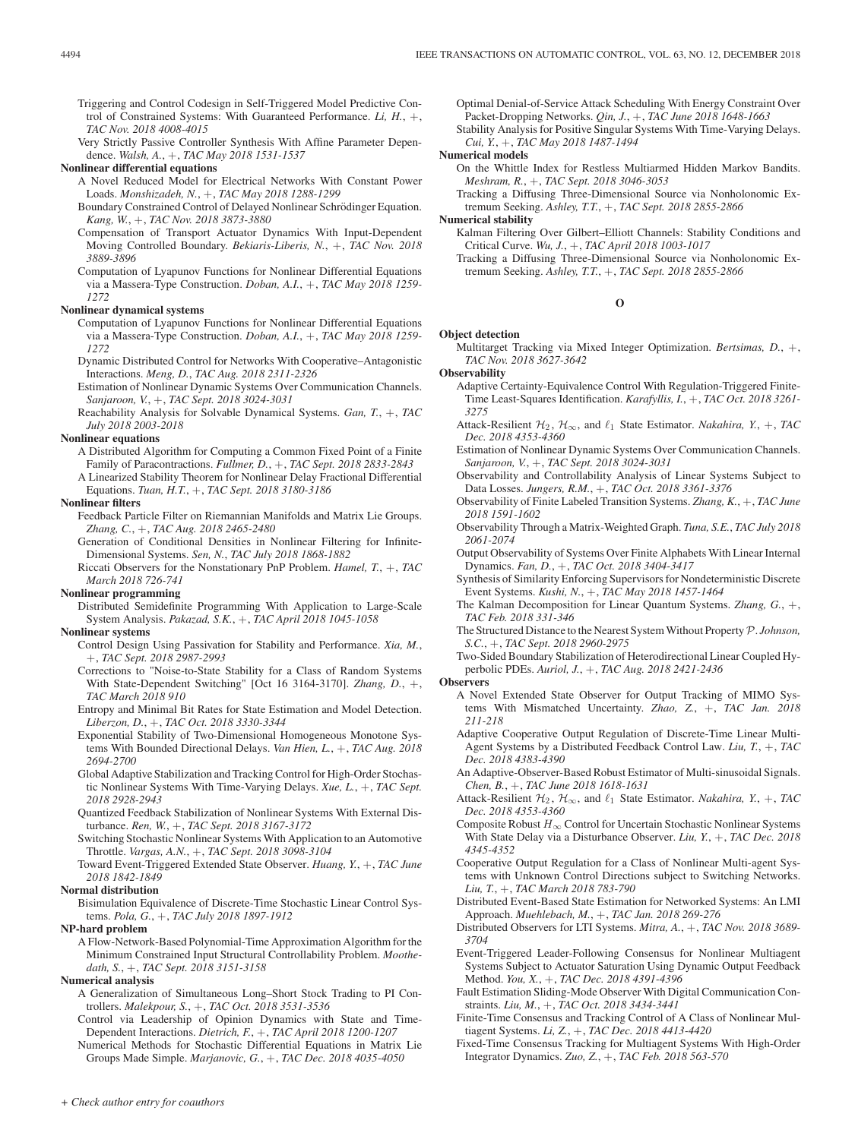- Triggering and Control Codesign in Self-Triggered Model Predictive Control of Constrained Systems: With Guaranteed Performance. *Li, H.*, +, *TAC Nov. 2018 4008-4015*
- Very Strictly Passive Controller Synthesis With Affine Parameter Dependence. *Walsh, A.*, +, *TAC May 2018 1531-1537*

### **Nonlinear differential equations**

- A Novel Reduced Model for Electrical Networks With Constant Power Loads. *Monshizadeh, N.*, +, *TAC May 2018 1288-1299*
- Boundary Constrained Control of Delayed Nonlinear Schrödinger Equation. *Kang, W.*, +, *TAC Nov. 2018 3873-3880*
- Compensation of Transport Actuator Dynamics With Input-Dependent Moving Controlled Boundary. *Bekiaris-Liberis, N.*, +, *TAC Nov. 2018 3889-3896*
- Computation of Lyapunov Functions for Nonlinear Differential Equations via a Massera-Type Construction. *Doban, A.I.*, +, *TAC May 2018 1259- 1272*

# **Nonlinear dynamical systems**

- Computation of Lyapunov Functions for Nonlinear Differential Equations via a Massera-Type Construction. *Doban, A.I.*, +, *TAC May 2018 1259- 1272*
- Dynamic Distributed Control for Networks With Cooperative–Antagonistic Interactions. *Meng, D.*, *TAC Aug. 2018 2311-2326*
- Estimation of Nonlinear Dynamic Systems Over Communication Channels. *Sanjaroon, V.*, +, *TAC Sept. 2018 3024-3031*
- Reachability Analysis for Solvable Dynamical Systems. *Gan, T.*, +, *TAC July 2018 2003-2018*

### **Nonlinear equations**

A Distributed Algorithm for Computing a Common Fixed Point of a Finite Family of Paracontractions. *Fullmer, D.*, +, *TAC Sept. 2018 2833-2843*

A Linearized Stability Theorem for Nonlinear Delay Fractional Differential Equations. *Tuan, H.T.*, +, *TAC Sept. 2018 3180-3186*

### **Nonlinear filters**

- Feedback Particle Filter on Riemannian Manifolds and Matrix Lie Groups. *Zhang, C.*, +, *TAC Aug. 2018 2465-2480*
- Generation of Conditional Densities in Nonlinear Filtering for Infinite-Dimensional Systems. *Sen, N.*, *TAC July 2018 1868-1882*
- Riccati Observers for the Nonstationary PnP Problem. *Hamel, T.*, +, *TAC March 2018 726-741*

### **Nonlinear programming**

Distributed Semidefinite Programming With Application to Large-Scale System Analysis. *Pakazad, S.K.*, +, *TAC April 2018 1045-1058*

# **Nonlinear systems**

- Control Design Using Passivation for Stability and Performance. *Xia, M.*, +, *TAC Sept. 2018 2987-2993*
- Corrections to "Noise-to-State Stability for a Class of Random Systems With State-Dependent Switching" [Oct 16 3164-3170]. *Zhang, D.*, +, *TAC March 2018 910*
- Entropy and Minimal Bit Rates for State Estimation and Model Detection. *Liberzon, D.*, +, *TAC Oct. 2018 3330-3344*
- Exponential Stability of Two-Dimensional Homogeneous Monotone Systems With Bounded Directional Delays. *Van Hien, L.*, +, *TAC Aug. 2018 2694-2700*
- Global Adaptive Stabilization and Tracking Control for High-Order Stochastic Nonlinear Systems With Time-Varying Delays. *Xue, L.*, +, *TAC Sept. 2018 2928-2943*
- Quantized Feedback Stabilization of Nonlinear Systems With External Disturbance. *Ren, W.*, +, *TAC Sept. 2018 3167-3172*
- Switching Stochastic Nonlinear Systems With Application to an Automotive Throttle. *Vargas, A.N.*, +, *TAC Sept. 2018 3098-3104*
- Toward Event-Triggered Extended State Observer. *Huang, Y.*, +, *TAC June 2018 1842-1849*

### **Normal distribution**

Bisimulation Equivalence of Discrete-Time Stochastic Linear Control Systems. *Pola, G.*, +, *TAC July 2018 1897-1912*

### **NP-hard problem**

A Flow-Network-Based Polynomial-Time Approximation Algorithm for the Minimum Constrained Input Structural Controllability Problem. *Moothedath, S.*, +, *TAC Sept. 2018 3151-3158*

# **Numerical analysis**

- A Generalization of Simultaneous Long–Short Stock Trading to PI Controllers. *Malekpour, S.*, +, *TAC Oct. 2018 3531-3536*
- Control via Leadership of Opinion Dynamics with State and Time-Dependent Interactions. *Dietrich, F.*, +, *TAC April 2018 1200-1207*
- Numerical Methods for Stochastic Differential Equations in Matrix Lie Groups Made Simple. *Marjanovic, G.*, +, *TAC Dec. 2018 4035-4050*

Optimal Denial-of-Service Attack Scheduling With Energy Constraint Over Packet-Dropping Networks. *Qin, J.*, +, *TAC June 2018 1648-1663*

Stability Analysis for Positive Singular Systems With Time-Varying Delays. *Cui, Y.*, +, *TAC May 2018 1487-1494*

# **Numerical models**

- On the Whittle Index for Restless Multiarmed Hidden Markov Bandits. *Meshram, R.*, +, *TAC Sept. 2018 3046-3053*
- Tracking a Diffusing Three-Dimensional Source via Nonholonomic Extremum Seeking. *Ashley, T.T.*, +, *TAC Sept. 2018 2855-2866*

# **Numerical stability**

Kalman Filtering Over Gilbert–Elliott Channels: Stability Conditions and Critical Curve. *Wu, J.*, +, *TAC April 2018 1003-1017*

Tracking a Diffusing Three-Dimensional Source via Nonholonomic Extremum Seeking. *Ashley, T.T.*, +, *TAC Sept. 2018 2855-2866*

### **O**

### **Object detection**

Multitarget Tracking via Mixed Integer Optimization. *Bertsimas, D.*, +, *TAC Nov. 2018 3627-3642*

**Observability**

- Adaptive Certainty-Equivalence Control With Regulation-Triggered Finite-Time Least-Squares Identification. *Karafyllis, I.*, +, *TAC Oct. 2018 3261- 3275*
- Attack-Resilient  $\mathcal{H}_2$ ,  $\mathcal{H}_{\infty}$ , and  $\ell_1$  State Estimator. *Nakahira*, *Y.*, +, *TAC Dec. 2018 4353-4360*
- Estimation of Nonlinear Dynamic Systems Over Communication Channels. *Sanjaroon, V.*, +, *TAC Sept. 2018 3024-3031*
- Observability and Controllability Analysis of Linear Systems Subject to Data Losses. *Jungers, R.M.*, +, *TAC Oct. 2018 3361-3376*
- Observability of Finite Labeled Transition Systems. *Zhang, K.*, +, *TAC June 2018 1591-1602*
- Observability Through a Matrix-Weighted Graph. *Tuna, S.E.*, *TAC July 2018 2061-2074*
- Output Observability of Systems Over Finite Alphabets With Linear Internal Dynamics. *Fan, D.*, +, *TAC Oct. 2018 3404-3417*
- Synthesis of Similarity Enforcing Supervisors for Nondeterministic Discrete Event Systems. *Kushi, N.*, +, *TAC May 2018 1457-1464*
- The Kalman Decomposition for Linear Quantum Systems. *Zhang, G.*, +, *TAC Feb. 2018 331-346*
- The Structured Distance to the Nearest System Without Property  $P$ . *Johnson*, *S.C.*, +, *TAC Sept. 2018 2960-2975*
- Two-Sided Boundary Stabilization of Heterodirectional Linear Coupled Hyperbolic PDEs. *Auriol, J.*, +, *TAC Aug. 2018 2421-2436*

### **Observers**

- A Novel Extended State Observer for Output Tracking of MIMO Systems With Mismatched Uncertainty. *Zhao, Z.*, +, *TAC Jan. 2018 211-218*
- Adaptive Cooperative Output Regulation of Discrete-Time Linear Multi-Agent Systems by a Distributed Feedback Control Law. *Liu, T.*, +, *TAC Dec. 2018 4383-4390*
- An Adaptive-Observer-Based Robust Estimator of Multi-sinusoidal Signals. *Chen, B.*, +, *TAC June 2018 1618-1631*
- Attack-Resilient  $\mathcal{H}_2$ ,  $\mathcal{H}_{\infty}$ , and  $\ell_1$  State Estimator. *Nakahira*, *Y.*, +, *TAC Dec. 2018 4353-4360*
- Composite Robust  $H_{\infty}$  Control for Uncertain Stochastic Nonlinear Systems With State Delay via a Disturbance Observer. *Liu, Y.*, +, *TAC Dec. 2018 4345-4352*
- Cooperative Output Regulation for a Class of Nonlinear Multi-agent Systems with Unknown Control Directions subject to Switching Networks. *Liu, T.*, +, *TAC March 2018 783-790*
- Distributed Event-Based State Estimation for Networked Systems: An LMI Approach. *Muehlebach, M.*, +, *TAC Jan. 2018 269-276*
- Distributed Observers for LTI Systems. *Mitra, A.*, +, *TAC Nov. 2018 3689- 3704*
- Event-Triggered Leader-Following Consensus for Nonlinear Multiagent Systems Subject to Actuator Saturation Using Dynamic Output Feedback Method. *You, X.*, +, *TAC Dec. 2018 4391-4396*
- Fault Estimation Sliding-Mode Observer With Digital Communication Constraints. *Liu, M.*, +, *TAC Oct. 2018 3434-3441*
- Finite-Time Consensus and Tracking Control of A Class of Nonlinear Multiagent Systems. *Li, Z.*, +, *TAC Dec. 2018 4413-4420*
- Fixed-Time Consensus Tracking for Multiagent Systems With High-Order Integrator Dynamics. *Zuo, Z.*, +, *TAC Feb. 2018 563-570*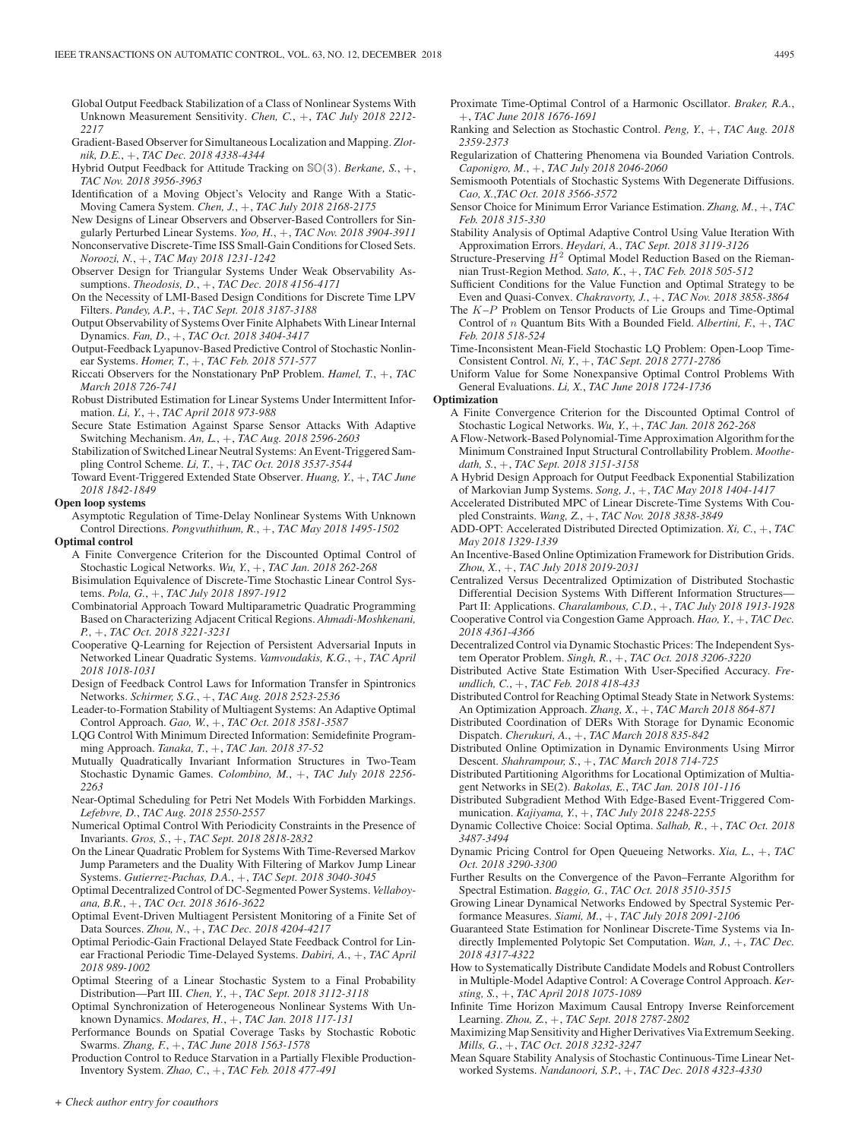Global Output Feedback Stabilization of a Class of Nonlinear Systems With Unknown Measurement Sensitivity. *Chen, C.*, +, *TAC July 2018 2212- 2217*

Gradient-Based Observer for Simultaneous Localization and Mapping. *Zlotnik, D.E.*, +, *TAC Dec. 2018 4338-4344*

- Hybrid Output Feedback for Attitude Tracking on SO(3). *Berkane, S.*, +, *TAC Nov. 2018 3956-3963*
- Identification of a Moving Object's Velocity and Range With a Static-Moving Camera System. *Chen, J.*, +, *TAC July 2018 2168-2175*
- New Designs of Linear Observers and Observer-Based Controllers for Singularly Perturbed Linear Systems. *Yoo, H.*, +, *TAC Nov. 2018 3904-3911*
- Nonconservative Discrete-Time ISS Small-Gain Conditions for Closed Sets. *Noroozi, N.*, +, *TAC May 2018 1231-1242*
- Observer Design for Triangular Systems Under Weak Observability Assumptions. *Theodosis, D.*, +, *TAC Dec. 2018 4156-4171*
- On the Necessity of LMI-Based Design Conditions for Discrete Time LPV Filters. *Pandey, A.P.*, +, *TAC Sept. 2018 3187-3188*
- Output Observability of Systems Over Finite Alphabets With Linear Internal Dynamics. *Fan, D.*, +, *TAC Oct. 2018 3404-3417*
- Output-Feedback Lyapunov-Based Predictive Control of Stochastic Nonlinear Systems. *Homer, T.*, +, *TAC Feb. 2018 571-577*
- Riccati Observers for the Nonstationary PnP Problem. *Hamel, T.*, +, *TAC March 2018 726-741*
- Robust Distributed Estimation for Linear Systems Under Intermittent Information. *Li, Y.*, +, *TAC April 2018 973-988*
- Secure State Estimation Against Sparse Sensor Attacks With Adaptive Switching Mechanism. *An, L.*, +, *TAC Aug. 2018 2596-2603*
- Stabilization of Switched Linear Neutral Systems: An Event-Triggered Sampling Control Scheme. *Li, T.*, +, *TAC Oct. 2018 3537-3544*
- Toward Event-Triggered Extended State Observer. *Huang, Y.*, +, *TAC June 2018 1842-1849*

**Open loop systems**

- Asymptotic Regulation of Time-Delay Nonlinear Systems With Unknown Control Directions. *Pongvuthithum, R.*, +, *TAC May 2018 1495-1502* **Optimal control**
	- A Finite Convergence Criterion for the Discounted Optimal Control of
	- Stochastic Logical Networks. *Wu, Y.*, +, *TAC Jan. 2018 262-268* Bisimulation Equivalence of Discrete-Time Stochastic Linear Control Systems. *Pola, G.*, +, *TAC July 2018 1897-1912*
	- Combinatorial Approach Toward Multiparametric Quadratic Programming Based on Characterizing Adjacent Critical Regions. *Ahmadi-Moshkenani, P.*, +, *TAC Oct. 2018 3221-3231*
	- Cooperative Q-Learning for Rejection of Persistent Adversarial Inputs in Networked Linear Quadratic Systems. *Vamvoudakis, K.G.*, +, *TAC April 2018 1018-1031*
	- Design of Feedback Control Laws for Information Transfer in Spintronics Networks. *Schirmer, S.G.*, +, *TAC Aug. 2018 2523-2536*
	- Leader-to-Formation Stability of Multiagent Systems: An Adaptive Optimal Control Approach. *Gao, W.*, +, *TAC Oct. 2018 3581-3587*
	- LQG Control With Minimum Directed Information: Semidefinite Programming Approach. *Tanaka, T.*, +, *TAC Jan. 2018 37-52*
	- Mutually Quadratically Invariant Information Structures in Two-Team Stochastic Dynamic Games. *Colombino, M.*, +, *TAC July 2018 2256- 2263*
	- Near-Optimal Scheduling for Petri Net Models With Forbidden Markings. *Lefebvre, D.*, *TAC Aug. 2018 2550-2557*
	- Numerical Optimal Control With Periodicity Constraints in the Presence of Invariants. *Gros, S.*, +, *TAC Sept. 2018 2818-2832*
	- On the Linear Quadratic Problem for Systems With Time-Reversed Markov Jump Parameters and the Duality With Filtering of Markov Jump Linear Systems. *Gutierrez-Pachas, D.A.*, +, *TAC Sept. 2018 3040-3045*
	- Optimal Decentralized Control of DC-Segmented Power Systems. *Vellaboyana, B.R.*, +, *TAC Oct. 2018 3616-3622*
	- Optimal Event-Driven Multiagent Persistent Monitoring of a Finite Set of Data Sources. *Zhou, N.*, +, *TAC Dec. 2018 4204-4217*
	- Optimal Periodic-Gain Fractional Delayed State Feedback Control for Linear Fractional Periodic Time-Delayed Systems. *Dabiri, A.*, +, *TAC April 2018 989-1002*
	- Optimal Steering of a Linear Stochastic System to a Final Probability Distribution—Part III. *Chen, Y.*, +, *TAC Sept. 2018 3112-3118*
	- Optimal Synchronization of Heterogeneous Nonlinear Systems With Unknown Dynamics. *Modares, H.*, +, *TAC Jan. 2018 117-131*
	- Performance Bounds on Spatial Coverage Tasks by Stochastic Robotic Swarms. *Zhang, F.*, +, *TAC June 2018 1563-1578*
	- Production Control to Reduce Starvation in a Partially Flexible Production-Inventory System. *Zhao, C.*, +, *TAC Feb. 2018 477-491*
- Proximate Time-Optimal Control of a Harmonic Oscillator. *Braker, R.A.*, +, *TAC June 2018 1676-1691*
- Ranking and Selection as Stochastic Control. *Peng, Y.*, +, *TAC Aug. 2018 2359-2373*
- Regularization of Chattering Phenomena via Bounded Variation Controls. *Caponigro, M.*, +, *TAC July 2018 2046-2060*
- Semismooth Potentials of Stochastic Systems With Degenerate Diffusions. *Cao, X.*,*TAC Oct. 2018 3566-3572*
- Sensor Choice for Minimum Error Variance Estimation. *Zhang, M.*, +, *TAC Feb. 2018 315-330*
- Stability Analysis of Optimal Adaptive Control Using Value Iteration With Approximation Errors. *Heydari, A.*, *TAC Sept. 2018 3119-3126*
- Structure-Preserving  $H^2$  Optimal Model Reduction Based on the Riemannian Trust-Region Method. *Sato, K.*, +, *TAC Feb. 2018 505-512*
- Sufficient Conditions for the Value Function and Optimal Strategy to be Even and Quasi-Convex. *Chakravorty, J.*, +, *TAC Nov. 2018 3858-3864*
- The K–P Problem on Tensor Products of Lie Groups and Time-Optimal Control of n Quantum Bits With a Bounded Field. *Albertini, F.*, +, *TAC Feb. 2018 518-524*
- Time-Inconsistent Mean-Field Stochastic LQ Problem: Open-Loop Time-Consistent Control. *Ni, Y.*, +, *TAC Sept. 2018 2771-2786*
- Uniform Value for Some Nonexpansive Optimal Control Problems With General Evaluations. *Li, X.*, *TAC June 2018 1724-1736*
- **Optimization**
	- A Finite Convergence Criterion for the Discounted Optimal Control of Stochastic Logical Networks. *Wu, Y.*, +, *TAC Jan. 2018 262-268*
	- A Flow-Network-Based Polynomial-Time Approximation Algorithm for the Minimum Constrained Input Structural Controllability Problem. *Moothedath, S.*, +, *TAC Sept. 2018 3151-3158*
	- A Hybrid Design Approach for Output Feedback Exponential Stabilization of Markovian Jump Systems. *Song, J.*, +, *TAC May 2018 1404-1417*
	- Accelerated Distributed MPC of Linear Discrete-Time Systems With Coupled Constraints. *Wang, Z.*, +, *TAC Nov. 2018 3838-3849*
	- ADD-OPT: Accelerated Distributed Directed Optimization. *Xi, C.*, +, *TAC May 2018 1329-1339*
	- An Incentive-Based Online Optimization Framework for Distribution Grids. *Zhou, X.*, +, *TAC July 2018 2019-2031*
	- Centralized Versus Decentralized Optimization of Distributed Stochastic Differential Decision Systems With Different Information Structures— Part II: Applications. *Charalambous, C.D.*, +, *TAC July 2018 1913-1928*
	- Cooperative Control via Congestion Game Approach. *Hao, Y.*, +, *TAC Dec. 2018 4361-4366*
	- Decentralized Control via Dynamic Stochastic Prices: The Independent System Operator Problem. *Singh, R.*, +, *TAC Oct. 2018 3206-3220*
	- Distributed Active State Estimation With User-Specified Accuracy. *Freundlich, C.*, +, *TAC Feb. 2018 418-433*
	- Distributed Control for Reaching Optimal Steady State in Network Systems: An Optimization Approach. *Zhang, X.*, +, *TAC March 2018 864-871*
	- Distributed Coordination of DERs With Storage for Dynamic Economic Dispatch. *Cherukuri, A.*, +, *TAC March 2018 835-842*
	- Distributed Online Optimization in Dynamic Environments Using Mirror Descent. *Shahrampour, S.*, +, *TAC March 2018 714-725*
	- Distributed Partitioning Algorithms for Locational Optimization of Multiagent Networks in SE(2). *Bakolas, E.*, *TAC Jan. 2018 101-116*
	- Distributed Subgradient Method With Edge-Based Event-Triggered Communication. *Kajiyama, Y.*, +, *TAC July 2018 2248-2255*
	- Dynamic Collective Choice: Social Optima. *Salhab, R.*, +, *TAC Oct. 2018 3487-3494*
	- Dynamic Pricing Control for Open Queueing Networks. *Xia, L.*, +, *TAC Oct. 2018 3290-3300*
	- Further Results on the Convergence of the Pavon–Ferrante Algorithm for Spectral Estimation. *Baggio, G.*, *TAC Oct. 2018 3510-3515*
	- Growing Linear Dynamical Networks Endowed by Spectral Systemic Performance Measures. *Siami, M.*, +, *TAC July 2018 2091-2106*
	- Guaranteed State Estimation for Nonlinear Discrete-Time Systems via Indirectly Implemented Polytopic Set Computation. *Wan, J.*, +, *TAC Dec. 2018 4317-4322*
	- How to Systematically Distribute Candidate Models and Robust Controllers in Multiple-Model Adaptive Control: A Coverage Control Approach. *Kersting, S.*, +, *TAC April 2018 1075-1089*
	- Infinite Time Horizon Maximum Causal Entropy Inverse Reinforcement Learning. *Zhou, Z.*, +, *TAC Sept. 2018 2787-2802*
	- Maximizing Map Sensitivity and Higher Derivatives Via Extremum Seeking. *Mills, G.*, +, *TAC Oct. 2018 3232-3247*
	- Mean Square Stability Analysis of Stochastic Continuous-Time Linear Networked Systems. *Nandanoori, S.P.*, +, *TAC Dec. 2018 4323-4330*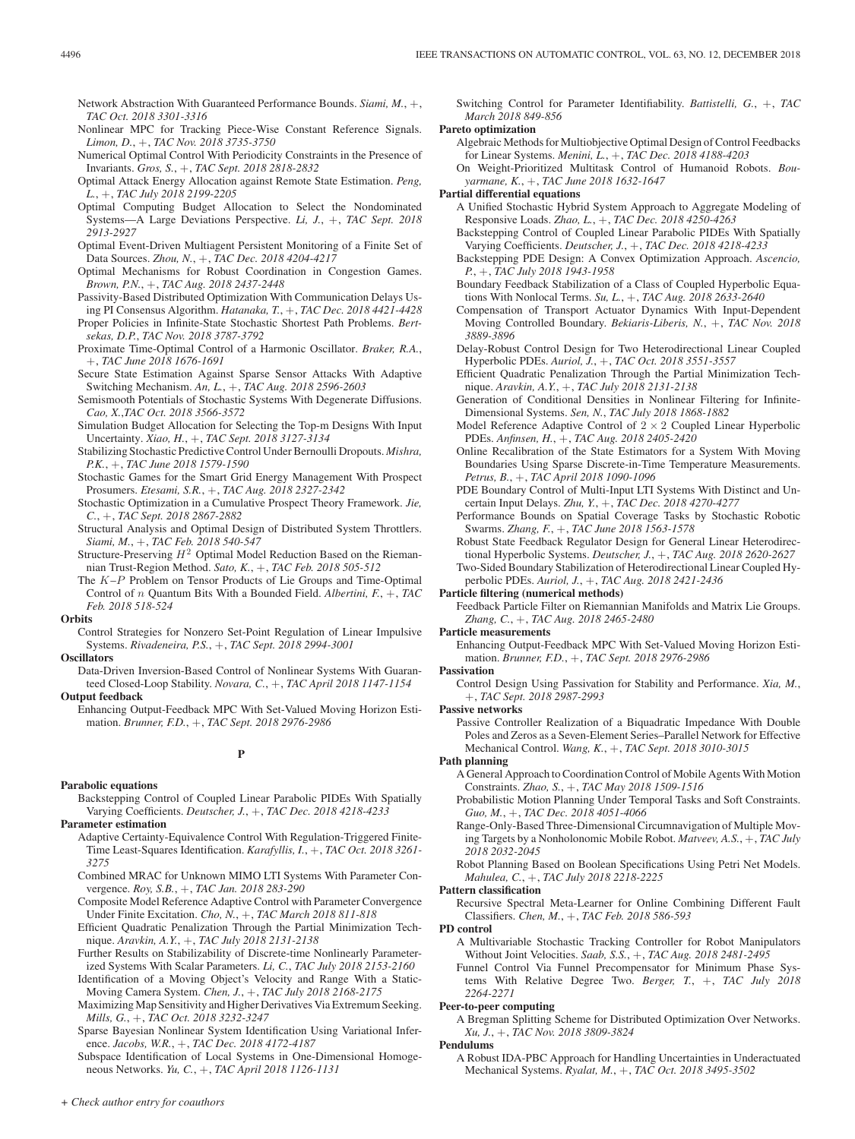Network Abstraction With Guaranteed Performance Bounds. *Siami, M.*, +, *TAC Oct. 2018 3301-3316*

- Nonlinear MPC for Tracking Piece-Wise Constant Reference Signals. *Limon, D.*, +, *TAC Nov. 2018 3735-3750*
- Numerical Optimal Control With Periodicity Constraints in the Presence of Invariants. *Gros, S.*, +, *TAC Sept. 2018 2818-2832*
- Optimal Attack Energy Allocation against Remote State Estimation. *Peng, L.*, +, *TAC July 2018 2199-2205*
- Optimal Computing Budget Allocation to Select the Nondominated Systems—A Large Deviations Perspective. *Li, J.*, +, *TAC Sept. 2018 2913-2927*
- Optimal Event-Driven Multiagent Persistent Monitoring of a Finite Set of Data Sources. *Zhou, N.*, +, *TAC Dec. 2018 4204-4217*
- Optimal Mechanisms for Robust Coordination in Congestion Games. *Brown, P.N.*, +, *TAC Aug. 2018 2437-2448*

Passivity-Based Distributed Optimization With Communication Delays Us-

ing PI Consensus Algorithm. *Hatanaka, T.*, +, *TAC Dec. 2018 4421-4428* Proper Policies in Infinite-State Stochastic Shortest Path Problems. *Bertsekas, D.P.*, *TAC Nov. 2018 3787-3792*

- Proximate Time-Optimal Control of a Harmonic Oscillator. *Braker, R.A.*, +, *TAC June 2018 1676-1691*
- Secure State Estimation Against Sparse Sensor Attacks With Adaptive Switching Mechanism. *An, L.*, +, *TAC Aug. 2018 2596-2603*

Semismooth Potentials of Stochastic Systems With Degenerate Diffusions. *Cao, X.*,*TAC Oct. 2018 3566-3572*

Simulation Budget Allocation for Selecting the Top-m Designs With Input Uncertainty. *Xiao, H.*, +, *TAC Sept. 2018 3127-3134*

Stabilizing Stochastic Predictive Control Under Bernoulli Dropouts. *Mishra, P.K.*, +, *TAC June 2018 1579-1590*

Stochastic Games for the Smart Grid Energy Management With Prospect Prosumers. *Etesami, S.R.*, +, *TAC Aug. 2018 2327-2342*

Stochastic Optimization in a Cumulative Prospect Theory Framework. *Jie, C.*, +, *TAC Sept. 2018 2867-2882*

- Structural Analysis and Optimal Design of Distributed System Throttlers. *Siami, M.*, +, *TAC Feb. 2018 540-547*
- Structure-Preserving  $H^2$  Optimal Model Reduction Based on the Riemannian Trust-Region Method. *Sato, K.*, +, *TAC Feb. 2018 505-512*

The K–P Problem on Tensor Products of Lie Groups and Time-Optimal Control of n Quantum Bits With a Bounded Field. *Albertini, F.*, +, *TAC Feb. 2018 518-524*

# **Orbits**

Control Strategies for Nonzero Set-Point Regulation of Linear Impulsive Systems. *Rivadeneira, P.S.*, +, *TAC Sept. 2018 2994-3001*

# **Oscillators**

Data-Driven Inversion-Based Control of Nonlinear Systems With Guaranteed Closed-Loop Stability. *Novara, C.*, +, *TAC April 2018 1147-1154* **Output feedback**

Enhancing Output-Feedback MPC With Set-Valued Moving Horizon Estimation. *Brunner, F.D.*, +, *TAC Sept. 2018 2976-2986*

# **Parabolic equations**

Backstepping Control of Coupled Linear Parabolic PIDEs With Spatially Varying Coefficients. *Deutscher, J.*, +, *TAC Dec. 2018 4218-4233*

**P**

# **Parameter estimation**

Adaptive Certainty-Equivalence Control With Regulation-Triggered Finite-Time Least-Squares Identification. *Karafyllis, I.*, +, *TAC Oct. 2018 3261- 3275*

- Combined MRAC for Unknown MIMO LTI Systems With Parameter Convergence. *Roy, S.B.*, +, *TAC Jan. 2018 283-290*
- Composite Model Reference Adaptive Control with Parameter Convergence Under Finite Excitation. *Cho, N.*, +, *TAC March 2018 811-818*
- Efficient Quadratic Penalization Through the Partial Minimization Technique. *Aravkin, A.Y.*, +, *TAC July 2018 2131-2138*

Further Results on Stabilizability of Discrete-time Nonlinearly Parameterized Systems With Scalar Parameters. *Li, C.*, *TAC July 2018 2153-2160*

Identification of a Moving Object's Velocity and Range With a Static-Moving Camera System. *Chen, J.*, +, *TAC July 2018 2168-2175*

Maximizing Map Sensitivity and Higher Derivatives Via Extremum Seeking. *Mills, G.*, +, *TAC Oct. 2018 3232-3247*

Sparse Bayesian Nonlinear System Identification Using Variational Inference. *Jacobs, W.R.*, +, *TAC Dec. 2018 4172-4187*

Subspace Identification of Local Systems in One-Dimensional Homogeneous Networks. *Yu, C.*, +, *TAC April 2018 1126-1131*

for Linear Systems. *Menini, L.*, +, *TAC Dec. 2018 4188-4203* On Weight-Prioritized Multitask Control of Humanoid Robots. *Bou-*

*yarmane, K.*, +, *TAC June 2018 1632-1647*

Switching Control for Parameter Identifiability. *Battistelli, G.*, +, *TAC*

Algebraic Methods for Multiobjective Optimal Design of Control Feedbacks

# **Partial differential equations**

*March 2018 849-856*

**Pareto optimization**

- A Unified Stochastic Hybrid System Approach to Aggregate Modeling of Responsive Loads. *Zhao, L.*, +, *TAC Dec. 2018 4250-4263*
- Backstepping Control of Coupled Linear Parabolic PIDEs With Spatially Varying Coefficients. *Deutscher, J.*, +, *TAC Dec. 2018 4218-4233*
- Backstepping PDE Design: A Convex Optimization Approach. *Ascencio, P.*, +, *TAC July 2018 1943-1958*
- Boundary Feedback Stabilization of a Class of Coupled Hyperbolic Equations With Nonlocal Terms. *Su, L.*, +, *TAC Aug. 2018 2633-2640*
- Compensation of Transport Actuator Dynamics With Input-Dependent Moving Controlled Boundary. *Bekiaris-Liberis, N.*, +, *TAC Nov. 2018 3889-3896*
- Delay-Robust Control Design for Two Heterodirectional Linear Coupled Hyperbolic PDEs. *Auriol, J.*, +, *TAC Oct. 2018 3551-3557*

Efficient Quadratic Penalization Through the Partial Minimization Technique. *Aravkin, A.Y.*, +, *TAC July 2018 2131-2138*

- Generation of Conditional Densities in Nonlinear Filtering for Infinite-Dimensional Systems. *Sen, N.*, *TAC July 2018 1868-1882*
- Model Reference Adaptive Control of  $2 \times 2$  Coupled Linear Hyperbolic PDEs. *Anfinsen, H.*, +, *TAC Aug. 2018 2405-2420*
- Online Recalibration of the State Estimators for a System With Moving Boundaries Using Sparse Discrete-in-Time Temperature Measurements. *Petrus, B.*, +, *TAC April 2018 1090-1096*
- PDE Boundary Control of Multi-Input LTI Systems With Distinct and Uncertain Input Delays. *Zhu, Y.*, +, *TAC Dec. 2018 4270-4277*
- Performance Bounds on Spatial Coverage Tasks by Stochastic Robotic Swarms. *Zhang, F.*, +, *TAC June 2018 1563-1578*

Robust State Feedback Regulator Design for General Linear Heterodirectional Hyperbolic Systems. *Deutscher, J.*, +, *TAC Aug. 2018 2620-2627* Two-Sided Boundary Stabilization of Heterodirectional Linear Coupled Hy-

perbolic PDEs. *Auriol, J.*, +, *TAC Aug. 2018 2421-2436*

# **Particle filtering (numerical methods)**

Feedback Particle Filter on Riemannian Manifolds and Matrix Lie Groups. *Zhang, C.*, +, *TAC Aug. 2018 2465-2480*

### **Particle measurements**

Enhancing Output-Feedback MPC With Set-Valued Moving Horizon Estimation. *Brunner, F.D.*, +, *TAC Sept. 2018 2976-2986*

# **Passivation**

- Control Design Using Passivation for Stability and Performance. *Xia, M.*, +, *TAC Sept. 2018 2987-2993*
- **Passive networks**
	- Passive Controller Realization of a Biquadratic Impedance With Double Poles and Zeros as a Seven-Element Series–Parallel Network for Effective Mechanical Control. *Wang, K.*, +, *TAC Sept. 2018 3010-3015*

# **Path planning**

A General Approach to Coordination Control of Mobile Agents With Motion Constraints. *Zhao, S.*, +, *TAC May 2018 1509-1516*

- Probabilistic Motion Planning Under Temporal Tasks and Soft Constraints. *Guo, M.*, +, *TAC Dec. 2018 4051-4066*
- Range-Only-Based Three-Dimensional Circumnavigation of Multiple Moving Targets by a Nonholonomic Mobile Robot. *Matveev, A.S.*, +, *TAC July 2018 2032-2045*

Robot Planning Based on Boolean Specifications Using Petri Net Models. *Mahulea, C.*, +, *TAC July 2018 2218-2225*

# **Pattern classification**

Recursive Spectral Meta-Learner for Online Combining Different Fault Classifiers. *Chen, M.*, +, *TAC Feb. 2018 586-593*

**PD control**

A Multivariable Stochastic Tracking Controller for Robot Manipulators Without Joint Velocities. *Saab, S.S.*, +, *TAC Aug. 2018 2481-2495*

Funnel Control Via Funnel Precompensator for Minimum Phase Systems With Relative Degree Two. *Berger, T.*, +, *TAC July 2018 2264-2271*

# **Peer-to-peer computing**

A Bregman Splitting Scheme for Distributed Optimization Over Networks. *Xu, J.*, +, *TAC Nov. 2018 3809-3824*

- **Pendulums**
	- A Robust IDA-PBC Approach for Handling Uncertainties in Underactuated Mechanical Systems. *Ryalat, M.*, +, *TAC Oct. 2018 3495-3502*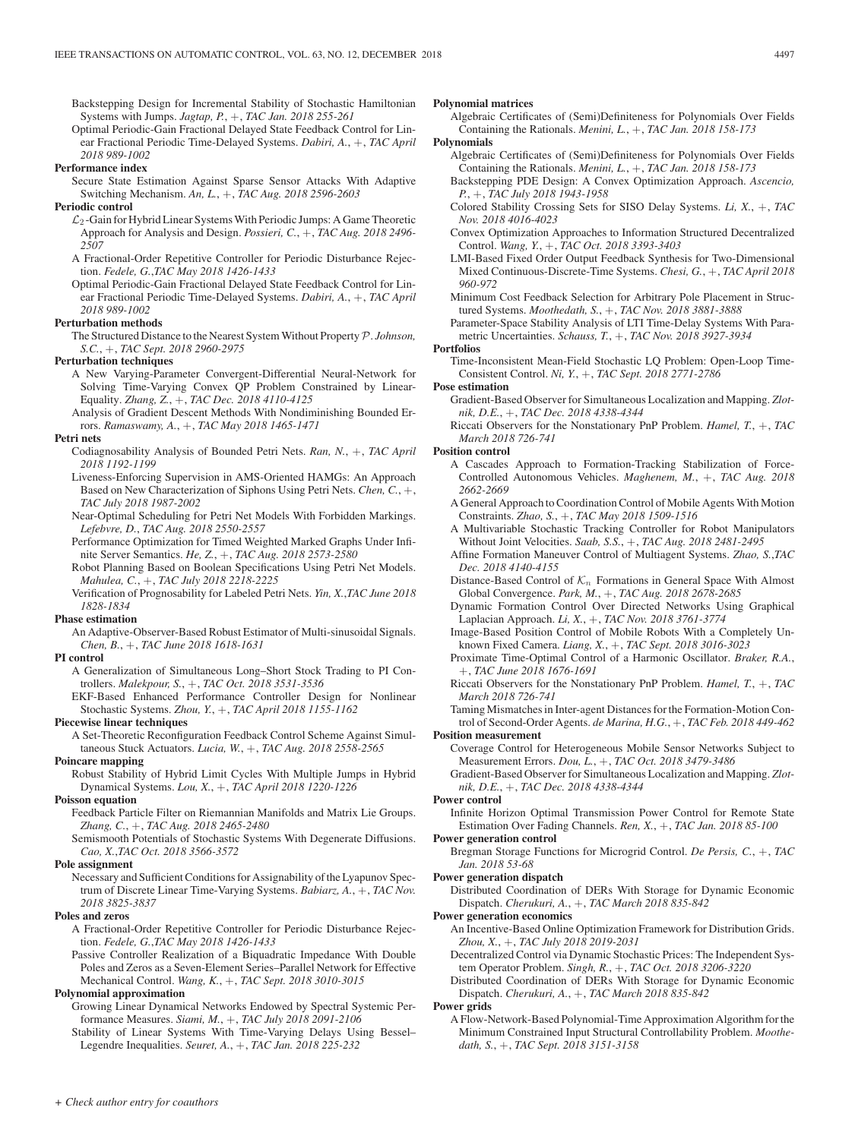Backstepping Design for Incremental Stability of Stochastic Hamiltonian Systems with Jumps. *Jagtap, P.*, +, *TAC Jan. 2018 255-261*

Optimal Periodic-Gain Fractional Delayed State Feedback Control for Linear Fractional Periodic Time-Delayed Systems. *Dabiri, A.*, +, *TAC April 2018 989-1002*

### **Performance index**

Secure State Estimation Against Sparse Sensor Attacks With Adaptive Switching Mechanism. *An, L.*, +, *TAC Aug. 2018 2596-2603*

### **Periodic control**

- $\mathcal{L}_2$ -Gain for Hybrid Linear Systems With Periodic Jumps: A Game Theoretic Approach for Analysis and Design. *Possieri, C.*, +, *TAC Aug. 2018 2496- 2507*
- A Fractional-Order Repetitive Controller for Periodic Disturbance Rejection. *Fedele, G.*,*TAC May 2018 1426-1433*
- Optimal Periodic-Gain Fractional Delayed State Feedback Control for Linear Fractional Periodic Time-Delayed Systems. *Dabiri, A.*, +, *TAC April 2018 989-1002*

# **Perturbation methods**

The Structured Distance to the Nearest System Without Property  $P$ . *Johnson*, *S.C.*, +, *TAC Sept. 2018 2960-2975*

### **Perturbation techniques**

A New Varying-Parameter Convergent-Differential Neural-Network for Solving Time-Varying Convex QP Problem Constrained by Linear-Equality. *Zhang, Z.*, +, *TAC Dec. 2018 4110-4125*

Analysis of Gradient Descent Methods With Nondiminishing Bounded Errors. *Ramaswamy, A.*, +, *TAC May 2018 1465-1471*

### **Petri nets**

Codiagnosability Analysis of Bounded Petri Nets. *Ran, N.*, +, *TAC April 2018 1192-1199*

Liveness-Enforcing Supervision in AMS-Oriented HAMGs: An Approach Based on New Characterization of Siphons Using Petri Nets. *Chen, C.*, +, *TAC July 2018 1987-2002*

Near-Optimal Scheduling for Petri Net Models With Forbidden Markings. *Lefebvre, D.*, *TAC Aug. 2018 2550-2557*

- Performance Optimization for Timed Weighted Marked Graphs Under Infinite Server Semantics. *He, Z.*, +, *TAC Aug. 2018 2573-2580*
- Robot Planning Based on Boolean Specifications Using Petri Net Models. *Mahulea, C.*, +, *TAC July 2018 2218-2225*
- Verification of Prognosability for Labeled Petri Nets. *Yin, X.*,*TAC June 2018 1828-1834*

# **Phase estimation**

An Adaptive-Observer-Based Robust Estimator of Multi-sinusoidal Signals. *Chen, B.*, +, *TAC June 2018 1618-1631*

# **PI control**

A Generalization of Simultaneous Long–Short Stock Trading to PI Controllers. *Malekpour, S.*, +, *TAC Oct. 2018 3531-3536*

EKF-Based Enhanced Performance Controller Design for Nonlinear Stochastic Systems. *Zhou, Y.*, +, *TAC April 2018 1155-1162*

### **Piecewise linear techniques**

A Set-Theoretic Reconfiguration Feedback Control Scheme Against Simultaneous Stuck Actuators. *Lucia, W.*, +, *TAC Aug. 2018 2558-2565*

### **Poincare mapping**

Robust Stability of Hybrid Limit Cycles With Multiple Jumps in Hybrid Dynamical Systems. *Lou, X.*, +, *TAC April 2018 1220-1226*

#### **Poisson equation**

- Feedback Particle Filter on Riemannian Manifolds and Matrix Lie Groups. *Zhang, C.*, +, *TAC Aug. 2018 2465-2480*
- Semismooth Potentials of Stochastic Systems With Degenerate Diffusions. *Cao, X.*,*TAC Oct. 2018 3566-3572*

### **Pole assignment**

Necessary and Sufficient Conditions for Assignability of the Lyapunov Spectrum of Discrete Linear Time-Varying Systems. *Babiarz, A.*, +, *TAC Nov. 2018 3825-3837*

### **Poles and zeros**

- A Fractional-Order Repetitive Controller for Periodic Disturbance Rejection. *Fedele, G.*,*TAC May 2018 1426-1433*
- Passive Controller Realization of a Biquadratic Impedance With Double Poles and Zeros as a Seven-Element Series–Parallel Network for Effective Mechanical Control. *Wang, K.*, +, *TAC Sept. 2018 3010-3015*

# **Polynomial approximation**

- Growing Linear Dynamical Networks Endowed by Spectral Systemic Performance Measures. *Siami, M.*, +, *TAC July 2018 2091-2106*
- Stability of Linear Systems With Time-Varying Delays Using Bessel– Legendre Inequalities. *Seuret, A.*, +, *TAC Jan. 2018 225-232*

### **Polynomial matrices**

Algebraic Certificates of (Semi)Definiteness for Polynomials Over Fields Containing the Rationals. *Menini, L.*, +, *TAC Jan. 2018 158-173*

**Polynomials**

- Algebraic Certificates of (Semi)Definiteness for Polynomials Over Fields Containing the Rationals. *Menini, L.*, +, *TAC Jan. 2018 158-173*
- Backstepping PDE Design: A Convex Optimization Approach. *Ascencio, P.*, +, *TAC July 2018 1943-1958*
- Colored Stability Crossing Sets for SISO Delay Systems. *Li, X.*, +, *TAC Nov. 2018 4016-4023*
- Convex Optimization Approaches to Information Structured Decentralized Control. *Wang, Y.*, +, *TAC Oct. 2018 3393-3403*
- LMI-Based Fixed Order Output Feedback Synthesis for Two-Dimensional Mixed Continuous-Discrete-Time Systems. *Chesi, G.*, +, *TAC April 2018 960-972*
- Minimum Cost Feedback Selection for Arbitrary Pole Placement in Structured Systems. *Moothedath, S.*, +, *TAC Nov. 2018 3881-3888*
- Parameter-Space Stability Analysis of LTI Time-Delay Systems With Parametric Uncertainties. *Schauss, T.*, +, *TAC Nov. 2018 3927-3934*

### **Portfolios**

Time-Inconsistent Mean-Field Stochastic LQ Problem: Open-Loop Time-Consistent Control. *Ni, Y.*, +, *TAC Sept. 2018 2771-2786*

### **Pose estimation**

- Gradient-Based Observer for Simultaneous Localization and Mapping. *Zlotnik, D.E.*, +, *TAC Dec. 2018 4338-4344*
- Riccati Observers for the Nonstationary PnP Problem. *Hamel, T.*, +, *TAC March 2018 726-741*

# **Position control**

- A Cascades Approach to Formation-Tracking Stabilization of Force-Controlled Autonomous Vehicles. *Maghenem, M.*, +, *TAC Aug. 2018 2662-2669*
- A General Approach to Coordination Control of Mobile Agents With Motion Constraints. *Zhao, S.*, +, *TAC May 2018 1509-1516*
- A Multivariable Stochastic Tracking Controller for Robot Manipulators Without Joint Velocities. *Saab, S.S.*, +, *TAC Aug. 2018 2481-2495*
- Affine Formation Maneuver Control of Multiagent Systems. *Zhao, S.*,*TAC Dec. 2018 4140-4155*
- Distance-Based Control of  $\mathcal{K}_n$  Formations in General Space With Almost Global Convergence. *Park, M.*, +, *TAC Aug. 2018 2678-2685*
- Dynamic Formation Control Over Directed Networks Using Graphical Laplacian Approach. *Li, X.*, +, *TAC Nov. 2018 3761-3774*
- Image-Based Position Control of Mobile Robots With a Completely Unknown Fixed Camera. *Liang, X.*, +, *TAC Sept. 2018 3016-3023*
- Proximate Time-Optimal Control of a Harmonic Oscillator. *Braker, R.A.*, +, *TAC June 2018 1676-1691*
- Riccati Observers for the Nonstationary PnP Problem. *Hamel, T.*, +, *TAC March 2018 726-741*

Taming Mismatches in Inter-agent Distances for the Formation-Motion Control of Second-Order Agents. *de Marina, H.G.*, +, *TAC Feb. 2018 449-462*

# **Position measurement**

Coverage Control for Heterogeneous Mobile Sensor Networks Subject to Measurement Errors. *Dou, L.*, +, *TAC Oct. 2018 3479-3486*

Gradient-Based Observer for Simultaneous Localization and Mapping. *Zlotnik, D.E.*, +, *TAC Dec. 2018 4338-4344*

### **Power control**

Infinite Horizon Optimal Transmission Power Control for Remote State Estimation Over Fading Channels. *Ren, X.*, +, *TAC Jan. 2018 85-100*

# **Power generation control**

Bregman Storage Functions for Microgrid Control. *De Persis, C.*, +, *TAC Jan. 2018 53-68*

### **Power generation dispatch**

Distributed Coordination of DERs With Storage for Dynamic Economic Dispatch. *Cherukuri, A.*, +, *TAC March 2018 835-842*

### **Power generation economics**

- An Incentive-Based Online Optimization Framework for Distribution Grids. *Zhou, X.*, +, *TAC July 2018 2019-2031*
- Decentralized Control via Dynamic Stochastic Prices: The Independent System Operator Problem. *Singh, R.*, +, *TAC Oct. 2018 3206-3220*

Distributed Coordination of DERs With Storage for Dynamic Economic Dispatch. *Cherukuri, A.*, +, *TAC March 2018 835-842*

**Power grids**

A Flow-Network-Based Polynomial-Time Approximation Algorithm for the Minimum Constrained Input Structural Controllability Problem. *Moothedath, S.*, +, *TAC Sept. 2018 3151-3158*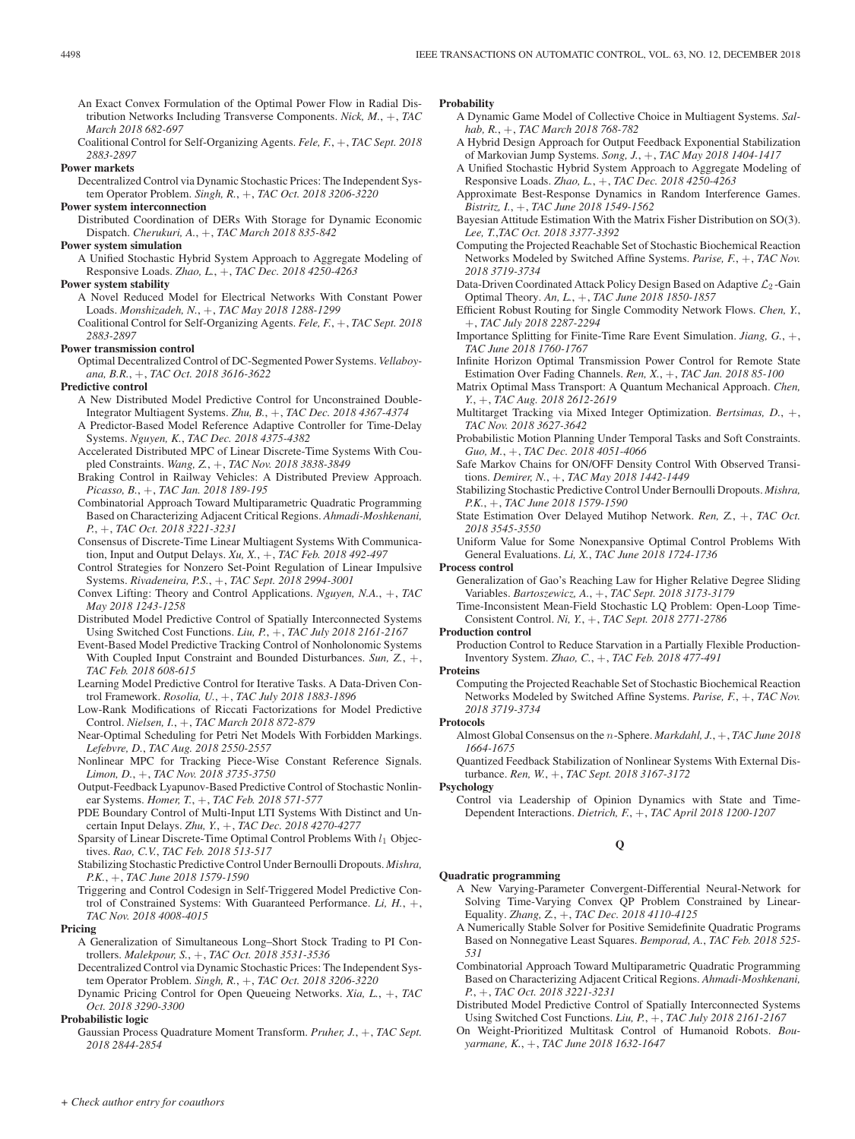- An Exact Convex Formulation of the Optimal Power Flow in Radial Distribution Networks Including Transverse Components. *Nick, M.*, +, *TAC March 2018 682-697*
- Coalitional Control for Self-Organizing Agents. *Fele, F.*, +, *TAC Sept. 2018 2883-2897*

**Power markets**

- Decentralized Control via Dynamic Stochastic Prices: The Independent System Operator Problem. *Singh, R.*, +, *TAC Oct. 2018 3206-3220*
- **Power system interconnection**
	- Distributed Coordination of DERs With Storage for Dynamic Economic Dispatch. *Cherukuri, A.*, +, *TAC March 2018 835-842*
- **Power system simulation**
	- A Unified Stochastic Hybrid System Approach to Aggregate Modeling of Responsive Loads. *Zhao, L.*, +, *TAC Dec. 2018 4250-4263*

### **Power system stability**

- A Novel Reduced Model for Electrical Networks With Constant Power Loads. *Monshizadeh, N.*, +, *TAC May 2018 1288-1299*
- Coalitional Control for Self-Organizing Agents. *Fele, F.*, +, *TAC Sept. 2018 2883-2897*

### **Power transmission control**

- Optimal Decentralized Control of DC-Segmented Power Systems. *Vellaboyana, B.R.*, +, *TAC Oct. 2018 3616-3622*
- **Predictive control**
	- A New Distributed Model Predictive Control for Unconstrained Double-Integrator Multiagent Systems. *Zhu, B.*, +, *TAC Dec. 2018 4367-4374*
	- A Predictor-Based Model Reference Adaptive Controller for Time-Delay Systems. *Nguyen, K.*, *TAC Dec. 2018 4375-4382*
	- Accelerated Distributed MPC of Linear Discrete-Time Systems With Coupled Constraints. *Wang, Z.*, +, *TAC Nov. 2018 3838-3849*
	- Braking Control in Railway Vehicles: A Distributed Preview Approach. *Picasso, B.*, +, *TAC Jan. 2018 189-195*
	- Combinatorial Approach Toward Multiparametric Quadratic Programming Based on Characterizing Adjacent Critical Regions. *Ahmadi-Moshkenani, P.*, +, *TAC Oct. 2018 3221-3231*
	- Consensus of Discrete-Time Linear Multiagent Systems With Communication, Input and Output Delays. *Xu, X.*, +, *TAC Feb. 2018 492-497*
	- Control Strategies for Nonzero Set-Point Regulation of Linear Impulsive Systems. *Rivadeneira, P.S.*, +, *TAC Sept. 2018 2994-3001*
	- Convex Lifting: Theory and Control Applications. *Nguyen, N.A.*, +, *TAC May 2018 1243-1258*
	- Distributed Model Predictive Control of Spatially Interconnected Systems Using Switched Cost Functions. *Liu, P.*, +, *TAC July 2018 2161-2167*
	- Event-Based Model Predictive Tracking Control of Nonholonomic Systems With Coupled Input Constraint and Bounded Disturbances. *Sun, Z.*, +, *TAC Feb. 2018 608-615*
	- Learning Model Predictive Control for Iterative Tasks. A Data-Driven Control Framework. *Rosolia, U.*, +, *TAC July 2018 1883-1896*
	- Low-Rank Modifications of Riccati Factorizations for Model Predictive Control. *Nielsen, I.*, +, *TAC March 2018 872-879*
	- Near-Optimal Scheduling for Petri Net Models With Forbidden Markings. *Lefebvre, D.*, *TAC Aug. 2018 2550-2557*
	- Nonlinear MPC for Tracking Piece-Wise Constant Reference Signals. *Limon, D.*, +, *TAC Nov. 2018 3735-3750*
	- Output-Feedback Lyapunov-Based Predictive Control of Stochastic Nonlinear Systems. *Homer, T.*, +, *TAC Feb. 2018 571-577*
	- PDE Boundary Control of Multi-Input LTI Systems With Distinct and Uncertain Input Delays. *Zhu, Y.*, +, *TAC Dec. 2018 4270-4277*
	- Sparsity of Linear Discrete-Time Optimal Control Problems With  $l_1$  Objectives. *Rao, C.V.*, *TAC Feb. 2018 513-517*
	- Stabilizing Stochastic Predictive Control Under Bernoulli Dropouts. *Mishra, P.K.*, +, *TAC June 2018 1579-1590*
	- Triggering and Control Codesign in Self-Triggered Model Predictive Control of Constrained Systems: With Guaranteed Performance. *Li, H.*, +, *TAC Nov. 2018 4008-4015*

### **Pricing**

- A Generalization of Simultaneous Long–Short Stock Trading to PI Controllers. *Malekpour, S.*, +, *TAC Oct. 2018 3531-3536*
- Decentralized Control via Dynamic Stochastic Prices: The Independent System Operator Problem. *Singh, R.*, +, *TAC Oct. 2018 3206-3220*
- Dynamic Pricing Control for Open Queueing Networks. *Xia, L.*, +, *TAC Oct. 2018 3290-3300*

### **Probabilistic logic**

Gaussian Process Quadrature Moment Transform. *Pruher, J.*, +, *TAC Sept. 2018 2844-2854*

### **Probability**

- A Dynamic Game Model of Collective Choice in Multiagent Systems. *Salhab, R.*, +, *TAC March 2018 768-782*
- A Hybrid Design Approach for Output Feedback Exponential Stabilization of Markovian Jump Systems. *Song, J.*, +, *TAC May 2018 1404-1417*
- A Unified Stochastic Hybrid System Approach to Aggregate Modeling of Responsive Loads. *Zhao, L.*, +, *TAC Dec. 2018 4250-4263*
- Approximate Best-Response Dynamics in Random Interference Games. *Bistritz, I.*, +, *TAC June 2018 1549-1562*
- Bayesian Attitude Estimation With the Matrix Fisher Distribution on SO(3). *Lee, T.*,*TAC Oct. 2018 3377-3392*
- Computing the Projected Reachable Set of Stochastic Biochemical Reaction Networks Modeled by Switched Affine Systems. *Parise, F.*, +, *TAC Nov. 2018 3719-3734*
- Data-Driven Coordinated Attack Policy Design Based on Adaptive  $\mathcal{L}_2$ -Gain Optimal Theory. *An, L.*, +, *TAC June 2018 1850-1857*
- Efficient Robust Routing for Single Commodity Network Flows. *Chen, Y.*, +, *TAC July 2018 2287-2294*
- Importance Splitting for Finite-Time Rare Event Simulation. *Jiang, G.*, +, *TAC June 2018 1760-1767*
- Infinite Horizon Optimal Transmission Power Control for Remote State Estimation Over Fading Channels. *Ren, X.*, +, *TAC Jan. 2018 85-100*
- Matrix Optimal Mass Transport: A Quantum Mechanical Approach. *Chen, Y.*, +, *TAC Aug. 2018 2612-2619*
- Multitarget Tracking via Mixed Integer Optimization. *Bertsimas, D.*, +, *TAC Nov. 2018 3627-3642*
- Probabilistic Motion Planning Under Temporal Tasks and Soft Constraints. *Guo, M.*, +, *TAC Dec. 2018 4051-4066*
- Safe Markov Chains for ON/OFF Density Control With Observed Transitions. *Demirer, N.*, +, *TAC May 2018 1442-1449*
- Stabilizing Stochastic Predictive Control Under Bernoulli Dropouts. *Mishra, P.K.*, +, *TAC June 2018 1579-1590*
- State Estimation Over Delayed Mutihop Network. *Ren, Z.*, +, *TAC Oct. 2018 3545-3550*
- Uniform Value for Some Nonexpansive Optimal Control Problems With General Evaluations. *Li, X.*, *TAC June 2018 1724-1736*

# **Process control**

- Generalization of Gao's Reaching Law for Higher Relative Degree Sliding Variables. *Bartoszewicz, A.*, +, *TAC Sept. 2018 3173-3179*
- Time-Inconsistent Mean-Field Stochastic LQ Problem: Open-Loop Time-Consistent Control. *Ni, Y.*, +, *TAC Sept. 2018 2771-2786*

### **Production control**

Production Control to Reduce Starvation in a Partially Flexible Production-Inventory System. *Zhao, C.*, +, *TAC Feb. 2018 477-491*

# **Proteins**

Computing the Projected Reachable Set of Stochastic Biochemical Reaction Networks Modeled by Switched Affine Systems. *Parise, F.*, +, *TAC Nov. 2018 3719-3734*

### **Protocols**

Almost Global Consensus on the n-Sphere. *Markdahl, J.*, +, *TAC June 2018 1664-1675*

Quantized Feedback Stabilization of Nonlinear Systems With External Disturbance. *Ren, W.*, +, *TAC Sept. 2018 3167-3172*

**Psychology**

Control via Leadership of Opinion Dynamics with State and Time-Dependent Interactions. *Dietrich, F.*, +, *TAC April 2018 1200-1207*

## **Q**

### **Quadratic programming**

- A New Varying-Parameter Convergent-Differential Neural-Network for Solving Time-Varying Convex QP Problem Constrained by Linear-Equality. *Zhang, Z.*, +, *TAC Dec. 2018 4110-4125*
- A Numerically Stable Solver for Positive Semidefinite Quadratic Programs Based on Nonnegative Least Squares. *Bemporad, A.*, *TAC Feb. 2018 525- 531*
- Combinatorial Approach Toward Multiparametric Quadratic Programming Based on Characterizing Adjacent Critical Regions. *Ahmadi-Moshkenani, P.*, +, *TAC Oct. 2018 3221-3231*
- Distributed Model Predictive Control of Spatially Interconnected Systems Using Switched Cost Functions. *Liu, P.*, +, *TAC July 2018 2161-2167*
- On Weight-Prioritized Multitask Control of Humanoid Robots. *Bouyarmane, K.*, +, *TAC June 2018 1632-1647*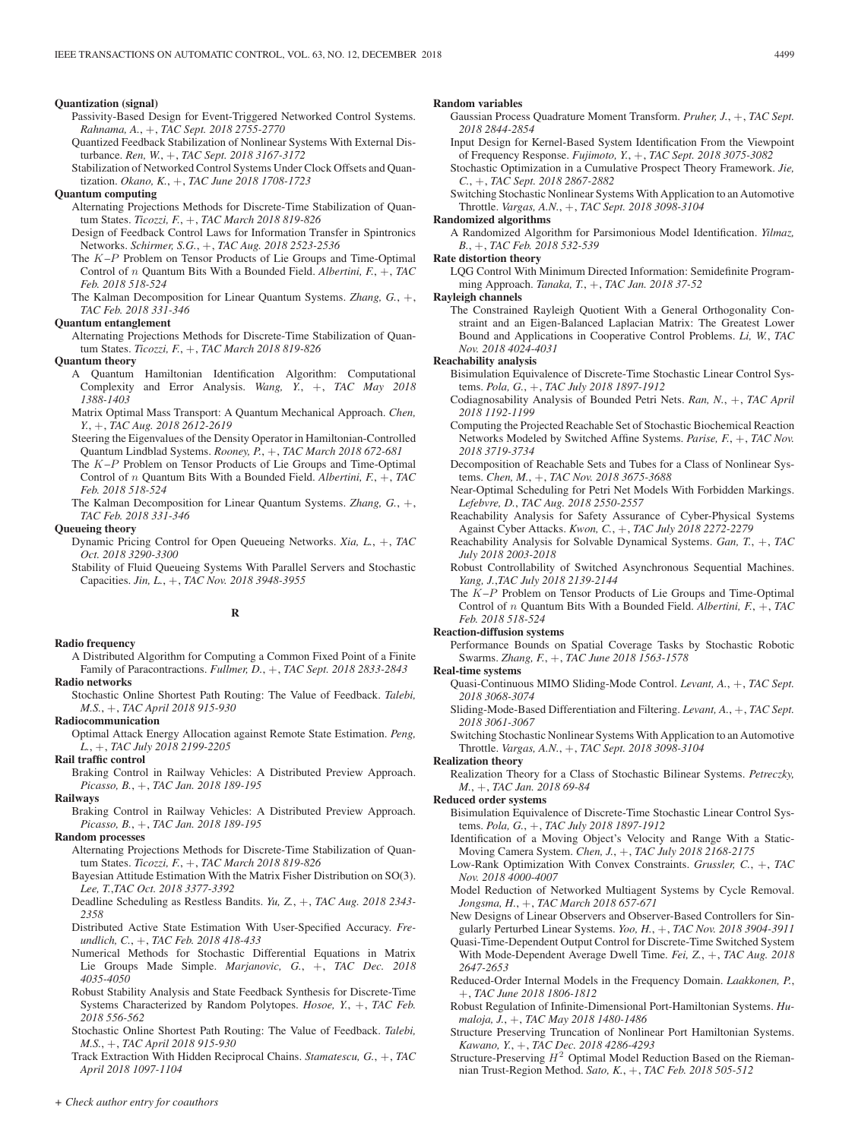### **Quantization (signal)**

- Passivity-Based Design for Event-Triggered Networked Control Systems. *Rahnama, A.*, +, *TAC Sept. 2018 2755-2770*
- Quantized Feedback Stabilization of Nonlinear Systems With External Disturbance. *Ren, W.*, +, *TAC Sept. 2018 3167-3172*
- Stabilization of Networked Control Systems Under Clock Offsets and Quantization. *Okano, K.*, +, *TAC June 2018 1708-1723*

# **Quantum computing**

- Alternating Projections Methods for Discrete-Time Stabilization of Quantum States. *Ticozzi, F.*, +, *TAC March 2018 819-826*
- Design of Feedback Control Laws for Information Transfer in Spintronics Networks. *Schirmer, S.G.*, +, *TAC Aug. 2018 2523-2536*
- The K–P Problem on Tensor Products of Lie Groups and Time-Optimal Control of n Quantum Bits With a Bounded Field. *Albertini, F.*, +, *TAC Feb. 2018 518-524*
- The Kalman Decomposition for Linear Quantum Systems. *Zhang, G.*, +, *TAC Feb. 2018 331-346*

### **Quantum entanglement**

Alternating Projections Methods for Discrete-Time Stabilization of Quantum States. *Ticozzi, F.*, +, *TAC March 2018 819-826*

### **Quantum theory**

- A Quantum Hamiltonian Identification Algorithm: Computational Complexity and Error Analysis. *Wang, Y.*, +, *TAC May 2018 1388-1403*
- Matrix Optimal Mass Transport: A Quantum Mechanical Approach. *Chen, Y.*, +, *TAC Aug. 2018 2612-2619*

Steering the Eigenvalues of the Density Operator in Hamiltonian-Controlled Quantum Lindblad Systems. *Rooney, P.*, +, *TAC March 2018 672-681*

- The K–P Problem on Tensor Products of Lie Groups and Time-Optimal Control of n Quantum Bits With a Bounded Field. *Albertini, F.*, +, *TAC Feb. 2018 518-524*
- The Kalman Decomposition for Linear Quantum Systems. *Zhang, G.*, +, *TAC Feb. 2018 331-346*

### **Queueing theory**

Dynamic Pricing Control for Open Queueing Networks. *Xia, L.*, +, *TAC Oct. 2018 3290-3300*

Stability of Fluid Queueing Systems With Parallel Servers and Stochastic Capacities. *Jin, L.*, +, *TAC Nov. 2018 3948-3955*

# **R**

### **Radio frequency**

- A Distributed Algorithm for Computing a Common Fixed Point of a Finite Family of Paracontractions. *Fullmer, D.*, +, *TAC Sept. 2018 2833-2843* **Radio networks**
	- Stochastic Online Shortest Path Routing: The Value of Feedback. *Talebi, M.S.*, +, *TAC April 2018 915-930*

**Radiocommunication**

Optimal Attack Energy Allocation against Remote State Estimation. *Peng, L.*, +, *TAC July 2018 2199-2205*

### **Rail traffic control**

Braking Control in Railway Vehicles: A Distributed Preview Approach. *Picasso, B.*, +, *TAC Jan. 2018 189-195*

### **Railways**

Braking Control in Railway Vehicles: A Distributed Preview Approach. *Picasso, B.*, +, *TAC Jan. 2018 189-195*

# **Random processes**

- Alternating Projections Methods for Discrete-Time Stabilization of Quantum States. *Ticozzi, F.*, +, *TAC March 2018 819-826*
- Bayesian Attitude Estimation With the Matrix Fisher Distribution on SO(3). *Lee, T.*,*TAC Oct. 2018 3377-3392*
- Deadline Scheduling as Restless Bandits. *Yu, Z.*, +, *TAC Aug. 2018 2343- 2358*
- Distributed Active State Estimation With User-Specified Accuracy. *Freundlich, C.*, +, *TAC Feb. 2018 418-433*
- Numerical Methods for Stochastic Differential Equations in Matrix Lie Groups Made Simple. *Marjanovic, G.*, +, *TAC Dec. 2018 4035-4050*
- Robust Stability Analysis and State Feedback Synthesis for Discrete-Time Systems Characterized by Random Polytopes. *Hosoe, Y.*, +, *TAC Feb. 2018 556-562*
- Stochastic Online Shortest Path Routing: The Value of Feedback. *Talebi, M.S.*, +, *TAC April 2018 915-930*
- Track Extraction With Hidden Reciprocal Chains. *Stamatescu, G.*, +, *TAC April 2018 1097-1104*

### **Random variables**

- Gaussian Process Quadrature Moment Transform. *Pruher, J.*, +, *TAC Sept. 2018 2844-2854*
- Input Design for Kernel-Based System Identification From the Viewpoint of Frequency Response. *Fujimoto, Y.*, +, *TAC Sept. 2018 3075-3082*
- Stochastic Optimization in a Cumulative Prospect Theory Framework. *Jie, C.*, +, *TAC Sept. 2018 2867-2882*
- Switching Stochastic Nonlinear Systems With Application to an Automotive Throttle. *Vargas, A.N.*, +, *TAC Sept. 2018 3098-3104*

### **Randomized algorithms**

A Randomized Algorithm for Parsimonious Model Identification. *Yilmaz, B.*, +, *TAC Feb. 2018 532-539*

### **Rate distortion theory**

LQG Control With Minimum Directed Information: Semidefinite Programming Approach. *Tanaka, T.*, +, *TAC Jan. 2018 37-52*

# **Rayleigh channels**

The Constrained Rayleigh Quotient With a General Orthogonality Constraint and an Eigen-Balanced Laplacian Matrix: The Greatest Lower Bound and Applications in Cooperative Control Problems. *Li, W.*, *TAC Nov. 2018 4024-4031*

### **Reachability analysis**

- Bisimulation Equivalence of Discrete-Time Stochastic Linear Control Systems. *Pola, G.*, +, *TAC July 2018 1897-1912*
- Codiagnosability Analysis of Bounded Petri Nets. *Ran, N.*, +, *TAC April 2018 1192-1199*
- Computing the Projected Reachable Set of Stochastic Biochemical Reaction Networks Modeled by Switched Affine Systems. *Parise, F.*, +, *TAC Nov. 2018 3719-3734*
- Decomposition of Reachable Sets and Tubes for a Class of Nonlinear Systems. *Chen, M.*, +, *TAC Nov. 2018 3675-3688*
- Near-Optimal Scheduling for Petri Net Models With Forbidden Markings. *Lefebvre, D.*, *TAC Aug. 2018 2550-2557*
- Reachability Analysis for Safety Assurance of Cyber-Physical Systems Against Cyber Attacks. *Kwon, C.*, +, *TAC July 2018 2272-2279*
- Reachability Analysis for Solvable Dynamical Systems. *Gan, T.*, +, *TAC July 2018 2003-2018*
- Robust Controllability of Switched Asynchronous Sequential Machines. *Yang, J.*,*TAC July 2018 2139-2144*
- The K–P Problem on Tensor Products of Lie Groups and Time-Optimal Control of n Quantum Bits With a Bounded Field. *Albertini, F.*, +, *TAC Feb. 2018 518-524*

### **Reaction-diffusion systems**

Performance Bounds on Spatial Coverage Tasks by Stochastic Robotic Swarms. *Zhang, F.*, +, *TAC June 2018 1563-1578*

### **Real-time systems**

- Quasi-Continuous MIMO Sliding-Mode Control. *Levant, A.*, +, *TAC Sept. 2018 3068-3074*
- Sliding-Mode-Based Differentiation and Filtering. *Levant, A.*, +, *TAC Sept. 2018 3061-3067*
- Switching Stochastic Nonlinear Systems With Application to an Automotive Throttle. *Vargas, A.N.*, +, *TAC Sept. 2018 3098-3104*

# **Realization theory**

Realization Theory for a Class of Stochastic Bilinear Systems. *Petreczky, M.*, +, *TAC Jan. 2018 69-84*

# **Reduced order systems**

- Bisimulation Equivalence of Discrete-Time Stochastic Linear Control Systems. *Pola, G.*, +, *TAC July 2018 1897-1912*
- Identification of a Moving Object's Velocity and Range With a Static-Moving Camera System. *Chen, J.*, +, *TAC July 2018 2168-2175*
- Low-Rank Optimization With Convex Constraints. *Grussler, C.*, +, *TAC Nov. 2018 4000-4007*
- Model Reduction of Networked Multiagent Systems by Cycle Removal. *Jongsma, H.*, +, *TAC March 2018 657-671*
- New Designs of Linear Observers and Observer-Based Controllers for Singularly Perturbed Linear Systems. *Yoo, H.*, +, *TAC Nov. 2018 3904-3911*
- Quasi-Time-Dependent Output Control for Discrete-Time Switched System With Mode-Dependent Average Dwell Time. *Fei, Z.*, +, *TAC Aug. 2018 2647-2653*
- Reduced-Order Internal Models in the Frequency Domain. *Laakkonen, P.*, +, *TAC June 2018 1806-1812*
- Robust Regulation of Infinite-Dimensional Port-Hamiltonian Systems. *Humaloja, J.*, +, *TAC May 2018 1480-1486*
- Structure Preserving Truncation of Nonlinear Port Hamiltonian Systems. *Kawano, Y.*, +, *TAC Dec. 2018 4286-4293*
- Structure-Preserving  $H^2$  Optimal Model Reduction Based on the Riemannian Trust-Region Method. *Sato, K.*, +, *TAC Feb. 2018 505-512*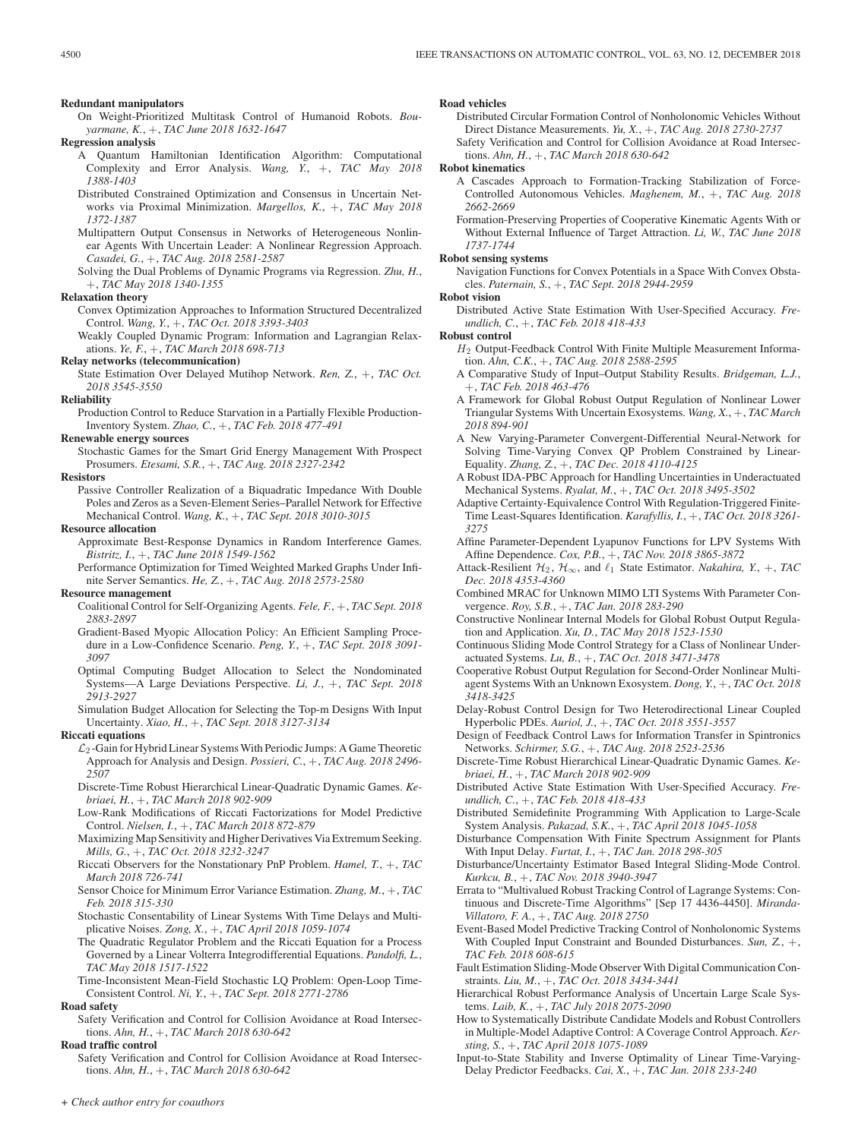### **Redundant manipulators**

On Weight-Prioritized Multitask Control of Humanoid Robots. *Bouyarmane, K.*, +, *TAC June 2018 1632-1647*

**Regression analysis**

- A Quantum Hamiltonian Identification Algorithm: Computational Complexity and Error Analysis. *Wang, Y.*, +, *TAC May 2018 1388-1403*
- Distributed Constrained Optimization and Consensus in Uncertain Networks via Proximal Minimization. *Margellos, K.*, +, *TAC May 2018 1372-1387*
- Multipattern Output Consensus in Networks of Heterogeneous Nonlinear Agents With Uncertain Leader: A Nonlinear Regression Approach. *Casadei, G.*, +, *TAC Aug. 2018 2581-2587*
- Solving the Dual Problems of Dynamic Programs via Regression. *Zhu, H.*, +, *TAC May 2018 1340-1355*

# **Relaxation theory**

- Convex Optimization Approaches to Information Structured Decentralized Control. *Wang, Y.*, +, *TAC Oct. 2018 3393-3403*
- Weakly Coupled Dynamic Program: Information and Lagrangian Relaxations. *Ye, F.*, +, *TAC March 2018 698-713*

# **Relay networks (telecommunication)**

State Estimation Over Delayed Mutihop Network. *Ren, Z.*, +, *TAC Oct. 2018 3545-3550*

**Reliability**

Production Control to Reduce Starvation in a Partially Flexible Production-Inventory System. *Zhao, C.*, +, *TAC Feb. 2018 477-491*

### **Renewable energy sources**

Stochastic Games for the Smart Grid Energy Management With Prospect Prosumers. *Etesami, S.R.*, +, *TAC Aug. 2018 2327-2342*

**Resistors**

Passive Controller Realization of a Biquadratic Impedance With Double Poles and Zeros as a Seven-Element Series–Parallel Network for Effective Mechanical Control. *Wang, K.*, +, *TAC Sept. 2018 3010-3015*

### **Resource allocation**

Approximate Best-Response Dynamics in Random Interference Games. *Bistritz, I.*, +, *TAC June 2018 1549-1562*

Performance Optimization for Timed Weighted Marked Graphs Under Infinite Server Semantics. *He, Z.*, +, *TAC Aug. 2018 2573-2580*

### **Resource management**

- Coalitional Control for Self-Organizing Agents. *Fele, F.*, +, *TAC Sept. 2018 2883-2897*
- Gradient-Based Myopic Allocation Policy: An Efficient Sampling Procedure in a Low-Confidence Scenario. *Peng, Y.*, +, *TAC Sept. 2018 3091- 3097*
- Optimal Computing Budget Allocation to Select the Nondominated Systems—A Large Deviations Perspective. *Li, J.*, +, *TAC Sept. 2018 2913-2927*

Simulation Budget Allocation for Selecting the Top-m Designs With Input Uncertainty. *Xiao, H.*, +, *TAC Sept. 2018 3127-3134*

**Riccati equations**

- $\mathcal{L}_2$ -Gain for Hybrid Linear Systems With Periodic Jumps: A Game Theoretic Approach for Analysis and Design. *Possieri, C.*, +, *TAC Aug. 2018 2496- 2507*
- Discrete-Time Robust Hierarchical Linear-Quadratic Dynamic Games. *Kebriaei, H.*, +, *TAC March 2018 902-909*
- Low-Rank Modifications of Riccati Factorizations for Model Predictive Control. *Nielsen, I.*, +, *TAC March 2018 872-879*
- Maximizing Map Sensitivity and Higher Derivatives Via Extremum Seeking. *Mills, G.*, +, *TAC Oct. 2018 3232-3247*
- Riccati Observers for the Nonstationary PnP Problem. *Hamel, T.*, +, *TAC March 2018 726-741*
- Sensor Choice for Minimum Error Variance Estimation. *Zhang, M.*, +, *TAC Feb. 2018 315-330*
- Stochastic Consentability of Linear Systems With Time Delays and Multiplicative Noises. *Zong, X.*, +, *TAC April 2018 1059-1074*
- The Quadratic Regulator Problem and the Riccati Equation for a Process Governed by a Linear Volterra Integrodifferential Equations. *Pandolfi, L.*, *TAC May 2018 1517-1522*
- Time-Inconsistent Mean-Field Stochastic LQ Problem: Open-Loop Time-Consistent Control. *Ni, Y.*, +, *TAC Sept. 2018 2771-2786*

### **Road safety**

Safety Verification and Control for Collision Avoidance at Road Intersections. *Ahn, H.*, +, *TAC March 2018 630-642*

# **Road traffic control**

Safety Verification and Control for Collision Avoidance at Road Intersections. *Ahn, H.*, +, *TAC March 2018 630-642*

### **Road vehicles**

Distributed Circular Formation Control of Nonholonomic Vehicles Without Direct Distance Measurements. *Yu, X.*, +, *TAC Aug. 2018 2730-2737* Safety Verification and Control for Collision Avoidance at Road Intersections. *Ahn, H.*, +, *TAC March 2018 630-642*

**Robot kinematics**

- A Cascades Approach to Formation-Tracking Stabilization of Force-Controlled Autonomous Vehicles. *Maghenem, M.*, +, *TAC Aug. 2018 2662-2669*
- Formation-Preserving Properties of Cooperative Kinematic Agents With or Without External Influence of Target Attraction. *Li, W.*, *TAC June 2018 1737-1744*

### **Robot sensing systems**

Navigation Functions for Convex Potentials in a Space With Convex Obstacles. *Paternain, S.*, +, *TAC Sept. 2018 2944-2959*

### **Robot vision**

Distributed Active State Estimation With User-Specified Accuracy. *Freundlich, C.*, +, *TAC Feb. 2018 418-433*

**Robust control**

- $H<sub>2</sub>$  Output-Feedback Control With Finite Multiple Measurement Information. *Ahn, C.K.*, +, *TAC Aug. 2018 2588-2595*
- A Comparative Study of Input–Output Stability Results. *Bridgeman, L.J.*, +, *TAC Feb. 2018 463-476*
- A Framework for Global Robust Output Regulation of Nonlinear Lower Triangular Systems With Uncertain Exosystems. *Wang, X.*, +, *TAC March 2018 894-901*
- A New Varying-Parameter Convergent-Differential Neural-Network for Solving Time-Varying Convex QP Problem Constrained by Linear-Equality. *Zhang, Z.*, +, *TAC Dec. 2018 4110-4125*
- A Robust IDA-PBC Approach for Handling Uncertainties in Underactuated Mechanical Systems. *Ryalat, M.*, +, *TAC Oct. 2018 3495-3502*
- Adaptive Certainty-Equivalence Control With Regulation-Triggered Finite-Time Least-Squares Identification. *Karafyllis, I.*, +, *TAC Oct. 2018 3261- 3275*
- Affine Parameter-Dependent Lyapunov Functions for LPV Systems With Affine Dependence. *Cox, P.B.*, +, *TAC Nov. 2018 3865-3872*
- Attack-Resilient  $\mathcal{H}_2$ ,  $\mathcal{H}_{\infty}$ , and  $\ell_1$  State Estimator. *Nakahira*, *Y.*, +, *TAC Dec. 2018 4353-4360*
- Combined MRAC for Unknown MIMO LTI Systems With Parameter Convergence. *Roy, S.B.*, +, *TAC Jan. 2018 283-290*
- Constructive Nonlinear Internal Models for Global Robust Output Regulation and Application. *Xu, D.*, *TAC May 2018 1523-1530*
- Continuous Sliding Mode Control Strategy for a Class of Nonlinear Underactuated Systems. *Lu, B.*, +, *TAC Oct. 2018 3471-3478*
- Cooperative Robust Output Regulation for Second-Order Nonlinear Multiagent Systems With an Unknown Exosystem. *Dong, Y.*, +, *TAC Oct. 2018 3418-3425*
- Delay-Robust Control Design for Two Heterodirectional Linear Coupled Hyperbolic PDEs. *Auriol, J.*, +, *TAC Oct. 2018 3551-3557*
- Design of Feedback Control Laws for Information Transfer in Spintronics Networks. *Schirmer, S.G.*, +, *TAC Aug. 2018 2523-2536*
- Discrete-Time Robust Hierarchical Linear-Quadratic Dynamic Games. *Kebriaei, H.*, +, *TAC March 2018 902-909*
- Distributed Active State Estimation With User-Specified Accuracy. *Freundlich, C.*, +, *TAC Feb. 2018 418-433*
- Distributed Semidefinite Programming With Application to Large-Scale System Analysis. *Pakazad, S.K.*, +, *TAC April 2018 1045-1058*
- Disturbance Compensation With Finite Spectrum Assignment for Plants With Input Delay. *Furtat, I.*, +, *TAC Jan. 2018 298-305*
- Disturbance/Uncertainty Estimator Based Integral Sliding-Mode Control. *Kurkcu, B.*, +, *TAC Nov. 2018 3940-3947*
- Errata to "Multivalued Robust Tracking Control of Lagrange Systems: Continuous and Discrete-Time Algorithms" [Sep 17 4436-4450]. *Miranda-Villatoro, F. A.*, +, *TAC Aug. 2018 2750*
- Event-Based Model Predictive Tracking Control of Nonholonomic Systems With Coupled Input Constraint and Bounded Disturbances. *Sun, Z.*, +, *TAC Feb. 2018 608-615*
- Fault Estimation Sliding-Mode Observer With Digital Communication Constraints. *Liu, M.*, +, *TAC Oct. 2018 3434-3441*
- Hierarchical Robust Performance Analysis of Uncertain Large Scale Systems. *Laib, K.*, +, *TAC July 2018 2075-2090*
- How to Systematically Distribute Candidate Models and Robust Controllers in Multiple-Model Adaptive Control: A Coverage Control Approach. *Kersting, S.*, +, *TAC April 2018 1075-1089*
- Input-to-State Stability and Inverse Optimality of Linear Time-Varying-Delay Predictor Feedbacks. *Cai, X.*, +, *TAC Jan. 2018 233-240*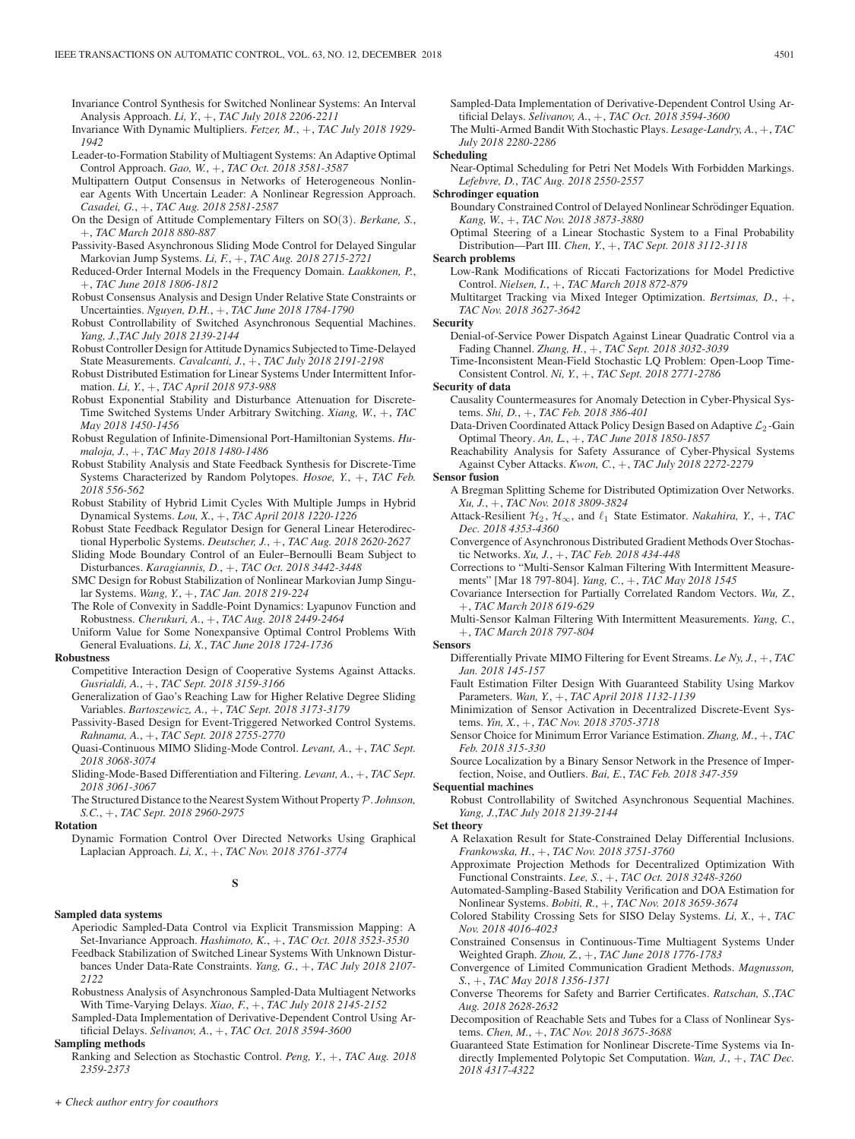Invariance Control Synthesis for Switched Nonlinear Systems: An Interval Analysis Approach. *Li, Y.*, +, *TAC July 2018 2206-2211*

Invariance With Dynamic Multipliers. *Fetzer, M.*, +, *TAC July 2018 1929- 1942*

- Leader-to-Formation Stability of Multiagent Systems: An Adaptive Optimal Control Approach. *Gao, W.*, +, *TAC Oct. 2018 3581-3587*
- Multipattern Output Consensus in Networks of Heterogeneous Nonlinear Agents With Uncertain Leader: A Nonlinear Regression Approach. *Casadei, G.*, +, *TAC Aug. 2018 2581-2587*
- On the Design of Attitude Complementary Filters on SO(3). *Berkane, S.*, +, *TAC March 2018 880-887*
- Passivity-Based Asynchronous Sliding Mode Control for Delayed Singular Markovian Jump Systems. *Li, F.*, +, *TAC Aug. 2018 2715-2721*
- Reduced-Order Internal Models in the Frequency Domain. *Laakkonen, P.*, +, *TAC June 2018 1806-1812*
- Robust Consensus Analysis and Design Under Relative State Constraints or Uncertainties. *Nguyen, D.H.*, +, *TAC June 2018 1784-1790*
- Robust Controllability of Switched Asynchronous Sequential Machines. *Yang, J.*,*TAC July 2018 2139-2144*
- Robust Controller Design for Attitude Dynamics Subjected to Time-Delayed State Measurements. *Cavalcanti, J.*, +, *TAC July 2018 2191-2198*
- Robust Distributed Estimation for Linear Systems Under Intermittent Information. *Li, Y.*, +, *TAC April 2018 973-988*
- Robust Exponential Stability and Disturbance Attenuation for Discrete-Time Switched Systems Under Arbitrary Switching. *Xiang, W.*, +, *TAC May 2018 1450-1456*
- Robust Regulation of Infinite-Dimensional Port-Hamiltonian Systems. *Humaloja, J.*, +, *TAC May 2018 1480-1486*
- Robust Stability Analysis and State Feedback Synthesis for Discrete-Time Systems Characterized by Random Polytopes. *Hosoe, Y.*, +, *TAC Feb. 2018 556-562*
- Robust Stability of Hybrid Limit Cycles With Multiple Jumps in Hybrid Dynamical Systems. *Lou, X.*, +, *TAC April 2018 1220-1226*
- Robust State Feedback Regulator Design for General Linear Heterodirectional Hyperbolic Systems. *Deutscher, J.*, +, *TAC Aug. 2018 2620-2627*
- Sliding Mode Boundary Control of an Euler–Bernoulli Beam Subject to Disturbances. *Karagiannis, D.*, +, *TAC Oct. 2018 3442-3448*
- SMC Design for Robust Stabilization of Nonlinear Markovian Jump Singular Systems. *Wang, Y.*, +, *TAC Jan. 2018 219-224*
- The Role of Convexity in Saddle-Point Dynamics: Lyapunov Function and Robustness. *Cherukuri, A.*, +, *TAC Aug. 2018 2449-2464*
- Uniform Value for Some Nonexpansive Optimal Control Problems With General Evaluations. *Li, X.*, *TAC June 2018 1724-1736*

### **Robustness**

- Competitive Interaction Design of Cooperative Systems Against Attacks. *Gusrialdi, A.*, +, *TAC Sept. 2018 3159-3166*
- Generalization of Gao's Reaching Law for Higher Relative Degree Sliding Variables. *Bartoszewicz, A.*, +, *TAC Sept. 2018 3173-3179*
- Passivity-Based Design for Event-Triggered Networked Control Systems. *Rahnama, A.*, +, *TAC Sept. 2018 2755-2770*
- Quasi-Continuous MIMO Sliding-Mode Control. *Levant, A.*, +, *TAC Sept. 2018 3068-3074*
- Sliding-Mode-Based Differentiation and Filtering. *Levant, A.*, +, *TAC Sept. 2018 3061-3067*
- The Structured Distance to the Nearest System Without Property  $P$ . *Johnson*, *S.C.*, +, *TAC Sept. 2018 2960-2975*

### **Rotation**

Dynamic Formation Control Over Directed Networks Using Graphical Laplacian Approach. *Li, X.*, +, *TAC Nov. 2018 3761-3774*

# **S**

# **Sampled data systems**

- Aperiodic Sampled-Data Control via Explicit Transmission Mapping: A Set-Invariance Approach. *Hashimoto, K.*, +, *TAC Oct. 2018 3523-3530*
- Feedback Stabilization of Switched Linear Systems With Unknown Disturbances Under Data-Rate Constraints. *Yang, G.*, +, *TAC July 2018 2107- 2122*
- Robustness Analysis of Asynchronous Sampled-Data Multiagent Networks With Time-Varying Delays. *Xiao, F.*, +, *TAC July 2018 2145-2152*
- Sampled-Data Implementation of Derivative-Dependent Control Using Artificial Delays. *Selivanov, A.*, +, *TAC Oct. 2018 3594-3600*

# **Sampling methods**

Ranking and Selection as Stochastic Control. *Peng, Y.*, +, *TAC Aug. 2018 2359-2373*

Sampled-Data Implementation of Derivative-Dependent Control Using Artificial Delays. *Selivanov, A.*, +, *TAC Oct. 2018 3594-3600*

The Multi-Armed Bandit With Stochastic Plays. *Lesage-Landry, A.*, +, *TAC July 2018 2280-2286*

**Scheduling**

- Near-Optimal Scheduling for Petri Net Models With Forbidden Markings. *Lefebvre, D.*, *TAC Aug. 2018 2550-2557*
- **Schrodinger equation**
	- Boundary Constrained Control of Delayed Nonlinear Schrödinger Equation. *Kang, W.*, +, *TAC Nov. 2018 3873-3880*
	- Optimal Steering of a Linear Stochastic System to a Final Probability Distribution—Part III. *Chen, Y.*, +, *TAC Sept. 2018 3112-3118*

**Search problems**

- Low-Rank Modifications of Riccati Factorizations for Model Predictive Control. *Nielsen, I.*, +, *TAC March 2018 872-879*
- Multitarget Tracking via Mixed Integer Optimization. *Bertsimas, D.*, +, *TAC Nov. 2018 3627-3642*

**Security**

- Denial-of-Service Power Dispatch Against Linear Quadratic Control via a Fading Channel. *Zhang, H.*, +, *TAC Sept. 2018 3032-3039*
- Time-Inconsistent Mean-Field Stochastic LQ Problem: Open-Loop Time-Consistent Control. *Ni, Y.*, +, *TAC Sept. 2018 2771-2786*

### **Security of data**

- Causality Countermeasures for Anomaly Detection in Cyber-Physical Systems. *Shi, D.*, +, *TAC Feb. 2018 386-401*
- Data-Driven Coordinated Attack Policy Design Based on Adaptive  $\mathcal{L}_2$ -Gain Optimal Theory. *An, L.*, +, *TAC June 2018 1850-1857*
- Reachability Analysis for Safety Assurance of Cyber-Physical Systems Against Cyber Attacks. *Kwon, C.*, +, *TAC July 2018 2272-2279*

### **Sensor fusion**

- A Bregman Splitting Scheme for Distributed Optimization Over Networks. *Xu, J.*, +, *TAC Nov. 2018 3809-3824*
- Attack-Resilient  $\mathcal{H}_2$ ,  $\mathcal{H}_{\infty}$ , and  $\ell_1$  State Estimator. *Nakahira*, *Y.*, +, *TAC Dec. 2018 4353-4360*
- Convergence of Asynchronous Distributed Gradient Methods Over Stochastic Networks. *Xu, J.*, +, *TAC Feb. 2018 434-448*
- Corrections to "Multi-Sensor Kalman Filtering With Intermittent Measurements" [Mar 18 797-804]. *Yang, C.*, +, *TAC May 2018 1545*
- Covariance Intersection for Partially Correlated Random Vectors. *Wu, Z.*, +, *TAC March 2018 619-629*
- Multi-Sensor Kalman Filtering With Intermittent Measurements. *Yang, C.*, +, *TAC March 2018 797-804*

# **Sensors**

- Differentially Private MIMO Filtering for Event Streams. *Le Ny, J.*, +, *TAC Jan. 2018 145-157*
- Fault Estimation Filter Design With Guaranteed Stability Using Markov Parameters. *Wan, Y.*, +, *TAC April 2018 1132-1139*
- Minimization of Sensor Activation in Decentralized Discrete-Event Systems. *Yin, X.*, +, *TAC Nov. 2018 3705-3718*
- Sensor Choice for Minimum Error Variance Estimation. *Zhang, M.*, +, *TAC Feb. 2018 315-330*
- Source Localization by a Binary Sensor Network in the Presence of Imperfection, Noise, and Outliers. *Bai, E.*, *TAC Feb. 2018 347-359*

### **Sequential machines**

Robust Controllability of Switched Asynchronous Sequential Machines. *Yang, J.*,*TAC July 2018 2139-2144*

**Set theory**

- A Relaxation Result for State-Constrained Delay Differential Inclusions. *Frankowska, H.*, +, *TAC Nov. 2018 3751-3760*
- Approximate Projection Methods for Decentralized Optimization With Functional Constraints. *Lee, S.*, +, *TAC Oct. 2018 3248-3260*
- Automated-Sampling-Based Stability Verification and DOA Estimation for Nonlinear Systems. *Bobiti, R.*, +, *TAC Nov. 2018 3659-3674*
- Colored Stability Crossing Sets for SISO Delay Systems. *Li, X.*, +, *TAC Nov. 2018 4016-4023*
- Constrained Consensus in Continuous-Time Multiagent Systems Under Weighted Graph. *Zhou, Z.*, +, *TAC June 2018 1776-1783*
- Convergence of Limited Communication Gradient Methods. *Magnusson, S.*, +, *TAC May 2018 1356-1371*
- Converse Theorems for Safety and Barrier Certificates. *Ratschan, S.*,*TAC Aug. 2018 2628-2632*
- Decomposition of Reachable Sets and Tubes for a Class of Nonlinear Systems. *Chen, M.*, +, *TAC Nov. 2018 3675-3688*
- Guaranteed State Estimation for Nonlinear Discrete-Time Systems via Indirectly Implemented Polytopic Set Computation. *Wan, J.*, +, *TAC Dec. 2018 4317-4322*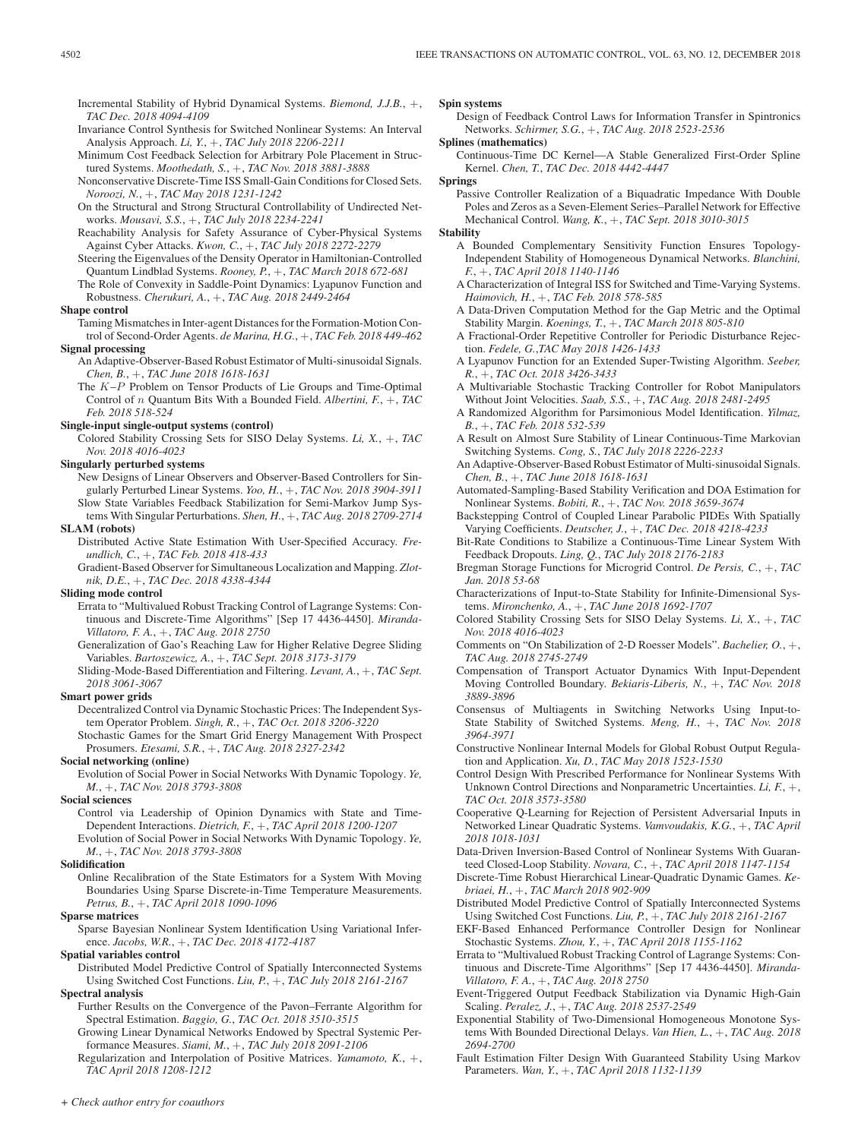Incremental Stability of Hybrid Dynamical Systems. *Biemond, J.J.B.*, +, *TAC Dec. 2018 4094-4109*

Invariance Control Synthesis for Switched Nonlinear Systems: An Interval Analysis Approach. *Li, Y.*, +, *TAC July 2018 2206-2211*

Minimum Cost Feedback Selection for Arbitrary Pole Placement in Structured Systems. *Moothedath, S.*, +, *TAC Nov. 2018 3881-3888*

Nonconservative Discrete-Time ISS Small-Gain Conditions for Closed Sets. *Noroozi, N.*, +, *TAC May 2018 1231-1242*

On the Structural and Strong Structural Controllability of Undirected Networks. *Mousavi, S.S.*, +, *TAC July 2018 2234-2241*

- Reachability Analysis for Safety Assurance of Cyber-Physical Systems Against Cyber Attacks. *Kwon, C.*, +, *TAC July 2018 2272-2279*
- Steering the Eigenvalues of the Density Operator in Hamiltonian-Controlled Quantum Lindblad Systems. *Rooney, P.*, +, *TAC March 2018 672-681*

The Role of Convexity in Saddle-Point Dynamics: Lyapunov Function and Robustness. *Cherukuri, A.*, +, *TAC Aug. 2018 2449-2464*

### **Shape control**

Taming Mismatches in Inter-agent Distances for the Formation-Motion Control of Second-Order Agents. *de Marina, H.G.*, +, *TAC Feb. 2018 449-462* **Signal processing**

- An Adaptive-Observer-Based Robust Estimator of Multi-sinusoidal Signals. *Chen, B.*, +, *TAC June 2018 1618-1631*
- The K–P Problem on Tensor Products of Lie Groups and Time-Optimal Control of n Quantum Bits With a Bounded Field. *Albertini, F.*, +, *TAC Feb. 2018 518-524*

### **Single-input single-output systems (control)**

Colored Stability Crossing Sets for SISO Delay Systems. *Li, X.*, +, *TAC Nov. 2018 4016-4023*

# **Singularly perturbed systems**

New Designs of Linear Observers and Observer-Based Controllers for Singularly Perturbed Linear Systems. *Yoo, H.*, +, *TAC Nov. 2018 3904-3911* Slow State Variables Feedback Stabilization for Semi-Markov Jump Systems With Singular Perturbations. *Shen, H.*, +, *TAC Aug. 2018 2709-2714*

### **SLAM (robots)**

Distributed Active State Estimation With User-Specified Accuracy. *Freundlich, C.*, +, *TAC Feb. 2018 418-433*

Gradient-Based Observer for Simultaneous Localization and Mapping. *Zlotnik, D.E.*, +, *TAC Dec. 2018 4338-4344*

### **Sliding mode control**

Errata to "Multivalued Robust Tracking Control of Lagrange Systems: Continuous and Discrete-Time Algorithms" [Sep 17 4436-4450]. *Miranda-Villatoro, F. A.*, +, *TAC Aug. 2018 2750*

- Generalization of Gao's Reaching Law for Higher Relative Degree Sliding Variables. *Bartoszewicz, A.*, +, *TAC Sept. 2018 3173-3179*
- Sliding-Mode-Based Differentiation and Filtering. *Levant, A.*, +, *TAC Sept. 2018 3061-3067*

### **Smart power grids**

- Decentralized Control via Dynamic Stochastic Prices: The Independent System Operator Problem. *Singh, R.*, +, *TAC Oct. 2018 3206-3220*
- Stochastic Games for the Smart Grid Energy Management With Prospect Prosumers. *Etesami, S.R.*, +, *TAC Aug. 2018 2327-2342*

# **Social networking (online)**

Evolution of Social Power in Social Networks With Dynamic Topology. *Ye, M.*, +, *TAC Nov. 2018 3793-3808*

# **Social sciences**

- Control via Leadership of Opinion Dynamics with State and Time-Dependent Interactions. *Dietrich, F.*, +, *TAC April 2018 1200-1207*
- Evolution of Social Power in Social Networks With Dynamic Topology. *Ye, M.*, +, *TAC Nov. 2018 3793-3808*

### **Solidification**

Online Recalibration of the State Estimators for a System With Moving Boundaries Using Sparse Discrete-in-Time Temperature Measurements. *Petrus, B.*, +, *TAC April 2018 1090-1096*

### **Sparse matrices**

Sparse Bayesian Nonlinear System Identification Using Variational Inference. *Jacobs, W.R.*, +, *TAC Dec. 2018 4172-4187*

### **Spatial variables control**

Distributed Model Predictive Control of Spatially Interconnected Systems Using Switched Cost Functions. *Liu, P.*, +, *TAC July 2018 2161-2167*

# **Spectral analysis**

- Further Results on the Convergence of the Pavon–Ferrante Algorithm for Spectral Estimation. *Baggio, G.*, *TAC Oct. 2018 3510-3515*
- Growing Linear Dynamical Networks Endowed by Spectral Systemic Performance Measures. *Siami, M.*, +, *TAC July 2018 2091-2106*
- Regularization and Interpolation of Positive Matrices. *Yamamoto, K.*, +, *TAC April 2018 1208-1212*

### **Spin systems**

Design of Feedback Control Laws for Information Transfer in Spintronics Networks. *Schirmer, S.G.*, +, *TAC Aug. 2018 2523-2536*

**Splines (mathematics)**

Continuous-Time DC Kernel—A Stable Generalized First-Order Spline Kernel. *Chen, T.*, *TAC Dec. 2018 4442-4447*

**Springs**

Passive Controller Realization of a Biquadratic Impedance With Double Poles and Zeros as a Seven-Element Series–Parallel Network for Effective Mechanical Control. *Wang, K.*, +, *TAC Sept. 2018 3010-3015*

**Stability**

- A Bounded Complementary Sensitivity Function Ensures Topology-Independent Stability of Homogeneous Dynamical Networks. *Blanchini, F.*, +, *TAC April 2018 1140-1146*
- A Characterization of Integral ISS for Switched and Time-Varying Systems. *Haimovich, H.*, +, *TAC Feb. 2018 578-585*
- A Data-Driven Computation Method for the Gap Metric and the Optimal Stability Margin. *Koenings, T.*, +, *TAC March 2018 805-810*
- A Fractional-Order Repetitive Controller for Periodic Disturbance Rejection. *Fedele, G.*,*TAC May 2018 1426-1433*
- A Lyapunov Function for an Extended Super-Twisting Algorithm. *Seeber, R.*, +, *TAC Oct. 2018 3426-3433*
- A Multivariable Stochastic Tracking Controller for Robot Manipulators Without Joint Velocities. *Saab, S.S.*, +, *TAC Aug. 2018 2481-2495*
- A Randomized Algorithm for Parsimonious Model Identification. *Yilmaz, B.*, +, *TAC Feb. 2018 532-539*
- A Result on Almost Sure Stability of Linear Continuous-Time Markovian Switching Systems. *Cong, S.*, *TAC July 2018 2226-2233*
- An Adaptive-Observer-Based Robust Estimator of Multi-sinusoidal Signals. *Chen, B.*, +, *TAC June 2018 1618-1631*
- Automated-Sampling-Based Stability Verification and DOA Estimation for Nonlinear Systems. *Bobiti, R.*, +, *TAC Nov. 2018 3659-3674*
- Backstepping Control of Coupled Linear Parabolic PIDEs With Spatially Varying Coefficients. *Deutscher, J.*, +, *TAC Dec. 2018 4218-4233*
- Bit-Rate Conditions to Stabilize a Continuous-Time Linear System With Feedback Dropouts. *Ling, Q.*, *TAC July 2018 2176-2183*
- Bregman Storage Functions for Microgrid Control. *De Persis, C.*, +, *TAC Jan. 2018 53-68*
- Characterizations of Input-to-State Stability for Infinite-Dimensional Systems. *Mironchenko, A.*, +, *TAC June 2018 1692-1707*
- Colored Stability Crossing Sets for SISO Delay Systems. *Li, X.*, +, *TAC Nov. 2018 4016-4023*
- Comments on "On Stabilization of 2-D Roesser Models". *Bachelier, O.*, +, *TAC Aug. 2018 2745-2749*
- Compensation of Transport Actuator Dynamics With Input-Dependent Moving Controlled Boundary. *Bekiaris-Liberis, N.*, +, *TAC Nov. 2018 3889-3896*
- Consensus of Multiagents in Switching Networks Using Input-to-State Stability of Switched Systems. *Meng, H.*, +, *TAC Nov. 2018 3964-3971*
- Constructive Nonlinear Internal Models for Global Robust Output Regulation and Application. *Xu, D.*, *TAC May 2018 1523-1530*
- Control Design With Prescribed Performance for Nonlinear Systems With Unknown Control Directions and Nonparametric Uncertainties. *Li, F.*, +, *TAC Oct. 2018 3573-3580*
- Cooperative Q-Learning for Rejection of Persistent Adversarial Inputs in Networked Linear Quadratic Systems. *Vamvoudakis, K.G.*, +, *TAC April 2018 1018-1031*
- Data-Driven Inversion-Based Control of Nonlinear Systems With Guaranteed Closed-Loop Stability. *Novara, C.*, +, *TAC April 2018 1147-1154*
- Discrete-Time Robust Hierarchical Linear-Quadratic Dynamic Games. *Kebriaei, H.*, +, *TAC March 2018 902-909*
- Distributed Model Predictive Control of Spatially Interconnected Systems Using Switched Cost Functions. *Liu, P.*, +, *TAC July 2018 2161-2167*
- EKF-Based Enhanced Performance Controller Design for Nonlinear Stochastic Systems. *Zhou, Y.*, +, *TAC April 2018 1155-1162*
- Errata to "Multivalued Robust Tracking Control of Lagrange Systems: Continuous and Discrete-Time Algorithms" [Sep 17 4436-4450]. *Miranda-Villatoro, F. A.*, +, *TAC Aug. 2018 2750*
- Event-Triggered Output Feedback Stabilization via Dynamic High-Gain Scaling. *Peralez, J.*, +, *TAC Aug. 2018 2537-2549*
- Exponential Stability of Two-Dimensional Homogeneous Monotone Systems With Bounded Directional Delays. *Van Hien, L.*, +, *TAC Aug. 2018 2694-2700*
- Fault Estimation Filter Design With Guaranteed Stability Using Markov Parameters. *Wan, Y.*, +, *TAC April 2018 1132-1139*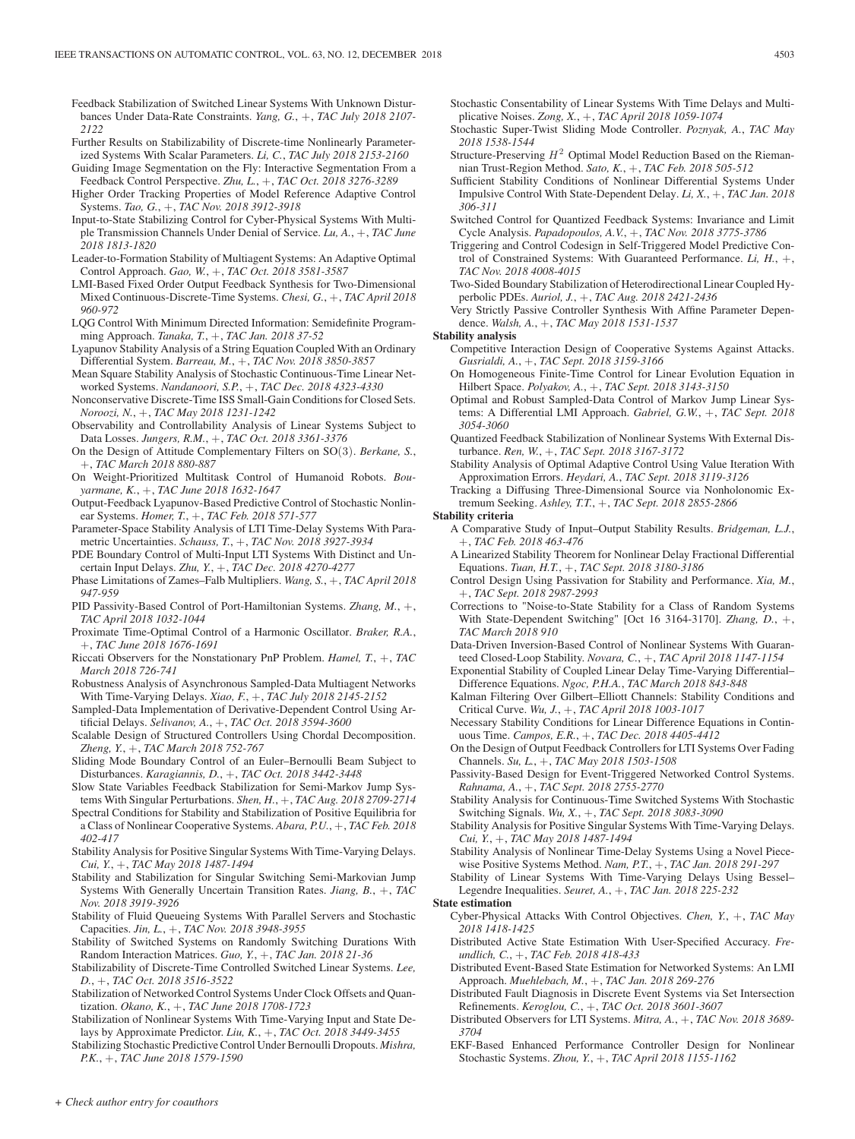Feedback Stabilization of Switched Linear Systems With Unknown Disturbances Under Data-Rate Constraints. *Yang, G.*, +, *TAC July 2018 2107- 2122*

- Further Results on Stabilizability of Discrete-time Nonlinearly Parameterized Systems With Scalar Parameters. *Li, C.*, *TAC July 2018 2153-2160*
- Guiding Image Segmentation on the Fly: Interactive Segmentation From a Feedback Control Perspective. *Zhu, L.*, +, *TAC Oct. 2018 3276-3289*
- Higher Order Tracking Properties of Model Reference Adaptive Control Systems. *Tao, G.*, +, *TAC Nov. 2018 3912-3918*
- Input-to-State Stabilizing Control for Cyber-Physical Systems With Multiple Transmission Channels Under Denial of Service. *Lu, A.*, +, *TAC June 2018 1813-1820*
- Leader-to-Formation Stability of Multiagent Systems: An Adaptive Optimal Control Approach. *Gao, W.*, +, *TAC Oct. 2018 3581-3587*
- LMI-Based Fixed Order Output Feedback Synthesis for Two-Dimensional Mixed Continuous-Discrete-Time Systems. *Chesi, G.*, +, *TAC April 2018 960-972*
- LQG Control With Minimum Directed Information: Semidefinite Programming Approach. *Tanaka, T.*, +, *TAC Jan. 2018 37-52*
- Lyapunov Stability Analysis of a String Equation Coupled With an Ordinary Differential System. *Barreau, M.*, +, *TAC Nov. 2018 3850-3857*
- Mean Square Stability Analysis of Stochastic Continuous-Time Linear Networked Systems. *Nandanoori, S.P.*, +, *TAC Dec. 2018 4323-4330*
- Nonconservative Discrete-Time ISS Small-Gain Conditions for Closed Sets. *Noroozi, N.*, +, *TAC May 2018 1231-1242*
- Observability and Controllability Analysis of Linear Systems Subject to Data Losses. *Jungers, R.M.*, +, *TAC Oct. 2018 3361-3376*
- On the Design of Attitude Complementary Filters on SO(3). *Berkane, S.*, +, *TAC March 2018 880-887*
- On Weight-Prioritized Multitask Control of Humanoid Robots. *Bouyarmane, K.*, +, *TAC June 2018 1632-1647*
- Output-Feedback Lyapunov-Based Predictive Control of Stochastic Nonlinear Systems. *Homer, T.*, +, *TAC Feb. 2018 571-577*
- Parameter-Space Stability Analysis of LTI Time-Delay Systems With Parametric Uncertainties. *Schauss, T.*, +, *TAC Nov. 2018 3927-3934*
- PDE Boundary Control of Multi-Input LTI Systems With Distinct and Uncertain Input Delays. *Zhu, Y.*, +, *TAC Dec. 2018 4270-4277*
- Phase Limitations of Zames–Falb Multipliers. *Wang, S.*, +, *TAC April 2018 947-959*
- PID Passivity-Based Control of Port-Hamiltonian Systems. *Zhang, M.*, +, *TAC April 2018 1032-1044*
- Proximate Time-Optimal Control of a Harmonic Oscillator. *Braker, R.A.*, +, *TAC June 2018 1676-1691*
- Riccati Observers for the Nonstationary PnP Problem. *Hamel, T.*, +, *TAC March 2018 726-741*
- Robustness Analysis of Asynchronous Sampled-Data Multiagent Networks With Time-Varying Delays. *Xiao, F.*, +, *TAC July 2018 2145-2152*
- Sampled-Data Implementation of Derivative-Dependent Control Using Artificial Delays. *Selivanov, A.*, +, *TAC Oct. 2018 3594-3600*
- Scalable Design of Structured Controllers Using Chordal Decomposition. *Zheng, Y.*, +, *TAC March 2018 752-767*
- Sliding Mode Boundary Control of an Euler–Bernoulli Beam Subject to Disturbances. *Karagiannis, D.*, +, *TAC Oct. 2018 3442-3448*
- Slow State Variables Feedback Stabilization for Semi-Markov Jump Systems With Singular Perturbations. *Shen, H.*, +, *TAC Aug. 2018 2709-2714*
- Spectral Conditions for Stability and Stabilization of Positive Equilibria for a Class of Nonlinear Cooperative Systems. *Abara, P.U.*, +, *TAC Feb. 2018 402-417*
- Stability Analysis for Positive Singular Systems With Time-Varying Delays. *Cui, Y.*, +, *TAC May 2018 1487-1494*
- Stability and Stabilization for Singular Switching Semi-Markovian Jump Systems With Generally Uncertain Transition Rates. *Jiang, B.*, +, *TAC Nov. 2018 3919-3926*
- Stability of Fluid Queueing Systems With Parallel Servers and Stochastic Capacities. *Jin, L.*, +, *TAC Nov. 2018 3948-3955*
- Stability of Switched Systems on Randomly Switching Durations With Random Interaction Matrices. *Guo, Y.*, +, *TAC Jan. 2018 21-36*
- Stabilizability of Discrete-Time Controlled Switched Linear Systems. *Lee, D.*, +, *TAC Oct. 2018 3516-3522*
- Stabilization of Networked Control Systems Under Clock Offsets and Quantization. *Okano, K.*, +, *TAC June 2018 1708-1723*
- Stabilization of Nonlinear Systems With Time-Varying Input and State Delays by Approximate Predictor. *Liu, K.*, +, *TAC Oct. 2018 3449-3455*
- Stabilizing Stochastic Predictive Control Under Bernoulli Dropouts. *Mishra, P.K.*, +, *TAC June 2018 1579-1590*
- Stochastic Consentability of Linear Systems With Time Delays and Multiplicative Noises. *Zong, X.*, +, *TAC April 2018 1059-1074*
- Stochastic Super-Twist Sliding Mode Controller. *Poznyak, A.*, *TAC May 2018 1538-1544*
- Structure-Preserving  $H^2$  Optimal Model Reduction Based on the Riemannian Trust-Region Method. *Sato, K.*, +, *TAC Feb. 2018 505-512*
- Sufficient Stability Conditions of Nonlinear Differential Systems Under Impulsive Control With State-Dependent Delay. *Li, X.*, +, *TAC Jan. 2018 306-311*
- Switched Control for Quantized Feedback Systems: Invariance and Limit Cycle Analysis. *Papadopoulos, A.V.*, +, *TAC Nov. 2018 3775-3786*
- Triggering and Control Codesign in Self-Triggered Model Predictive Control of Constrained Systems: With Guaranteed Performance. *Li, H.*, +, *TAC Nov. 2018 4008-4015*
- Two-Sided Boundary Stabilization of Heterodirectional Linear Coupled Hyperbolic PDEs. *Auriol, J.*, +, *TAC Aug. 2018 2421-2436*
- Very Strictly Passive Controller Synthesis With Affine Parameter Dependence. *Walsh, A.*, +, *TAC May 2018 1531-1537*

**Stability analysis**

- Competitive Interaction Design of Cooperative Systems Against Attacks. *Gusrialdi, A.*, +, *TAC Sept. 2018 3159-3166*
- On Homogeneous Finite-Time Control for Linear Evolution Equation in Hilbert Space. *Polyakov, A.*, +, *TAC Sept. 2018 3143-3150*
- Optimal and Robust Sampled-Data Control of Markov Jump Linear Systems: A Differential LMI Approach. *Gabriel, G.W.*, +, *TAC Sept. 2018 3054-3060*
- Quantized Feedback Stabilization of Nonlinear Systems With External Disturbance. *Ren, W.*, +, *TAC Sept. 2018 3167-3172*
- Stability Analysis of Optimal Adaptive Control Using Value Iteration With Approximation Errors. *Heydari, A.*, *TAC Sept. 2018 3119-3126*
- Tracking a Diffusing Three-Dimensional Source via Nonholonomic Extremum Seeking. *Ashley, T.T.*, +, *TAC Sept. 2018 2855-2866*
- **Stability criteria**
	- A Comparative Study of Input–Output Stability Results. *Bridgeman, L.J.*, +, *TAC Feb. 2018 463-476*
	- A Linearized Stability Theorem for Nonlinear Delay Fractional Differential Equations. *Tuan, H.T.*, +, *TAC Sept. 2018 3180-3186*
	- Control Design Using Passivation for Stability and Performance. *Xia, M.*, +, *TAC Sept. 2018 2987-2993*
	- Corrections to "Noise-to-State Stability for a Class of Random Systems With State-Dependent Switching" [Oct 16 3164-3170]. *Zhang, D.*, +, *TAC March 2018 910*
	- Data-Driven Inversion-Based Control of Nonlinear Systems With Guaranteed Closed-Loop Stability. *Novara, C.*, +, *TAC April 2018 1147-1154*
	- Exponential Stability of Coupled Linear Delay Time-Varying Differential– Difference Equations. *Ngoc, P.H.A.*, *TAC March 2018 843-848*
	- Kalman Filtering Over Gilbert–Elliott Channels: Stability Conditions and Critical Curve. *Wu, J.*, +, *TAC April 2018 1003-1017*
	- Necessary Stability Conditions for Linear Difference Equations in Continuous Time. *Campos, E.R.*, +, *TAC Dec. 2018 4405-4412*
	- On the Design of Output Feedback Controllers for LTI Systems Over Fading Channels. *Su, L.*, +, *TAC May 2018 1503-1508*
	- Passivity-Based Design for Event-Triggered Networked Control Systems. *Rahnama, A.*, +, *TAC Sept. 2018 2755-2770*
	- Stability Analysis for Continuous-Time Switched Systems With Stochastic Switching Signals. *Wu, X.*, +, *TAC Sept. 2018 3083-3090*
	- Stability Analysis for Positive Singular Systems With Time-Varying Delays. *Cui, Y.*, +, *TAC May 2018 1487-1494*
	- Stability Analysis of Nonlinear Time-Delay Systems Using a Novel Piecewise Positive Systems Method. *Nam, P.T.*, +, *TAC Jan. 2018 291-297*
	- Stability of Linear Systems With Time-Varying Delays Using Bessel– Legendre Inequalities. *Seuret, A.*, +, *TAC Jan. 2018 225-232*

# **State estimation**

- Cyber-Physical Attacks With Control Objectives. *Chen, Y.*, +, *TAC May 2018 1418-1425*
- Distributed Active State Estimation With User-Specified Accuracy. *Freundlich, C.*, +, *TAC Feb. 2018 418-433*
- Distributed Event-Based State Estimation for Networked Systems: An LMI Approach. *Muehlebach, M.*, +, *TAC Jan. 2018 269-276*
- Distributed Fault Diagnosis in Discrete Event Systems via Set Intersection Refinements. *Keroglou, C.*, +, *TAC Oct. 2018 3601-3607*
- Distributed Observers for LTI Systems. *Mitra, A.*, +, *TAC Nov. 2018 3689- 3704*
- EKF-Based Enhanced Performance Controller Design for Nonlinear Stochastic Systems. *Zhou, Y.*, +, *TAC April 2018 1155-1162*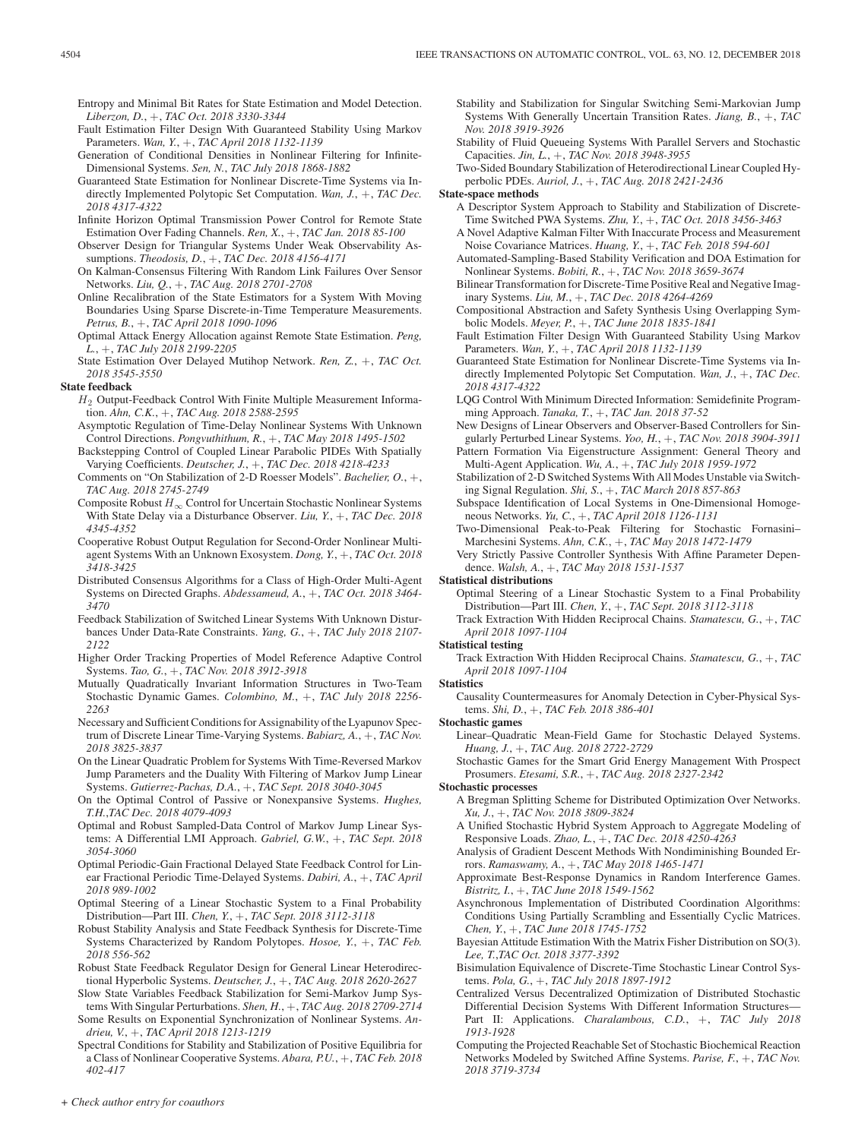Entropy and Minimal Bit Rates for State Estimation and Model Detection. *Liberzon, D.*, +, *TAC Oct. 2018 3330-3344*

- Fault Estimation Filter Design With Guaranteed Stability Using Markov Parameters. *Wan, Y.*, +, *TAC April 2018 1132-1139*
- Generation of Conditional Densities in Nonlinear Filtering for Infinite-Dimensional Systems. *Sen, N.*, *TAC July 2018 1868-1882*
- Guaranteed State Estimation for Nonlinear Discrete-Time Systems via Indirectly Implemented Polytopic Set Computation. *Wan, J.*, +, *TAC Dec. 2018 4317-4322*
- Infinite Horizon Optimal Transmission Power Control for Remote State Estimation Over Fading Channels. *Ren, X.*, +, *TAC Jan. 2018 85-100*
- Observer Design for Triangular Systems Under Weak Observability Assumptions. *Theodosis, D.*, +, *TAC Dec. 2018 4156-4171*
- On Kalman-Consensus Filtering With Random Link Failures Over Sensor Networks. *Liu, Q.*, +, *TAC Aug. 2018 2701-2708*
- Online Recalibration of the State Estimators for a System With Moving Boundaries Using Sparse Discrete-in-Time Temperature Measurements. *Petrus, B.*, +, *TAC April 2018 1090-1096*
- Optimal Attack Energy Allocation against Remote State Estimation. *Peng, L.*, +, *TAC July 2018 2199-2205*
- State Estimation Over Delayed Mutihop Network. *Ren, Z.*, +, *TAC Oct. 2018 3545-3550*
- **State feedback**
	- $H_2$  Output-Feedback Control With Finite Multiple Measurement Information. *Ahn, C.K.*, +, *TAC Aug. 2018 2588-2595*
	- Asymptotic Regulation of Time-Delay Nonlinear Systems With Unknown Control Directions. *Pongvuthithum, R.*, +, *TAC May 2018 1495-1502*
	- Backstepping Control of Coupled Linear Parabolic PIDEs With Spatially Varying Coefficients. *Deutscher, J.*, +, *TAC Dec. 2018 4218-4233*
	- Comments on "On Stabilization of 2-D Roesser Models". *Bachelier, O.*, +, *TAC Aug. 2018 2745-2749*
	- Composite Robust  $H_{\infty}$  Control for Uncertain Stochastic Nonlinear Systems With State Delay via a Disturbance Observer. *Liu, Y.*, +, *TAC Dec. 2018 4345-4352*
	- Cooperative Robust Output Regulation for Second-Order Nonlinear Multiagent Systems With an Unknown Exosystem. *Dong, Y.*, +, *TAC Oct. 2018 3418-3425*
	- Distributed Consensus Algorithms for a Class of High-Order Multi-Agent Systems on Directed Graphs. *Abdessameud, A.*, +, *TAC Oct. 2018 3464- 3470*
	- Feedback Stabilization of Switched Linear Systems With Unknown Disturbances Under Data-Rate Constraints. *Yang, G.*, +, *TAC July 2018 2107- 2122*
	- Higher Order Tracking Properties of Model Reference Adaptive Control Systems. *Tao, G.*, +, *TAC Nov. 2018 3912-3918*
	- Mutually Quadratically Invariant Information Structures in Two-Team Stochastic Dynamic Games. *Colombino, M.*, +, *TAC July 2018 2256- 2263*
	- Necessary and Sufficient Conditions for Assignability of the Lyapunov Spectrum of Discrete Linear Time-Varying Systems. *Babiarz, A.*, +, *TAC Nov. 2018 3825-3837*
	- On the Linear Quadratic Problem for Systems With Time-Reversed Markov Jump Parameters and the Duality With Filtering of Markov Jump Linear Systems. *Gutierrez-Pachas, D.A.*, +, *TAC Sept. 2018 3040-3045*
	- On the Optimal Control of Passive or Nonexpansive Systems. *Hughes, T.H.*,*TAC Dec. 2018 4079-4093*
	- Optimal and Robust Sampled-Data Control of Markov Jump Linear Systems: A Differential LMI Approach. *Gabriel, G.W.*, +, *TAC Sept. 2018 3054-3060*
	- Optimal Periodic-Gain Fractional Delayed State Feedback Control for Linear Fractional Periodic Time-Delayed Systems. *Dabiri, A.*, +, *TAC April 2018 989-1002*
	- Optimal Steering of a Linear Stochastic System to a Final Probability Distribution—Part III. *Chen, Y.*, +, *TAC Sept. 2018 3112-3118*
	- Robust Stability Analysis and State Feedback Synthesis for Discrete-Time Systems Characterized by Random Polytopes. *Hosoe, Y.*, +, *TAC Feb. 2018 556-562*
	- Robust State Feedback Regulator Design for General Linear Heterodirectional Hyperbolic Systems. *Deutscher, J.*, +, *TAC Aug. 2018 2620-2627*
	- Slow State Variables Feedback Stabilization for Semi-Markov Jump Systems With Singular Perturbations. *Shen, H.*,  $+$ *, TAC Aug. 2018 2709-2714* Some Results on Exponential Synchronization of Nonlinear Systems. *An-*
	- *drieu, V.*, +, *TAC April 2018 1213-1219* Spectral Conditions for Stability and Stabilization of Positive Equilibria for
	- a Class of Nonlinear Cooperative Systems. *Abara, P.U.*, +, *TAC Feb. 2018 402-417*
- Stability and Stabilization for Singular Switching Semi-Markovian Jump Systems With Generally Uncertain Transition Rates. *Jiang, B.*, +, *TAC Nov. 2018 3919-3926*
- Stability of Fluid Queueing Systems With Parallel Servers and Stochastic Capacities. *Jin, L.*, +, *TAC Nov. 2018 3948-3955*

Two-Sided Boundary Stabilization of Heterodirectional Linear Coupled Hyperbolic PDEs. *Auriol, J.*, +, *TAC Aug. 2018 2421-2436*

**State-space methods**

- A Descriptor System Approach to Stability and Stabilization of Discrete-Time Switched PWA Systems. *Zhu, Y.*, +, *TAC Oct. 2018 3456-3463*
- A Novel Adaptive Kalman Filter With Inaccurate Process and Measurement Noise Covariance Matrices. *Huang, Y.*, +, *TAC Feb. 2018 594-601*
- Automated-Sampling-Based Stability Verification and DOA Estimation for Nonlinear Systems. *Bobiti, R.*, +, *TAC Nov. 2018 3659-3674*
- Bilinear Transformation for Discrete-Time Positive Real and Negative Imaginary Systems. *Liu, M.*, +, *TAC Dec. 2018 4264-4269*
- Compositional Abstraction and Safety Synthesis Using Overlapping Symbolic Models. *Meyer, P.*, +, *TAC June 2018 1835-1841*
- Fault Estimation Filter Design With Guaranteed Stability Using Markov Parameters. *Wan, Y.*, +, *TAC April 2018 1132-1139*
- Guaranteed State Estimation for Nonlinear Discrete-Time Systems via Indirectly Implemented Polytopic Set Computation. *Wan, J.*, +, *TAC Dec. 2018 4317-4322*
- LQG Control With Minimum Directed Information: Semidefinite Programming Approach. *Tanaka, T.*, +, *TAC Jan. 2018 37-52*
- New Designs of Linear Observers and Observer-Based Controllers for Singularly Perturbed Linear Systems. *Yoo, H.*, +, *TAC Nov. 2018 3904-3911*
- Pattern Formation Via Eigenstructure Assignment: General Theory and Multi-Agent Application. *Wu, A.*, +, *TAC July 2018 1959-1972*
- Stabilization of 2-D Switched Systems With All Modes Unstable via Switching Signal Regulation. *Shi, S.*, +, *TAC March 2018 857-863*
- Subspace Identification of Local Systems in One-Dimensional Homogeneous Networks. *Yu, C.*, +, *TAC April 2018 1126-1131*
- Two-Dimensional Peak-to-Peak Filtering for Stochastic Fornasini– Marchesini Systems. *Ahn, C.K.*, +, *TAC May 2018 1472-1479*
- Very Strictly Passive Controller Synthesis With Affine Parameter Dependence. *Walsh, A.*, +, *TAC May 2018 1531-1537*
- **Statistical distributions**
	- Optimal Steering of a Linear Stochastic System to a Final Probability Distribution—Part III. *Chen, Y.*, +, *TAC Sept. 2018 3112-3118*
	- Track Extraction With Hidden Reciprocal Chains. *Stamatescu, G.*, +, *TAC April 2018 1097-1104*
- **Statistical testing**

Track Extraction With Hidden Reciprocal Chains. *Stamatescu, G.*, +, *TAC April 2018 1097-1104*

- **Statistics**
	- Causality Countermeasures for Anomaly Detection in Cyber-Physical Systems. *Shi, D.*, +, *TAC Feb. 2018 386-401*

**Stochastic games**

- Linear–Quadratic Mean-Field Game for Stochastic Delayed Systems. *Huang, J.*, +, *TAC Aug. 2018 2722-2729*
- Stochastic Games for the Smart Grid Energy Management With Prospect Prosumers. *Etesami, S.R.*, +, *TAC Aug. 2018 2327-2342*

**Stochastic processes**

- A Bregman Splitting Scheme for Distributed Optimization Over Networks. *Xu, J.*, +, *TAC Nov. 2018 3809-3824*
- A Unified Stochastic Hybrid System Approach to Aggregate Modeling of Responsive Loads. *Zhao, L.*, +, *TAC Dec. 2018 4250-4263*
- Analysis of Gradient Descent Methods With Nondiminishing Bounded Errors. *Ramaswamy, A.*, +, *TAC May 2018 1465-1471*
- Approximate Best-Response Dynamics in Random Interference Games. *Bistritz, I.*, +, *TAC June 2018 1549-1562*
- Asynchronous Implementation of Distributed Coordination Algorithms: Conditions Using Partially Scrambling and Essentially Cyclic Matrices. *Chen, Y.*, +, *TAC June 2018 1745-1752*
- Bayesian Attitude Estimation With the Matrix Fisher Distribution on SO(3). *Lee, T.*,*TAC Oct. 2018 3377-3392*
- Bisimulation Equivalence of Discrete-Time Stochastic Linear Control Systems. *Pola, G.*, +, *TAC July 2018 1897-1912*
- Centralized Versus Decentralized Optimization of Distributed Stochastic Differential Decision Systems With Different Information Structures— Part II: Applications. *Charalambous, C.D.*, +, *TAC July 2018 1913-1928*
- Computing the Projected Reachable Set of Stochastic Biochemical Reaction Networks Modeled by Switched Affine Systems. *Parise, F.*, +, *TAC Nov. 2018 3719-3734*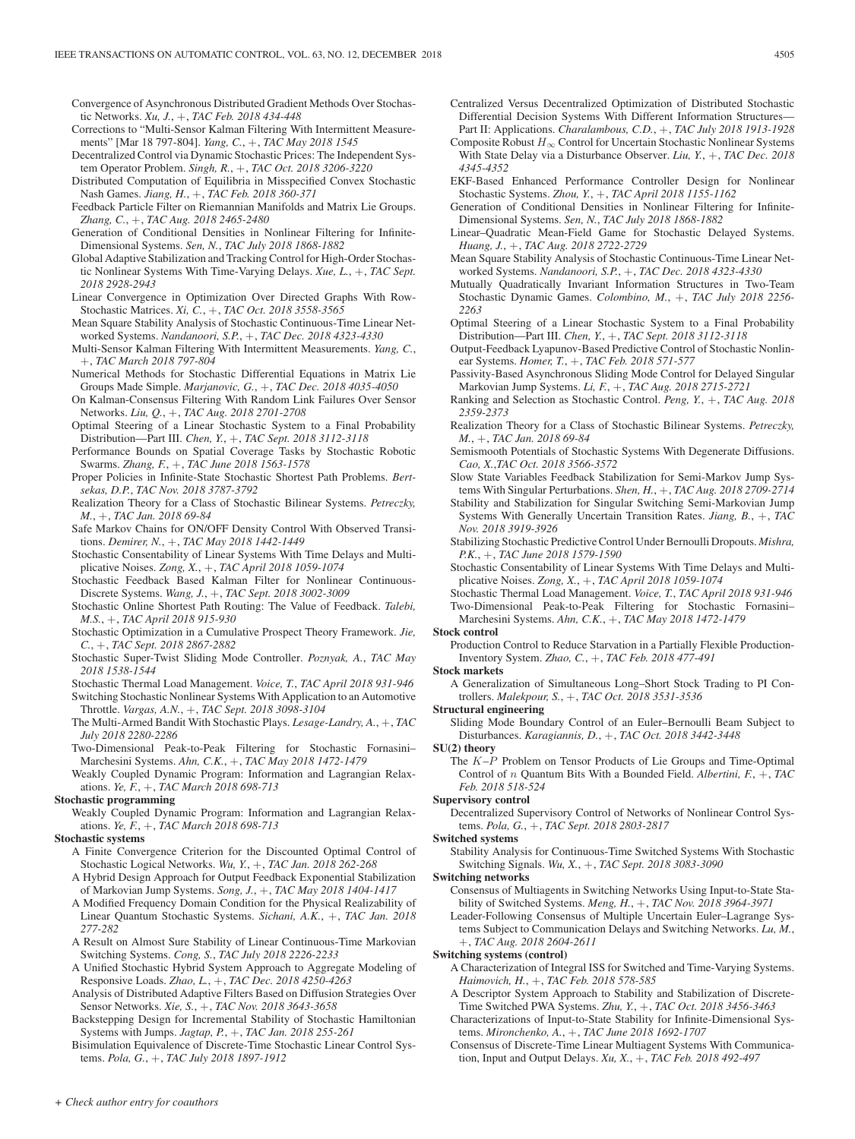Convergence of Asynchronous Distributed Gradient Methods Over Stochastic Networks. *Xu, J.*, +, *TAC Feb. 2018 434-448*

- Corrections to "Multi-Sensor Kalman Filtering With Intermittent Measurements" [Mar 18 797-804]. *Yang, C.*, +, *TAC May 2018 1545*
- Decentralized Control via Dynamic Stochastic Prices: The Independent System Operator Problem. *Singh, R.*, +, *TAC Oct. 2018 3206-3220*
- Distributed Computation of Equilibria in Misspecified Convex Stochastic Nash Games. *Jiang, H.*, +, *TAC Feb. 2018 360-371*
- Feedback Particle Filter on Riemannian Manifolds and Matrix Lie Groups. *Zhang, C.*, +, *TAC Aug. 2018 2465-2480*
- Generation of Conditional Densities in Nonlinear Filtering for Infinite-Dimensional Systems. *Sen, N.*, *TAC July 2018 1868-1882*
- Global Adaptive Stabilization and Tracking Control for High-Order Stochastic Nonlinear Systems With Time-Varying Delays. *Xue, L.*, +, *TAC Sept. 2018 2928-2943*
- Linear Convergence in Optimization Over Directed Graphs With Row-Stochastic Matrices. *Xi, C.*, +, *TAC Oct. 2018 3558-3565*
- Mean Square Stability Analysis of Stochastic Continuous-Time Linear Networked Systems. *Nandanoori, S.P.*, +, *TAC Dec. 2018 4323-4330*
- Multi-Sensor Kalman Filtering With Intermittent Measurements. *Yang, C.*, +, *TAC March 2018 797-804*
- Numerical Methods for Stochastic Differential Equations in Matrix Lie Groups Made Simple. *Marjanovic, G.*, +, *TAC Dec. 2018 4035-4050*
- On Kalman-Consensus Filtering With Random Link Failures Over Sensor Networks. *Liu, Q.*, +, *TAC Aug. 2018 2701-2708*
- Optimal Steering of a Linear Stochastic System to a Final Probability Distribution—Part III. *Chen, Y.*, +, *TAC Sept. 2018 3112-3118*
- Performance Bounds on Spatial Coverage Tasks by Stochastic Robotic Swarms. *Zhang, F.*, +, *TAC June 2018 1563-1578*
- Proper Policies in Infinite-State Stochastic Shortest Path Problems. *Bertsekas, D.P.*, *TAC Nov. 2018 3787-3792*
- Realization Theory for a Class of Stochastic Bilinear Systems. *Petreczky, M.*, +, *TAC Jan. 2018 69-84*
- Safe Markov Chains for ON/OFF Density Control With Observed Transitions. *Demirer, N.*, +, *TAC May 2018 1442-1449*
- Stochastic Consentability of Linear Systems With Time Delays and Multiplicative Noises. *Zong, X.*, +, *TAC April 2018 1059-1074*
- Stochastic Feedback Based Kalman Filter for Nonlinear Continuous-Discrete Systems. *Wang, J.*, +, *TAC Sept. 2018 3002-3009*
- Stochastic Online Shortest Path Routing: The Value of Feedback. *Talebi, M.S.*, +, *TAC April 2018 915-930*
- Stochastic Optimization in a Cumulative Prospect Theory Framework. *Jie, C.*, +, *TAC Sept. 2018 2867-2882*
- Stochastic Super-Twist Sliding Mode Controller. *Poznyak, A.*, *TAC May 2018 1538-1544*
- Stochastic Thermal Load Management. *Voice, T.*, *TAC April 2018 931-946* Switching Stochastic Nonlinear Systems With Application to an Automotive
- Throttle. *Vargas, A.N.*, +, *TAC Sept. 2018 3098-3104* The Multi-Armed Bandit With Stochastic Plays. *Lesage-Landry, A.*, +, *TAC*
- *July 2018 2280-2286*
- Two-Dimensional Peak-to-Peak Filtering for Stochastic Fornasini– Marchesini Systems. *Ahn, C.K.*, +, *TAC May 2018 1472-1479*

Weakly Coupled Dynamic Program: Information and Lagrangian Relaxations. *Ye, F.*, +, *TAC March 2018 698-713*

### **Stochastic programming**

Weakly Coupled Dynamic Program: Information and Lagrangian Relaxations. *Ye, F.*, +, *TAC March 2018 698-713*

# **Stochastic systems**

- A Finite Convergence Criterion for the Discounted Optimal Control of Stochastic Logical Networks. *Wu, Y.*, +, *TAC Jan. 2018 262-268*
- A Hybrid Design Approach for Output Feedback Exponential Stabilization of Markovian Jump Systems. *Song, J.*, +, *TAC May 2018 1404-1417*
- A Modified Frequency Domain Condition for the Physical Realizability of Linear Quantum Stochastic Systems. *Sichani, A.K.*, +, *TAC Jan. 2018 277-282*
- A Result on Almost Sure Stability of Linear Continuous-Time Markovian Switching Systems. *Cong, S.*, *TAC July 2018 2226-2233*
- A Unified Stochastic Hybrid System Approach to Aggregate Modeling of Responsive Loads. *Zhao, L.*, +, *TAC Dec. 2018 4250-4263*
- Analysis of Distributed Adaptive Filters Based on Diffusion Strategies Over Sensor Networks. *Xie, S.*, +, *TAC Nov. 2018 3643-3658*
- Backstepping Design for Incremental Stability of Stochastic Hamiltonian Systems with Jumps. *Jagtap, P.*, +, *TAC Jan. 2018 255-261*
- Bisimulation Equivalence of Discrete-Time Stochastic Linear Control Systems. *Pola, G.*, +, *TAC July 2018 1897-1912*
- Centralized Versus Decentralized Optimization of Distributed Stochastic Differential Decision Systems With Different Information Structures— Part II: Applications. *Charalambous, C.D.*, +, *TAC July 2018 1913-1928*
- Composite Robust  $H_{\infty}$  Control for Uncertain Stochastic Nonlinear Systems With State Delay via a Disturbance Observer. *Liu, Y.*, +, *TAC Dec. 2018 4345-4352*
- EKF-Based Enhanced Performance Controller Design for Nonlinear Stochastic Systems. *Zhou, Y.*, +, *TAC April 2018 1155-1162*
- Generation of Conditional Densities in Nonlinear Filtering for Infinite-Dimensional Systems. *Sen, N.*, *TAC July 2018 1868-1882*
- Linear–Quadratic Mean-Field Game for Stochastic Delayed Systems. *Huang, J.*, +, *TAC Aug. 2018 2722-2729*
- Mean Square Stability Analysis of Stochastic Continuous-Time Linear Networked Systems. *Nandanoori, S.P.*, +, *TAC Dec. 2018 4323-4330*
- Mutually Quadratically Invariant Information Structures in Two-Team Stochastic Dynamic Games. *Colombino, M.*, +, *TAC July 2018 2256- 2263*
- Optimal Steering of a Linear Stochastic System to a Final Probability Distribution—Part III. *Chen, Y.*, +, *TAC Sept. 2018 3112-3118*
- Output-Feedback Lyapunov-Based Predictive Control of Stochastic Nonlinear Systems. *Homer, T.*, +, *TAC Feb. 2018 571-577*
- Passivity-Based Asynchronous Sliding Mode Control for Delayed Singular Markovian Jump Systems. *Li, F.*, +, *TAC Aug. 2018 2715-2721*
- Ranking and Selection as Stochastic Control. *Peng, Y.*, +, *TAC Aug. 2018 2359-2373*
- Realization Theory for a Class of Stochastic Bilinear Systems. *Petreczky, M.*, +, *TAC Jan. 2018 69-84*
- Semismooth Potentials of Stochastic Systems With Degenerate Diffusions. *Cao, X.*,*TAC Oct. 2018 3566-3572*
- Slow State Variables Feedback Stabilization for Semi-Markov Jump Systems With Singular Perturbations. *Shen, H.*, +, *TAC Aug. 2018 2709-2714*
- Stability and Stabilization for Singular Switching Semi-Markovian Jump Systems With Generally Uncertain Transition Rates. *Jiang, B.*, +, *TAC Nov. 2018 3919-3926*
- Stabilizing Stochastic Predictive Control Under Bernoulli Dropouts. *Mishra, P.K.*, +, *TAC June 2018 1579-1590*
- Stochastic Consentability of Linear Systems With Time Delays and Multiplicative Noises. *Zong, X.*, +, *TAC April 2018 1059-1074*
- Stochastic Thermal Load Management. *Voice, T.*, *TAC April 2018 931-946* Two-Dimensional Peak-to-Peak Filtering for Stochastic Fornasini–
- Marchesini Systems. *Ahn, C.K.*, +, *TAC May 2018 1472-1479*

# **Stock control**

Production Control to Reduce Starvation in a Partially Flexible Production-Inventory System. *Zhao, C.*, +, *TAC Feb. 2018 477-491*

- **Stock markets**
	- A Generalization of Simultaneous Long–Short Stock Trading to PI Controllers. *Malekpour, S.*, +, *TAC Oct. 2018 3531-3536*
- **Structural engineering**
	- Sliding Mode Boundary Control of an Euler–Bernoulli Beam Subject to Disturbances. *Karagiannis, D.*, +, *TAC Oct. 2018 3442-3448*
- **SU(2) theory**
	- The K–P Problem on Tensor Products of Lie Groups and Time-Optimal Control of n Quantum Bits With a Bounded Field. *Albertini, F.*, +, *TAC Feb. 2018 518-524*

### **Supervisory control**

Decentralized Supervisory Control of Networks of Nonlinear Control Systems. *Pola, G.*, +, *TAC Sept. 2018 2803-2817*

# **Switched systems**

Stability Analysis for Continuous-Time Switched Systems With Stochastic Switching Signals. *Wu, X.*, +, *TAC Sept. 2018 3083-3090*

### **Switching networks**

- Consensus of Multiagents in Switching Networks Using Input-to-State Stability of Switched Systems. *Meng, H.*, +, *TAC Nov. 2018 3964-3971*
- Leader-Following Consensus of Multiple Uncertain Euler–Lagrange Systems Subject to Communication Delays and Switching Networks. *Lu, M.*, +, *TAC Aug. 2018 2604-2611*

### **Switching systems (control)**

- A Characterization of Integral ISS for Switched and Time-Varying Systems. *Haimovich, H.*, +, *TAC Feb. 2018 578-585*
- A Descriptor System Approach to Stability and Stabilization of Discrete-Time Switched PWA Systems. *Zhu, Y.*, +, *TAC Oct. 2018 3456-3463*
- Characterizations of Input-to-State Stability for Infinite-Dimensional Systems. *Mironchenko, A.*, +, *TAC June 2018 1692-1707*
- Consensus of Discrete-Time Linear Multiagent Systems With Communication, Input and Output Delays. *Xu, X.*, +, *TAC Feb. 2018 492-497*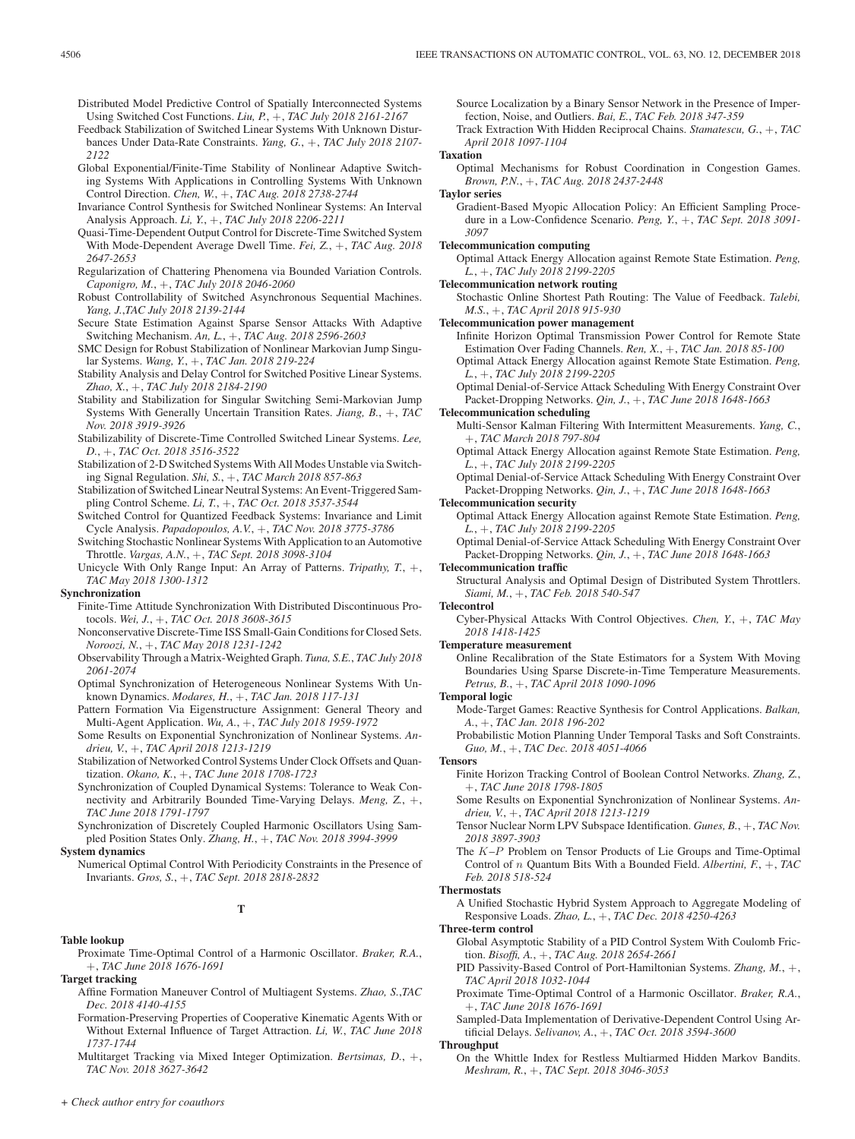- Distributed Model Predictive Control of Spatially Interconnected Systems Using Switched Cost Functions. *Liu, P.*, +, *TAC July 2018 2161-2167*
- Feedback Stabilization of Switched Linear Systems With Unknown Disturbances Under Data-Rate Constraints. *Yang, G.*, +, *TAC July 2018 2107- 2122*
- Global Exponential/Finite-Time Stability of Nonlinear Adaptive Switching Systems With Applications in Controlling Systems With Unknown Control Direction. *Chen, W.*, +, *TAC Aug. 2018 2738-2744*
- Invariance Control Synthesis for Switched Nonlinear Systems: An Interval Analysis Approach. *Li, Y.*, +, *TAC July 2018 2206-2211*
- Quasi-Time-Dependent Output Control for Discrete-Time Switched System With Mode-Dependent Average Dwell Time. *Fei, Z.*, +, *TAC Aug. 2018 2647-2653*
- Regularization of Chattering Phenomena via Bounded Variation Controls. *Caponigro, M.*, +, *TAC July 2018 2046-2060*
- Robust Controllability of Switched Asynchronous Sequential Machines. *Yang, J.*,*TAC July 2018 2139-2144*
- Secure State Estimation Against Sparse Sensor Attacks With Adaptive Switching Mechanism. *An, L.*, +, *TAC Aug. 2018 2596-2603*
- SMC Design for Robust Stabilization of Nonlinear Markovian Jump Singular Systems. *Wang, Y.*, +, *TAC Jan. 2018 219-224*
- Stability Analysis and Delay Control for Switched Positive Linear Systems. *Zhao, X.*, +, *TAC July 2018 2184-2190*
- Stability and Stabilization for Singular Switching Semi-Markovian Jump Systems With Generally Uncertain Transition Rates. *Jiang, B.*, +, *TAC Nov. 2018 3919-3926*
- Stabilizability of Discrete-Time Controlled Switched Linear Systems. *Lee, D.*, +, *TAC Oct. 2018 3516-3522*
- Stabilization of 2-D Switched Systems With All Modes Unstable via Switching Signal Regulation. *Shi, S.*, +, *TAC March 2018 857-863*
- Stabilization of Switched Linear Neutral Systems: An Event-Triggered Sampling Control Scheme. *Li, T.*, +, *TAC Oct. 2018 3537-3544*
- Switched Control for Quantized Feedback Systems: Invariance and Limit Cycle Analysis. *Papadopoulos, A.V.*, +, *TAC Nov. 2018 3775-3786*
- Switching Stochastic Nonlinear Systems With Application to an Automotive Throttle. *Vargas, A.N.*, +, *TAC Sept. 2018 3098-3104*
- Unicycle With Only Range Input: An Array of Patterns. *Tripathy, T.*, +, *TAC May 2018 1300-1312*

### **Synchronization**

- Finite-Time Attitude Synchronization With Distributed Discontinuous Protocols. *Wei, J.*, +, *TAC Oct. 2018 3608-3615*
- Nonconservative Discrete-Time ISS Small-Gain Conditions for Closed Sets. *Noroozi, N.*, +, *TAC May 2018 1231-1242*
- Observability Through a Matrix-Weighted Graph. *Tuna, S.E.*, *TAC July 2018 2061-2074*
- Optimal Synchronization of Heterogeneous Nonlinear Systems With Unknown Dynamics. *Modares, H.*, +, *TAC Jan. 2018 117-131*
- Pattern Formation Via Eigenstructure Assignment: General Theory and Multi-Agent Application. *Wu, A.*, +, *TAC July 2018 1959-1972*
- Some Results on Exponential Synchronization of Nonlinear Systems. *Andrieu, V.*, +, *TAC April 2018 1213-1219*
- Stabilization of Networked Control Systems Under Clock Offsets and Quantization. *Okano, K.*, +, *TAC June 2018 1708-1723*
- Synchronization of Coupled Dynamical Systems: Tolerance to Weak Connectivity and Arbitrarily Bounded Time-Varying Delays. *Meng, Z.*, +, *TAC June 2018 1791-1797*
- Synchronization of Discretely Coupled Harmonic Oscillators Using Sampled Position States Only. *Zhang, H.*, +, *TAC Nov. 2018 3994-3999*

**System dynamics**

Numerical Optimal Control With Periodicity Constraints in the Presence of Invariants. *Gros, S.*, +, *TAC Sept. 2018 2818-2832*

# **T**

# **Table lookup**

Proximate Time-Optimal Control of a Harmonic Oscillator. *Braker, R.A.*, +, *TAC June 2018 1676-1691*

- **Target tracking**
	- Affine Formation Maneuver Control of Multiagent Systems. *Zhao, S.*,*TAC Dec. 2018 4140-4155*
	- Formation-Preserving Properties of Cooperative Kinematic Agents With or Without External Influence of Target Attraction. *Li, W.*, *TAC June 2018 1737-1744*
	- Multitarget Tracking via Mixed Integer Optimization. *Bertsimas, D.*, +, *TAC Nov. 2018 3627-3642*

Source Localization by a Binary Sensor Network in the Presence of Imperfection, Noise, and Outliers. *Bai, E.*, *TAC Feb. 2018 347-359*

Track Extraction With Hidden Reciprocal Chains. *Stamatescu, G.*, +, *TAC April 2018 1097-1104*

# **Taxation**

Optimal Mechanisms for Robust Coordination in Congestion Games. *Brown, P.N.*, +, *TAC Aug. 2018 2437-2448*

### **Taylor series**

Gradient-Based Myopic Allocation Policy: An Efficient Sampling Procedure in a Low-Confidence Scenario. *Peng, Y.*, +, *TAC Sept. 2018 3091- 3097*

# **Telecommunication computing**

Optimal Attack Energy Allocation against Remote State Estimation. *Peng, L.*, +, *TAC July 2018 2199-2205*

# **Telecommunication network routing**

Stochastic Online Shortest Path Routing: The Value of Feedback. *Talebi, M.S.*, +, *TAC April 2018 915-930*

# **Telecommunication power management**

- Infinite Horizon Optimal Transmission Power Control for Remote State Estimation Over Fading Channels. *Ren, X.*, +, *TAC Jan. 2018 85-100*
- Optimal Attack Energy Allocation against Remote State Estimation. *Peng, L.*, +, *TAC July 2018 2199-2205*

Optimal Denial-of-Service Attack Scheduling With Energy Constraint Over Packet-Dropping Networks. *Qin, J.*, +, *TAC June 2018 1648-1663*

### **Telecommunication scheduling**

- Multi-Sensor Kalman Filtering With Intermittent Measurements. *Yang, C.*, +, *TAC March 2018 797-804*
- Optimal Attack Energy Allocation against Remote State Estimation. *Peng, L.*, +, *TAC July 2018 2199-2205*
- Optimal Denial-of-Service Attack Scheduling With Energy Constraint Over Packet-Dropping Networks. *Qin, J.*, +, *TAC June 2018 1648-1663*

### **Telecommunication security**

Optimal Attack Energy Allocation against Remote State Estimation. *Peng, L.*, +, *TAC July 2018 2199-2205*

Optimal Denial-of-Service Attack Scheduling With Energy Constraint Over Packet-Dropping Networks. *Qin, J.*, +, *TAC June 2018 1648-1663*

# **Telecommunication traffic**

Structural Analysis and Optimal Design of Distributed System Throttlers. *Siami, M.*, +, *TAC Feb. 2018 540-547*

# **Telecontrol**

Cyber-Physical Attacks With Control Objectives. *Chen, Y.*, +, *TAC May 2018 1418-1425*

### **Temperature measurement**

Online Recalibration of the State Estimators for a System With Moving Boundaries Using Sparse Discrete-in-Time Temperature Measurements. *Petrus, B.*, +, *TAC April 2018 1090-1096*

### **Temporal logic**

Mode-Target Games: Reactive Synthesis for Control Applications. *Balkan, A.*, +, *TAC Jan. 2018 196-202*

Probabilistic Motion Planning Under Temporal Tasks and Soft Constraints. *Guo, M.*, +, *TAC Dec. 2018 4051-4066*

### **Tensors**

- Finite Horizon Tracking Control of Boolean Control Networks. *Zhang, Z.*, +, *TAC June 2018 1798-1805*
- Some Results on Exponential Synchronization of Nonlinear Systems. *Andrieu, V.*, +, *TAC April 2018 1213-1219*
- Tensor Nuclear Norm LPV Subspace Identification. *Gunes, B.*, +, *TAC Nov. 2018 3897-3903*
- The K–P Problem on Tensor Products of Lie Groups and Time-Optimal Control of n Quantum Bits With a Bounded Field. *Albertini, F.*, +, *TAC Feb. 2018 518-524*

### **Thermostats**

A Unified Stochastic Hybrid System Approach to Aggregate Modeling of Responsive Loads. *Zhao, L.*, +, *TAC Dec. 2018 4250-4263*

### **Three-term control**

- Global Asymptotic Stability of a PID Control System With Coulomb Friction. *Bisoffi, A.*, +, *TAC Aug. 2018 2654-2661*
- PID Passivity-Based Control of Port-Hamiltonian Systems. *Zhang, M.*, +, *TAC April 2018 1032-1044*
- Proximate Time-Optimal Control of a Harmonic Oscillator. *Braker, R.A.*, +, *TAC June 2018 1676-1691*
- Sampled-Data Implementation of Derivative-Dependent Control Using Artificial Delays. *Selivanov, A.*, +, *TAC Oct. 2018 3594-3600*
- **Throughput**
- On the Whittle Index for Restless Multiarmed Hidden Markov Bandits. *Meshram, R.*, +, *TAC Sept. 2018 3046-3053*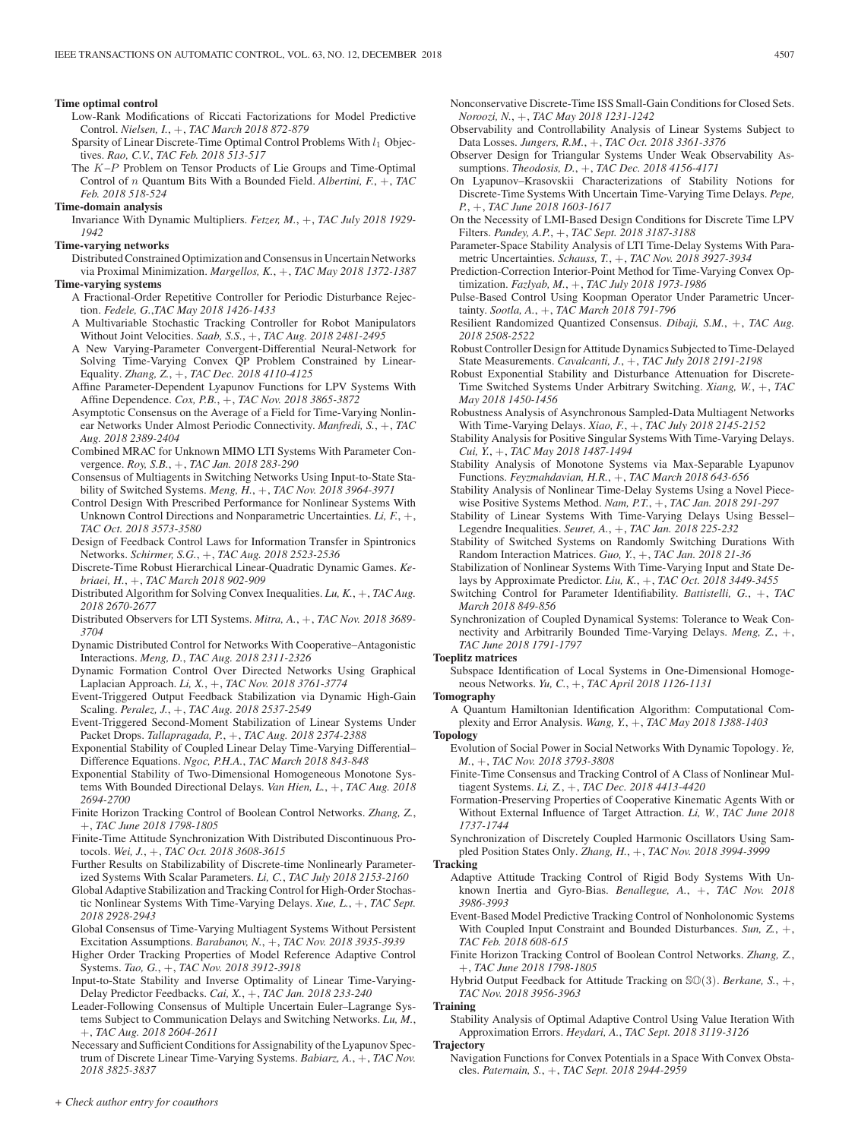### **Time optimal control**

- Low-Rank Modifications of Riccati Factorizations for Model Predictive Control. *Nielsen, I.*, +, *TAC March 2018 872-879*
- Sparsity of Linear Discrete-Time Optimal Control Problems With  $l_1$  Objectives. *Rao, C.V.*, *TAC Feb. 2018 513-517*
- The K–P Problem on Tensor Products of Lie Groups and Time-Optimal Control of n Quantum Bits With a Bounded Field. *Albertini, F.*, +, *TAC Feb. 2018 518-524*

### **Time-domain analysis**

Invariance With Dynamic Multipliers. *Fetzer, M.*, +, *TAC July 2018 1929- 1942*

# **Time-varying networks**

Distributed Constrained Optimization and Consensus in Uncertain Networks via Proximal Minimization. *Margellos, K.*, +, *TAC May 2018 1372-1387* **Time-varying systems**

- A Fractional-Order Repetitive Controller for Periodic Disturbance Rejection. *Fedele, G.*,*TAC May 2018 1426-1433*
- A Multivariable Stochastic Tracking Controller for Robot Manipulators Without Joint Velocities. *Saab, S.S.*, +, *TAC Aug. 2018 2481-2495*
- A New Varying-Parameter Convergent-Differential Neural-Network for Solving Time-Varying Convex QP Problem Constrained by Linear-Equality. *Zhang, Z.*, +, *TAC Dec. 2018 4110-4125*
- Affine Parameter-Dependent Lyapunov Functions for LPV Systems With Affine Dependence. *Cox, P.B.*, +, *TAC Nov. 2018 3865-3872*
- Asymptotic Consensus on the Average of a Field for Time-Varying Nonlinear Networks Under Almost Periodic Connectivity. *Manfredi, S.*, +, *TAC Aug. 2018 2389-2404*
- Combined MRAC for Unknown MIMO LTI Systems With Parameter Convergence. *Roy, S.B.*, +, *TAC Jan. 2018 283-290*
- Consensus of Multiagents in Switching Networks Using Input-to-State Stability of Switched Systems. *Meng, H.*, +, *TAC Nov. 2018 3964-3971*
- Control Design With Prescribed Performance for Nonlinear Systems With Unknown Control Directions and Nonparametric Uncertainties. *Li, F.*, +, *TAC Oct. 2018 3573-3580*
- Design of Feedback Control Laws for Information Transfer in Spintronics Networks. *Schirmer, S.G.*, +, *TAC Aug. 2018 2523-2536*
- Discrete-Time Robust Hierarchical Linear-Quadratic Dynamic Games. *Kebriaei, H.*, +, *TAC March 2018 902-909*
- Distributed Algorithm for Solving Convex Inequalities. *Lu, K.*, +, *TAC Aug. 2018 2670-2677*
- Distributed Observers for LTI Systems. *Mitra, A.*, +, *TAC Nov. 2018 3689- 3704*
- Dynamic Distributed Control for Networks With Cooperative–Antagonistic Interactions. *Meng, D.*, *TAC Aug. 2018 2311-2326*
- Dynamic Formation Control Over Directed Networks Using Graphical Laplacian Approach. *Li, X.*, +, *TAC Nov. 2018 3761-3774*
- Event-Triggered Output Feedback Stabilization via Dynamic High-Gain Scaling. *Peralez, J.*, +, *TAC Aug. 2018 2537-2549*
- Event-Triggered Second-Moment Stabilization of Linear Systems Under Packet Drops. *Tallapragada, P.*, +, *TAC Aug. 2018 2374-2388*
- Exponential Stability of Coupled Linear Delay Time-Varying Differential– Difference Equations. *Ngoc, P.H.A.*, *TAC March 2018 843-848*
- Exponential Stability of Two-Dimensional Homogeneous Monotone Systems With Bounded Directional Delays. *Van Hien, L.*, +, *TAC Aug. 2018 2694-2700*
- Finite Horizon Tracking Control of Boolean Control Networks. *Zhang, Z.*, +, *TAC June 2018 1798-1805*
- Finite-Time Attitude Synchronization With Distributed Discontinuous Protocols. *Wei, J.*, +, *TAC Oct. 2018 3608-3615*
- Further Results on Stabilizability of Discrete-time Nonlinearly Parameterized Systems With Scalar Parameters. *Li, C.*, *TAC July 2018 2153-2160*
- Global Adaptive Stabilization and Tracking Control for High-Order Stochastic Nonlinear Systems With Time-Varying Delays. *Xue, L.*, +, *TAC Sept. 2018 2928-2943*
- Global Consensus of Time-Varying Multiagent Systems Without Persistent Excitation Assumptions. *Barabanov, N.*, +, *TAC Nov. 2018 3935-3939*
- Higher Order Tracking Properties of Model Reference Adaptive Control Systems. *Tao, G.*, +, *TAC Nov. 2018 3912-3918*
- Input-to-State Stability and Inverse Optimality of Linear Time-Varying-Delay Predictor Feedbacks. *Cai, X.*, +, *TAC Jan. 2018 233-240*
- Leader-Following Consensus of Multiple Uncertain Euler–Lagrange Systems Subject to Communication Delays and Switching Networks. *Lu, M.*, +, *TAC Aug. 2018 2604-2611*
- Necessary and Sufficient Conditions for Assignability of the Lyapunov Spectrum of Discrete Linear Time-Varying Systems. *Babiarz, A.*, +, *TAC Nov. 2018 3825-3837*
- Nonconservative Discrete-Time ISS Small-Gain Conditions for Closed Sets. *Noroozi, N.*, +, *TAC May 2018 1231-1242*
- Observability and Controllability Analysis of Linear Systems Subject to Data Losses. *Jungers, R.M.*, +, *TAC Oct. 2018 3361-3376*
- Observer Design for Triangular Systems Under Weak Observability Assumptions. *Theodosis, D.*, +, *TAC Dec. 2018 4156-4171*
- On Lyapunov–Krasovskii Characterizations of Stability Notions for Discrete-Time Systems With Uncertain Time-Varying Time Delays. *Pepe, P.*, +, *TAC June 2018 1603-1617*
- On the Necessity of LMI-Based Design Conditions for Discrete Time LPV Filters. *Pandey, A.P.*, +, *TAC Sept. 2018 3187-3188*
- Parameter-Space Stability Analysis of LTI Time-Delay Systems With Parametric Uncertainties. *Schauss, T.*, +, *TAC Nov. 2018 3927-3934*
- Prediction-Correction Interior-Point Method for Time-Varying Convex Optimization. *Fazlyab, M.*, +, *TAC July 2018 1973-1986*
- Pulse-Based Control Using Koopman Operator Under Parametric Uncertainty. *Sootla, A.*, +, *TAC March 2018 791-796*
- Resilient Randomized Quantized Consensus. *Dibaji, S.M.*, +, *TAC Aug. 2018 2508-2522*
- Robust Controller Design for Attitude Dynamics Subjected to Time-Delayed State Measurements. *Cavalcanti, J.*, +, *TAC July 2018 2191-2198*
- Robust Exponential Stability and Disturbance Attenuation for Discrete-Time Switched Systems Under Arbitrary Switching. *Xiang, W.*, +, *TAC May 2018 1450-1456*
- Robustness Analysis of Asynchronous Sampled-Data Multiagent Networks With Time-Varying Delays. *Xiao, F.*, +, *TAC July 2018 2145-2152*
- Stability Analysis for Positive Singular Systems With Time-Varying Delays. *Cui, Y.*, +, *TAC May 2018 1487-1494*
- Stability Analysis of Monotone Systems via Max-Separable Lyapunov Functions. *Feyzmahdavian, H.R.*, +, *TAC March 2018 643-656*
- Stability Analysis of Nonlinear Time-Delay Systems Using a Novel Piecewise Positive Systems Method. *Nam, P.T.*, +, *TAC Jan. 2018 291-297*
- Stability of Linear Systems With Time-Varying Delays Using Bessel– Legendre Inequalities. *Seuret, A.*, +, *TAC Jan. 2018 225-232*
- Stability of Switched Systems on Randomly Switching Durations With Random Interaction Matrices. *Guo, Y.*, +, *TAC Jan. 2018 21-36*
- Stabilization of Nonlinear Systems With Time-Varying Input and State Delays by Approximate Predictor. *Liu, K.*, +, *TAC Oct. 2018 3449-3455*
- Switching Control for Parameter Identifiability. *Battistelli, G.*, +, *TAC March 2018 849-856*
- Synchronization of Coupled Dynamical Systems: Tolerance to Weak Connectivity and Arbitrarily Bounded Time-Varying Delays. *Meng, Z.*, +, *TAC June 2018 1791-1797*

### **Toeplitz matrices**

Subspace Identification of Local Systems in One-Dimensional Homogeneous Networks. *Yu, C.*, +, *TAC April 2018 1126-1131*

# **Tomography**

A Quantum Hamiltonian Identification Algorithm: Computational Complexity and Error Analysis. *Wang, Y.*, +, *TAC May 2018 1388-1403*

**Topology** Evolution of Social Power in Social Networks With Dynamic Topology. *Ye,*

- *M.*, +, *TAC Nov. 2018 3793-3808* Finite-Time Consensus and Tracking Control of A Class of Nonlinear Mul-
- tiagent Systems. *Li, Z.*, +, *TAC Dec. 2018 4413-4420*
- Formation-Preserving Properties of Cooperative Kinematic Agents With or Without External Influence of Target Attraction. *Li, W.*, *TAC June 2018 1737-1744*
- Synchronization of Discretely Coupled Harmonic Oscillators Using Sampled Position States Only. *Zhang, H.*, +, *TAC Nov. 2018 3994-3999*

### **Tracking**

- Adaptive Attitude Tracking Control of Rigid Body Systems With Unknown Inertia and Gyro-Bias. *Benallegue, A.*, +, *TAC Nov. 2018 3986-3993*
- Event-Based Model Predictive Tracking Control of Nonholonomic Systems With Coupled Input Constraint and Bounded Disturbances. *Sun, Z.*, +, *TAC Feb. 2018 608-615*
- Finite Horizon Tracking Control of Boolean Control Networks. *Zhang, Z.*, +, *TAC June 2018 1798-1805*
- Hybrid Output Feedback for Attitude Tracking on SO(3). *Berkane, S.*, +, *TAC Nov. 2018 3956-3963*

## **Training**

- Stability Analysis of Optimal Adaptive Control Using Value Iteration With Approximation Errors. *Heydari, A.*, *TAC Sept. 2018 3119-3126*
- **Trajectory**
- Navigation Functions for Convex Potentials in a Space With Convex Obstacles. *Paternain, S.*, +, *TAC Sept. 2018 2944-2959*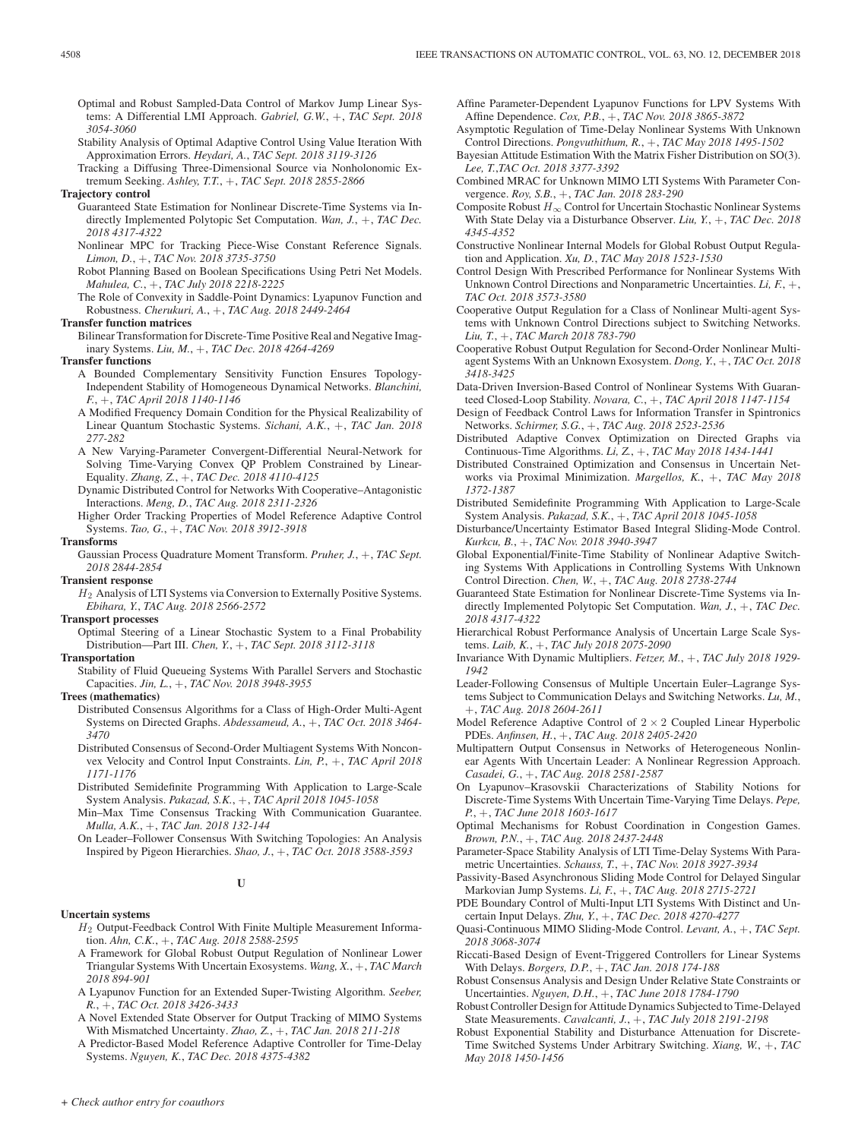- Optimal and Robust Sampled-Data Control of Markov Jump Linear Systems: A Differential LMI Approach. *Gabriel, G.W.*, +, *TAC Sept. 2018 3054-3060*
- Stability Analysis of Optimal Adaptive Control Using Value Iteration With Approximation Errors. *Heydari, A.*, *TAC Sept. 2018 3119-3126*
- Tracking a Diffusing Three-Dimensional Source via Nonholonomic Extremum Seeking. *Ashley, T.T.*, +, *TAC Sept. 2018 2855-2866*

### **Trajectory control**

- Guaranteed State Estimation for Nonlinear Discrete-Time Systems via Indirectly Implemented Polytopic Set Computation. *Wan, J.*, +, *TAC Dec. 2018 4317-4322*
- Nonlinear MPC for Tracking Piece-Wise Constant Reference Signals. *Limon, D.*, +, *TAC Nov. 2018 3735-3750*
- Robot Planning Based on Boolean Specifications Using Petri Net Models. *Mahulea, C.*, +, *TAC July 2018 2218-2225*
- The Role of Convexity in Saddle-Point Dynamics: Lyapunov Function and Robustness. *Cherukuri, A.*, +, *TAC Aug. 2018 2449-2464*

### **Transfer function matrices**

Bilinear Transformation for Discrete-Time Positive Real and Negative Imaginary Systems. *Liu, M.*, +, *TAC Dec. 2018 4264-4269*

# **Transfer functions**

- A Bounded Complementary Sensitivity Function Ensures Topology-Independent Stability of Homogeneous Dynamical Networks. *Blanchini, F.*, +, *TAC April 2018 1140-1146*
- A Modified Frequency Domain Condition for the Physical Realizability of Linear Quantum Stochastic Systems. *Sichani, A.K.*, +, *TAC Jan. 2018 277-282*
- A New Varying-Parameter Convergent-Differential Neural-Network for Solving Time-Varying Convex QP Problem Constrained by Linear-Equality. *Zhang, Z.*, +, *TAC Dec. 2018 4110-4125*
- Dynamic Distributed Control for Networks With Cooperative–Antagonistic Interactions. *Meng, D.*, *TAC Aug. 2018 2311-2326*
- Higher Order Tracking Properties of Model Reference Adaptive Control Systems. *Tao, G.*, +, *TAC Nov. 2018 3912-3918*

### **Transforms**

Gaussian Process Quadrature Moment Transform. *Pruher, J.*, +, *TAC Sept. 2018 2844-2854*

**Transient response**

H2 Analysis of LTI Systems via Conversion to Externally Positive Systems. *Ebihara, Y.*, *TAC Aug. 2018 2566-2572*

- **Transport processes**
- Optimal Steering of a Linear Stochastic System to a Final Probability Distribution—Part III. *Chen, Y.*, +, *TAC Sept. 2018 3112-3118*

# **Transportation**

Stability of Fluid Queueing Systems With Parallel Servers and Stochastic Capacities. *Jin, L.*, +, *TAC Nov. 2018 3948-3955*

### **Trees (mathematics)**

- Distributed Consensus Algorithms for a Class of High-Order Multi-Agent Systems on Directed Graphs. *Abdessameud, A.*, +, *TAC Oct. 2018 3464- 3470*
- Distributed Consensus of Second-Order Multiagent Systems With Nonconvex Velocity and Control Input Constraints. *Lin, P.*, +, *TAC April 2018 1171-1176*
- Distributed Semidefinite Programming With Application to Large-Scale System Analysis. *Pakazad, S.K.*, +, *TAC April 2018 1045-1058*
- Min–Max Time Consensus Tracking With Communication Guarantee. *Mulla, A.K.*, +, *TAC Jan. 2018 132-144*
- On Leader–Follower Consensus With Switching Topologies: An Analysis Inspired by Pigeon Hierarchies. *Shao, J.*, +, *TAC Oct. 2018 3588-3593*

# **U**

### **Uncertain systems**

- $H_2$  Output-Feedback Control With Finite Multiple Measurement Information. *Ahn, C.K.*, +, *TAC Aug. 2018 2588-2595*
- A Framework for Global Robust Output Regulation of Nonlinear Lower Triangular Systems With Uncertain Exosystems. *Wang, X.*, +, *TAC March 2018 894-901*
- A Lyapunov Function for an Extended Super-Twisting Algorithm. *Seeber, R.*, +, *TAC Oct. 2018 3426-3433*
- A Novel Extended State Observer for Output Tracking of MIMO Systems With Mismatched Uncertainty. *Zhao, Z.*, +, *TAC Jan. 2018 211-218*
- A Predictor-Based Model Reference Adaptive Controller for Time-Delay Systems. *Nguyen, K.*, *TAC Dec. 2018 4375-4382*
- Affine Parameter-Dependent Lyapunov Functions for LPV Systems With Affine Dependence. *Cox, P.B.*, +, *TAC Nov. 2018 3865-3872*
- Asymptotic Regulation of Time-Delay Nonlinear Systems With Unknown Control Directions. *Pongvuthithum, R.*, +, *TAC May 2018 1495-1502*
- Bayesian Attitude Estimation With the Matrix Fisher Distribution on SO(3). *Lee, T.*,*TAC Oct. 2018 3377-3392*
- Combined MRAC for Unknown MIMO LTI Systems With Parameter Convergence. *Roy, S.B.*, +, *TAC Jan. 2018 283-290*
- Composite Robust  $H_{\infty}$  Control for Uncertain Stochastic Nonlinear Systems With State Delay via a Disturbance Observer. *Liu, Y.*, +, *TAC Dec. 2018 4345-4352*
- Constructive Nonlinear Internal Models for Global Robust Output Regulation and Application. *Xu, D.*, *TAC May 2018 1523-1530*
- Control Design With Prescribed Performance for Nonlinear Systems With Unknown Control Directions and Nonparametric Uncertainties. *Li, F.*, +, *TAC Oct. 2018 3573-3580*
- Cooperative Output Regulation for a Class of Nonlinear Multi-agent Systems with Unknown Control Directions subject to Switching Networks. *Liu, T.*, +, *TAC March 2018 783-790*
- Cooperative Robust Output Regulation for Second-Order Nonlinear Multiagent Systems With an Unknown Exosystem. *Dong, Y.*, +, *TAC Oct. 2018 3418-3425*
- Data-Driven Inversion-Based Control of Nonlinear Systems With Guaranteed Closed-Loop Stability. *Novara, C.*, +, *TAC April 2018 1147-1154*
- Design of Feedback Control Laws for Information Transfer in Spintronics Networks. *Schirmer, S.G.*, +, *TAC Aug. 2018 2523-2536*
- Distributed Adaptive Convex Optimization on Directed Graphs via Continuous-Time Algorithms. *Li, Z.*, +, *TAC May 2018 1434-1441*
- Distributed Constrained Optimization and Consensus in Uncertain Networks via Proximal Minimization. *Margellos, K.*, +, *TAC May 2018 1372-1387*
- Distributed Semidefinite Programming With Application to Large-Scale System Analysis. *Pakazad, S.K.*, +, *TAC April 2018 1045-1058*
- Disturbance/Uncertainty Estimator Based Integral Sliding-Mode Control. *Kurkcu, B.*, +, *TAC Nov. 2018 3940-3947*
- Global Exponential/Finite-Time Stability of Nonlinear Adaptive Switching Systems With Applications in Controlling Systems With Unknown Control Direction. *Chen, W.*, +, *TAC Aug. 2018 2738-2744*
- Guaranteed State Estimation for Nonlinear Discrete-Time Systems via Indirectly Implemented Polytopic Set Computation. *Wan, J.*, +, *TAC Dec. 2018 4317-4322*
- Hierarchical Robust Performance Analysis of Uncertain Large Scale Systems. *Laib, K.*, +, *TAC July 2018 2075-2090*
- Invariance With Dynamic Multipliers. *Fetzer, M.*, +, *TAC July 2018 1929- 1942*
- Leader-Following Consensus of Multiple Uncertain Euler–Lagrange Systems Subject to Communication Delays and Switching Networks. *Lu, M.*, +, *TAC Aug. 2018 2604-2611*
- Model Reference Adaptive Control of  $2 \times 2$  Coupled Linear Hyperbolic PDEs. *Anfinsen, H.*, +, *TAC Aug. 2018 2405-2420*
- Multipattern Output Consensus in Networks of Heterogeneous Nonlinear Agents With Uncertain Leader: A Nonlinear Regression Approach. *Casadei, G.*, +, *TAC Aug. 2018 2581-2587*
- On Lyapunov–Krasovskii Characterizations of Stability Notions for Discrete-Time Systems With Uncertain Time-Varying Time Delays. *Pepe, P.*, +, *TAC June 2018 1603-1617*
- Optimal Mechanisms for Robust Coordination in Congestion Games. *Brown, P.N.*, +, *TAC Aug. 2018 2437-2448*
- Parameter-Space Stability Analysis of LTI Time-Delay Systems With Parametric Uncertainties. *Schauss, T.*, +, *TAC Nov. 2018 3927-3934*
- Passivity-Based Asynchronous Sliding Mode Control for Delayed Singular Markovian Jump Systems. *Li, F.*, +, *TAC Aug. 2018 2715-2721*
- PDE Boundary Control of Multi-Input LTI Systems With Distinct and Uncertain Input Delays. *Zhu, Y.*, +, *TAC Dec. 2018 4270-4277*
- Quasi-Continuous MIMO Sliding-Mode Control. *Levant, A.*, +, *TAC Sept. 2018 3068-3074*
- Riccati-Based Design of Event-Triggered Controllers for Linear Systems With Delays. *Borgers, D.P.*, +, *TAC Jan. 2018 174-188*
- Robust Consensus Analysis and Design Under Relative State Constraints or Uncertainties. *Nguyen, D.H.*, +, *TAC June 2018 1784-1790*
- Robust Controller Design for Attitude Dynamics Subjected to Time-Delayed State Measurements. *Cavalcanti, J.*, +, *TAC July 2018 2191-2198*
- Robust Exponential Stability and Disturbance Attenuation for Discrete-Time Switched Systems Under Arbitrary Switching. *Xiang, W.*, +, *TAC May 2018 1450-1456*